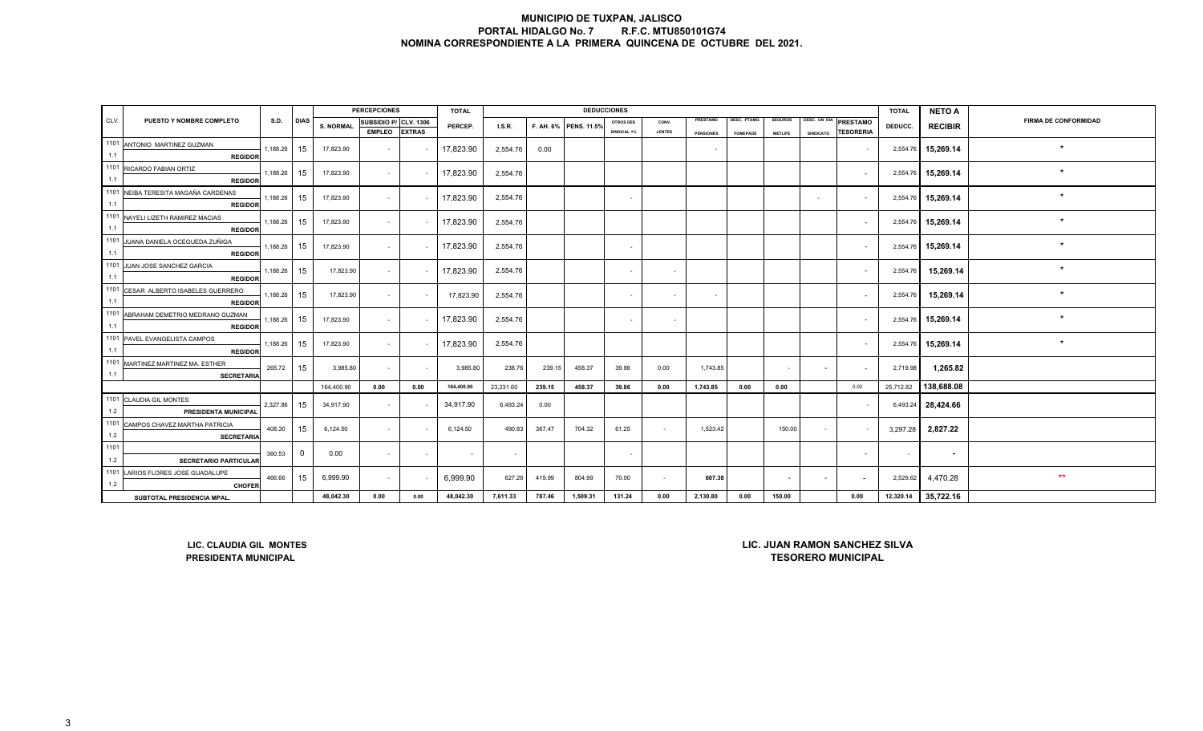|      |                                                        |             |             |                  | <b>PERCEPCIONES</b>   |      | <b>TOTAL</b> |           |        |                       | <b>DEDUCCIONES</b>       |               |                  |                 |                |                                      | <b>TOTAL</b> | <b>NETO A</b>      |                             |
|------|--------------------------------------------------------|-------------|-------------|------------------|-----------------------|------|--------------|-----------|--------|-----------------------|--------------------------|---------------|------------------|-----------------|----------------|--------------------------------------|--------------|--------------------|-----------------------------|
| CLV. | PUESTO Y NOMBRE COMPLETO                               | S.D.        | <b>DIAS</b> | <b>S. NORMAL</b> | SUBSIDIO P/ CLV. 1306 |      | PERCEP.      | I.S.R.    |        | F. AH. 6% PENS. 11.5% | <b>OTROS DES</b>         | CONV.         | PRESTAMO         | DESC. PTAMO.    | <b>SEGUROS</b> | DESC. UN DIA<br>PRESTAMO             | DEDUCC.      | <b>RECIBIR</b>     | <b>FIRMA DE CONFORMIDAD</b> |
|      | 1101 ANTONIO MARTINEZ GUZMAN                           |             |             |                  | EMPLEO EXTRAS         |      |              |           |        |                       | SINDICAL 1%              | <b>LENTES</b> | <b>PENSIONES</b> | <b>FOMEPADE</b> | <b>METLIFE</b> | <b>TESORERIA</b><br><b>SINDICATO</b> |              |                    |                             |
| 1.1  | <b>REGIDOR</b>                                         | 1,188.26    | 15          | 17,823.90        | $\sim$                |      | 17,823.90    | 2,554.76  | 0.00   |                       |                          |               | $\sim$           |                 |                | $\sim$                               |              | 2,554.76 15,269.14 | $\star$                     |
|      | 1101 RICARDO FABIAN ORTIZ                              |             |             |                  |                       |      |              |           |        |                       |                          |               |                  |                 |                |                                      |              |                    | $\star$                     |
| 1.1  | <b>REGIDOR</b>                                         | 1,188.26 15 |             | 17,823.90        | $\sim$                |      | 17,823.90    | 2,554.76  |        |                       |                          |               |                  |                 |                | $\sim$                               |              | 2,554.76 15,269.14 |                             |
|      | 1101 NEIBA TERESITA MAGAÑA CARDENAS                    | 1,188.26 15 |             | 17,823.90        | $\sim$                |      | 17,823.90    | 2,554.76  |        |                       |                          |               |                  |                 |                | $\sim$                               |              | 2,554.76 15,269.14 | $\star$                     |
| 1.1  | <b>REGIDOR</b>                                         |             |             |                  |                       |      |              |           |        |                       |                          |               |                  |                 |                |                                      |              |                    |                             |
|      | 1101 NAYELI LIZETH RAMIREZ MACIAS                      | 1,188.26 15 |             | 17,823.90        | $\sim$                |      | 17,823.90    | 2,554.76  |        |                       |                          |               |                  |                 |                | $\sim$                               |              | 2,554.76 15,269.14 | $\star$                     |
| 1.1  | <b>REGIDOR</b>                                         |             |             |                  |                       |      |              |           |        |                       |                          |               |                  |                 |                |                                      |              |                    |                             |
|      | 1101 JUANA DANIELA OCEGUEDA ZUÑIGA                     | 1,188.26 15 |             | 17,823.90        | $\sim$                |      | 17,823.90    | 2,554.76  |        |                       | $\sim$                   |               |                  |                 |                | $\sim$                               |              | 2,554.76 15,269.14 | $\star$                     |
| 1.1  | <b>REGIDOR</b>                                         |             |             |                  |                       |      |              |           |        |                       |                          |               |                  |                 |                |                                      |              |                    |                             |
| 1101 | JUAN JOSE SANCHEZ GARCIA                               | 1,188.26 15 |             | 17,823.90        | $\sim$                |      | 17,823.90    | 2,554.76  |        |                       | $\sim$                   | $\sim$        |                  |                 |                | $\sim$                               | 2,554.76     | 15,269.14          | $\star$                     |
| 1.1  | <b>REGIDOR</b>                                         |             |             |                  |                       |      |              |           |        |                       |                          |               |                  |                 |                |                                      |              |                    |                             |
| 1.1  | 1101 CESAR ALBERTO ISABELES GUERRERO                   | 1,188.26 15 |             | 17,823.90        | $\sim$                |      | 17,823.90    | 2,554.76  |        |                       | $\sim$                   | $\sim$        | $\sim$           |                 |                | $\sim$                               | 2,554.76     | 15,269.14          |                             |
|      | <b>REGIDOR</b>                                         |             |             |                  |                       |      |              |           |        |                       |                          |               |                  |                 |                |                                      |              |                    |                             |
| 1.1  | 1101 ABRAHAM DEMETRIO MEDRANO GUZMAN<br><b>REGIDOR</b> | 1,188.26    | 15          | 17,823.90        | $\sim$                |      | 17,823.90    | 2,554.76  |        |                       | $\overline{\phantom{a}}$ | $\sim$        |                  |                 |                | $\sim$                               |              | 2,554.76 15,269.14 | $\star$                     |
|      | 1101 PAVEL EVANGELISTA CAMPOS                          |             |             |                  |                       |      |              |           |        |                       |                          |               |                  |                 |                |                                      |              |                    |                             |
| 1.1  | <b>REGIDOR</b>                                         | 1,188.26 15 |             | 17,823.90        | $\sim$                |      | 17,823.90    | 2,554.76  |        |                       |                          |               |                  |                 |                | $\sim$                               |              | 2,554.76 15,269.14 | $\star$                     |
|      | 1101 MARTINEZ MARTINEZ MA. ESTHER                      | 265.72      | 15          |                  |                       |      |              |           |        |                       |                          |               |                  |                 |                |                                      |              |                    |                             |
| 1.1  | <b>SECRETARIA</b>                                      |             |             | 3,985.80         | $\sim$                |      | 3,985.80     | 238.76    | 239.15 | 458.37                | 39.86                    | 0.00          | 1,743.85         |                 | $\sim$         | $\sim$<br>$\sim$                     | 2,719.98     | 1,265.82           |                             |
|      |                                                        |             |             | 164,400.90       | 0.00                  | 0.00 | 164,400.90   | 23,231.60 | 239.15 | 458.37                | 39.86                    | 0.00          | 1,743.85         | 0.00            | 0.00           | 0.00                                 | 25,712.82    | 138,688.08         |                             |
|      | 1101 CLAUDIA GIL MONTES                                | 2,327.86    | 15          | 34,917.90        | $\sim$                |      | 34,917.90    | 6,493.24  | 0.00   |                       |                          |               |                  |                 |                | $\sim$                               |              | 6,493.24 28,424.66 |                             |
| 1.2  | PRESIDENTA MUNICIPAL                                   |             |             |                  |                       |      |              |           |        |                       |                          |               |                  |                 |                |                                      |              |                    |                             |
|      | 1101 CAMPOS CHAVEZ MARTHA PATRICIA                     | 408.30      | 15          | 6,124.50         | $\sim$                |      | 6,124.50     | 490.83    | 367.47 | 704.32                | 61.25                    | $\sim$        | 1,523.42         |                 | 150.00         | $\sim$                               | 3,297.28     | 2,827.22           |                             |
| 1.2  | <b>SECRETARIA</b>                                      |             |             |                  |                       |      |              |           |        |                       |                          |               |                  |                 |                |                                      |              |                    |                             |
| 1101 |                                                        | 360.53      | $\Omega$    | 0.00             | $\sim$                |      | $\sim$       |           |        |                       |                          |               |                  |                 |                | $\sim$                               | $\sim$       | $\sim$             |                             |
| 1.2  | <b>SECRETARIO PARTICULAR</b>                           |             |             |                  |                       |      |              |           |        |                       |                          |               |                  |                 |                |                                      |              |                    |                             |
| 1101 | LARIOS FLORES JOSE GUADALUPE                           | 466.66      | 15          | 6,999.90         | $\sim$                |      | 6,999.90     | 627.26    | 419.99 | 804.99                | 70.00                    | $\sim$        | 607.38           |                 | $\sim$         | $\sim$<br>$\overline{\phantom{a}}$   | 2,529.62     | 4,470.28           | $***$                       |
| 1.2  | <b>CHOFER</b>                                          |             |             |                  |                       |      |              |           |        |                       |                          |               |                  |                 |                |                                      |              |                    |                             |
|      | SUBTOTAL PRESIDENCIA MPAL.                             |             |             | 48,042.30        | 0.00                  | 0.00 | 48,042.30    | 7,611.33  | 787.46 | 1,509.31              | 131.24                   | 0.00          | 2,130.80         | 0.00            | 150.00         | 0.00                                 | 12,320.14    | 35,722.16          |                             |

**LIC. CLAUDIA GIL MONTESPRESIDENTA MUNICIPAL**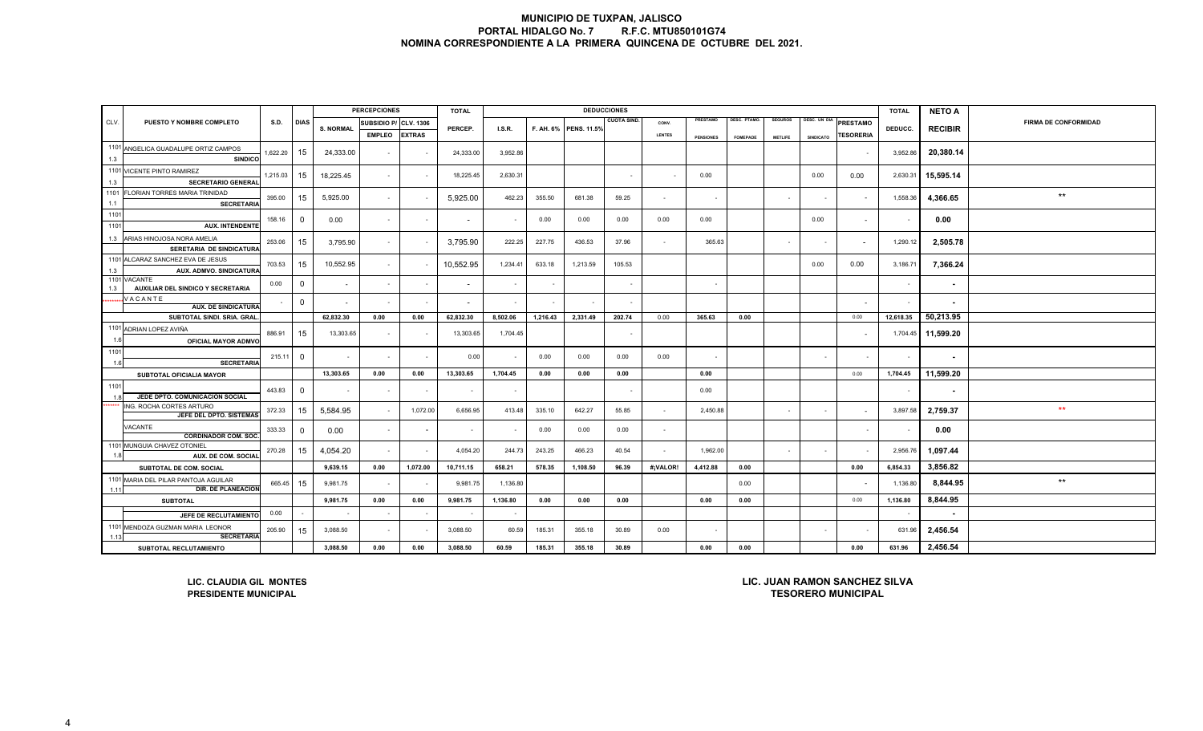|             |                                                                                                                      |          |              |                  | <b>PERCEPCIONES</b>   |               | <b>TOTAL</b>             |               |          |                       | <b>DEDUCCIONES</b>       |                          |                  |                    |                |                  |                  | <b>TOTAL</b> | <b>NETO A</b>            |                             |
|-------------|----------------------------------------------------------------------------------------------------------------------|----------|--------------|------------------|-----------------------|---------------|--------------------------|---------------|----------|-----------------------|--------------------------|--------------------------|------------------|--------------------|----------------|------------------|------------------|--------------|--------------------------|-----------------------------|
| CLV.        | PUESTO Y NOMBRE COMPLETO                                                                                             | S.D.     | <b>DIAS</b>  |                  | SUBSIDIO P/ CLV. 1306 |               |                          |               |          |                       | <b>CUOTA SIND</b>        | CONV.                    | PRESTAMO         | <b>DESC. PTAMO</b> | <b>SEGUROS</b> | DESC. UN DIA     | <b>PRESTAMO</b>  |              |                          | <b>FIRMA DE CONFORMIDAD</b> |
|             |                                                                                                                      |          |              | <b>S. NORMAL</b> | <b>EMPLEO</b>         | <b>EXTRAS</b> | PERCEP.                  | <b>I.S.R.</b> |          | F. AH. 6% PENS. 11.5% |                          | LENTES                   | <b>PENSIONES</b> | <b>FOMEPADE</b>    | <b>METLIFE</b> | <b>SINDICATO</b> | <b>TESORERIA</b> | DEDUCC.      | <b>RECIBIR</b>           |                             |
|             | 1101 ANGELICA GUADALUPE ORTIZ CAMPOS                                                                                 | 1,622.20 | 15           | 24,333.00        | $\sim$                |               | 24,333.00                | 3,952.86      |          |                       |                          |                          |                  |                    |                |                  |                  | 3,952.86     |                          |                             |
| 1.3         | <b>SINDICO</b>                                                                                                       |          |              |                  |                       |               |                          |               |          |                       |                          |                          |                  |                    |                |                  |                  |              | 20,380.14                |                             |
|             | 1101 VICENTE PINTO RAMIREZ                                                                                           | 1,215.03 | 15           | 18,225.45        | $\sim$                |               | 18,225.45                | 2,630.31      |          |                       | $\overline{\phantom{a}}$ | $\sim$                   | 0.00             |                    |                | 0.00             | 0.00             | 2,630.31     | 15,595.14                |                             |
| 1.3         | <b>SECRETARIO GENERAL</b>                                                                                            |          |              |                  |                       |               |                          |               |          |                       |                          |                          |                  |                    |                |                  |                  |              |                          |                             |
| 1101<br>1.1 | FLORIAN TORRES MARIA TRINIDAD<br><b>SECRETARIA</b>                                                                   | 395.00   | 15           | 5,925.00         | $\sim$                |               | 5,925.00                 | 462.23        | 355.50   | 681.38                | 59.25                    | $\sim$                   | $\sim$           |                    |                | $\sim$           |                  | 1,558.36     | 4,366.65                 | $***$                       |
| 1101        |                                                                                                                      |          |              |                  |                       |               |                          |               |          |                       |                          |                          |                  |                    |                |                  |                  |              |                          |                             |
| 1101        | <b>AUX. INTENDENTE</b>                                                                                               | 158.16   | $\Omega$     | 0.00             | $\sim$                | $\sim$        |                          | $\sim$        | 0.00     | 0.00                  | 0.00                     | 0.00                     | 0.00             |                    |                | 0.00             | $\sim$           | $\sim$       | 0.00                     |                             |
| 1.3         | ARIAS HINOJOSA NORA AMELIA                                                                                           | 253.06   | 15           | 3,795.90         | $\sim$                |               | 3,795.90                 | 222.25        | 227.75   | 436.53                | 37.96                    | $\sim$                   | 365.63           |                    | $\sim$         | $\sim$           |                  | 1,290.12     | 2,505.78                 |                             |
|             | SERETARIA DE SINDICATURA                                                                                             |          |              |                  |                       |               |                          |               |          |                       |                          |                          |                  |                    |                |                  |                  |              |                          |                             |
| 1.3         | 1101 ALCARAZ SANCHEZ EVA DE JESUS<br>AUX. ADMVO. SINDICATURA                                                         | 703.53   | 15           | 10,552.95        | $\sim$                |               | 10,552.95                | 1,234.41      | 633.18   | 1,213.59              | 105.53                   |                          |                  |                    |                | 0.00             | 0.00             | 3,186.71     | 7,366.24                 |                             |
|             | 1101 VACANTE                                                                                                         | 0.00     | 0            | $\sim$           | $\sim$                |               | $\overline{\phantom{a}}$ | $\sim$        |          |                       |                          |                          |                  |                    |                |                  |                  | $\sim$       | $\sim$                   |                             |
| 1.3         | AUXILIAR DEL SINDICO Y SECRETARIA<br>VACANTE                                                                         |          |              | $\sim$           | $\sim$                |               |                          |               |          |                       |                          |                          |                  |                    |                |                  |                  |              |                          |                             |
|             | <b>AUX. DE SINDICATURA</b>                                                                                           |          | $\mathbf 0$  |                  |                       |               |                          |               |          |                       |                          |                          |                  |                    |                |                  |                  |              | $\overline{\phantom{a}}$ |                             |
|             | SUBTOTAL SINDI. SRIA. GRAL                                                                                           |          |              | 62,832.30        | 0.00                  | 0.00          | 62,832.30                | 8,502.06      | 1,216.43 | 2,331.49              | 202.74                   | 0.00                     | 365.63           | 0.00               |                |                  | 0.00             | 12,618.35    | 50,213.95                |                             |
|             | 1101 ADRIAN LOPEZ AVIÑA                                                                                              | 886.91   | 15           | 13,303.65        | $\sim$                |               | 13,303.65                | 1,704.45      |          |                       |                          |                          |                  |                    |                |                  |                  | 1,704.45     | 11,599.20                |                             |
|             | OFICIAL MAYOR ADMVO                                                                                                  |          |              |                  |                       |               |                          |               |          |                       |                          |                          |                  |                    |                |                  |                  |              |                          |                             |
| 1101<br>1.6 | <b>SECRETARIA</b>                                                                                                    | 215.11   | $\mathbf 0$  | $\sim$           | $\sim$                |               | 0.00                     |               | 0.00     | 0.00                  | 0.00                     | 0.00                     |                  |                    |                | $\sim$           |                  | $\sim$       | $\blacksquare$           |                             |
|             | SUBTOTAL OFICIALIA MAYOR                                                                                             |          |              | 13,303.65        | 0.00                  | 0.00          | 13,303.65                | 1,704.45      | 0.00     | 0.00                  | 0.00                     |                          | 0.00             |                    |                |                  | 0.00             | 1,704.45     | 11,599.20                |                             |
| 1101        |                                                                                                                      | 443.83   | $\mathbf{0}$ |                  |                       |               |                          |               |          |                       |                          |                          | 0.00             |                    |                |                  |                  |              | ٠                        |                             |
| 11          | JEDE DPTO. COMUNICACIÓN SOCIAL                                                                                       |          |              |                  |                       |               |                          |               |          |                       |                          |                          |                  |                    |                |                  |                  |              |                          |                             |
|             | ING. ROCHA CORTES ARTURO<br>JEFE DEL DPTO. SISTEMAS                                                                  | 372.33   | 15           | 5,584.95         | $\sim$                | 1,072.00      | 6,656.95                 | 413.48        | 335.10   | 642.27                | 55.85                    | $\overline{\phantom{a}}$ | 2,450.88         |                    |                | $\sim$           |                  | 3,897.58     | 2,759.37                 | $\star\star$                |
|             | VACANTE<br><b>CORDINADOR COM. SOC.</b>                                                                               | 333.33   | $\mathbf{0}$ | 0.00             | $\blacksquare$        |               | $\sim$                   |               | 0.00     | 0.00                  | 0.00                     | $\overline{a}$           |                  |                    |                |                  |                  |              | 0.00                     |                             |
| 110         | MUNGUIA CHAVEZ OTONIEL                                                                                               | 270.28   | 15           | 4,054.20         | $\blacksquare$        |               | 4,054.20                 | 244.73        | 243.25   | 466.23                | 40.54                    |                          | 1,962.00         |                    |                |                  |                  | 2,956.76     | 1,097.44                 |                             |
|             | AUX. DE COM. SOCIAL                                                                                                  |          |              | 9,639.15         | 0.00                  | 1,072.00      | 10,711.15                | 658.21        | 578.35   | 1,108.50              | 96.39                    | #¡VALOR!                 | 4,412.88         | 0.00               |                |                  | 0.00             | 6,854.33     | 3,856.82                 |                             |
|             | SUBTOTAL DE COM. SOCIAL<br>1101 MARIA DEL PILAR PANTOJA AGUILAR                                                      |          |              |                  |                       |               |                          |               |          |                       |                          |                          |                  |                    |                |                  |                  |              |                          |                             |
| 1.11        | <b>DIR. DE PLANEACION</b>                                                                                            | 665.45   | 15           | 9,981.75         | $\sim$                |               | 9,981.75                 | 1,136.80      |          |                       |                          |                          |                  | 0.00               |                |                  |                  | 1,136.80     | 8,844.95                 | $^{\star\star}$             |
|             | <b>SUBTOTAL</b>                                                                                                      |          |              | 9,981.75         | 0.00                  | 0.00          | 9,981.75                 | 1,136.80      | 0.00     | 0.00                  | 0.00                     |                          | 0.00             | 0.00               |                |                  | 0.00             | 1,136.80     | 8,844.95                 |                             |
|             | JEFE DE RECLUTAMIENTO                                                                                                | 0.00     |              | $\sim$           | $\sim$                | $\sim$        | $\sim$                   | $\sim$        |          |                       |                          |                          |                  |                    |                |                  |                  | $\sim$       | $\sim$                   |                             |
| 1.13        | 1101 MENDOZA GUZMAN MARIA LEONOR<br><b>SECRETARIA</b>                                                                | 205.90   | 15           | 3,088.50         | $\sim$                |               | 3,088.50                 | 60.59         | 185.31   | 355.18                | 30.89                    | 0.00                     |                  |                    |                | $\sim$           |                  | 631.96       | 2,456.54                 |                             |
|             | SUBTOTAL RECLUTAMIENTO                                                                                               |          |              | 3,088.50         | 0.00                  | 0.00          | 3,088.50                 | 60.59         | 185.31   | 355.18                | 30.89                    |                          | 0.00             | 0.00               |                |                  | 0.00             | 631.96       | 2,456.54                 |                             |
|             | LIC. JUAN RAMON SANCHEZ SILVA<br>LIC. CLAUDIA GIL MONTES<br><b>TESORERO MUNICIPAL</b><br><b>PRESIDENTE MUNICIPAL</b> |          |              |                  |                       |               |                          |               |          |                       |                          |                          |                  |                    |                |                  |                  |              |                          |                             |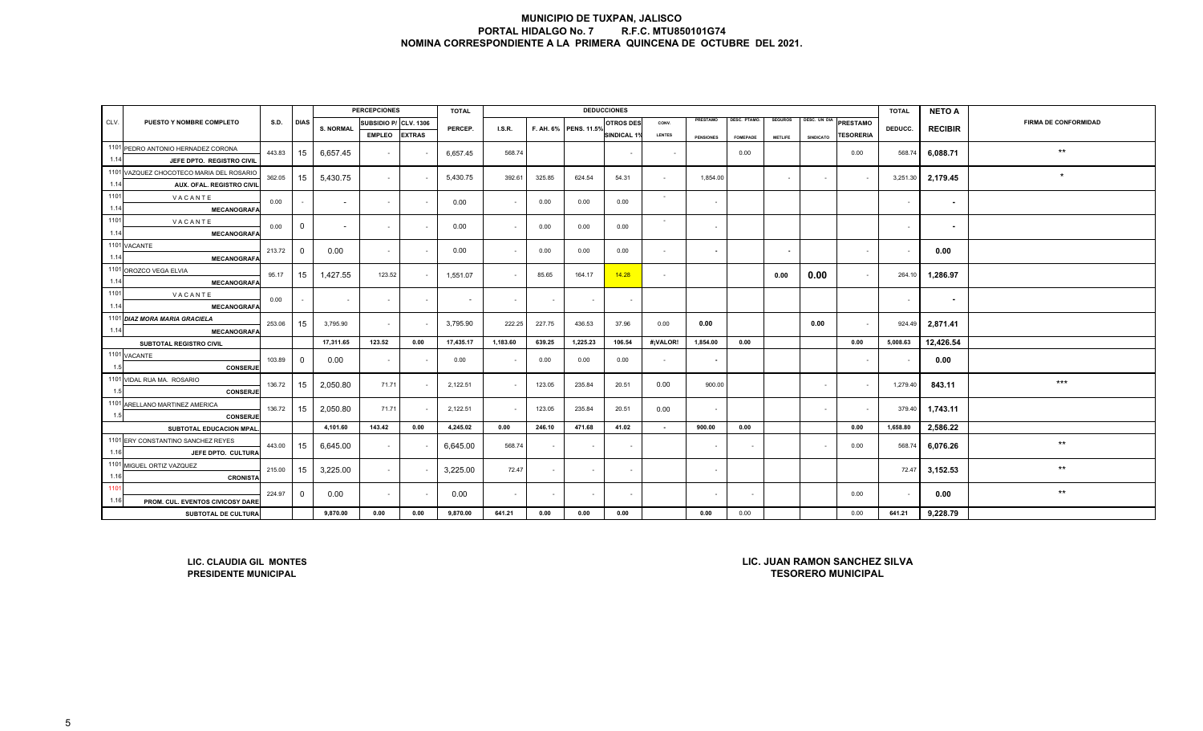|      |                                                                                                                      |                       |                |                  | <b>PERCEPCIONES</b> |               | <b>TOTAL</b>          |                  |        |          | <b>DEDUCCIONES</b> |                |                  |                 |                          |                  |                             | <b>TOTAL</b> | <b>NETO A</b> |                 |
|------|----------------------------------------------------------------------------------------------------------------------|-----------------------|----------------|------------------|---------------------|---------------|-----------------------|------------------|--------|----------|--------------------|----------------|------------------|-----------------|--------------------------|------------------|-----------------------------|--------------|---------------|-----------------|
| CLV. | PUESTO Y NOMBRE COMPLETO                                                                                             | SUBSIDIO P/ CLV. 1306 |                | PERCEP.          | I.S.R.              |               | F. AH. 6% PENS. 11.5% | <b>OTROS DES</b> | CONV.  | PRESTAMO | DESC. PTAMO.       | <b>SEGUROS</b> | DESC. UN DIA     | PRESTAMO        | DEDUCC.                  | <b>RECIBIR</b>   | <b>FIRMA DE CONFORMIDAD</b> |              |               |                 |
|      |                                                                                                                      |                       |                | <b>S. NORMAL</b> | <b>EMPLEO</b>       | <b>EXTRAS</b> |                       |                  |        |          | <b>SINDICAL 1%</b> | <b>LENTES</b>  | <b>PENSIONES</b> | <b>FOMEPADE</b> | <b>METLIFE</b>           | <b>SINDICATO</b> | <b><i>TESORERIA</i></b>     |              |               |                 |
|      | 1101 PEDRO ANTONIO HERNADEZ CORONA                                                                                   | 443.83                | 15             | 6,657.45         | $\sim$              |               | 6,657.45              | 568.74           |        |          |                    | $\sim$         |                  | 0.00            |                          |                  | 0.00                        | 568.74       | 6,088.71      | $***$           |
| 1.14 | JEFE DPTO. REGISTRO CIVIL                                                                                            |                       |                |                  |                     |               |                       |                  |        |          |                    |                |                  |                 |                          |                  |                             |              |               |                 |
|      | 1101 VAZQUEZ CHOCOTECO MARIA DEL ROSARIO                                                                             | 362.05                | 15             | 5,430.75         | $\sim$              |               | 5,430.75              | 392.61           | 325.85 | 624.54   | 54.31              | $\sim$         | 1,854.00         |                 | $\sim$                   | $\sim$           | $\sim$                      | 3,251.30     | 2,179.45      | $\star$         |
| 1.14 | AUX. OFAL. REGISTRO CIVIL                                                                                            |                       |                |                  |                     |               |                       |                  |        |          |                    |                |                  |                 |                          |                  |                             |              |               |                 |
| 1101 | VACANTE                                                                                                              | 0.00                  |                | $\sim$           | $\sim$              |               | 0.00                  | $\sim$           | 0.00   | 0.00     | 0.00               | $\sim$         | $\sim$           |                 |                          |                  |                             | $\sim$       | $\sim$        |                 |
| 1.14 | <b>MECANOGRAFA</b>                                                                                                   |                       |                |                  |                     |               |                       |                  |        |          |                    |                |                  |                 |                          |                  |                             |              |               |                 |
| 1101 | VACANTE                                                                                                              | 0.00                  | $\mathbf 0$    | $\sim$           | $\sim$              |               | 0.00                  | $\sim$           | 0.00   | 0.00     | 0.00               | $\sim$         | $\sim$           |                 |                          |                  |                             | $\sim$       | ٠             |                 |
| 1.14 | <b>MECANOGRAFA</b>                                                                                                   |                       |                |                  |                     |               |                       |                  |        |          |                    |                |                  |                 |                          |                  |                             |              |               |                 |
|      | 1101 VACANTE                                                                                                         | 213.72                | $\overline{0}$ | 0.00             | $\sim$              |               | 0.00                  | $\sim$           | 0.00   | 0.00     | 0.00               | $\sim$         | $\sim$           |                 | $\overline{\phantom{a}}$ |                  | $\sim$                      |              | 0.00          |                 |
| 1.14 | <b>MECANOGRAFA</b>                                                                                                   |                       |                |                  |                     |               |                       |                  |        |          |                    |                |                  |                 |                          |                  |                             |              |               |                 |
|      | 1101 OROZCO VEGA ELVIA                                                                                               | 95.17                 | 15             | 1,427.55         | 123.52              |               | 1,551.07              | $\sim$           | 85.65  | 164.17   | 14.28              | $\sim$         |                  |                 | 0.00                     | 0.00             | $\sim$                      | 264.10       | 1,286.97      |                 |
| 1.14 | <b>MECANOGRAFA</b>                                                                                                   |                       |                |                  |                     |               |                       |                  |        |          |                    |                |                  |                 |                          |                  |                             |              |               |                 |
| 1101 | VACANTE                                                                                                              | 0.00                  | $\sim$         | $\sim$           | $\sim$              | $\sim$        | $\sim$                | $\sim$           |        | $\sim$   | $\sim$             |                |                  |                 |                          |                  |                             | $\sim$       | $\sim$        |                 |
| 1.14 | <b>MECANOGRAFA</b>                                                                                                   |                       |                |                  |                     |               |                       |                  |        |          |                    |                |                  |                 |                          |                  |                             |              |               |                 |
|      | 1101 DIAZ MORA MARIA GRACIELA                                                                                        | 253.06                | 15             | 3,795.90         | $\sim$              |               | 3,795.90              | 222.25           | 227.75 | 436.53   | 37.96              | 0.00           | 0.00             |                 |                          | 0.00             | $\overline{\phantom{a}}$    | 924.49       | 2,871.41      |                 |
| 1.14 | <b>MECANOGRAFA</b>                                                                                                   |                       |                | 17,311.65        | 123.52              | 0.00          | 17,435.17             | 1,183.60         | 639.25 | 1,225.23 | 106.54             | #¡VALOR!       | 1,854.00         | 0.00            |                          |                  | 0.00                        | 5,008.63     | 12,426.54     |                 |
|      | SUBTOTAL REGISTRO CIVIL<br>1101 VACANTE                                                                              |                       |                |                  |                     |               |                       |                  |        |          |                    |                |                  |                 |                          |                  |                             |              |               |                 |
| 1.5  | CONSERJE                                                                                                             | 103.89                | $\mathbf 0$    | 0.00             | $\sim$              |               | 0.00                  | $\sim$           | 0.00   | 0.00     | 0.00               | $\sim$         |                  |                 |                          |                  |                             |              | 0.00          |                 |
|      | 1101 VIDAL RUA MA. ROSARIO                                                                                           |                       |                |                  |                     |               |                       |                  |        |          |                    |                |                  |                 |                          |                  |                             |              |               |                 |
| 1.5  | <b>CONSERJE</b>                                                                                                      | 136.72                | 15             | 2,050.80         | 71.71               |               | 2,122.51              | $\sim$           | 123.05 | 235.84   | 20.51              | 0.00           | 900.00           |                 |                          | $\sim$           | $\overline{\phantom{a}}$    | 1,279.40     | 843.11        | $***$           |
|      | 1101 ARELLANO MARTINEZ AMERICA                                                                                       |                       |                |                  |                     |               |                       |                  |        |          |                    |                |                  |                 |                          |                  |                             |              |               |                 |
| 1.5  | <b>CONSERJE</b>                                                                                                      | 136.72                | 15             | 2,050.80         | 71.71               |               | 2,122.51              | $\sim$           | 123.05 | 235.84   | 20.51              | 0.00           | $\sim$           |                 |                          | $\sim$           | $\sim$                      | 379.40       | 1,743.11      |                 |
|      | SUBTOTAL EDUCACION MPAL.                                                                                             |                       |                | 4,101.60         | 143.42              | 0.00          | 4,245.02              | 0.00             | 246.10 | 471.68   | 41.02              | $\sim$         | 900.00           | 0.00            |                          |                  | 0.00                        | 1,658.80     | 2,586.22      |                 |
|      | 1101 ERY CONSTANTINO SANCHEZ REYES                                                                                   |                       |                |                  |                     |               |                       |                  |        |          |                    |                |                  |                 |                          |                  |                             |              |               | $\star\star$    |
| 1.16 | JEFE DPTO. CULTURA                                                                                                   | 443.00                | 15             | 6,645.00         | $\sim$              |               | 6,645.00              | 568.74           |        | $\sim$   | $\sim$             |                | $\sim$           | $\sim$          |                          | $\sim$           | 0.00                        | 568.74       | 6,076.26      |                 |
|      | 1101 MIGUEL ORTIZ VAZQUEZ                                                                                            |                       |                |                  |                     |               |                       |                  |        |          |                    |                |                  |                 |                          |                  |                             |              |               | $***$           |
| 1.16 | <b>CRONISTA</b>                                                                                                      | 215.00                | 15             | 3,225.00         | $\sim$              |               | 3,225.00              | 72.47            |        | $\sim$   | $\sim$             |                | $\sim$           |                 |                          |                  |                             | 72.47        | 3,152.53      |                 |
| 1101 |                                                                                                                      | 224.97                | $\overline{0}$ | 0.00             | $\sim$              |               | 0.00                  | $\sim$           |        | $\sim$   |                    |                |                  |                 |                          |                  | 0.00                        |              | 0.00          | $^{\star\star}$ |
| 1.16 | PROM. CUL. EVENTOS CIVICOSY DARE                                                                                     |                       |                |                  |                     |               |                       |                  |        |          |                    |                |                  |                 |                          |                  |                             |              |               |                 |
|      | SUBTOTAL DE CULTURA                                                                                                  |                       |                | 9,870.00         | 0.00                | 0.00          | 9,870.00              | 641.21           | 0.00   | 0.00     | 0.00               |                | 0.00             | 0.00            |                          |                  | 0.00                        | 641.21       | 9,228.79      |                 |
|      | LIC. JUAN RAMON SANCHEZ SILVA<br>LIC. CLAUDIA GIL MONTES<br><b>TESORERO MUNICIPAL</b><br><b>PRESIDENTE MUNICIPAL</b> |                       |                |                  |                     |               |                       |                  |        |          |                    |                |                  |                 |                          |                  |                             |              |               |                 |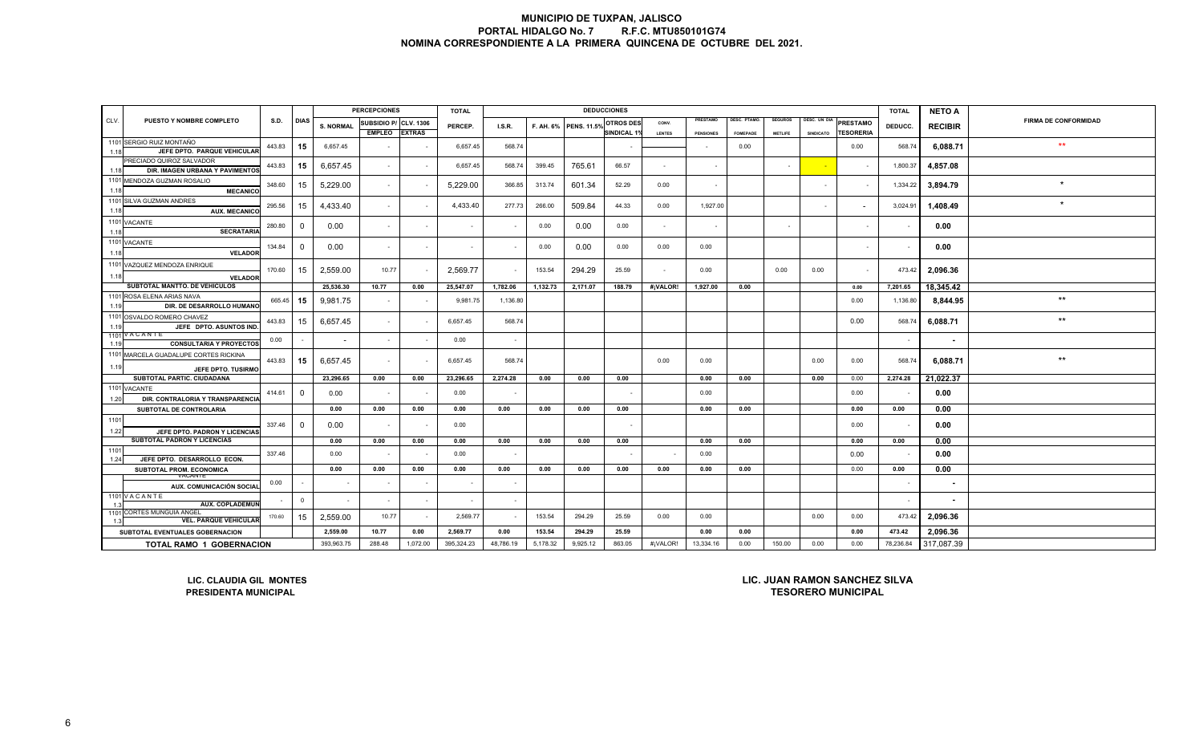| PUESTO Y NOMBRE COMPLETO<br>S.D.<br><b>DIAS</b><br><b>PRESTAMO</b><br><b>ESC. PTAMO</b><br><b>SEGUROS</b><br><b>DESC. UN DIA</b><br><b>FIRMA DE CONFORMIDAD</b><br><b>PRESTAMO</b><br>SUBSIDIO P/ CLV. 1306<br><b>OTROS DES</b><br>CONV.<br><b>S. NORMAL</b><br>F. AH. 6% PENS. 11.5%<br>PERCEP.<br>I.S.R.<br>DEDUCC.<br><b>RECIBIR</b><br><b>EMPLEO</b><br><b>EXTRAS</b><br><b>SINDICAL 1%</b><br><b><i>ESORERIA</i></b><br>LENTES<br><b>SINDICATO</b><br><b>PENSIONES</b><br><b>FOMEPADE</b><br><b>METLIFE</b><br>1101 SERGIO RUIZ MONTAÑO<br>$\star\star$<br>15<br>443.83<br>6,657.45<br>6,657.45<br>6,088.71<br>568.74<br>0.00<br>568.74<br>0.00<br>JEFE DPTO. PARQUE VEHICULAR<br>1.18<br>PRECIADO QUIROZ SALVADOR<br>15<br>443.83<br>6,657.45<br>6,657.45<br>765.61<br>4,857.08<br>568.74<br>399.45<br>66.57<br>1.800.37<br>$\sim$<br>$\sim$<br>DIR. IMAGEN URBANA Y PAVIMENTOS<br>1.18<br>1101 MENDOZA GUZMAN ROSALIO<br>$\star$<br>15<br>5,229.00<br>5,229.00<br>3,894.79<br>348.60<br>366.85<br>313.74<br>601.34<br>1,334.22<br>52.29<br>0.00<br>$\sim$<br>$\sim$<br>$\sim$<br><b>MECANICO</b><br>1.18<br>1101 SILVA GUZMAN ANDRES<br>15<br>4,433.40<br>277.73<br>1,927.00<br>295.56<br>4,433.40<br>266.00<br>509.84<br>44.33<br>0.00<br>3,024.91<br>1.408.49<br>$\sim$<br><b>AUX. MECANICO</b><br>1.18<br>1101 VACANTE<br>280.80<br>$\overline{0}$<br>0.00<br>0.00<br>0.00<br>0.00<br>0.00<br>$\sim$<br>$\sim$<br>$\sim$<br>$\sim$<br>$\sim$<br>$\sim$<br>$\sim$<br>$\sim$<br><b>SECRATARIA</b><br>1.18<br>1101 VACANTE<br>134.84<br>0.00<br>0.00<br>0.00<br>0.00<br>0.00<br>0.00<br>0.00<br>$^{\circ}$<br>$\sim$<br>$\sim$<br>$\sim$<br>$\sim$<br>$\sim$<br>1.18<br><b>VELADOR</b><br>1101 VAZQUEZ MENDOZA ENRIQUE<br>170.60<br>15<br>2,559.00<br>10.77<br>2,569.77<br>153.54<br>294.29<br>25.59<br>473.42<br>2,096.36<br>0.00<br>0.00<br>0.00<br>$\sim$<br>$\sim$<br>$\sim$<br>1.18<br><b>VELADOR</b><br>SUBTOTAL MANTTO. DE VEHICULOS<br>25,536.30<br>25,547.07<br>1,782.06<br>1,132.73<br>2,171.07<br>#¡VALOR!<br>0.00<br>18.345.42<br>10.77<br>0.00<br>188.79<br>1,927.00<br>0.00<br>7,201.65<br>1101 ROSA ELENA ARIAS NAVA<br>$\star\star$<br>665.45<br>15<br>9,981.75<br>9,981.75<br>1,136.80<br>0.00<br>1,136.80<br>8,844.95<br>$\overline{\phantom{a}}$<br>1.19<br>DIR. DE DESARROLLO HUMANO<br>1101 OSVALDO ROMERO CHAVEZ<br>$^{\star\star}$<br>6,657.45<br>443.83<br>15<br>6,088.71<br>6.657.45<br>568.74<br>0.00<br>568.74<br>$\sim$<br>JEFE DPTO. ASUNTOS IND<br>1.19<br>1101 VACANTE<br>0.00<br>0.00<br>$\sim$<br>$\sim$<br>$\sim$<br>$\sim$<br><b>CONSULTARIA Y PROYECTOS</b><br>1.19<br>1101 MARCELA GUADALUPE CORTES RICKINA<br>$^{\star\star}$<br>15<br>6,657.45<br>6,088.71<br>443.83<br>6,657.45<br>568.74<br>0.00<br>0.00<br>0.00<br>568.74<br>0.00<br>$\sim$<br>1.19<br>JEFE DPTO, TUSIRMO<br>SUBTOTAL PARTIC. CIUDADANA<br>21,022.37<br>23,296.65<br>0.00<br>0.00<br>23,296.65<br>2,274.28<br>0.00<br>0.00<br>0.00<br>0.00<br>0.00<br>0.00<br>0.00<br>2,274.28<br>1101 VACANTE<br>$\mathbf 0$<br>414.61<br>0.00<br>0.00<br>0.00<br>0.00<br>0.00<br>$\overline{a}$<br>$\sim$<br>. .<br>1.20<br>DIR. CONTRALORIA Y TRANSPARENCIA<br>0.00<br>0.00<br>0.00<br>0.00<br>0.00<br>0.00<br>0.00<br>0.00<br>0.00<br>0.00<br>0.00<br>0.00<br>SUBTOTAL DE CONTROLARIA<br>0.00<br>337.46<br>$\overline{0}$<br>0.00<br>0.00<br>0.00<br>0.00<br>$\overline{\phantom{a}}$<br>$\overline{\phantom{a}}$<br>1.22<br>JEFE DPTO. PADRON Y LICENCIAS<br>SUBTOTAL PADRON Y LICENCIAS<br>0.00<br>0.00<br>0.00<br>0.00<br>0.00<br>0.00<br>0.00<br>0.00<br>0.00<br>0.00<br>0.00<br>0.00<br>0.00<br>0.00<br>0.00<br>337.46<br>0.00<br>0.00<br>0.00<br>$\sim$<br>JEFE DPTO. DESARROLLO ECON.<br>1.24<br>0.00<br>0.00<br>0.00<br>0.00<br>0.00<br>0.00<br>0.00<br>0.00<br>0.00<br>0.00<br>0.00<br>0.00<br>SUBTOTAL PROM. ECONOMICA<br>0.00<br>0.00<br>VACANTE<br>0.00<br>$\overline{\phantom{a}}$<br>$\sim$<br>AUX. COMUNICACIÓN SOCIAL |      |                                                                                                                                        |  |  |  | <b>PERCEPCIONES</b> |  | <b>TOTAL</b> |  |  |  | <b>DEDUCCIONES</b> |  |  |  |  |  | <b>TOTAL</b> | <b>NETO A</b> |  |
|--------------------------------------------------------------------------------------------------------------------------------------------------------------------------------------------------------------------------------------------------------------------------------------------------------------------------------------------------------------------------------------------------------------------------------------------------------------------------------------------------------------------------------------------------------------------------------------------------------------------------------------------------------------------------------------------------------------------------------------------------------------------------------------------------------------------------------------------------------------------------------------------------------------------------------------------------------------------------------------------------------------------------------------------------------------------------------------------------------------------------------------------------------------------------------------------------------------------------------------------------------------------------------------------------------------------------------------------------------------------------------------------------------------------------------------------------------------------------------------------------------------------------------------------------------------------------------------------------------------------------------------------------------------------------------------------------------------------------------------------------------------------------------------------------------------------------------------------------------------------------------------------------------------------------------------------------------------------------------------------------------------------------------------------------------------------------------------------------------------------------------------------------------------------------------------------------------------------------------------------------------------------------------------------------------------------------------------------------------------------------------------------------------------------------------------------------------------------------------------------------------------------------------------------------------------------------------------------------------------------------------------------------------------------------------------------------------------------------------------------------------------------------------------------------------------------------------------------------------------------------------------------------------------------------------------------------------------------------------------------------------------------------------------------------------------------------------------------------------------------------------------------------------------------------------------------------------------------------------------------------------------------------------------------------------------------------------------------------------------------------------------------------------------------------------------------------------------------------------------------------------------------------------------------------------------------------------------------------------------------------------------------------------------------------------------------------------------------------------------------------------------------------------------------------------------------------------------------------------------------------------------------------------------------------------------------|------|----------------------------------------------------------------------------------------------------------------------------------------|--|--|--|---------------------|--|--------------|--|--|--|--------------------|--|--|--|--|--|--------------|---------------|--|
|                                                                                                                                                                                                                                                                                                                                                                                                                                                                                                                                                                                                                                                                                                                                                                                                                                                                                                                                                                                                                                                                                                                                                                                                                                                                                                                                                                                                                                                                                                                                                                                                                                                                                                                                                                                                                                                                                                                                                                                                                                                                                                                                                                                                                                                                                                                                                                                                                                                                                                                                                                                                                                                                                                                                                                                                                                                                                                                                                                                                                                                                                                                                                                                                                                                                                                                                                                                                                                                                                                                                                                                                                                                                                                                                                                                                                                                                                                                                            | CLV. |                                                                                                                                        |  |  |  |                     |  |              |  |  |  |                    |  |  |  |  |  |              |               |  |
|                                                                                                                                                                                                                                                                                                                                                                                                                                                                                                                                                                                                                                                                                                                                                                                                                                                                                                                                                                                                                                                                                                                                                                                                                                                                                                                                                                                                                                                                                                                                                                                                                                                                                                                                                                                                                                                                                                                                                                                                                                                                                                                                                                                                                                                                                                                                                                                                                                                                                                                                                                                                                                                                                                                                                                                                                                                                                                                                                                                                                                                                                                                                                                                                                                                                                                                                                                                                                                                                                                                                                                                                                                                                                                                                                                                                                                                                                                                                            |      |                                                                                                                                        |  |  |  |                     |  |              |  |  |  |                    |  |  |  |  |  |              |               |  |
|                                                                                                                                                                                                                                                                                                                                                                                                                                                                                                                                                                                                                                                                                                                                                                                                                                                                                                                                                                                                                                                                                                                                                                                                                                                                                                                                                                                                                                                                                                                                                                                                                                                                                                                                                                                                                                                                                                                                                                                                                                                                                                                                                                                                                                                                                                                                                                                                                                                                                                                                                                                                                                                                                                                                                                                                                                                                                                                                                                                                                                                                                                                                                                                                                                                                                                                                                                                                                                                                                                                                                                                                                                                                                                                                                                                                                                                                                                                                            |      |                                                                                                                                        |  |  |  |                     |  |              |  |  |  |                    |  |  |  |  |  |              |               |  |
|                                                                                                                                                                                                                                                                                                                                                                                                                                                                                                                                                                                                                                                                                                                                                                                                                                                                                                                                                                                                                                                                                                                                                                                                                                                                                                                                                                                                                                                                                                                                                                                                                                                                                                                                                                                                                                                                                                                                                                                                                                                                                                                                                                                                                                                                                                                                                                                                                                                                                                                                                                                                                                                                                                                                                                                                                                                                                                                                                                                                                                                                                                                                                                                                                                                                                                                                                                                                                                                                                                                                                                                                                                                                                                                                                                                                                                                                                                                                            |      |                                                                                                                                        |  |  |  |                     |  |              |  |  |  |                    |  |  |  |  |  |              |               |  |
|                                                                                                                                                                                                                                                                                                                                                                                                                                                                                                                                                                                                                                                                                                                                                                                                                                                                                                                                                                                                                                                                                                                                                                                                                                                                                                                                                                                                                                                                                                                                                                                                                                                                                                                                                                                                                                                                                                                                                                                                                                                                                                                                                                                                                                                                                                                                                                                                                                                                                                                                                                                                                                                                                                                                                                                                                                                                                                                                                                                                                                                                                                                                                                                                                                                                                                                                                                                                                                                                                                                                                                                                                                                                                                                                                                                                                                                                                                                                            |      |                                                                                                                                        |  |  |  |                     |  |              |  |  |  |                    |  |  |  |  |  |              |               |  |
|                                                                                                                                                                                                                                                                                                                                                                                                                                                                                                                                                                                                                                                                                                                                                                                                                                                                                                                                                                                                                                                                                                                                                                                                                                                                                                                                                                                                                                                                                                                                                                                                                                                                                                                                                                                                                                                                                                                                                                                                                                                                                                                                                                                                                                                                                                                                                                                                                                                                                                                                                                                                                                                                                                                                                                                                                                                                                                                                                                                                                                                                                                                                                                                                                                                                                                                                                                                                                                                                                                                                                                                                                                                                                                                                                                                                                                                                                                                                            |      |                                                                                                                                        |  |  |  |                     |  |              |  |  |  |                    |  |  |  |  |  |              |               |  |
|                                                                                                                                                                                                                                                                                                                                                                                                                                                                                                                                                                                                                                                                                                                                                                                                                                                                                                                                                                                                                                                                                                                                                                                                                                                                                                                                                                                                                                                                                                                                                                                                                                                                                                                                                                                                                                                                                                                                                                                                                                                                                                                                                                                                                                                                                                                                                                                                                                                                                                                                                                                                                                                                                                                                                                                                                                                                                                                                                                                                                                                                                                                                                                                                                                                                                                                                                                                                                                                                                                                                                                                                                                                                                                                                                                                                                                                                                                                                            |      |                                                                                                                                        |  |  |  |                     |  |              |  |  |  |                    |  |  |  |  |  |              |               |  |
|                                                                                                                                                                                                                                                                                                                                                                                                                                                                                                                                                                                                                                                                                                                                                                                                                                                                                                                                                                                                                                                                                                                                                                                                                                                                                                                                                                                                                                                                                                                                                                                                                                                                                                                                                                                                                                                                                                                                                                                                                                                                                                                                                                                                                                                                                                                                                                                                                                                                                                                                                                                                                                                                                                                                                                                                                                                                                                                                                                                                                                                                                                                                                                                                                                                                                                                                                                                                                                                                                                                                                                                                                                                                                                                                                                                                                                                                                                                                            |      |                                                                                                                                        |  |  |  |                     |  |              |  |  |  |                    |  |  |  |  |  |              |               |  |
|                                                                                                                                                                                                                                                                                                                                                                                                                                                                                                                                                                                                                                                                                                                                                                                                                                                                                                                                                                                                                                                                                                                                                                                                                                                                                                                                                                                                                                                                                                                                                                                                                                                                                                                                                                                                                                                                                                                                                                                                                                                                                                                                                                                                                                                                                                                                                                                                                                                                                                                                                                                                                                                                                                                                                                                                                                                                                                                                                                                                                                                                                                                                                                                                                                                                                                                                                                                                                                                                                                                                                                                                                                                                                                                                                                                                                                                                                                                                            |      |                                                                                                                                        |  |  |  |                     |  |              |  |  |  |                    |  |  |  |  |  |              |               |  |
|                                                                                                                                                                                                                                                                                                                                                                                                                                                                                                                                                                                                                                                                                                                                                                                                                                                                                                                                                                                                                                                                                                                                                                                                                                                                                                                                                                                                                                                                                                                                                                                                                                                                                                                                                                                                                                                                                                                                                                                                                                                                                                                                                                                                                                                                                                                                                                                                                                                                                                                                                                                                                                                                                                                                                                                                                                                                                                                                                                                                                                                                                                                                                                                                                                                                                                                                                                                                                                                                                                                                                                                                                                                                                                                                                                                                                                                                                                                                            |      |                                                                                                                                        |  |  |  |                     |  |              |  |  |  |                    |  |  |  |  |  |              |               |  |
|                                                                                                                                                                                                                                                                                                                                                                                                                                                                                                                                                                                                                                                                                                                                                                                                                                                                                                                                                                                                                                                                                                                                                                                                                                                                                                                                                                                                                                                                                                                                                                                                                                                                                                                                                                                                                                                                                                                                                                                                                                                                                                                                                                                                                                                                                                                                                                                                                                                                                                                                                                                                                                                                                                                                                                                                                                                                                                                                                                                                                                                                                                                                                                                                                                                                                                                                                                                                                                                                                                                                                                                                                                                                                                                                                                                                                                                                                                                                            |      |                                                                                                                                        |  |  |  |                     |  |              |  |  |  |                    |  |  |  |  |  |              |               |  |
|                                                                                                                                                                                                                                                                                                                                                                                                                                                                                                                                                                                                                                                                                                                                                                                                                                                                                                                                                                                                                                                                                                                                                                                                                                                                                                                                                                                                                                                                                                                                                                                                                                                                                                                                                                                                                                                                                                                                                                                                                                                                                                                                                                                                                                                                                                                                                                                                                                                                                                                                                                                                                                                                                                                                                                                                                                                                                                                                                                                                                                                                                                                                                                                                                                                                                                                                                                                                                                                                                                                                                                                                                                                                                                                                                                                                                                                                                                                                            |      |                                                                                                                                        |  |  |  |                     |  |              |  |  |  |                    |  |  |  |  |  |              |               |  |
|                                                                                                                                                                                                                                                                                                                                                                                                                                                                                                                                                                                                                                                                                                                                                                                                                                                                                                                                                                                                                                                                                                                                                                                                                                                                                                                                                                                                                                                                                                                                                                                                                                                                                                                                                                                                                                                                                                                                                                                                                                                                                                                                                                                                                                                                                                                                                                                                                                                                                                                                                                                                                                                                                                                                                                                                                                                                                                                                                                                                                                                                                                                                                                                                                                                                                                                                                                                                                                                                                                                                                                                                                                                                                                                                                                                                                                                                                                                                            |      |                                                                                                                                        |  |  |  |                     |  |              |  |  |  |                    |  |  |  |  |  |              |               |  |
|                                                                                                                                                                                                                                                                                                                                                                                                                                                                                                                                                                                                                                                                                                                                                                                                                                                                                                                                                                                                                                                                                                                                                                                                                                                                                                                                                                                                                                                                                                                                                                                                                                                                                                                                                                                                                                                                                                                                                                                                                                                                                                                                                                                                                                                                                                                                                                                                                                                                                                                                                                                                                                                                                                                                                                                                                                                                                                                                                                                                                                                                                                                                                                                                                                                                                                                                                                                                                                                                                                                                                                                                                                                                                                                                                                                                                                                                                                                                            |      |                                                                                                                                        |  |  |  |                     |  |              |  |  |  |                    |  |  |  |  |  |              |               |  |
|                                                                                                                                                                                                                                                                                                                                                                                                                                                                                                                                                                                                                                                                                                                                                                                                                                                                                                                                                                                                                                                                                                                                                                                                                                                                                                                                                                                                                                                                                                                                                                                                                                                                                                                                                                                                                                                                                                                                                                                                                                                                                                                                                                                                                                                                                                                                                                                                                                                                                                                                                                                                                                                                                                                                                                                                                                                                                                                                                                                                                                                                                                                                                                                                                                                                                                                                                                                                                                                                                                                                                                                                                                                                                                                                                                                                                                                                                                                                            |      |                                                                                                                                        |  |  |  |                     |  |              |  |  |  |                    |  |  |  |  |  |              |               |  |
|                                                                                                                                                                                                                                                                                                                                                                                                                                                                                                                                                                                                                                                                                                                                                                                                                                                                                                                                                                                                                                                                                                                                                                                                                                                                                                                                                                                                                                                                                                                                                                                                                                                                                                                                                                                                                                                                                                                                                                                                                                                                                                                                                                                                                                                                                                                                                                                                                                                                                                                                                                                                                                                                                                                                                                                                                                                                                                                                                                                                                                                                                                                                                                                                                                                                                                                                                                                                                                                                                                                                                                                                                                                                                                                                                                                                                                                                                                                                            |      |                                                                                                                                        |  |  |  |                     |  |              |  |  |  |                    |  |  |  |  |  |              |               |  |
|                                                                                                                                                                                                                                                                                                                                                                                                                                                                                                                                                                                                                                                                                                                                                                                                                                                                                                                                                                                                                                                                                                                                                                                                                                                                                                                                                                                                                                                                                                                                                                                                                                                                                                                                                                                                                                                                                                                                                                                                                                                                                                                                                                                                                                                                                                                                                                                                                                                                                                                                                                                                                                                                                                                                                                                                                                                                                                                                                                                                                                                                                                                                                                                                                                                                                                                                                                                                                                                                                                                                                                                                                                                                                                                                                                                                                                                                                                                                            |      |                                                                                                                                        |  |  |  |                     |  |              |  |  |  |                    |  |  |  |  |  |              |               |  |
|                                                                                                                                                                                                                                                                                                                                                                                                                                                                                                                                                                                                                                                                                                                                                                                                                                                                                                                                                                                                                                                                                                                                                                                                                                                                                                                                                                                                                                                                                                                                                                                                                                                                                                                                                                                                                                                                                                                                                                                                                                                                                                                                                                                                                                                                                                                                                                                                                                                                                                                                                                                                                                                                                                                                                                                                                                                                                                                                                                                                                                                                                                                                                                                                                                                                                                                                                                                                                                                                                                                                                                                                                                                                                                                                                                                                                                                                                                                                            |      |                                                                                                                                        |  |  |  |                     |  |              |  |  |  |                    |  |  |  |  |  |              |               |  |
|                                                                                                                                                                                                                                                                                                                                                                                                                                                                                                                                                                                                                                                                                                                                                                                                                                                                                                                                                                                                                                                                                                                                                                                                                                                                                                                                                                                                                                                                                                                                                                                                                                                                                                                                                                                                                                                                                                                                                                                                                                                                                                                                                                                                                                                                                                                                                                                                                                                                                                                                                                                                                                                                                                                                                                                                                                                                                                                                                                                                                                                                                                                                                                                                                                                                                                                                                                                                                                                                                                                                                                                                                                                                                                                                                                                                                                                                                                                                            |      |                                                                                                                                        |  |  |  |                     |  |              |  |  |  |                    |  |  |  |  |  |              |               |  |
|                                                                                                                                                                                                                                                                                                                                                                                                                                                                                                                                                                                                                                                                                                                                                                                                                                                                                                                                                                                                                                                                                                                                                                                                                                                                                                                                                                                                                                                                                                                                                                                                                                                                                                                                                                                                                                                                                                                                                                                                                                                                                                                                                                                                                                                                                                                                                                                                                                                                                                                                                                                                                                                                                                                                                                                                                                                                                                                                                                                                                                                                                                                                                                                                                                                                                                                                                                                                                                                                                                                                                                                                                                                                                                                                                                                                                                                                                                                                            |      |                                                                                                                                        |  |  |  |                     |  |              |  |  |  |                    |  |  |  |  |  |              |               |  |
|                                                                                                                                                                                                                                                                                                                                                                                                                                                                                                                                                                                                                                                                                                                                                                                                                                                                                                                                                                                                                                                                                                                                                                                                                                                                                                                                                                                                                                                                                                                                                                                                                                                                                                                                                                                                                                                                                                                                                                                                                                                                                                                                                                                                                                                                                                                                                                                                                                                                                                                                                                                                                                                                                                                                                                                                                                                                                                                                                                                                                                                                                                                                                                                                                                                                                                                                                                                                                                                                                                                                                                                                                                                                                                                                                                                                                                                                                                                                            |      |                                                                                                                                        |  |  |  |                     |  |              |  |  |  |                    |  |  |  |  |  |              |               |  |
|                                                                                                                                                                                                                                                                                                                                                                                                                                                                                                                                                                                                                                                                                                                                                                                                                                                                                                                                                                                                                                                                                                                                                                                                                                                                                                                                                                                                                                                                                                                                                                                                                                                                                                                                                                                                                                                                                                                                                                                                                                                                                                                                                                                                                                                                                                                                                                                                                                                                                                                                                                                                                                                                                                                                                                                                                                                                                                                                                                                                                                                                                                                                                                                                                                                                                                                                                                                                                                                                                                                                                                                                                                                                                                                                                                                                                                                                                                                                            |      |                                                                                                                                        |  |  |  |                     |  |              |  |  |  |                    |  |  |  |  |  |              |               |  |
|                                                                                                                                                                                                                                                                                                                                                                                                                                                                                                                                                                                                                                                                                                                                                                                                                                                                                                                                                                                                                                                                                                                                                                                                                                                                                                                                                                                                                                                                                                                                                                                                                                                                                                                                                                                                                                                                                                                                                                                                                                                                                                                                                                                                                                                                                                                                                                                                                                                                                                                                                                                                                                                                                                                                                                                                                                                                                                                                                                                                                                                                                                                                                                                                                                                                                                                                                                                                                                                                                                                                                                                                                                                                                                                                                                                                                                                                                                                                            |      |                                                                                                                                        |  |  |  |                     |  |              |  |  |  |                    |  |  |  |  |  |              |               |  |
|                                                                                                                                                                                                                                                                                                                                                                                                                                                                                                                                                                                                                                                                                                                                                                                                                                                                                                                                                                                                                                                                                                                                                                                                                                                                                                                                                                                                                                                                                                                                                                                                                                                                                                                                                                                                                                                                                                                                                                                                                                                                                                                                                                                                                                                                                                                                                                                                                                                                                                                                                                                                                                                                                                                                                                                                                                                                                                                                                                                                                                                                                                                                                                                                                                                                                                                                                                                                                                                                                                                                                                                                                                                                                                                                                                                                                                                                                                                                            |      |                                                                                                                                        |  |  |  |                     |  |              |  |  |  |                    |  |  |  |  |  |              |               |  |
|                                                                                                                                                                                                                                                                                                                                                                                                                                                                                                                                                                                                                                                                                                                                                                                                                                                                                                                                                                                                                                                                                                                                                                                                                                                                                                                                                                                                                                                                                                                                                                                                                                                                                                                                                                                                                                                                                                                                                                                                                                                                                                                                                                                                                                                                                                                                                                                                                                                                                                                                                                                                                                                                                                                                                                                                                                                                                                                                                                                                                                                                                                                                                                                                                                                                                                                                                                                                                                                                                                                                                                                                                                                                                                                                                                                                                                                                                                                                            |      |                                                                                                                                        |  |  |  |                     |  |              |  |  |  |                    |  |  |  |  |  |              |               |  |
|                                                                                                                                                                                                                                                                                                                                                                                                                                                                                                                                                                                                                                                                                                                                                                                                                                                                                                                                                                                                                                                                                                                                                                                                                                                                                                                                                                                                                                                                                                                                                                                                                                                                                                                                                                                                                                                                                                                                                                                                                                                                                                                                                                                                                                                                                                                                                                                                                                                                                                                                                                                                                                                                                                                                                                                                                                                                                                                                                                                                                                                                                                                                                                                                                                                                                                                                                                                                                                                                                                                                                                                                                                                                                                                                                                                                                                                                                                                                            |      |                                                                                                                                        |  |  |  |                     |  |              |  |  |  |                    |  |  |  |  |  |              |               |  |
|                                                                                                                                                                                                                                                                                                                                                                                                                                                                                                                                                                                                                                                                                                                                                                                                                                                                                                                                                                                                                                                                                                                                                                                                                                                                                                                                                                                                                                                                                                                                                                                                                                                                                                                                                                                                                                                                                                                                                                                                                                                                                                                                                                                                                                                                                                                                                                                                                                                                                                                                                                                                                                                                                                                                                                                                                                                                                                                                                                                                                                                                                                                                                                                                                                                                                                                                                                                                                                                                                                                                                                                                                                                                                                                                                                                                                                                                                                                                            |      |                                                                                                                                        |  |  |  |                     |  |              |  |  |  |                    |  |  |  |  |  |              |               |  |
|                                                                                                                                                                                                                                                                                                                                                                                                                                                                                                                                                                                                                                                                                                                                                                                                                                                                                                                                                                                                                                                                                                                                                                                                                                                                                                                                                                                                                                                                                                                                                                                                                                                                                                                                                                                                                                                                                                                                                                                                                                                                                                                                                                                                                                                                                                                                                                                                                                                                                                                                                                                                                                                                                                                                                                                                                                                                                                                                                                                                                                                                                                                                                                                                                                                                                                                                                                                                                                                                                                                                                                                                                                                                                                                                                                                                                                                                                                                                            | 1101 |                                                                                                                                        |  |  |  |                     |  |              |  |  |  |                    |  |  |  |  |  |              |               |  |
|                                                                                                                                                                                                                                                                                                                                                                                                                                                                                                                                                                                                                                                                                                                                                                                                                                                                                                                                                                                                                                                                                                                                                                                                                                                                                                                                                                                                                                                                                                                                                                                                                                                                                                                                                                                                                                                                                                                                                                                                                                                                                                                                                                                                                                                                                                                                                                                                                                                                                                                                                                                                                                                                                                                                                                                                                                                                                                                                                                                                                                                                                                                                                                                                                                                                                                                                                                                                                                                                                                                                                                                                                                                                                                                                                                                                                                                                                                                                            |      |                                                                                                                                        |  |  |  |                     |  |              |  |  |  |                    |  |  |  |  |  |              |               |  |
|                                                                                                                                                                                                                                                                                                                                                                                                                                                                                                                                                                                                                                                                                                                                                                                                                                                                                                                                                                                                                                                                                                                                                                                                                                                                                                                                                                                                                                                                                                                                                                                                                                                                                                                                                                                                                                                                                                                                                                                                                                                                                                                                                                                                                                                                                                                                                                                                                                                                                                                                                                                                                                                                                                                                                                                                                                                                                                                                                                                                                                                                                                                                                                                                                                                                                                                                                                                                                                                                                                                                                                                                                                                                                                                                                                                                                                                                                                                                            |      |                                                                                                                                        |  |  |  |                     |  |              |  |  |  |                    |  |  |  |  |  |              |               |  |
|                                                                                                                                                                                                                                                                                                                                                                                                                                                                                                                                                                                                                                                                                                                                                                                                                                                                                                                                                                                                                                                                                                                                                                                                                                                                                                                                                                                                                                                                                                                                                                                                                                                                                                                                                                                                                                                                                                                                                                                                                                                                                                                                                                                                                                                                                                                                                                                                                                                                                                                                                                                                                                                                                                                                                                                                                                                                                                                                                                                                                                                                                                                                                                                                                                                                                                                                                                                                                                                                                                                                                                                                                                                                                                                                                                                                                                                                                                                                            | 1101 |                                                                                                                                        |  |  |  |                     |  |              |  |  |  |                    |  |  |  |  |  |              |               |  |
|                                                                                                                                                                                                                                                                                                                                                                                                                                                                                                                                                                                                                                                                                                                                                                                                                                                                                                                                                                                                                                                                                                                                                                                                                                                                                                                                                                                                                                                                                                                                                                                                                                                                                                                                                                                                                                                                                                                                                                                                                                                                                                                                                                                                                                                                                                                                                                                                                                                                                                                                                                                                                                                                                                                                                                                                                                                                                                                                                                                                                                                                                                                                                                                                                                                                                                                                                                                                                                                                                                                                                                                                                                                                                                                                                                                                                                                                                                                                            |      |                                                                                                                                        |  |  |  |                     |  |              |  |  |  |                    |  |  |  |  |  |              |               |  |
|                                                                                                                                                                                                                                                                                                                                                                                                                                                                                                                                                                                                                                                                                                                                                                                                                                                                                                                                                                                                                                                                                                                                                                                                                                                                                                                                                                                                                                                                                                                                                                                                                                                                                                                                                                                                                                                                                                                                                                                                                                                                                                                                                                                                                                                                                                                                                                                                                                                                                                                                                                                                                                                                                                                                                                                                                                                                                                                                                                                                                                                                                                                                                                                                                                                                                                                                                                                                                                                                                                                                                                                                                                                                                                                                                                                                                                                                                                                                            |      |                                                                                                                                        |  |  |  |                     |  |              |  |  |  |                    |  |  |  |  |  |              |               |  |
|                                                                                                                                                                                                                                                                                                                                                                                                                                                                                                                                                                                                                                                                                                                                                                                                                                                                                                                                                                                                                                                                                                                                                                                                                                                                                                                                                                                                                                                                                                                                                                                                                                                                                                                                                                                                                                                                                                                                                                                                                                                                                                                                                                                                                                                                                                                                                                                                                                                                                                                                                                                                                                                                                                                                                                                                                                                                                                                                                                                                                                                                                                                                                                                                                                                                                                                                                                                                                                                                                                                                                                                                                                                                                                                                                                                                                                                                                                                                            |      |                                                                                                                                        |  |  |  |                     |  |              |  |  |  |                    |  |  |  |  |  |              |               |  |
| 1101 VACANTE<br>$\overline{0}$<br>$\sim$<br>$\sim$<br>$\sim$<br>$\blacksquare$                                                                                                                                                                                                                                                                                                                                                                                                                                                                                                                                                                                                                                                                                                                                                                                                                                                                                                                                                                                                                                                                                                                                                                                                                                                                                                                                                                                                                                                                                                                                                                                                                                                                                                                                                                                                                                                                                                                                                                                                                                                                                                                                                                                                                                                                                                                                                                                                                                                                                                                                                                                                                                                                                                                                                                                                                                                                                                                                                                                                                                                                                                                                                                                                                                                                                                                                                                                                                                                                                                                                                                                                                                                                                                                                                                                                                                                             |      |                                                                                                                                        |  |  |  |                     |  |              |  |  |  |                    |  |  |  |  |  |              |               |  |
| <b>AUX. COPLADEMUN</b><br>1<br><b>CORTES MUNGUIA ANGEL</b>                                                                                                                                                                                                                                                                                                                                                                                                                                                                                                                                                                                                                                                                                                                                                                                                                                                                                                                                                                                                                                                                                                                                                                                                                                                                                                                                                                                                                                                                                                                                                                                                                                                                                                                                                                                                                                                                                                                                                                                                                                                                                                                                                                                                                                                                                                                                                                                                                                                                                                                                                                                                                                                                                                                                                                                                                                                                                                                                                                                                                                                                                                                                                                                                                                                                                                                                                                                                                                                                                                                                                                                                                                                                                                                                                                                                                                                                                 | 1101 |                                                                                                                                        |  |  |  |                     |  |              |  |  |  |                    |  |  |  |  |  |              |               |  |
| 15<br>2,559.00<br>10.77<br>2,569.77<br>153.54<br>25.59<br>2,096.36<br>294.29<br>0.00<br>0.00<br>0.00<br>0.00<br>473.42<br>170.60<br><b>VEL. PARQUE VEHICULAR</b><br>1.3                                                                                                                                                                                                                                                                                                                                                                                                                                                                                                                                                                                                                                                                                                                                                                                                                                                                                                                                                                                                                                                                                                                                                                                                                                                                                                                                                                                                                                                                                                                                                                                                                                                                                                                                                                                                                                                                                                                                                                                                                                                                                                                                                                                                                                                                                                                                                                                                                                                                                                                                                                                                                                                                                                                                                                                                                                                                                                                                                                                                                                                                                                                                                                                                                                                                                                                                                                                                                                                                                                                                                                                                                                                                                                                                                                    |      |                                                                                                                                        |  |  |  |                     |  |              |  |  |  |                    |  |  |  |  |  |              |               |  |
| 2,569.77<br>2,096.36<br>2,559.00<br>10.77<br>0.00<br>0.00<br>153.54<br>294.29<br>25.59<br>0.00<br>0.00<br>0.00<br>473.42                                                                                                                                                                                                                                                                                                                                                                                                                                                                                                                                                                                                                                                                                                                                                                                                                                                                                                                                                                                                                                                                                                                                                                                                                                                                                                                                                                                                                                                                                                                                                                                                                                                                                                                                                                                                                                                                                                                                                                                                                                                                                                                                                                                                                                                                                                                                                                                                                                                                                                                                                                                                                                                                                                                                                                                                                                                                                                                                                                                                                                                                                                                                                                                                                                                                                                                                                                                                                                                                                                                                                                                                                                                                                                                                                                                                                   |      | SUBTOTAL EVENTUALES GOBERNACION                                                                                                        |  |  |  |                     |  |              |  |  |  |                    |  |  |  |  |  |              |               |  |
| 317,087.39<br>288.48<br>393,963.75<br>13,334.16<br>0.00<br>0.00<br>78,236.84                                                                                                                                                                                                                                                                                                                                                                                                                                                                                                                                                                                                                                                                                                                                                                                                                                                                                                                                                                                                                                                                                                                                                                                                                                                                                                                                                                                                                                                                                                                                                                                                                                                                                                                                                                                                                                                                                                                                                                                                                                                                                                                                                                                                                                                                                                                                                                                                                                                                                                                                                                                                                                                                                                                                                                                                                                                                                                                                                                                                                                                                                                                                                                                                                                                                                                                                                                                                                                                                                                                                                                                                                                                                                                                                                                                                                                                               |      | <b>TOTAL RAMO 1 GOBERNACION</b><br>1,072.00<br>395,324.23<br>48,786.19<br>5,178.32<br>9,925.12<br>863.05<br>#¡VALOR!<br>150.00<br>0.00 |  |  |  |                     |  |              |  |  |  |                    |  |  |  |  |  |              |               |  |
|                                                                                                                                                                                                                                                                                                                                                                                                                                                                                                                                                                                                                                                                                                                                                                                                                                                                                                                                                                                                                                                                                                                                                                                                                                                                                                                                                                                                                                                                                                                                                                                                                                                                                                                                                                                                                                                                                                                                                                                                                                                                                                                                                                                                                                                                                                                                                                                                                                                                                                                                                                                                                                                                                                                                                                                                                                                                                                                                                                                                                                                                                                                                                                                                                                                                                                                                                                                                                                                                                                                                                                                                                                                                                                                                                                                                                                                                                                                                            |      |                                                                                                                                        |  |  |  |                     |  |              |  |  |  |                    |  |  |  |  |  |              |               |  |
|                                                                                                                                                                                                                                                                                                                                                                                                                                                                                                                                                                                                                                                                                                                                                                                                                                                                                                                                                                                                                                                                                                                                                                                                                                                                                                                                                                                                                                                                                                                                                                                                                                                                                                                                                                                                                                                                                                                                                                                                                                                                                                                                                                                                                                                                                                                                                                                                                                                                                                                                                                                                                                                                                                                                                                                                                                                                                                                                                                                                                                                                                                                                                                                                                                                                                                                                                                                                                                                                                                                                                                                                                                                                                                                                                                                                                                                                                                                                            |      |                                                                                                                                        |  |  |  |                     |  |              |  |  |  |                    |  |  |  |  |  |              |               |  |
| LIC. JUAN RAMON SANCHEZ SILVA<br>LIC. CLAUDIA GIL MONTES                                                                                                                                                                                                                                                                                                                                                                                                                                                                                                                                                                                                                                                                                                                                                                                                                                                                                                                                                                                                                                                                                                                                                                                                                                                                                                                                                                                                                                                                                                                                                                                                                                                                                                                                                                                                                                                                                                                                                                                                                                                                                                                                                                                                                                                                                                                                                                                                                                                                                                                                                                                                                                                                                                                                                                                                                                                                                                                                                                                                                                                                                                                                                                                                                                                                                                                                                                                                                                                                                                                                                                                                                                                                                                                                                                                                                                                                                   |      |                                                                                                                                        |  |  |  |                     |  |              |  |  |  |                    |  |  |  |  |  |              |               |  |
| <b>TESORERO MUNICIPAL</b><br><b>PRESIDENTA MUNICIPAL</b>                                                                                                                                                                                                                                                                                                                                                                                                                                                                                                                                                                                                                                                                                                                                                                                                                                                                                                                                                                                                                                                                                                                                                                                                                                                                                                                                                                                                                                                                                                                                                                                                                                                                                                                                                                                                                                                                                                                                                                                                                                                                                                                                                                                                                                                                                                                                                                                                                                                                                                                                                                                                                                                                                                                                                                                                                                                                                                                                                                                                                                                                                                                                                                                                                                                                                                                                                                                                                                                                                                                                                                                                                                                                                                                                                                                                                                                                                   |      |                                                                                                                                        |  |  |  |                     |  |              |  |  |  |                    |  |  |  |  |  |              |               |  |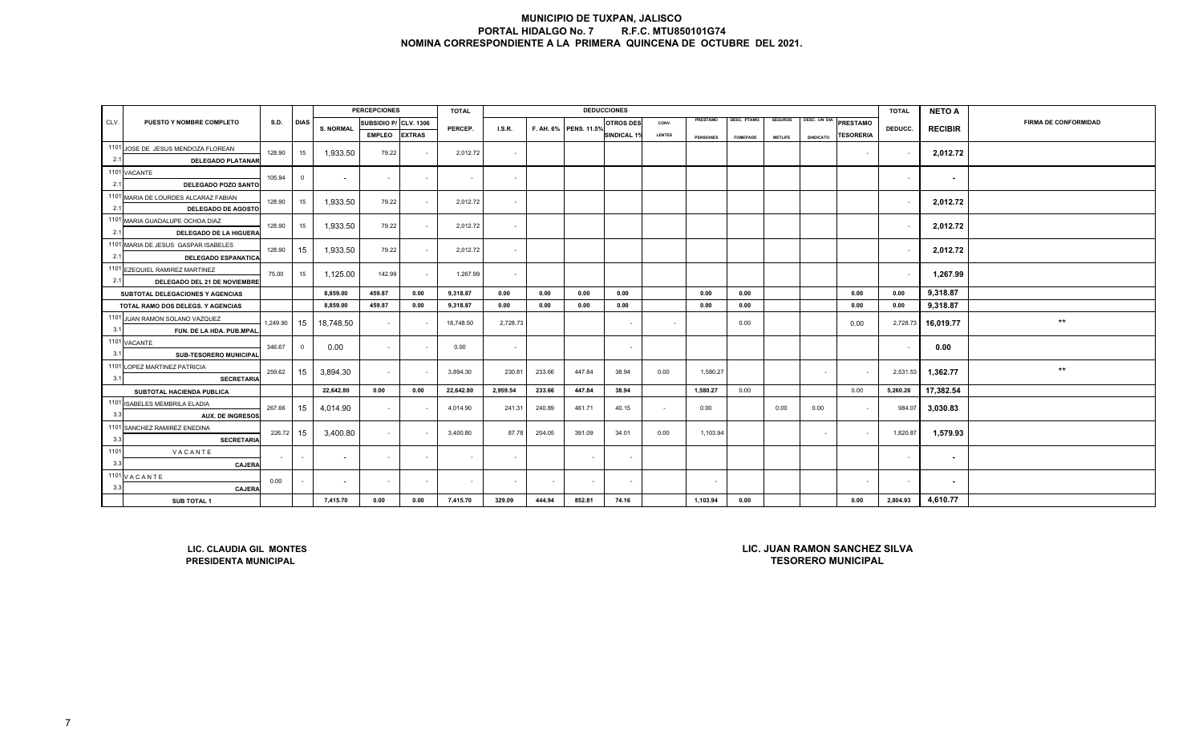|      |                                                                                                                      |           |             |                  | <b>PERCEPCIONES</b>   |               | <b>TOTAL</b>         |              |              |                       | <b>DEDUCCIONES</b> |               |                  |                 |                |                  |                       | <b>TOTAL</b> | <b>NETO A</b>  |                             |
|------|----------------------------------------------------------------------------------------------------------------------|-----------|-------------|------------------|-----------------------|---------------|----------------------|--------------|--------------|-----------------------|--------------------|---------------|------------------|-----------------|----------------|------------------|-----------------------|--------------|----------------|-----------------------------|
| CLV. | PUESTO Y NOMBRE COMPLETO                                                                                             | S.D.      | <b>DIAS</b> | <b>S. NORMAL</b> | SUBSIDIO P/ CLV. 1306 |               | PERCEP.              | I.S.R.       |              | F. AH. 6% PENS. 11.5% | <b>OTROS DES</b>   | CONV.         | PRESTAMO         | DESC. PTAMO.    | <b>SEGUROS</b> |                  | DESC. UN DIA PRESTAMO | DEDUCC.      |                | <b>FIRMA DE CONFORMIDAD</b> |
|      |                                                                                                                      |           |             |                  | <b>EMPLEO</b>         | <b>EXTRAS</b> |                      |              |              |                       | <b>SINDICAL 1%</b> | <b>LENTES</b> | <b>PENSIONES</b> | <b>FOMEPADE</b> | <b>METLIFE</b> | <b>SINDICATO</b> | <b>TESORERIA</b>      |              | <b>RECIBIR</b> |                             |
|      | 1101 JOSE DE JESUS MENDOZA FLOREAN                                                                                   | 128.90    | 15          | 1,933.50         | 79.22                 |               | 2,012.72             | $\sim$       |              |                       |                    |               |                  |                 |                |                  | $\sim$                |              | 2,012.72       |                             |
| 2.1  | <b>DELEGADO PLATANAR</b>                                                                                             |           |             |                  |                       |               |                      |              |              |                       |                    |               |                  |                 |                |                  |                       |              |                |                             |
|      | 1101 VACANTE                                                                                                         | 105.94    | $\mathbf 0$ | $\sim$           | $\sim$                | $\sim$        | $\sim$               | $\sim$       |              |                       |                    |               |                  |                 |                |                  |                       | $\sim$       | $\sim$         |                             |
| 2.1  | DELEGADO POZO SANTO                                                                                                  |           |             |                  |                       |               |                      |              |              |                       |                    |               |                  |                 |                |                  |                       |              |                |                             |
|      | 1101 MARIA DE LOURDES ALCARAZ FABIAN                                                                                 | 128.90    | 15          | 1,933.50         | 79.22                 | $\sim$        | 2,012.72             | $\sim$       |              |                       |                    |               |                  |                 |                |                  |                       | $\sim$       | 2,012.72       |                             |
| 2.1  | <b>DELEGADO DE AGOSTO</b>                                                                                            |           |             |                  |                       |               |                      |              |              |                       |                    |               |                  |                 |                |                  |                       |              |                |                             |
|      | 1101 MARIA GUADALUPE OCHOA DIAZ                                                                                      | 128.90    | 15          | 1,933.50         | 79.22                 | $\sim$        | 2,012.72             | $\sim$       |              |                       |                    |               |                  |                 |                |                  |                       | $\sim$       | 2,012.72       |                             |
| 2.1  | DELEGADO DE LA HIGUERA                                                                                               |           |             |                  |                       |               |                      |              |              |                       |                    |               |                  |                 |                |                  |                       |              |                |                             |
|      | 1101 MARIA DE JESUS GASPAR ISABELES                                                                                  | 128.90    | 15          | 1,933.50         | 79.22                 | $\sim$        | 2,012.72             | $\sim$       |              |                       |                    |               |                  |                 |                |                  |                       | $\sim$       | 2,012.72       |                             |
| 2.1  | <b>DELEGADO ESPANATICA</b>                                                                                           |           |             |                  |                       |               |                      |              |              |                       |                    |               |                  |                 |                |                  |                       |              |                |                             |
|      | 1101 EZEQUIEL RAMIREZ MARTINEZ                                                                                       | 75.00     | 15          | 1,125.00         | 142.99                | $\sim$        | 1,267.99             | $\sim$       |              |                       |                    |               |                  |                 |                |                  |                       | $\sim$       | 1,267.99       |                             |
| 2.1  | DELEGADO DEL 21 DE NOVIEMBRE                                                                                         |           |             | 8,859.00         |                       | 0.00          |                      |              |              |                       |                    |               | 0.00             |                 |                |                  |                       | 0.00         | 9,318.87       |                             |
|      | SUBTOTAL DELEGACIONES Y AGENCIAS<br>TOTAL RAMO DOS DELEGS. Y AGENCIAS                                                |           |             | 8,859.00         | 459.87<br>459.87      | 0.00          | 9,318.87<br>9,318.87 | 0.00<br>0.00 | 0.00<br>0.00 | 0.00<br>0.00          | 0.00<br>0.00       |               | 0.00             | 0.00<br>0.00    |                |                  | 0.00<br>0.00          | 0.00         | 9,318.87       |                             |
|      | 1101 JUAN RAMON SOLANO VAZQUEZ                                                                                       |           |             |                  |                       |               |                      |              |              |                       |                    |               |                  |                 |                |                  |                       |              |                |                             |
| 3.1  | FUN. DE LA HDA. PUB.MPAL                                                                                             | 1,249.90  | 15          | 18,748.50        | $\sim$                |               | 18,748.50            | 2,728.73     |              |                       | $\sim$             | $\sim$        |                  | 0.00            |                |                  | 0.00                  | 2,728.73     | 16,019.77      | $***$                       |
|      | 1101 VACANTE                                                                                                         |           |             |                  |                       |               |                      |              |              |                       |                    |               |                  |                 |                |                  |                       |              |                |                             |
| 3.1  | SUB-TESORERO MUNICIPAL                                                                                               | 346.67    | $\mathbf 0$ | 0.00             | $\sim$                |               | 0.00                 | $\sim$       |              |                       |                    |               |                  |                 |                |                  |                       |              | 0.00           |                             |
|      | 1101 LOPEZ MARTINEZ PATRICIA                                                                                         | 259.62    | 15          | 3,894.30         | $\sim$                |               | 3,894.30             | 230.81       | 233.66       | 447.84                | 38.94              | 0.00          | 1,580.27         |                 |                | $\sim$           |                       | 2,531.53     | 1,362.77       | $***$                       |
| 3.1  | <b>SECRETARIA</b>                                                                                                    |           |             |                  |                       |               |                      |              |              |                       |                    |               |                  |                 |                |                  |                       |              |                |                             |
|      | SUBTOTAL HACIENDA PUBLICA                                                                                            |           |             | 22,642.80        | 0.00                  | 0.00          | 22,642.80            | 2,959.54     | 233.66       | 447.84                | 38.94              |               | 1,580.27         | 0.00            |                |                  | 0.00                  | 5,260.26     | 17,382.54      |                             |
|      | 1101 ISABELES MEMBRILA ELADIA                                                                                        | 267.66    | 15          | 4,014.90         | $\sim$                |               | 4,014.90             | 241.31       | 240.89       | 461.71                | 40.15              | $\sim$        | 0.00             |                 | 0.00           | 0.00             |                       | 984.07       | 3,030.83       |                             |
| 3.3  | <b>AUX. DE INGRESOS</b>                                                                                              |           |             |                  |                       |               |                      |              |              |                       |                    |               |                  |                 |                |                  |                       |              |                |                             |
|      | 1101 SANCHEZ RAMIREZ ENEDINA                                                                                         | 226.72 15 |             | 3,400.80         | $\sim$                |               | 3,400.80             | 87.78        | 204.05       | 391.09                | 34.01              | 0.00          | 1,103.94         |                 |                | $\sim$           |                       | 1,820.87     | 1,579.93       |                             |
| 3.3  | <b>SECRETARIA</b>                                                                                                    |           |             |                  |                       |               |                      |              |              |                       |                    |               |                  |                 |                |                  |                       |              |                |                             |
| 1101 | VACANTE                                                                                                              |           | $\sim$      | $\sim$           | $\sim$                | $\sim$        | $\sim$               | $\sim$       |              | $\sim$                | $\sim$             |               |                  |                 |                |                  |                       | $\sim$       | $\sim$         |                             |
| 3.3  | <b>CAJERA</b>                                                                                                        |           |             |                  |                       |               |                      |              |              |                       |                    |               |                  |                 |                |                  |                       |              |                |                             |
| 3.3  | 1101 VACANTE                                                                                                         | 0.00      | $\sim$      | $\sim$           | $\sim$                | $\sim$        | $\sim$               | $\sim$       |              | $\sim$                | $\sim$             |               | $\sim$           |                 |                |                  | $\sim$                | $\sim$       | $\sim$         |                             |
|      | <b>CAJERA</b><br><b>SUB TOTAL 1</b>                                                                                  |           |             | 7,415.70         | 0.00                  | 0.00          | 7,415.70             | 329.09       | 444.94       | 852.81                | 74.16              |               | 1,103.94         | 0.00            |                |                  | 0.00                  | 2,804.93     | 4,610.77       |                             |
|      |                                                                                                                      |           |             |                  |                       |               |                      |              |              |                       |                    |               |                  |                 |                |                  |                       |              |                |                             |
|      |                                                                                                                      |           |             |                  |                       |               |                      |              |              |                       |                    |               |                  |                 |                |                  |                       |              |                |                             |
|      |                                                                                                                      |           |             |                  |                       |               |                      |              |              |                       |                    |               |                  |                 |                |                  |                       |              |                |                             |
|      |                                                                                                                      |           |             |                  |                       |               |                      |              |              |                       |                    |               |                  |                 |                |                  |                       |              |                |                             |
|      | LIC. JUAN RAMON SANCHEZ SILVA<br>LIC. CLAUDIA GIL MONTES<br><b>TESORERO MUNICIPAL</b><br><b>PRESIDENTA MUNICIPAL</b> |           |             |                  |                       |               |                      |              |              |                       |                    |               |                  |                 |                |                  |                       |              |                |                             |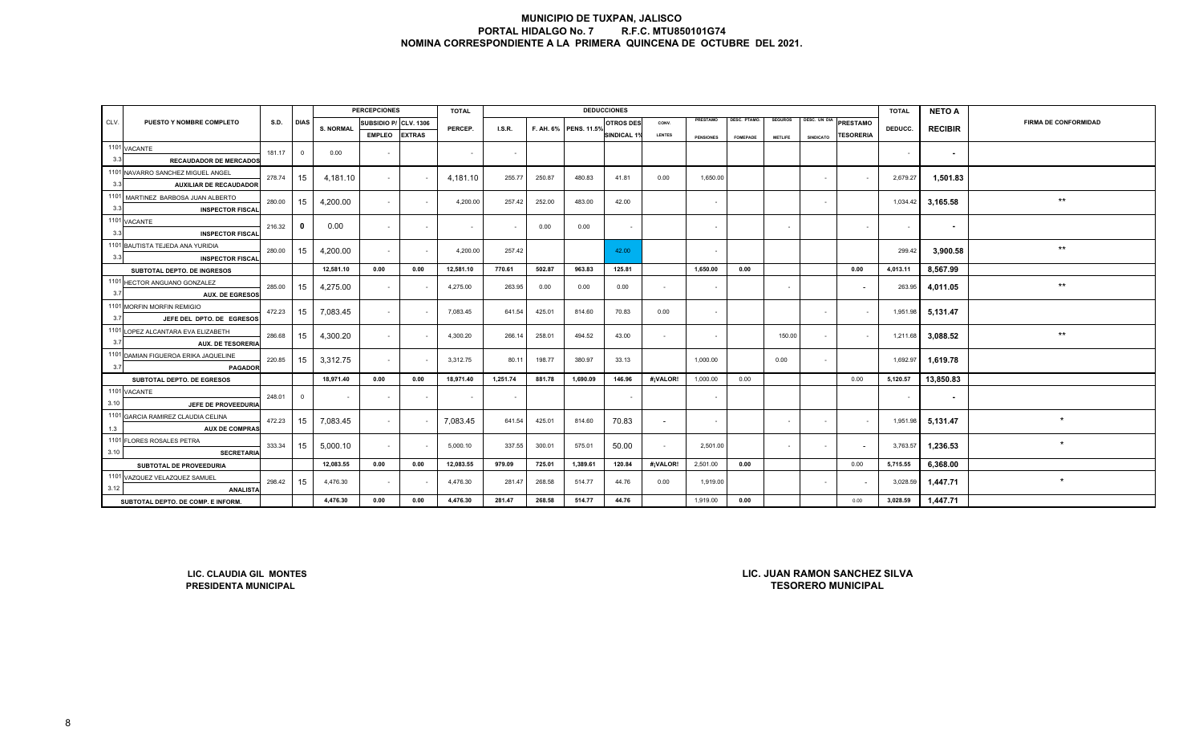|      |                                                             |             |                |                  | <b>PERCEPCIONES</b> |                  | <b>TOTAL</b> |          |        |                       | <b>DEDUCCIONES</b>       |                |                  |                 |                |                  |                           | <b>TOTAL</b> | <b>NETO A</b>  |                             |
|------|-------------------------------------------------------------|-------------|----------------|------------------|---------------------|------------------|--------------|----------|--------|-----------------------|--------------------------|----------------|------------------|-----------------|----------------|------------------|---------------------------|--------------|----------------|-----------------------------|
| CLV. | PUESTO Y NOMBRE COMPLETO                                    | <b>S.D.</b> | <b>DIAS</b>    | <b>S. NORMAL</b> | SUBSIDIO P/         | <b>CLV. 1306</b> | PERCEP.      | I.S.R.   |        | F. AH. 6% PENS. 11.5% | <b>OTROS DES</b>         | CONV.          | PRESTAMO         | DESC. PTAMO.    | <b>SEGUROS</b> |                  | DESC. UN DIA PRESTAMO     | DEDUCC.      |                | <b>FIRMA DE CONFORMIDAD</b> |
|      |                                                             |             |                |                  | <b>EMPLEO</b>       | <b>EXTRAS</b>    |              |          |        |                       | <b>SINDICAL 1%</b>       | <b>LENTES</b>  | <b>PENSIONES</b> | <b>FOMEPADE</b> | <b>METLIFE</b> | <b>SINDICATO</b> | <b>TESORERIA</b>          |              | <b>RECIBIR</b> |                             |
|      | 1101 VACANTE                                                | 181.17      | $\overline{0}$ | 0.00             |                     |                  |              |          |        |                       |                          |                |                  |                 |                |                  |                           |              |                |                             |
| 3.3  | <b>RECAUDADOR DE MERCADOS</b>                               |             |                |                  | $\blacksquare$      |                  | $\sim$       | $\sim$   |        |                       |                          |                |                  |                 |                |                  |                           | $\sim$       | $\sim$         |                             |
|      | 1101 NAVARRO SANCHEZ MIGUEL ANGEL                           | 278.74      | 15             | 4,181.10         |                     |                  | 4,181.10     | 255.77   | 250.87 | 480.83                | 41.81                    | 0.00           | 1,650.00         |                 |                | $\sim$           |                           | 2,679.27     | 1,501.83       |                             |
| 3.3  | <b>AUXILIAR DE RECAUDADOR</b>                               |             |                |                  | $\sim$              |                  |              |          |        |                       |                          |                |                  |                 |                |                  |                           |              |                |                             |
|      | 1101 MARTINEZ BARBOSA JUAN ALBERTO                          | 280.00      | 15             | 4,200.00         | $\sim$              |                  | 4,200.00     | 257.42   | 252.00 | 483.00                | 42.00                    |                | $\sim$           |                 |                | $\sim$           |                           | 1,034.42     | 3,165.58       | $\star\star$                |
| 3.3  | <b>INSPECTOR FISCAL</b>                                     |             |                |                  |                     |                  |              |          |        |                       |                          |                |                  |                 |                |                  |                           |              |                |                             |
|      | 1101 VACANTE                                                | 216.32      | $\mathbf{0}$   | 0.00             | $\sim$              | $\sim$           | $\sim$       | $\sim$   | 0.00   | 0.00                  | $\overline{\phantom{a}}$ |                | $\sim$           |                 | $\sim$         |                  | $\sim$                    | $\sim$       | $\sim$         |                             |
| 3.3  | <b>INSPECTOR FISCAL</b>                                     |             |                |                  |                     |                  |              |          |        |                       |                          |                |                  |                 |                |                  |                           |              |                |                             |
|      | 1101 BAUTISTA TEJEDA ANA YURIDIA                            | 280.00      | 15             | 4,200.00         | $\sim$              | $\sim$           | 4,200.00     | 257.42   |        |                       | 42.00                    |                | $\sim$           |                 |                |                  |                           | 299.42       | 3,900.58       | $***$                       |
| 3.3  | <b>INSPECTOR FISCAL</b>                                     |             |                |                  |                     |                  |              |          |        |                       |                          |                |                  |                 |                |                  |                           |              |                |                             |
|      | SUBTOTAL DEPTO. DE INGRESOS                                 |             |                | 12,581.10        | 0.00                | 0.00             | 12,581.10    | 770.61   | 502.87 | 963.83                | 125.81                   |                | 1,650.00         | 0.00            |                |                  | 0.00                      | 4,013.11     | 8,567.99       |                             |
|      | 1101 HECTOR ANGUANO GONZALEZ                                | 285.00      | 15             | 4,275.00         | $\sim$              |                  | 4,275.00     | 263.95   | 0.00   | 0.00                  | 0.00                     | $\overline{a}$ | $\sim$           |                 | $\sim$         |                  |                           | 263.95       | 4,011.05       | $^{\star\star}$             |
| 3.7  | <b>AUX. DE EGRESOS</b>                                      |             |                |                  |                     |                  |              |          |        |                       |                          |                |                  |                 |                |                  |                           |              |                |                             |
|      | 1101 MORFIN MORFIN REMIGIO                                  | 472.23      | 15             | 7,083.45         | $\sim$              |                  | 7,083.45     | 641.54   | 425.01 | 814.60                | 70.83                    | 0.00           | $\sim$           |                 |                | $\sim$           | $\sim$                    | 1,951.98     | 5,131.47       |                             |
| 3.7  | JEFE DEL DPTO. DE EGRESOS                                   |             |                |                  |                     |                  |              |          |        |                       |                          |                |                  |                 |                |                  |                           |              |                |                             |
|      | 1101 LOPEZ ALCANTARA EVA ELIZABETH                          | 286.68      | 15             | 4,300.20         | $\sim$              |                  | 4,300.20     | 266.14   | 258.01 | 494.52                | 43.00                    | $\sim$         | $\sim$           |                 | 150.00         | $\sim$           | $\sim$                    | 1,211.68     | 3,088.52       | $^{\star\star}$             |
| 3.7  | <b>AUX. DE TESORERIA</b>                                    |             |                |                  |                     |                  |              |          |        |                       |                          |                |                  |                 |                |                  |                           |              |                |                             |
|      | 1101 DAMIAN FIGUEROA ERIKA JAQUELINE                        | 220.85      | 15             | 3,312.75         | $\sim$              |                  | 3,312.75     | 80.11    | 198.77 | 380.97                | 33.13                    |                | 1,000.00         |                 | 0.00           | $\sim$           |                           | 1,692.97     | 1,619.78       |                             |
| 3.7  | <b>PAGADOR</b>                                              |             |                |                  |                     |                  |              |          |        |                       |                          |                |                  |                 |                |                  |                           |              |                |                             |
|      | SUBTOTAL DEPTO. DE EGRESOS                                  |             |                | 18,971.40        | 0.00                | 0.00             | 18,971.40    | 1,251.74 | 881.78 | 1,690.09              | 146.96                   | #¡VALOR!       | 1,000.00         | 0.00            |                |                  | 0.00                      | 5,120.57     | 13,850.83      |                             |
| 3.10 | 1101 VACANTE                                                | 248.01      | $\overline{0}$ | $\sim$           | $\sim$              | $\sim$           | $\sim$       | $\sim$   |        |                       | $\sim$                   |                | $\sim$           |                 |                |                  |                           | $\sim$       | $\sim$         |                             |
|      | JEFE DE PROVEEDURIA                                         |             |                |                  |                     |                  |              |          |        |                       |                          |                |                  |                 |                |                  |                           |              |                |                             |
|      | 1101 GARCIA RAMIREZ CLAUDIA CELINA<br><b>AUX DE COMPRAS</b> | 472.23      | 15             | 7,083.45         | $\sim$              |                  | 7,083.45     | 641.54   | 425.01 | 814.60                | 70.83                    | $\sim$         | $\sim$           |                 | $\sim$         | $\sim$           | $\sim$                    | 1,951.98     | 5,131.47       | $\ddot{\phantom{1}}$        |
| 1.3  | 1101 FLORES ROSALES PETRA                                   |             |                |                  |                     |                  |              |          |        |                       |                          |                |                  |                 |                |                  |                           |              |                |                             |
| 3.10 | <b>SECRETARIA</b>                                           | 333.34      | 15             | 5,000.10         | $\sim$              |                  | 5,000.10     | 337.55   | 300.01 | 575.01                | 50.00                    | $\sim$         | 2,501.00         |                 | $\sim$         | $\sim$           |                           | 3,763.57     | 1,236.53       | $\star$                     |
|      | SUBTOTAL DE PROVEEDURIA                                     |             |                | 12,083.55        | 0.00                | 0.00             | 12,083.55    | 979.09   | 725.01 | 1,389.61              | 120.84                   | #¡VALOR!       | 2,501.00         | 0.00            |                |                  | 0.00                      | 5,715.55     | 6,368.00       |                             |
|      | 1101 VAZQUEZ VELAZQUEZ SAMUEL                               |             |                |                  |                     |                  |              |          |        |                       |                          |                |                  |                 |                |                  |                           |              |                |                             |
| 3.12 | <b>ANALISTA</b>                                             | 298.42      | 15             | 4,476.30         | $\sim$              |                  | 4,476.30     | 281.47   | 268.58 | 514.77                | 44.76                    | 0.00           | 1,919.00         |                 |                | $\sim$           |                           | 3,028.59     | 1,447.71       | $\star$                     |
|      | SUBTOTAL DEPTO. DE COMP. E INFORM                           |             |                | 4,476.30         | 0.00                | 0.00             | 4,476.30     | 281.47   | 268.58 | 514.77                | 44.76                    |                | 1,919.00         | 0.00            |                |                  | 0.00                      | 3,028.59     | 1,447.71       |                             |
|      | LIC. JUAN RAMON SANCHEZ SILVA<br>LIC. CLAUDIA GIL MONTES    |             |                |                  |                     |                  |              |          |        |                       |                          |                |                  |                 |                |                  |                           |              |                |                             |
|      | PRESIDENTA MUNICIPAL                                        |             |                |                  |                     |                  |              |          |        |                       |                          |                |                  |                 |                |                  | <b>TESORERO MUNICIPAL</b> |              |                |                             |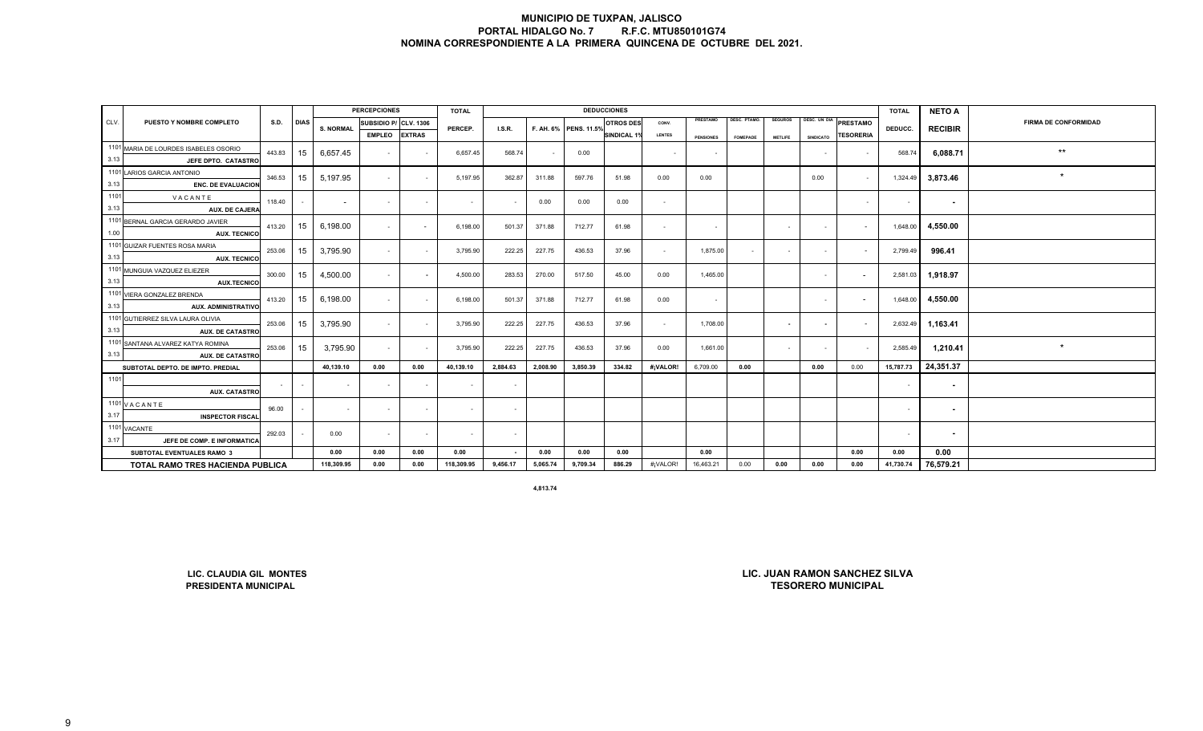|      | <b>PERCEPCIONES</b><br><b>DEDUCCIONES</b><br><b>TOTAL</b> |             |             |                  |                          |                          |            |                          |          |                       |                  |                          |                  |                     | <b>TOTAL</b>   | <b>NETO A</b>            |                          |           |                |                             |
|------|-----------------------------------------------------------|-------------|-------------|------------------|--------------------------|--------------------------|------------|--------------------------|----------|-----------------------|------------------|--------------------------|------------------|---------------------|----------------|--------------------------|--------------------------|-----------|----------------|-----------------------------|
| CLV. | PUESTO Y NOMBRE COMPLETO                                  | <b>S.D.</b> | <b>DIAS</b> | <b>S. NORMAL</b> | SUBSIDIO P/ CLV. 1306    |                          | PERCEP.    | <b>I.S.R.</b>            |          | F. AH. 6% PENS. 11.5% | <b>OTROS DES</b> | CONV.                    | PRESTAMO         | <b>DESC. PTAMO.</b> | <b>SEGUROS</b> | DESC. UN DIA             | PRESTAMO                 | DEDUCC.   | <b>RECIBIR</b> | <b>FIRMA DE CONFORMIDAD</b> |
|      |                                                           |             |             |                  | <b>EMPLEO</b>            | <b>EXTRAS</b>            |            |                          |          |                       | SINDICAL 1%      | <b>LENTES</b>            | <b>PENSIONES</b> | <b>FOMEPADE</b>     | <b>METLIFE</b> | <b>SINDICATO</b>         | <b>TESORERIA</b>         |           |                |                             |
|      | 1101 MARIA DE LOURDES ISABELES OSORIO                     | 443.83      | 15          | 6,657.45         | $\sim$                   |                          |            | 568.74                   |          |                       |                  |                          |                  |                     |                |                          |                          | 568.74    | 6,088.71       | $\star\star$                |
| 3.13 | JEFE DPTO. CATASTRO                                       |             |             |                  |                          |                          | 6,657.45   |                          |          | 0.00                  |                  |                          |                  |                     |                | $\sim$                   | $\sim$                   |           |                |                             |
|      | 1101 LARIOS GARCIA ANTONIO                                | 346.53      | 15          | 5,197.95         | $\sim$                   | $\sim$                   | 5,197.95   | 362.87                   | 311.88   | 597.76                | 51.98            | 0.00                     | 0.00             |                     |                | 0.00                     | $\sim$                   | 1,324.49  |                | $\star$                     |
| 3.13 | <b>ENC. DE EVALUACION</b>                                 |             |             |                  |                          |                          |            |                          |          |                       |                  |                          |                  |                     |                |                          |                          |           | 3,873.46       |                             |
| 1101 | VACANTE                                                   | 118.40      |             | $\overline{a}$   | $\sim$                   | $\sim$                   | $\sim$     | $\overline{\phantom{a}}$ | 0.00     | 0.00                  | 0.00             | $\overline{\phantom{a}}$ |                  |                     |                |                          | $\sim$                   | $\sim$    | $\sim$         |                             |
| 3.13 | AUX. DE CAJERA                                            |             |             |                  |                          |                          |            |                          |          |                       |                  |                          |                  |                     |                |                          |                          |           |                |                             |
|      | 1101 BERNAL GARCIA GERARDO JAVIER                         | 413.20      | 15          | 6,198.00         | $\sim$                   | $\sim$                   | 6,198.00   | 501.37                   | 371.88   | 712.77                | 61.98            | $\sim$                   | $\sim$           |                     |                | $\sim$                   | $\sim$                   | 1,648.00  | 4,550.00       |                             |
| 1.00 | <b>AUX. TECNICO</b>                                       |             |             |                  |                          |                          |            |                          |          |                       |                  |                          |                  |                     |                |                          |                          |           |                |                             |
|      | 1101 GUIZAR FUENTES ROSA MARIA                            | 253.06      | 15          | 3,795.90         | $\sim$                   | $\sim$                   | 3,795.90   | 222.25                   | 227.75   | 436.53                | 37.96            | $\sim$                   | 1,875.00         | $\sim$              | $\sim$         | $\sim$                   | $\sim$                   | 2,799.49  | 996.41         |                             |
| 3.13 | <b>AUX. TECNICO</b>                                       |             |             |                  |                          |                          |            |                          |          |                       |                  |                          |                  |                     |                |                          |                          |           |                |                             |
|      | 1101 MUNGUIA VAZQUEZ ELIEZER                              | 300.00      | 15          | 4,500.00         | $\sim$                   | $\overline{\phantom{a}}$ | 4,500.00   | 283.53                   | 270.00   | 517.50                | 45.00            | 0.00                     | 1,465.00         |                     |                | $\sim$                   | $\overline{\phantom{a}}$ | 2,581.03  | 1,918.97       |                             |
| 3.13 | <b>AUX.TECNICO</b>                                        |             |             |                  |                          |                          |            |                          |          |                       |                  |                          |                  |                     |                |                          |                          |           |                |                             |
|      | 1101 VIERA GONZALEZ BRENDA                                | 413.20      | 15          | 6,198.00         | $\sim$                   | $\sim$                   | 6,198.00   | 501.37                   | 371.88   | 712.77                | 61.98            | 0.00                     | $\sim$           |                     |                | $\blacksquare$           | $\overline{\phantom{a}}$ | 1,648.00  | 4,550.00       |                             |
| 3.13 | <b>AUX. ADMINISTRATIVO</b>                                |             |             |                  |                          |                          |            |                          |          |                       |                  |                          |                  |                     |                |                          |                          |           |                |                             |
|      | 1101 GUTIERREZ SILVA LAURA OLIVIA                         | 253.06      | 15          | 3,795.90         | $\sim$                   | $\sim$                   | 3,795.90   | 222.25                   | 227.75   | 436.53                | 37.96            | $\sim$                   | 1,708.00         |                     | $\sim$         | $\overline{\phantom{a}}$ | $\sim$                   | 2,632.49  | 1,163.41       |                             |
| 3.13 | <b>AUX. DE CATASTRO</b>                                   |             |             |                  |                          |                          |            |                          |          |                       |                  |                          |                  |                     |                |                          |                          |           |                |                             |
|      | 1101 SANTANA ALVAREZ KATYA ROMINA                         | 253.06      | 15          | 3,795.90         | $\sim$                   | $\sim$                   | 3,795.90   | 222.25                   | 227.75   | 436.53                | 37.96            | 0.00                     | 1,661.00         |                     |                | $\blacksquare$           | $\sim$                   | 2,585.49  | 1,210.41       | $\star$                     |
| 3.13 | <b>AUX. DE CATASTRO</b>                                   |             |             |                  |                          |                          |            |                          |          |                       |                  |                          |                  |                     |                |                          |                          |           |                |                             |
|      | SUBTOTAL DEPTO. DE IMPTO. PREDIAL                         |             |             | 40,139.10        | 0.00                     | 0.00                     | 40,139.10  | 2,884.63                 | 2,008.90 | 3,850.39              | 334.82           | #¡VALOR!                 | 6,709.00         | 0.00                |                | 0.00                     | 0.00                     | 15,787.73 | 24,351.37      |                             |
| 1101 |                                                           |             |             |                  | $\blacksquare$           |                          | $\sim$     | $\blacksquare$           |          |                       |                  |                          |                  |                     |                |                          |                          |           | $\sim$         |                             |
|      | <b>AUX. CATASTRO</b>                                      |             |             |                  |                          |                          |            |                          |          |                       |                  |                          |                  |                     |                |                          |                          |           |                |                             |
|      | 1101 V A C A N T E                                        | 96.00       | $\sim$      | $\sim$           | $\overline{\phantom{a}}$ | $\sim$                   | $\sim$     | $\sim$                   |          |                       |                  |                          |                  |                     |                |                          |                          | $\sim$    | $\sim$         |                             |
| 3.17 | <b>INSPECTOR FISCAL</b>                                   |             |             |                  |                          |                          |            |                          |          |                       |                  |                          |                  |                     |                |                          |                          |           |                |                             |
|      | 1101 VACANTE                                              | 292.03      |             | 0.00             | $\blacksquare$           | $\sim$                   | $\sim$     | $\sim$                   |          |                       |                  |                          |                  |                     |                |                          |                          | $\sim$    | $\sim$         |                             |
| 3.17 | JEFE DE COMP. E INFORMATICA                               |             |             |                  |                          |                          |            |                          |          |                       |                  |                          |                  |                     |                |                          |                          |           |                |                             |
|      | SUBTOTAL EVENTUALES RAMO 3                                |             |             | 0.00             | 0.00                     | 0.00                     | 0.00       | $\blacksquare$           | 0.00     | 0.00                  | 0.00             |                          | 0.00             |                     |                |                          | 0.00                     | 0.00      | 0.00           |                             |
|      | <b>TOTAL RAMO TRES HACIENDA PUBLICA</b>                   |             |             | 118,309.95       | 0.00                     | 0.00                     | 118,309.95 | 9,456.17                 | 5,065.74 | 9,709.34              | 886.29           | #¡VALOR!                 | 16,463.21        | 0.00                | 0.00           | 0.00                     | 0.00                     | 41,730.74 | 76,579.21      |                             |
|      |                                                           |             |             |                  |                          |                          |            |                          | 4,813.74 |                       |                  |                          |                  |                     |                |                          |                          |           |                |                             |
|      |                                                           |             |             |                  |                          |                          |            |                          |          |                       |                  |                          |                  |                     |                |                          |                          |           |                |                             |
|      |                                                           |             |             |                  |                          |                          |            |                          |          |                       |                  |                          |                  |                     |                |                          |                          |           |                |                             |
|      |                                                           |             |             |                  |                          |                          |            |                          |          |                       |                  |                          |                  |                     |                |                          |                          |           |                |                             |
|      |                                                           |             |             |                  |                          |                          |            |                          |          |                       |                  |                          |                  |                     |                |                          |                          |           |                |                             |
|      |                                                           |             |             |                  |                          |                          |            |                          |          |                       |                  |                          |                  |                     |                |                          |                          |           |                |                             |
|      |                                                           |             |             |                  |                          |                          |            |                          |          |                       |                  |                          |                  |                     |                |                          |                          |           |                |                             |
|      | LIC. JUAN RAMON SANCHEZ SILVA<br>LIC. CLAUDIA GIL MONTES  |             |             |                  |                          |                          |            |                          |          |                       |                  |                          |                  |                     |                |                          |                          |           |                |                             |
|      | <b>TESORERO MUNICIPAL</b><br><b>PRESIDENTA MUNICIPAL</b>  |             |             |                  |                          |                          |            |                          |          |                       |                  |                          |                  |                     |                |                          |                          |           |                |                             |
|      |                                                           |             |             |                  |                          |                          |            |                          |          |                       |                  |                          |                  |                     |                |                          |                          |           |                |                             |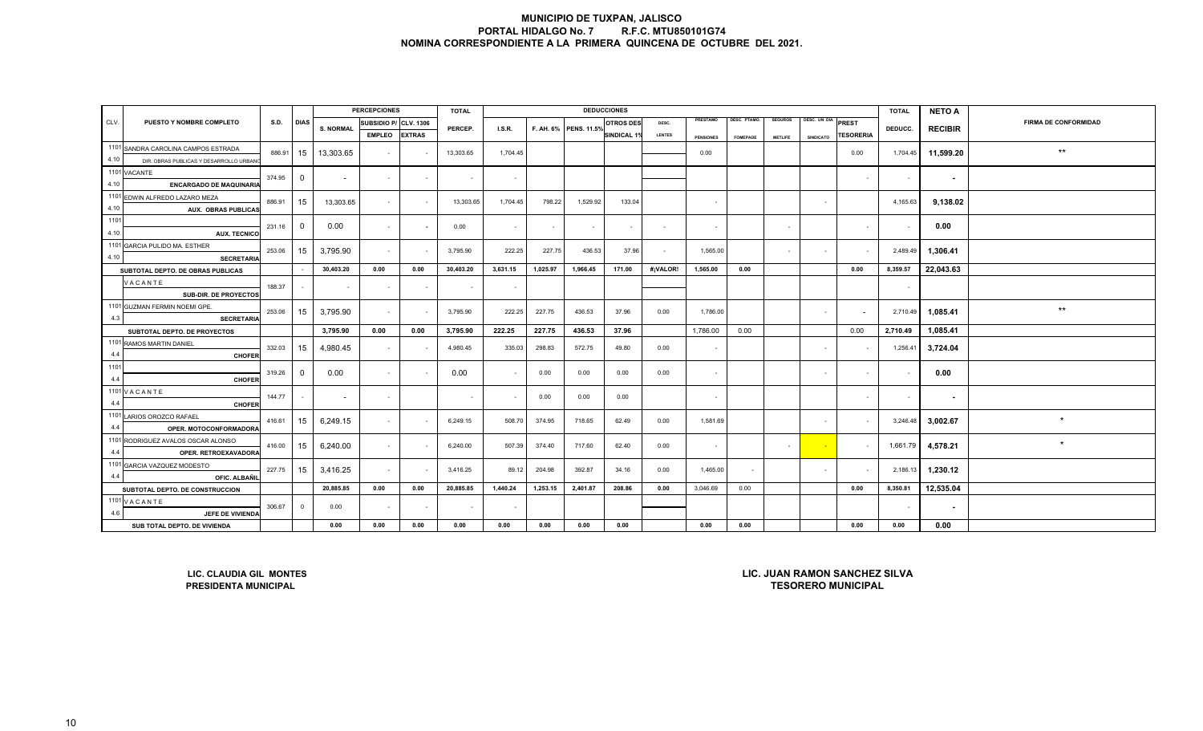|      |                                                          |                       |                |                  | <b>PERCEPCIONES</b>      |               | <b>TOTAL</b>          |                          |          |          | <b>DEDUCCIONES</b> |                |                  |                 |                |                  |                             | <b>TOTAL</b> | <b>NETO A</b>  |                 |
|------|----------------------------------------------------------|-----------------------|----------------|------------------|--------------------------|---------------|-----------------------|--------------------------|----------|----------|--------------------|----------------|------------------|-----------------|----------------|------------------|-----------------------------|--------------|----------------|-----------------|
| CLV. | PUESTO Y NOMBRE COMPLETO                                 | SUBSIDIO P/ CLV. 1306 |                | PERCEP.          | I.S.R.                   |               | F. AH. 6% PENS. 11.5% | <b>OTROS DES</b>         | DESC.    | PRESTAMO | DESC. PTAMO.       | <b>SEGUROS</b> | DESC. UN DIA     | <b>PREST</b>    | DEDUCC.        |                  | <b>FIRMA DE CONFORMIDAD</b> |              |                |                 |
|      |                                                          |                       |                | <b>S. NORMAL</b> | <b>EMPLEO</b>            | <b>EXTRAS</b> |                       |                          |          |          | <b>SINDICAL 1%</b> | <b>LENTES</b>  | <b>PENSIONES</b> | <b>FOMEPADE</b> | <b>METLIFE</b> | <b>SINDICATO</b> | <b>TESORERIA</b>            |              | <b>RECIBIR</b> |                 |
|      | 1101 SANDRA CAROLINA CAMPOS ESTRADA                      | 886.91                | 15             | 13,303.65        | $\sim$                   |               | 13,303.65             | 1,704.45                 |          |          |                    |                | 0.00             |                 |                |                  | 0.00                        | 1,704.45     | 11,599.20      | $^{\star\star}$ |
| 4.10 | DIR. OBRAS PUBLICAS Y DESARROLLO URBAN                   |                       |                |                  |                          |               |                       |                          |          |          |                    |                |                  |                 |                |                  |                             |              |                |                 |
|      | 1101 VACANTE                                             | 374.95                | $\overline{0}$ | $\sim$           | $\sim$                   | $\sim$        | $\sim$                | $\sim$                   |          |          |                    |                |                  |                 |                |                  | $\sim$                      | $\sim$       | $\sim$         |                 |
| 4.10 | <b>ENCARGADO DE MAQUINARIA</b>                           |                       |                |                  |                          |               |                       |                          |          |          |                    |                |                  |                 |                |                  |                             |              |                |                 |
|      | 1101 EDWIN ALFREDO LAZARO MEZA                           | 886.91                | 15             | 13,303.65        | $\sim$                   |               | 13,303.65             | 1,704.45                 | 798.22   | 1,529.92 | 133.04             |                |                  |                 |                | $\sim$           |                             | 4,165.63     | 9,138.02       |                 |
| 4.10 | <b>AUX. OBRAS PUBLICAS</b>                               |                       |                |                  |                          |               |                       |                          |          |          |                    |                |                  |                 |                |                  |                             |              |                |                 |
| 1101 |                                                          | 231.16                | $\overline{0}$ | 0.00             | $\sim$                   |               | 0.00                  | $\sim$                   |          | $\sim$   | $\sim$             | $\sim$         | $\sim$           |                 | $\sim$         |                  | $\sim$                      | $\sim$       | 0.00           |                 |
| 4.10 | <b>AUX. TECNICO</b>                                      |                       |                |                  |                          |               |                       |                          |          |          |                    |                |                  |                 |                |                  |                             |              |                |                 |
|      | 1101 GARCIA PULIDO MA. ESTHER                            | 253.06                | 15             | 3,795.90         | $\sim$                   |               | 3,795.90              | 222.25                   | 227.75   | 436.53   | 37.96              | $\sim$         | 1,565.00         |                 | $\sim$         | $\sim$           | $\sim$                      | 2,489.49     | 1,306.41       |                 |
| 4.10 | <b>SECRETARIA</b>                                        |                       |                |                  |                          |               |                       |                          |          |          |                    |                |                  |                 |                |                  |                             |              |                |                 |
|      | SUBTOTAL DEPTO. DE OBRAS PUBLICAS                        |                       |                | 30,403.20        | 0.00                     | 0.00          | 30,403.20             | 3,631.15                 | 1,025.97 | 1,966.45 | 171.00             | #¡VALOR!       | 1,565.00         | 0.00            |                |                  | 0.00                        | 8,359.57     | 22,043.63      |                 |
|      | VACANTE                                                  | 188.37                |                |                  | $\overline{\phantom{a}}$ | $\sim$        |                       | $\overline{\phantom{a}}$ |          |          |                    |                |                  |                 |                |                  |                             | $\sim$       |                |                 |
|      | SUB-DIR. DE PROYECTOS                                    |                       |                |                  |                          |               |                       |                          |          |          |                    |                |                  |                 |                |                  |                             |              |                |                 |
|      | 1101 GUZMAN FERMIN NOEMI GPE.                            | 253.06                | 15             | 3,795.90         | $\sim$                   |               | 3,795.90              | 222.25                   | 227.75   | 436.53   | 37.96              | 0.00           | 1,786.00         |                 |                | $\sim$           |                             | 2,710.49     | 1.085.41       | $^{\star\star}$ |
| 4.3  | <b>SECRETARIA</b>                                        |                       |                |                  |                          |               |                       |                          |          |          |                    |                |                  |                 |                |                  |                             |              | 1,085.41       |                 |
|      | SUBTOTAL DEPTO. DE PROYECTOS                             |                       |                | 3,795.90         | 0.00                     | 0.00          | 3,795.90              | 222.25                   | 227.75   | 436.53   | 37.96              |                | 1,786.00         | 0.00            |                |                  | 0.00                        | 2,710.49     |                |                 |
| 4.4  | 1101 RAMOS MARTIN DANIEL                                 | 332.03                | 15             | 4,980.45         | $\sim$                   |               | 4,980.45              | 335.03                   | 298.83   | 572.75   | 49.80              | 0.00           | $\sim$           |                 |                | $\sim$           |                             | 1,256.41     | 3,724.04       |                 |
| 1101 | <b>CHOFER</b>                                            |                       |                |                  |                          |               |                       |                          |          |          |                    |                |                  |                 |                |                  |                             |              |                |                 |
| 4.4  |                                                          | 319.26                | $\overline{0}$ | 0.00             | $\sim$                   |               | 0.00                  | $\blacksquare$           | 0.00     | 0.00     | 0.00               | 0.00           | $\sim$           |                 |                | $\sim$           | $\sim$                      |              | 0.00           |                 |
|      | <b>CHOFER</b><br>$1101$ V A C A N T E                    |                       |                |                  |                          |               |                       |                          |          |          |                    |                |                  |                 |                |                  |                             |              |                |                 |
| 4.4  | <b>CHOFER</b>                                            | 144.77                |                | $\sim$           | $\sim$                   |               |                       | $\sim$                   | 0.00     | 0.00     | 0.00               |                | $\sim$           |                 |                |                  | $\sim$                      | $\sim$       | $\sim$         |                 |
|      | 1101 LARIOS OROZCO RAFAEL                                |                       |                |                  |                          |               |                       |                          |          |          |                    |                |                  |                 |                |                  |                             |              |                |                 |
| 4.4  | OPER. MOTOCONFORMADORA                                   | 416.61                | 15             | 6,249.15         | $\sim$                   |               | 6,249.15              | 508.70                   | 374.95   | 718.65   | 62.49              | 0.00           | 1,581.69         |                 |                | $\sim$           |                             | 3,246.48     | 3,002.67       | $\star$         |
|      | 1101 RODRIGUEZ AVALOS OSCAR ALONSO                       |                       |                |                  |                          |               |                       |                          |          |          |                    |                |                  |                 |                |                  |                             |              |                |                 |
| 4.4  | OPER. RETROEXAVADORA                                     | 416.00                | 15             | 6,240.00         | $\sim$                   |               | 6,240.00              | 507.39                   | 374.40   | 717.60   | 62.40              | 0.00           | $\sim$           |                 | $\sim$         | $\sim$           | $\sim$                      | 1,661.79     | 4,578.21       | $\star$         |
|      | 1101 GARCIA VAZQUEZ MODESTO                              |                       |                |                  |                          |               |                       |                          |          |          |                    |                |                  |                 |                |                  |                             |              |                |                 |
| 4.4  | OFIC. ALBAÑIL                                            | 227.75                | 15             | 3,416.25         | $\sim$                   |               | 3,416.25              | 89.12                    | 204.98   | 392.87   | 34.16              | 0.00           | 1,465.00         | $\sim$          |                | $\sim$           |                             | 2,186.13     | 1,230.12       |                 |
|      | SUBTOTAL DEPTO. DE CONSTRUCCION                          |                       |                | 20,885.85        | 0.00                     | 0.00          | 20,885.85             | 1,440.24                 | 1,253.15 | 2,401.87 | 208.86             | 0.00           | 3,046.69         | 0.00            |                |                  | 0.00                        | 8,350.81     | 12,535.04      |                 |
|      | 1101 VACANTE                                             |                       |                |                  |                          |               |                       |                          |          |          |                    |                |                  |                 |                |                  |                             |              |                |                 |
| 4.6  | JEFE DE VIVIENDA                                         | 306.67                | $\overline{0}$ | 0.00             | $\blacksquare$           |               |                       |                          |          |          |                    |                |                  |                 |                |                  |                             |              | $\sim$         |                 |
|      | SUB TOTAL DEPTO. DE VIVIENDA                             |                       |                | 0.00             | 0.00                     | 0.00          | 0.00                  | 0.00                     | 0.00     | 0.00     | 0.00               |                | 0.00             | 0.00            |                |                  | 0.00                        | 0.00         | 0.00           |                 |
|      | LIC. JUAN RAMON SANCHEZ SILVA<br>LIC. CLAUDIA GIL MONTES |                       |                |                  |                          |               |                       |                          |          |          |                    |                |                  |                 |                |                  |                             |              |                |                 |
|      | <b>PRESIDENTA MUNICIPAL</b>                              |                       |                |                  |                          |               |                       |                          |          |          |                    |                |                  |                 |                |                  | <b>TESORERO MUNICIPAL</b>   |              |                |                 |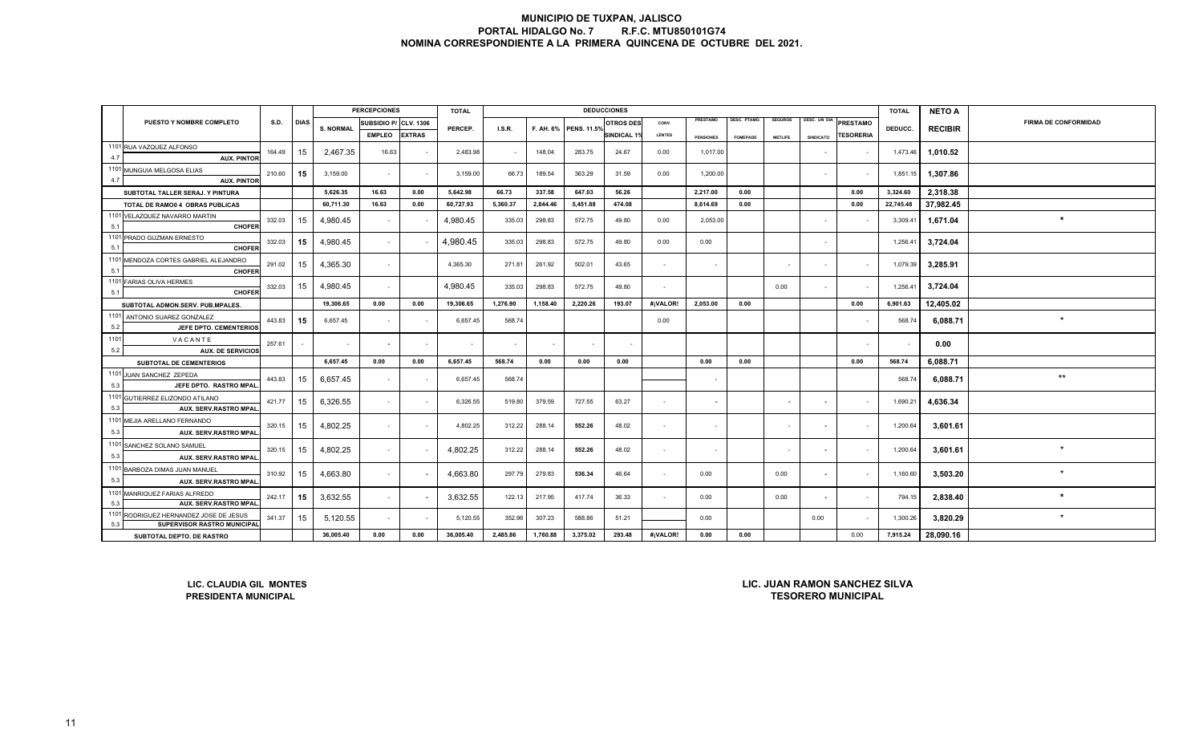|             |                                                                                                                                                       |        |             |                  | <b>PERCEPCIONES</b>   |               | <b>TOTAL</b> |          |          |                       | <b>DEDUCCIONES</b> |                |                          |                    |                          |                          |                  | <b>TOTAL</b> | <b>NETO A</b>  |                             |
|-------------|-------------------------------------------------------------------------------------------------------------------------------------------------------|--------|-------------|------------------|-----------------------|---------------|--------------|----------|----------|-----------------------|--------------------|----------------|--------------------------|--------------------|--------------------------|--------------------------|------------------|--------------|----------------|-----------------------------|
|             | PUESTO Y NOMBRE COMPLETO                                                                                                                              | S.D.   | <b>DIAS</b> | <b>S. NORMAL</b> | SUBSIDIO P/ CLV. 1306 |               | PERCEP.      | I.S.R.   |          |                       | <b>OTROS DES</b>   | CONV.          | PRESTAMO                 | <b>JESC. PTAMO</b> | <b>SEGUROS</b>           | DESC, UN DIA             | <b>PRESTAMO</b>  |              |                | <b>FIRMA DE CONFORMIDAD</b> |
|             |                                                                                                                                                       |        |             |                  | <b>EMPLEO</b>         | <b>EXTRAS</b> |              |          |          | F. AH. 6% PENS. 11.5% | <b>SINDICAL 1%</b> | <b>LENTES</b>  | <b>PENSIONES</b>         | <b>FOMEPADE</b>    | <b>METLIFE</b>           | SINDICATO                | <b>TESORERIA</b> | DEDUCC.      | <b>RECIBIR</b> |                             |
|             | 1101 RUA VAZQUEZ ALFONSO                                                                                                                              | 164.49 | 15          | 2.467.35         | 16.63                 |               | 2,483.98     | $\sim$   | 148.04   | 283.75                | 24.67              | 0.00           | 1,017.00                 |                    |                          |                          |                  | 1,473.46     | 1,010.52       |                             |
| 4.7         | <b>AUX. PINTOF</b>                                                                                                                                    |        |             |                  |                       |               |              |          |          |                       |                    |                |                          |                    |                          |                          |                  |              |                |                             |
| 4.7         | 1101 MUNGUIA MELGOSA ELIAS<br><b>AUX. PINTOF</b>                                                                                                      | 210.60 | 15          | 3,159.00         | $\sim$                |               | 3,159.00     | 66.73    | 189.54   | 363.29                | 31.59              | 0.00           | 1,200.00                 |                    |                          | $\sim$                   |                  | 1,851.15     | 1,307.86       |                             |
|             | SUBTOTAL TALLER SERAJ. Y PINTURA                                                                                                                      |        |             | 5,626.35         | 16.63                 | 0.00          | 5,642.98     | 66.73    | 337.58   | 647.03                | 56.26              |                | 2,217.00                 | 0.00               |                          |                          | 0.00             | 3,324.60     | 2,318.38       |                             |
|             | TOTAL DE RAMO0 4 OBRAS PUBLICAS                                                                                                                       |        |             | 60,711.30        | 16.63                 | 0.00          | 60,727.93    | 5,360.37 | 2,844.46 | 5,451.88              | 474.08             |                | 8,614.69                 | 0.00               |                          |                          | 0.00             | 22,745.48    | 37.982.45      |                             |
| 5.1         | 1101 VELAZQUEZ NAVARRO MARTIN<br>CHOFER                                                                                                               | 332.03 | 15          | 4,980.45         | $\blacksquare$        |               | 4,980.45     | 335.03   | 298.83   | 572.75                | 49.80              | 0.00           | 2,053.00                 |                    |                          | $\sim$                   |                  | 3,309.41     | 1,671.04       | $\star$                     |
|             | 1101 PRADO GUZMAN ERNESTO                                                                                                                             | 332.03 | 15          | 4,980.45         | $\sim$                |               | 4,980.45     | 335.03   | 298.83   | 572.75                | 49.80              | 0.00           | 0.00                     |                    |                          | $\sim$                   |                  | 1,256.41     | 3,724.04       |                             |
| 5.1         | CHOFEI                                                                                                                                                |        |             |                  |                       |               |              |          |          |                       |                    |                |                          |                    |                          |                          |                  |              |                |                             |
| 5.1         | 1101 MENDOZA CORTES GABRIEL ALEJANDRO<br>CHOFE                                                                                                        | 291.02 | 15          | 4,365.30         | $\sim$                |               | 4,365.30     | 271.81   | 261.92   | 502.01                | 43.65              | $\sim$         | $\sim$                   |                    |                          | $\sim$                   |                  | 1,079.39     | 3,285.91       |                             |
| 5.1         | 1101 FARIAS OLIVA HERMES<br><b>CHOFER</b>                                                                                                             | 332.03 | 15          | 4,980.45         | $\sim$                |               | 4.980.45     | 335.03   | 298.83   | 572.75                | 49.80              | $\sim$         |                          |                    | 0.00                     | $\sim$                   |                  | 1,256.41     | 3,724.04       |                             |
|             | SUBTOTAL ADMON.SERV. PUB.MPALES.                                                                                                                      |        |             | 19,306.65        | 0.00                  | 0.00          | 19,306.65    | 1,276.90 | 1,158.40 | 2,220.26              | 193.07             | #¡VALOR!       | 2,053.00                 | 0.00               |                          |                          | 0.00             | 6,901.63     | 12,405.02      |                             |
|             | 1101 ANTONIO SUAREZ GONZALEZ                                                                                                                          | 443.83 | 15          | 6,657.45         | $\sim$                |               | 6,657.45     | 568.74   |          |                       |                    | 0.00           |                          |                    |                          |                          |                  | 568.74       | 6,088.71       |                             |
| 5.2<br>1101 | JEFE DPTO. CEMENTERIOS                                                                                                                                |        |             |                  |                       |               |              |          |          |                       |                    |                |                          |                    |                          |                          |                  |              |                |                             |
| 5.2         | VACANTE<br><b>AUX. DE SERVICIOS</b>                                                                                                                   | 257.61 |             | $\sim$           | $\sim$                |               | $\sim$       | $\sim$   |          |                       |                    |                |                          |                    |                          |                          |                  |              | 0.00           |                             |
|             | SUBTOTAL DE CEMENTERIOS                                                                                                                               |        |             | 6,657.45         | 0.00                  | 0.00          | 6,657.45     | 568.74   | 0.00     | 0.00                  | 0.00               |                | 0.00                     | 0.00               |                          |                          | 0.00             | 568.74       | 6,088.71       |                             |
| 5.3         | 1101 JUAN SANCHEZ ZEPEDA<br>JEFE DPTO. RASTRO MPAL                                                                                                    | 443.83 | 15          | 6,657.45         | $\sim$                |               | 6,657.45     | 568.74   |          |                       |                    |                | $\sim$                   |                    |                          |                          |                  | 568.74       | 6,088.71       | $***$                       |
|             | 1101 GUTIERREZ ELIZONDO ATILANO                                                                                                                       | 421.77 | 15          | 6,326.55         | $\sim$                |               | 6,326.55     | 519.80   | 379.59   | 727.55                | 63.27              | $\sim$         | $\overline{\phantom{a}}$ |                    | $\overline{\phantom{a}}$ | $\sim$                   | $\sim$           | 1,690.21     | 4,636.34       |                             |
| 5.3         | <b>AUX. SERV.RASTRO MPAL</b>                                                                                                                          |        |             |                  |                       |               |              |          |          |                       |                    |                |                          |                    |                          |                          |                  |              |                |                             |
| 5.3         | 1101 MEJIA ARELLANO FERNANDO<br><b>AUX. SERV.RASTRO MPAL</b>                                                                                          | 320.15 | 15          | 4,802.25         | $\sim$                |               | 4,802.25     | 312.22   | 288.14   | 552.26                | 48.02              | $\sim$         | $\sim$                   |                    | $\sim$                   | $\sim$                   | $\sim$           | 1,200.64     | 3,601.61       |                             |
|             | 1101 SANCHEZ SOLANO SAMUEL                                                                                                                            | 320.15 | 15          |                  | $\sim$                |               |              | 312.22   | 288.14   | 552.26                | 48.02              | $\overline{a}$ |                          |                    | $\sim$                   |                          |                  |              |                | $\star$                     |
| 5.3         | <b>AUX. SERV.RASTRO MPAL</b>                                                                                                                          |        |             | 4,802.25         |                       |               | 4,802.25     |          |          |                       |                    |                |                          |                    |                          | $\overline{\phantom{a}}$ |                  | 1,200.64     | 3,601.61       |                             |
|             | 1101 BARBOZA DIMAS JUAN MANUEL                                                                                                                        | 310.92 | 15          | 4,663.80         | $\sim$                |               | 4,663.80     | 297.79   | 279.83   | 536.34                | 46.64              | $\sim$         | 0.00                     |                    | 0.00                     | $\sim$                   | $\sim$           | 1,160.60     | 3,503.20       |                             |
| 5.3         | <b>AUX. SERV.RASTRO MPAL</b>                                                                                                                          |        |             |                  |                       |               |              |          |          |                       |                    |                |                          |                    |                          |                          |                  |              |                |                             |
| 5.3         | 1101 MANRIQUEZ FARIAS ALFREDO<br><b>AUX. SERV.RASTRO MPAL</b>                                                                                         | 242.17 | 15          | 3,632.55         | $\sim$                |               | 3,632.55     | 122.13   | 217.95   | 417.74                | 36.33              | $\sim$         | 0.00                     |                    | 0.00                     | $\sim$                   | $\sim$           | 794.15       | 2,838.40       |                             |
| 5.3         | 1101 RODRIGUEZ HERNANDEZ JOSE DE JESUS<br><b>SUPERVISOR RASTRO MUNICIPAL</b>                                                                          | 341.37 | 15          | 5,120.55         | $\blacksquare$        |               | 5,120.55     | 352.96   | 307.23   | 588.86                | 51.21              |                | 0.00                     |                    |                          | 0.00                     |                  | 1,300.26     | 3,820.29       |                             |
|             | 36,005.40<br>0.00<br>0.00<br>36,005.40<br>2,485.86<br>1,760.88<br>3,375.02<br>293.48<br>#¡VALOR!<br>0.00<br>0.00<br>0.00<br>SUBTOTAL DEPTO. DE RASTRO |        |             |                  |                       |               |              |          |          |                       |                    |                |                          |                    | 7,915.24                 | 28,090.16                |                  |              |                |                             |
|             | <b>LIC. JUAN RAMON SANCHEZ SILVA</b><br>LIC. CLAUDIA GIL MONTES                                                                                       |        |             |                  |                       |               |              |          |          |                       |                    |                |                          |                    |                          |                          |                  |              |                |                             |

**LIC. CLAUDIA GIL MONTES**

**TESORERO MUNICIPALPRESIDENTA MUNICIPAL LIC. JUAN RAMON SANCHEZ SILVA**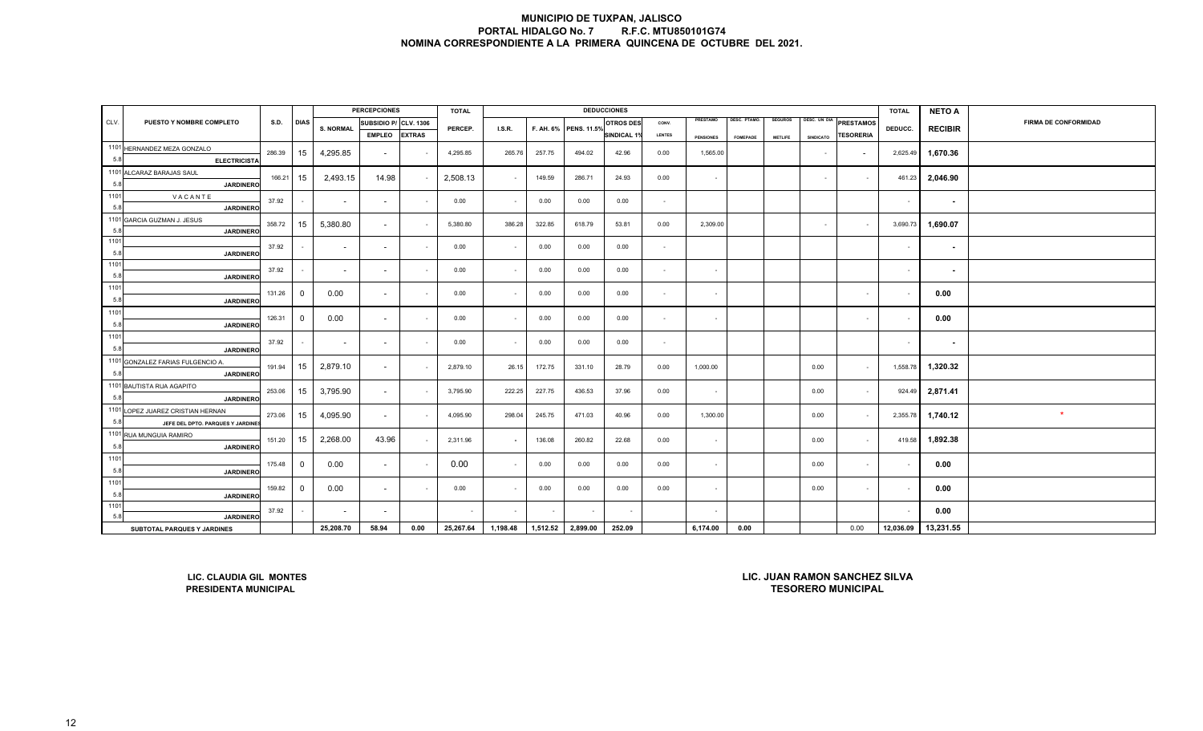|             |                                                                                                                      |        |                |                          | <b>PERCEPCIONES</b>      |               | <b>TOTAL</b> |                          |          |                       | <b>DEDUCCIONES</b> |               |                  |                     |                |                  |                  | <b>TOTAL</b>             | <b>NETO A</b>            |                             |
|-------------|----------------------------------------------------------------------------------------------------------------------|--------|----------------|--------------------------|--------------------------|---------------|--------------|--------------------------|----------|-----------------------|--------------------|---------------|------------------|---------------------|----------------|------------------|------------------|--------------------------|--------------------------|-----------------------------|
| CLV.        | PUESTO Y NOMBRE COMPLETO                                                                                             | S.D.   | <b>DIAS</b>    | <b>S. NORMAL</b>         | SUBSIDIO P/ CLV. 1306    |               | PERCEP.      | I.S.R.                   |          | F. AH. 6% PENS. 11.5% | <b>OTROS DES</b>   | CONV.         | PRESTAMO         | <b>DESC. PTAMO.</b> | <b>SEGUROS</b> | DESC. UN DIA     | PRESTAMOS        | DEDUCC.                  | <b>RECIBIR</b>           | <b>FIRMA DE CONFORMIDAD</b> |
|             |                                                                                                                      |        |                |                          | <b>EMPLEO</b>            | <b>EXTRAS</b> |              |                          |          |                       | <b>INDICAL 19</b>  | <b>LENTES</b> | <b>PENSIONES</b> | <b>FOMEPADE</b>     | <b>METLIFE</b> | <b>SINDICATO</b> | <b>TESORERIA</b> |                          |                          |                             |
|             | 1101 HERNANDEZ MEZA GONZALO                                                                                          | 286.39 | 15             | 4,295.85                 | $\overline{\phantom{a}}$ |               | 4,295.85     | 265.76                   | 257.75   | 494.02                | 42.96              | 0.00          | 1,565.00         |                     |                | $\sim$           |                  | 2,625.49                 | 1,670.36                 |                             |
| 5.8         | <b>ELECTRICISTA</b>                                                                                                  |        |                |                          |                          |               |              |                          |          |                       |                    |               |                  |                     |                |                  |                  |                          |                          |                             |
|             | 1101 ALCARAZ BARAJAS SAUL                                                                                            | 166.21 | 15             | 2,493.15                 | 14.98                    |               | 2,508.13     | $\sim$                   | 149.59   | 286.71                | 24.93              | 0.00          | $\sim$           |                     |                | $\sim$           | $\sim$           | 461.23                   | 2,046.90                 |                             |
| 5.8         | <b>JARDINERO</b>                                                                                                     |        |                |                          |                          |               |              |                          |          |                       |                    |               |                  |                     |                |                  |                  |                          |                          |                             |
| 1101        | VACANTE                                                                                                              | 37.92  |                | $\sim$                   | $\sim$                   |               | 0.00         | $\blacksquare$           | 0.00     | 0.00                  | 0.00               | $\sim$        |                  |                     |                |                  |                  | $\overline{\phantom{a}}$ | $\overline{\phantom{a}}$ |                             |
| 5.8         | <b>JARDINERO</b>                                                                                                     |        |                |                          |                          |               |              |                          |          |                       |                    |               |                  |                     |                |                  |                  |                          |                          |                             |
|             | 1101 GARCIA GUZMAN J. JESUS                                                                                          | 358.72 | 15             | 5,380.80                 | $\sim$                   |               | 5,380.80     | 386.28                   | 322.85   | 618.79                | 53.81              | 0.00          | 2,309.00         |                     |                | $\sim$           | $\sim$           | 3,690.73                 | 1,690.07                 |                             |
| 5.8<br>1101 | <b>JARDINERO</b>                                                                                                     |        |                |                          |                          |               |              |                          |          |                       |                    |               |                  |                     |                |                  |                  |                          |                          |                             |
| 5.8         |                                                                                                                      | 37.92  |                | $\sim$                   | $\sim$                   |               | 0.00         | $\sim$                   | 0.00     | 0.00                  | 0.00               | $\sim$        |                  |                     |                |                  |                  | $\sim$                   | $\blacksquare$           |                             |
| 1101        | <b>JARDINERO</b>                                                                                                     |        |                |                          |                          |               |              |                          |          |                       |                    |               |                  |                     |                |                  |                  |                          |                          |                             |
| 5.8         | <b>JARDINERO</b>                                                                                                     | 37.92  |                | $\sim$                   | $\sim$                   |               | 0.00         | $\sim$                   | 0.00     | 0.00                  | 0.00               | $\sim$        | $\sim$           |                     |                |                  |                  | $\overline{\phantom{a}}$ | $\blacksquare$           |                             |
| 1101        |                                                                                                                      |        |                |                          |                          |               |              |                          |          |                       |                    |               |                  |                     |                |                  |                  |                          |                          |                             |
| 5.8         | <b>JARDINERC</b>                                                                                                     | 131.26 | $\overline{0}$ | 0.00                     | $\sim$                   |               | 0.00         | $\sim$                   | 0.00     | 0.00                  | 0.00               | $\sim$        | $\sim$           |                     |                |                  | $\sim$           |                          | 0.00                     |                             |
| 1101        |                                                                                                                      |        |                |                          |                          |               |              |                          |          |                       |                    |               |                  |                     |                |                  |                  |                          |                          |                             |
| 5.8         | <b>JARDINERO</b>                                                                                                     | 126.31 | $\overline{0}$ | 0.00                     | $\sim$                   |               | 0.00         | $\blacksquare$           | 0.00     | 0.00                  | 0.00               | $\sim$        | $\sim$           |                     |                |                  | $\sim$           |                          | 0.00                     |                             |
| 1101        |                                                                                                                      |        |                |                          |                          |               |              |                          |          |                       |                    |               |                  |                     |                |                  |                  |                          |                          |                             |
| 5.8         | <b>JARDINERO</b>                                                                                                     | 37.92  |                | $\overline{\phantom{a}}$ | $\sim$                   |               | 0.00         | $\sim$                   | 0.00     | 0.00                  | 0.00               | $\sim$        |                  |                     |                |                  |                  | $\overline{\phantom{a}}$ | $\blacksquare$           |                             |
|             | 1101 GONZALEZ FARIAS FULGENCIO A.                                                                                    | 191.94 |                |                          |                          |               | 2,879.10     |                          | 172.75   |                       |                    |               |                  |                     |                | 0.00             |                  | 1,558.78                 |                          |                             |
| 5.8         | <b>JARDINERO</b>                                                                                                     |        | 15             | 2,879.10                 | $\sim$                   |               |              | 26.15                    |          | 331.10                | 28.79              | 0.00          | 1,000.00         |                     |                |                  | $\sim$           |                          | 1,320.32                 |                             |
|             | 1101 BAUTISTA RUA AGAPITO                                                                                            | 253.06 | 15             | 3,795.90                 | $\sim$                   |               | 3,795.90     | 222.25                   | 227.75   | 436.53                | 37.96              | 0.00          | $\sim$           |                     |                | 0.00             | $\sim$           | 924.49                   | 2,871.41                 |                             |
| 5.8         | <b>JARDINERO</b>                                                                                                     |        |                |                          |                          |               |              |                          |          |                       |                    |               |                  |                     |                |                  |                  |                          |                          |                             |
|             | 1101 LOPEZ JUAREZ CRISTIAN HERNAN                                                                                    | 273.06 | 15             | 4,095.90                 | $\sim$                   |               | 4,095.90     | 298.04                   | 245.75   | 471.03                | 40.96              | 0.00          | 1,300.00         |                     |                | 0.00             | $\sim$           | 2,355.78                 | 1,740.12                 | $\star$                     |
| 5.8         | JEFE DEL DPTO. PARQUES Y JARDINE                                                                                     |        |                |                          |                          |               |              |                          |          |                       |                    |               |                  |                     |                |                  |                  |                          |                          |                             |
|             | 1101 RUA MUNGUIA RAMIRO                                                                                              | 151.20 | 15             | 2,268.00                 | 43.96                    |               | 2,311.96     | $\overline{\phantom{a}}$ | 136.08   | 260.82                | 22.68              | 0.00          | $\sim$           |                     |                | 0.00             | $\sim$           | 419.58                   | 1,892.38                 |                             |
| 5.8         | <b>JARDINERO</b>                                                                                                     |        |                |                          |                          |               |              |                          |          |                       |                    |               |                  |                     |                |                  |                  |                          |                          |                             |
| 1101        |                                                                                                                      | 175.48 | $\mathbf 0$    | 0.00                     | $\sim$                   |               | 0.00         | $\sim$                   | 0.00     | 0.00                  | 0.00               | 0.00          | $\sim$           |                     |                | 0.00             | $\sim$           |                          | 0.00                     |                             |
| 5.8         | <b>JARDINERO</b>                                                                                                     |        |                |                          |                          |               |              |                          |          |                       |                    |               |                  |                     |                |                  |                  |                          |                          |                             |
| 1101        |                                                                                                                      | 159.82 | $\mathbf 0$    | 0.00                     | $\sim$                   |               | 0.00         | $\blacksquare$           | 0.00     | 0.00                  | 0.00               | 0.00          | $\sim$           |                     |                | 0.00             | $\sim$           |                          | 0.00                     |                             |
| 5.8         | <b>JARDINERO</b>                                                                                                     |        |                |                          |                          |               |              |                          |          |                       |                    |               |                  |                     |                |                  |                  |                          |                          |                             |
| 1101<br>5.8 | <b>JARDINERO</b>                                                                                                     | 37.92  |                | $\sim$                   | $\overline{\phantom{a}}$ |               |              | $\sim$                   |          |                       |                    |               | $\sim$           |                     |                |                  |                  |                          | 0.00                     |                             |
|             | SUBTOTAL PARQUES Y JARDINES                                                                                          |        |                | 25,208.70                | 58.94                    | 0.00          | 25,267.64    | 1,198.48                 | 1,512.52 | 2,899.00              | 252.09             |               | 6,174.00         | 0.00                |                |                  | 0.00             | 12,036.09                | 13,231.55                |                             |
|             | LIC. JUAN RAMON SANCHEZ SILVA<br>LIC. CLAUDIA GIL MONTES<br><b>TESORERO MUNICIPAL</b><br><b>PRESIDENTA MUNICIPAL</b> |        |                |                          |                          |               |              |                          |          |                       |                    |               |                  |                     |                |                  |                  |                          |                          |                             |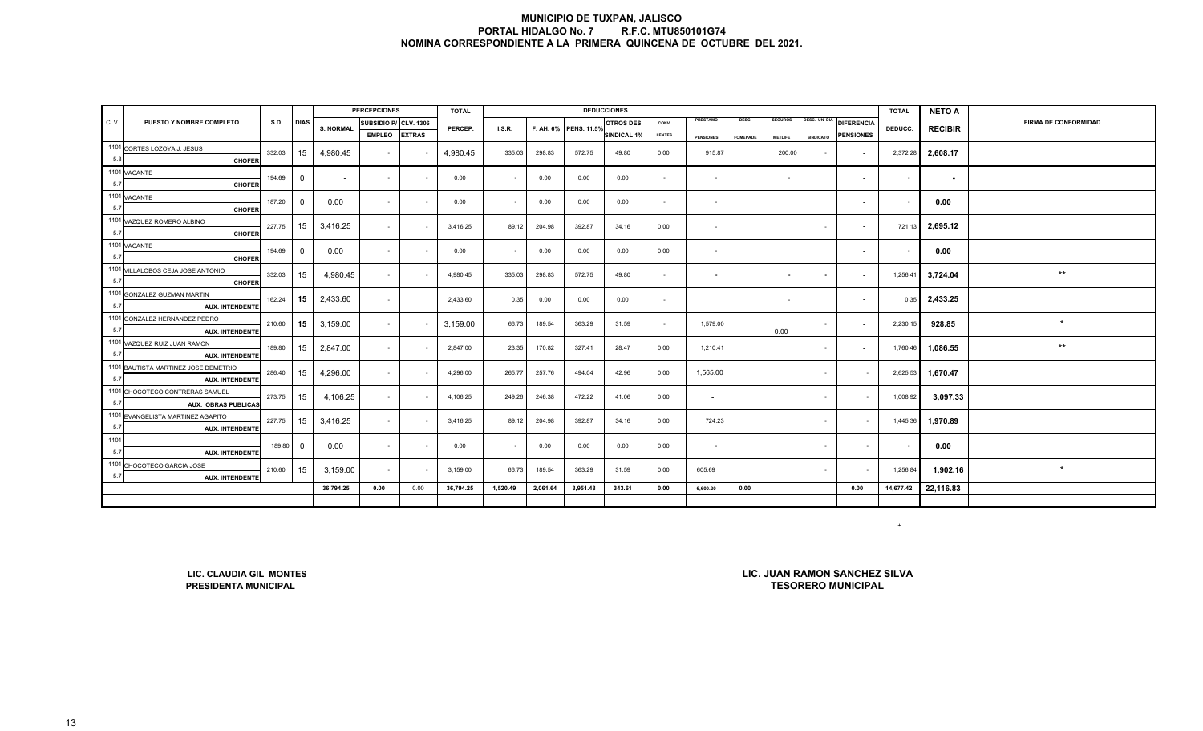|      |                                                          |             |                |                  | <b>PERCEPCIONES</b>   |               | <b>TOTAL</b> |          |          |                       | <b>DEDUCCIONES</b> |               |                  |                 |                |                  |                          | <b>TOTAL</b> | <b>NETO A</b>  |                             |
|------|----------------------------------------------------------|-------------|----------------|------------------|-----------------------|---------------|--------------|----------|----------|-----------------------|--------------------|---------------|------------------|-----------------|----------------|------------------|--------------------------|--------------|----------------|-----------------------------|
| CLV. | PUESTO Y NOMBRE COMPLETO                                 | <b>S.D.</b> | <b>DIAS</b>    | <b>S. NORMAL</b> | SUBSIDIO P/ CLV. 1306 |               | PERCEP.      | I.S.R.   |          | F. AH. 6% PENS. 11.5% | <b>OTROS DES</b>   | CONV.         | PRESTAMO         | DESC.           | <b>SEGUROS</b> | DESC. UN DIA     | <b>DIFERENCIA</b>        | DEDUCC.      | <b>RECIBIR</b> | <b>FIRMA DE CONFORMIDAD</b> |
|      |                                                          |             |                |                  | <b>EMPLEO</b>         | <b>EXTRAS</b> |              |          |          |                       | <b>SINDICAL 19</b> | <b>LENTES</b> | <b>PENSIONES</b> | <b>FOMEPADE</b> | <b>METLIFE</b> | <b>SINDICATO</b> | <b>PENSIONES</b>         |              |                |                             |
|      | 1101 CORTES LOZOYA J. JESUS                              | 332.03      | 15             | 4,980.45         |                       |               | 4,980.45     |          |          |                       |                    |               |                  |                 |                |                  |                          |              |                |                             |
| 5.8  | <b>CHOFER</b>                                            |             |                |                  | $\sim$                |               |              | 335.03   | 298.83   | 572.75                | 49.80              | 0.00          | 915.87           |                 | 200.00         | $\sim$           | $\overline{\phantom{a}}$ | 2,372.28     | 2,608.17       |                             |
|      | 1101 VACANTE                                             | 194.69      | $\overline{0}$ |                  | $\sim$                | $\sim$        | 0.00         | $\sim$   | 0.00     | 0.00                  | 0.00               | $\sim$        | $\sim$           |                 | $\sim$         |                  | $\sim$                   | $\sim$       |                |                             |
| 5.7  | <b>CHOFER</b>                                            |             |                | $\sim$           |                       |               |              |          |          |                       |                    |               |                  |                 |                |                  |                          |              | $\sim$         |                             |
|      | 1101 VACANTE                                             | 187.20      | $\overline{0}$ | 0.00             | $\sim$                |               | 0.00         | $\sim$   | 0.00     | 0.00                  | 0.00               | $\sim$        | $\sim$           |                 |                |                  | $\sim$                   |              | 0.00           |                             |
| 5.7  | <b>CHOFER</b>                                            |             |                |                  |                       |               |              |          |          |                       |                    |               |                  |                 |                |                  |                          |              |                |                             |
|      | 1101 VAZQUEZ ROMERO ALBINO                               | 227.75      | 15             | 3,416.25         | $\sim$                |               | 3,416.25     | 89.12    | 204.98   | 392.87                | 34.16              | 0.00          |                  |                 |                | $\sim$           | $\overline{\phantom{a}}$ | 721.13       | 2,695.12       |                             |
| 5.7  | <b>CHOFER</b>                                            |             |                |                  |                       |               |              |          |          |                       |                    |               |                  |                 |                |                  |                          |              |                |                             |
|      | 1101 VACANTE                                             | 194.69      | $\mathbf 0$    | 0.00             | $\sim$                |               | 0.00         | $\sim$   | 0.00     | 0.00                  | 0.00               | 0.00          | $\sim$           |                 |                |                  | $\overline{\phantom{a}}$ | $\sim$       | 0.00           |                             |
| 5.7  | <b>CHOFER</b>                                            |             |                |                  |                       |               |              |          |          |                       |                    |               |                  |                 |                |                  |                          |              |                |                             |
|      | 1101 VILLALOBOS CEJA JOSE ANTONIO                        | 332.03      | 15             | 4,980.45         | $\sim$                |               | 4,980.45     | 335.03   | 298.83   | 572.75                | 49.80              | $\sim$        | $\sim$           |                 | $\sim$         | $\sim$           | $\overline{\phantom{a}}$ | 1,256.41     | 3,724.04       | $^{\star\star}$             |
| 5.7  | <b>CHOFER</b>                                            |             |                |                  |                       |               |              |          |          |                       |                    |               |                  |                 |                |                  |                          |              |                |                             |
|      | 1101 GONZALEZ GUZMAN MARTIN                              | 162.24      | 15             | 2,433.60         | $\sim$                |               | 2,433.60     | 0.35     | 0.00     | 0.00                  | 0.00               | $\sim$        |                  |                 | $\sim$         |                  | $\overline{a}$           | 0.35         | 2,433.25       |                             |
| 5.7  | <b>AUX. INTENDENTE</b>                                   |             |                |                  |                       |               |              |          |          |                       |                    |               |                  |                 |                |                  |                          |              |                |                             |
|      | 1101 GONZALEZ HERNANDEZ PEDRO                            | 210.60      | 15             | 3,159.00         | $\sim$                |               | 3,159.00     | 66.73    | 189.54   | 363.29                | 31.59              | $\sim$        | 1,579.00         |                 |                | $\sim$           |                          | 2,230.15     | 928.85         | $\star$                     |
| 5.7  | <b>AUX. INTENDENTE</b>                                   |             |                |                  |                       |               |              |          |          |                       |                    |               |                  |                 | 0.00           |                  |                          |              |                |                             |
|      | 1101 VAZQUEZ RUIZ JUAN RAMON                             | 189.80      | 15             | 2,847.00         | $\sim$                |               | 2,847.00     | 23.35    | 170.82   | 327.41                | 28.47              | 0.00          | 1,210.41         |                 |                | $\sim$           |                          | 1,760.46     | 1,086.55       | $\star\star$                |
| 5.7  | <b>AUX. INTENDENTE</b>                                   |             |                |                  |                       |               |              |          |          |                       |                    |               |                  |                 |                |                  |                          |              |                |                             |
|      | 1101 BAUTISTA MARTINEZ JOSE DEMETRIO                     | 286.40      | 15             | 4,296.00         | $\sim$                |               | 4,296.00     | 265.77   | 257.76   | 494.04                | 42.96              | 0.00          | 1,565.00         |                 |                | $\sim$           | $\sim$                   | 2,625.53     | 1,670.47       |                             |
| 5.7  | <b>AUX. INTENDENTE</b>                                   |             |                |                  |                       |               |              |          |          |                       |                    |               |                  |                 |                |                  |                          |              |                |                             |
|      | 1101 CHOCOTECO CONTRERAS SAMUEI                          | 273.75      | 15             | 4,106.25         | $\sim$                |               | 4,106.25     | 249.26   | 246.38   | 472.22                | 41.06              | 0.00          | $\sim$           |                 |                | $\sim$           | $\sim$                   | 1,008.92     | 3,097.33       |                             |
| 5.7  | <b>AUX. OBRAS PUBLICAS</b>                               |             |                |                  |                       |               |              |          |          |                       |                    |               |                  |                 |                |                  |                          |              |                |                             |
| 5.7  | 1101 EVANGELISTA MARTINEZ AGAPITO                        | 227.75      | 15             | 3,416.25         | $\sim$                |               | 3,416.25     | 89.12    | 204.98   | 392.87                | 34.16              | 0.00          | 724.23           |                 |                | $\sim$           | $\sim$                   | 1,445.36     | 1,970.89       |                             |
| 1101 | <b>AUX. INTENDENTE</b>                                   |             |                |                  |                       |               |              |          |          |                       |                    |               |                  |                 |                |                  |                          |              |                |                             |
| 5.7  |                                                          | 189.80      | $\overline{0}$ | 0.00             | $\sim$                |               | 0.00         | $\sim$   | 0.00     | 0.00                  | 0.00               | 0.00          | $\sim$           |                 |                | $\sim$           | $\sim$                   |              | 0.00           |                             |
|      | <b>AUX. INTENDENTE</b><br>1101 CHOCOTECO GARCIA JOSE     |             |                |                  |                       |               |              |          |          |                       |                    |               |                  |                 |                |                  |                          |              |                |                             |
| 5.7  | <b>AUX. INTENDENTE</b>                                   | 210.60      | 15             | 3,159.00         | $\sim$                |               | 3,159.00     | 66.73    | 189.54   | 363.29                | 31.59              | 0.00          | 605.69           |                 |                | $\sim$           |                          | 1,256.84     | 1.902.16       | $\star$                     |
|      |                                                          |             |                | 36,794.25        | $\bf 0.00$            | 0.00          | 36,794.25    | 1,520.49 | 2,061.64 | 3,951.48              | 343.61             | 0.00          | 6,600.20         | 0.00            |                |                  | 0.00                     | 14,677.42    | 22,116.83      |                             |
|      |                                                          |             |                |                  |                       |               |              |          |          |                       |                    |               |                  |                 |                |                  |                          |              |                |                             |
|      | $+$                                                      |             |                |                  |                       |               |              |          |          |                       |                    |               |                  |                 |                |                  |                          |              |                |                             |
|      | LIC. JUAN RAMON SANCHEZ SILVA<br>LIC. CLAUDIA GIL MONTES |             |                |                  |                       |               |              |          |          |                       |                    |               |                  |                 |                |                  |                          |              |                |                             |

**LIC. CLAUDIA GIL MONTESPRESIDENTA MUNICIPAL** 

**TESORERO MUNICIPALLIC. JUAN RAMON SANCHEZ SILVA**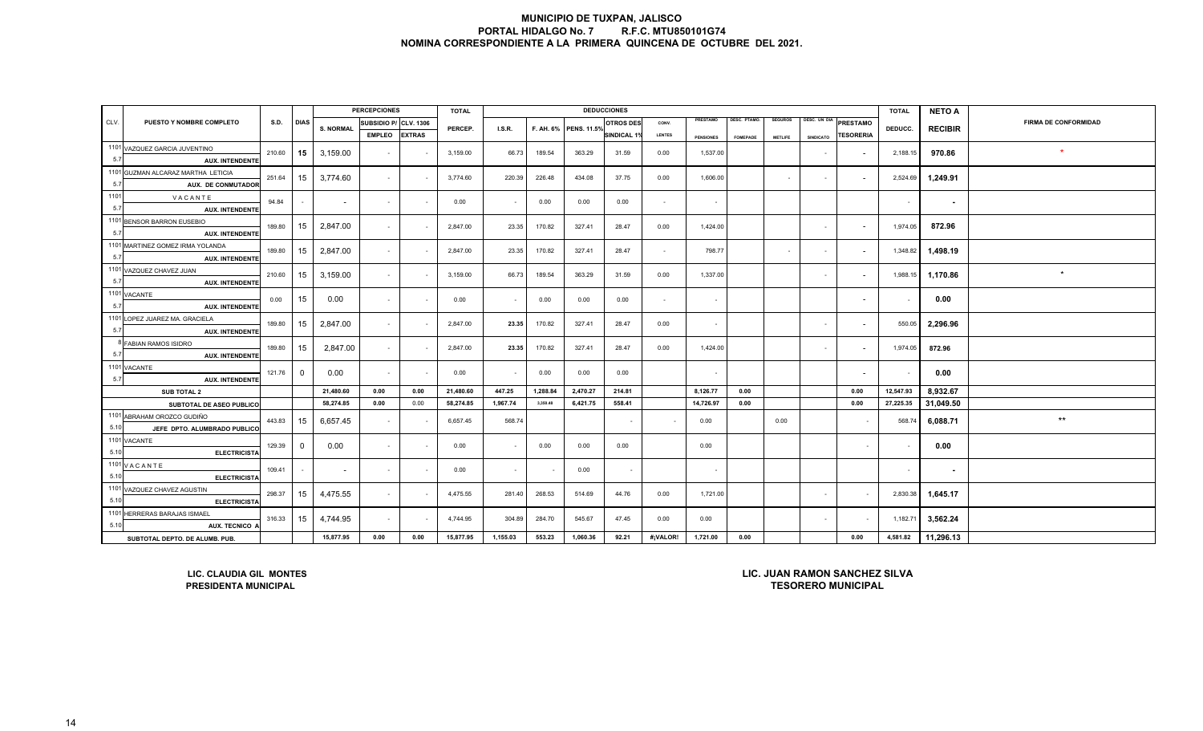|      |                                                 |           |                |                  | <b>PERCEPCIONES</b>   |               | <b>TOTAL</b> |          |          |                       | <b>DEDUCCIONES</b> |               |                  |                 |                |                  |                          | <b>TOTAL</b> | <b>NETO A</b>  |                      |
|------|-------------------------------------------------|-----------|----------------|------------------|-----------------------|---------------|--------------|----------|----------|-----------------------|--------------------|---------------|------------------|-----------------|----------------|------------------|--------------------------|--------------|----------------|----------------------|
| CLV. | PUESTO Y NOMBRE COMPLETO                        | S.D. DIAS |                | <b>S. NORMAL</b> | SUBSIDIO P/ CLV. 1306 |               | PERCEP.      | LS.R.    |          | F. AH. 6% PENS. 11.5% | <b>OTROS DES</b>   | CONV.         | PRESTAMO         | DESC. PTAMO.    | <b>SEGUROS</b> |                  | DESC. UN DIA PRESTAMO    | DEDUCC.      | <b>RECIBIR</b> | FIRMA DE CONFORMIDAD |
|      |                                                 |           |                |                  | <b>EMPLEO</b>         | <b>EXTRAS</b> |              |          |          |                       | SINDICAL 1%        | <b>LENTES</b> | <b>PENSIONES</b> | <b>FOMEPADE</b> | <b>METLIFE</b> | <b>SINDICATO</b> | <b>TESORERIA</b>         |              |                |                      |
|      | 1101 VAZQUEZ GARCIA JUVENTINO                   | 210.60    | 15             | 3,159.00         | $\sim$                |               | 3,159.00     | 66.73    | 189.54   | 363.29                | 31.59              | 0.00          | 1,537.00         |                 |                | $\sim$           | $\sim$                   | 2,188.15     | 970.86         |                      |
| 5.7  | <b>AUX. INTENDENTE</b>                          |           |                |                  |                       |               |              |          |          |                       |                    |               |                  |                 |                |                  |                          |              |                |                      |
|      | 1101 GUZMAN ALCARAZ MARTHA LETICIA              | 251.64    | 15             | 3,774.60         | $\sim$                |               | 3,774.60     | 220.39   | 226.48   | 434.08                | 37.75              | 0.00          | 1,606.00         |                 | $\sim$         | $\sim$           | $\overline{\phantom{a}}$ | 2,524.69     | 1,249.91       |                      |
| 5.7  | <b>AUX. DE CONMUTADOR</b>                       |           |                |                  |                       |               |              |          |          |                       |                    |               |                  |                 |                |                  |                          |              |                |                      |
| 1101 | VACANTE                                         | 94.84     |                | $\sim$           | $\sim$                |               | 0.00         | $\sim$   | 0.00     | 0.00                  | 0.00               | $\sim$        | $\sim$           |                 |                |                  |                          | $\sim$       | $\sim$         |                      |
| 5.7  | <b>AUX. INTENDENTE</b>                          |           |                |                  |                       |               |              |          |          |                       |                    |               |                  |                 |                |                  |                          |              |                |                      |
|      | 1101 BENSOR BARRON EUSEBIO                      | 189.80    | 15             | 2,847.00         | $\sim$                |               | 2,847.00     | 23.35    | 170.82   | 327.41                | 28.47              | 0.00          | 1,424.00         |                 |                | $\sim$           |                          | 1,974.05     | 872.96         |                      |
| 5.7  | <b>AUX. INTENDENTE</b>                          |           |                |                  |                       |               |              |          |          |                       |                    |               |                  |                 |                |                  |                          |              |                |                      |
|      | 1101 MARTINEZ GOMEZ IRMA YOLANDA                | 189.80    | 15             | 2,847.00         | $\sim$                |               | 2,847.00     | 23.35    | 170.82   | 327.41                | 28.47              | $\sim$        | 798.77           |                 | $\sim$         | $\sim$           |                          | 1,348.82     | 1,498.19       |                      |
| 5.7  | <b>AUX. INTENDENTE</b>                          |           |                |                  |                       |               |              |          |          |                       |                    |               |                  |                 |                |                  |                          |              |                |                      |
|      | 1101 VAZQUEZ CHAVEZ JUAN                        | 210.60    | 15             | 3,159.00         | $\sim$                |               | 3,159.00     | 66.73    | 189.54   | 363.29                | 31.59              | 0.00          | 1,337.00         |                 |                | $\sim$           |                          | 1,988.15     | 1,170.86       | $\star$              |
| 5.7  | <b>AUX. INTENDENTE</b>                          |           |                |                  |                       |               |              |          |          |                       |                    |               |                  |                 |                |                  |                          |              |                |                      |
| 5.7  | 1101 VACANTE                                    | 0.00      | 15             | 0.00             | $\sim$                |               | 0.00         | $\sim$   | 0.00     | 0.00                  | 0.00               | $\sim$        | $\sim$           |                 |                |                  |                          |              | 0.00           |                      |
|      | <b>AUX. INTENDENTE</b>                          |           |                |                  |                       |               |              |          |          |                       |                    |               |                  |                 |                |                  |                          |              |                |                      |
| 5.7  | 1101 LOPEZ JUAREZ MA. GRACIELA                  | 189.80    | 15             | 2,847.00         | $\sim$                |               | 2,847.00     | 23.35    | 170.82   | 327.41                | 28.47              | 0.00          | $\sim$           |                 |                | $\sim$           |                          | 550.05       | 2,296.96       |                      |
|      | <b>AUX. INTENDENTE</b><br>8 FABIAN RAMOS ISIDRO |           |                |                  |                       |               |              |          |          |                       |                    |               |                  |                 |                |                  |                          |              |                |                      |
| 5.7  | <b>AUX. INTENDENTE</b>                          | 189.80    | 15             | 2,847.00         | $\sim$                |               | 2,847.00     | 23.35    | 170.82   | 327.41                | 28.47              | 0.00          | 1,424.00         |                 |                | $\sim$           |                          | 1,974.05     | 872.96         |                      |
|      | 1101 VACANTE                                    |           |                |                  |                       |               |              |          |          |                       |                    |               |                  |                 |                |                  |                          |              |                |                      |
| 5.7  | <b>AUX. INTENDENTE</b>                          | 121.76    | $\overline{0}$ | 0.00             | $\sim$                | $\sim$        | 0.00         | $\sim$   | 0.00     | 0.00                  | 0.00               |               | $\sim$           |                 |                |                  |                          | $\sim$       | 0.00           |                      |
|      | <b>SUB TOTAL 2</b>                              |           |                | 21,480.60        | 0.00                  | 0.00          | 21,480.60    | 447.25   | 1,288.84 | 2,470.27              | 214.81             |               | 8,126.77         | 0.00            |                |                  | 0.00                     | 12,547.93    | 8,932.67       |                      |
|      | SUBTOTAL DE ASEO PUBLICO                        |           |                | 58,274.85        | 0.00                  | 0.00          | 58,274.85    | 1,967.74 | 3,350.48 | 6,421.75              | 558.41             |               | 14,726.97        | 0.00            |                |                  | 0.00                     | 27,225.35    | 31,049.50      |                      |
|      | 1101 ABRAHAM OROZCO GUDIÑO                      |           |                |                  |                       |               |              |          |          |                       |                    |               |                  |                 |                |                  |                          |              |                | $\star\star$         |
| 5.10 | JEFE DPTO. ALUMBRADO PUBLICO                    | 443.83    | 15             | 6,657.45         | $\sim$                |               | 6,657.45     | 568.74   |          |                       | $\sim$             | $\sim$        | 0.00             |                 | 0.00           |                  | $\sim$                   | 568.74       | 6,088.71       |                      |
|      | 1101 VACANTE                                    |           |                |                  |                       |               |              |          |          |                       |                    |               |                  |                 |                |                  |                          |              |                |                      |
| 5.10 | <b>ELECTRICISTA</b>                             | 129.39    | $\Omega$       | 0.00             | $\sim$                |               | 0.00         |          | 0.00     | 0.00                  | 0.00               |               | 0.00             |                 |                |                  | $\sim$                   |              | 0.00           |                      |
|      | 1101 V A C A N T E                              | 109.41    |                |                  | $\sim$                |               |              |          |          |                       |                    |               |                  |                 |                |                  |                          |              |                |                      |
| 5.10 | <b>ELECTRICISTA</b>                             |           |                | $\sim$           |                       |               | 0.00         | $\sim$   |          | 0.00                  |                    |               | $\sim$           |                 |                |                  |                          | $\sim$       | ٠              |                      |
|      | 1101 VAZQUEZ CHAVEZ AGUSTIN                     | 298.37    | 15             | 4,475.55         | $\sim$                |               | 4,475.55     | 281.40   | 268.53   | 514.69                | 44.76              | 0.00          | 1,721.00         |                 |                | $\sim$           |                          | 2,830.38     | 1,645.17       |                      |
| 5.10 | <b>ELECTRICISTA</b>                             |           |                |                  |                       |               |              |          |          |                       |                    |               |                  |                 |                |                  |                          |              |                |                      |
|      | 1101 HERRERAS BARAJAS ISMAEL                    | 316.33    | 15             | 4,744.95         | $\sim$                |               | 4,744.95     | 304.89   | 284.70   | 545.67                | 47.45              | 0.00          | 0.00             |                 |                | $\sim$           |                          | 1,182.71     | 3,562.24       |                      |
| 5.10 | AUX. TECNICO A                                  |           |                |                  |                       |               |              |          |          |                       |                    |               |                  |                 |                |                  |                          |              |                |                      |
|      | SUBTOTAL DEPTO. DE ALUMB. PUB.                  |           |                | 15,877.95        | 0.00                  | 0.00          | 15,877.95    | 1,155.03 | 553.23   | 1,060.36              | 92.21              | #¡VALOR!      | 1,721.00         | 0.00            |                |                  | 0.00                     | 4,581.82     | 11,296.13      |                      |

**LIC. CLAUDIA GIL MONTESPRESIDENTA MUNICIPAL**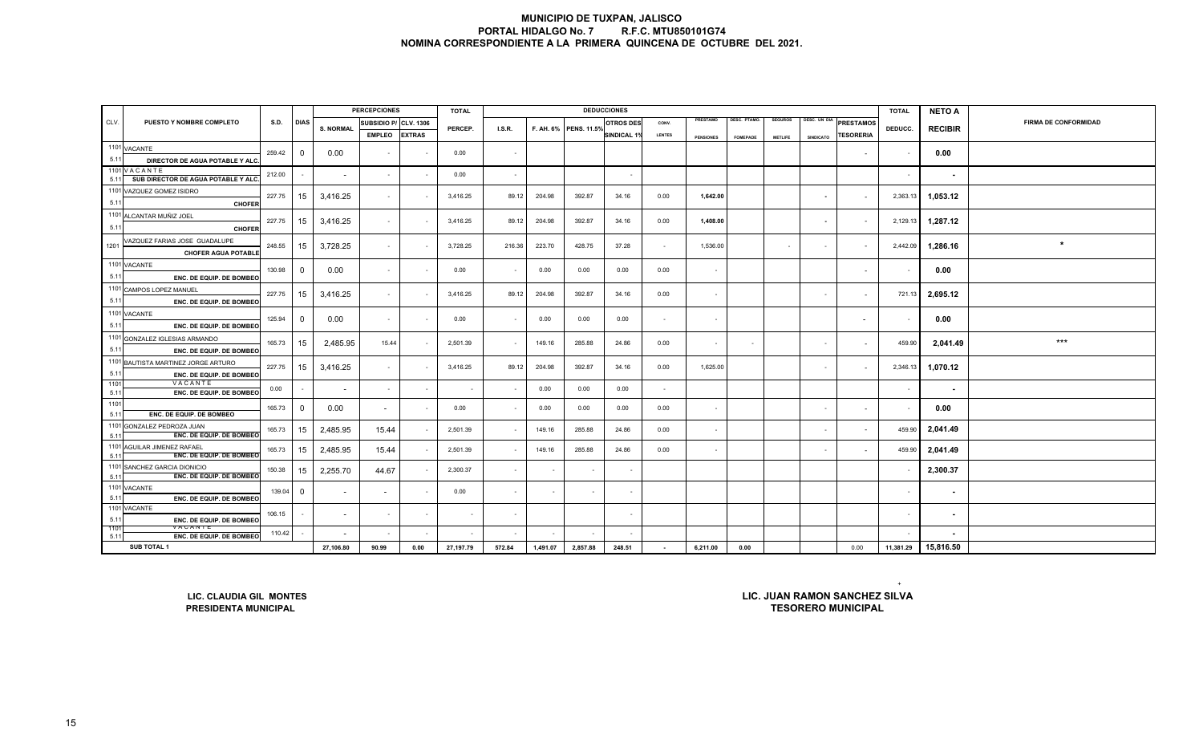|              |                                                                |        |                          |                          | <b>PERCEPCIONES</b>   |               | <b>TOTAL</b> |        |          |                       | <b>DEDUCCIONES</b>       |               |                  |                 |                |                          |                                                            | <b>TOTAL</b> | <b>NETO A</b>            |                             |
|--------------|----------------------------------------------------------------|--------|--------------------------|--------------------------|-----------------------|---------------|--------------|--------|----------|-----------------------|--------------------------|---------------|------------------|-----------------|----------------|--------------------------|------------------------------------------------------------|--------------|--------------------------|-----------------------------|
| CLV.         | PUESTO Y NOMBRE COMPLETO                                       | S.D.   | <b>DIAS</b>              | <b>S. NORMAL</b>         | SUBSIDIO P/ CLV. 1306 |               | PERCEP.      | I.S.R. |          | F. AH. 6% PENS. 11.5% | <b>OTROS DE:</b>         | CONV.         | PRESTAMO         | DESC. PTAMO.    | <b>SEGUROS</b> | DESC. UN DIA             | <b>PRESTAMOS</b>                                           | DEDUCC.      | <b>RECIBIR</b>           | <b>FIRMA DE CONFORMIDAD</b> |
|              |                                                                |        |                          |                          | <b>EMPLEO</b>         | <b>EXTRAS</b> |              |        |          |                       | <b>SINDICAL 1</b>        | <b>LENTES</b> | <b>PENSIONES</b> | <b>FOMEPADE</b> | <b>METLIFE</b> | <b>SINDICATO</b>         | <b>TESORERIA</b>                                           |              |                          |                             |
|              | 1101 VACANTE                                                   | 259.42 | $\overline{0}$           | 0.00                     | $\sim$                |               | 0.00         |        |          |                       |                          |               |                  |                 |                |                          | $\sim$                                                     |              | 0.00                     |                             |
| 5.11         | DIRECTOR DE AGUA POTABLE Y ALO                                 |        |                          |                          |                       |               |              |        |          |                       |                          |               |                  |                 |                |                          |                                                            |              |                          |                             |
|              | 1101 VACANTE                                                   | 212.00 | $\sim$                   | $\sim$                   | $\sim$                |               | 0.00         | $\sim$ |          |                       | $\overline{\phantom{a}}$ |               |                  |                 |                |                          |                                                            | $\sim$       | $\sim$                   |                             |
| 5.11         | SUB DIRECTOR DE AGUA POTABLE Y ALC.                            |        |                          |                          |                       |               |              |        |          |                       |                          |               |                  |                 |                |                          |                                                            |              |                          |                             |
| 5.11         | 1101 VAZQUEZ GOMEZ ISIDRO<br><b>CHOFER</b>                     | 227.75 | 15                       | 3,416.25                 | $\sim$                |               | 3,416.25     | 89.12  | 204.98   | 392.87                | 34.16                    | 0.00          | 1,642.00         |                 |                | $\sim$                   | $\sim$                                                     | 2,363.13     | 1,053.12                 |                             |
|              | 1101 ALCANTAR MUÑIZ JOEL                                       |        |                          |                          |                       |               |              |        |          |                       |                          |               |                  |                 |                |                          |                                                            |              |                          |                             |
| 5.11         | <b>CHOFER</b>                                                  | 227.75 | 15                       | 3,416.25                 | $\sim$                |               | 3,416.25     | 89.12  | 204.98   | 392.87                | 34.16                    | 0.00          | 1,408.00         |                 |                | $\overline{\phantom{a}}$ | $\overline{\phantom{a}}$                                   | 2,129.13     | 1,287.12                 |                             |
|              | VAZQUEZ FARIAS JOSE GUADALUPE                                  |        |                          |                          |                       |               |              |        |          |                       |                          |               |                  |                 |                |                          |                                                            |              |                          |                             |
| 1201         | <b>CHOFER AGUA POTABLE</b>                                     | 248.55 | 15                       | 3,728.25                 | $\sim$                |               | 3,728.25     | 216.36 | 223.70   | 428.75                | 37.28                    | $\sim$        | 1,536.00         |                 |                | $\sim$                   | $\sim$                                                     | 2,442.09     | 1,286.16                 | $\star$                     |
|              | 1101 VACANTE                                                   |        |                          |                          |                       |               |              |        |          |                       |                          |               |                  |                 |                |                          |                                                            |              |                          |                             |
| 5.11         | ENC. DE EQUIP. DE BOMBEC                                       | 130.98 | $\mathbf 0$              | 0.00                     | $\sim$                | $\sim$        | 0.00         |        | 0.00     | 0.00                  | 0.00                     | 0.00          | $\sim$           |                 |                |                          | $\overline{\phantom{a}}$                                   |              | 0.00                     |                             |
|              | 1101 CAMPOS LOPEZ MANUEL                                       |        |                          |                          |                       |               |              |        |          |                       |                          |               |                  |                 |                |                          |                                                            |              |                          |                             |
| 5.11         | ENC. DE EQUIP. DE BOMBEO                                       | 227.75 | 15                       | 3,416.25                 | $\sim$                |               | 3,416.25     | 89.12  | 204.98   | 392.87                | 34.16                    | 0.00          | $\sim$           |                 |                | $\sim$                   | $\overline{\phantom{a}}$                                   | 721.13       | 2,695.12                 |                             |
|              | 1101 VACANTE                                                   | 125.94 | $\Omega$                 |                          |                       |               | 0.00         |        | 0.00     |                       | 0.00                     | $\sim$        |                  |                 |                |                          |                                                            |              |                          |                             |
| 5.11         | ENC. DE EQUIP. DE BOMBEO                                       |        |                          | 0.00                     | $\sim$                |               |              |        |          | 0.00                  |                          |               | $\sim$           |                 |                |                          | $\overline{\phantom{a}}$                                   |              | 0.00                     |                             |
|              | 1101 GONZALEZ IGLESIAS ARMANDO                                 | 165.73 | 15                       | 2,485.95                 | 15.44                 |               | 2,501.39     |        | 149.16   | 285.88                | 24.86                    | 0.00          | $\sim$           |                 |                | $\sim$                   | $\sim$                                                     | 459.90       | 2,041.49                 | $***$                       |
| 5.11         | ENC. DE EQUIP. DE BOMBEO                                       |        |                          |                          |                       |               |              |        |          |                       |                          |               |                  |                 |                |                          |                                                            |              |                          |                             |
|              | 1101 BAUTISTA MARTINEZ JORGE ARTURO                            | 227.75 | 15                       | 3,416.25                 | $\sim$                |               | 3,416.25     | 89.12  | 204.98   | 392.87                | 34.16                    | 0.00          | 1,625.00         |                 |                | $\sim$                   | $\sim$                                                     | 2,346.13     | 1,070.12                 |                             |
| 5.11         | ENC. DE EQUIP. DE BOMBEC                                       |        |                          |                          |                       |               |              |        |          |                       |                          |               |                  |                 |                |                          |                                                            |              |                          |                             |
| 1101<br>5.11 | VACANTE<br>ENC. DE EQUIP. DE BOMBEC                            | 0.00   | $\sim$                   |                          | $\sim$                |               |              |        | 0.00     | 0.00                  | 0.00                     | $\sim$        |                  |                 |                |                          |                                                            |              | $\blacksquare$           |                             |
| 1101         |                                                                |        |                          |                          |                       |               |              |        |          |                       |                          |               |                  |                 |                |                          |                                                            |              |                          |                             |
| 5.11         | ENC. DE EQUIP. DE BOMBEO                                       | 165.73 | $\mathbf 0$              | 0.00                     | $\sim$                |               | 0.00         |        | 0.00     | 0.00                  | 0.00                     | 0.00          | $\sim$           |                 |                | $\sim$                   | $\sim$                                                     |              | 0.00                     |                             |
|              | 1101 GONZALEZ PEDROZA JUAN                                     | 165.73 | 15                       | 2,485.95                 | 15.44                 |               | 2,501.39     |        | 149.16   | 285.88                | 24.86                    | 0.00          | $\sim$           |                 |                | $\sim$                   | $\sim$                                                     | 459.90       | 2,041.49                 |                             |
| 5.11         | ENC. DE EQUIP. DE BOMBEC                                       |        |                          |                          |                       |               |              |        |          |                       |                          |               |                  |                 |                |                          |                                                            |              |                          |                             |
| 5.11         | 1101 AGUILAR JIMENEZ RAFAEL<br><b>ENC. DE EQUIP. DE BOMBEQ</b> | 165.73 | 15                       | 2,485.95                 | 15.44                 |               | 2,501.39     |        | 149.16   | 285.88                | 24.86                    | 0.00          | $\sim$           |                 |                | $\sim$                   | $\sim$                                                     | 459.90       | 2,041.49                 |                             |
|              | 1101 SANCHEZ GARCIA DIONICIO                                   | 150.38 | 15                       | 2,255.70                 | 44.67                 |               | 2,300.37     |        |          |                       | $\overline{\phantom{a}}$ |               |                  |                 |                |                          |                                                            |              | 2,300.37                 |                             |
| 5.11         | ENC. DE EQUIP. DE BOMBEC                                       |        |                          |                          |                       |               |              |        |          |                       |                          |               |                  |                 |                |                          |                                                            |              |                          |                             |
|              | 1101 VACANTE                                                   | 139.04 | $\overline{0}$           | $\overline{\phantom{a}}$ |                       |               | 0.00         |        |          |                       | $\sim$                   |               |                  |                 |                |                          |                                                            |              | $\sim$                   |                             |
| 5.11         | ENC. DE EQUIP. DE BOMBEC<br>1101 VACANTE                       |        |                          |                          |                       |               |              |        |          |                       |                          |               |                  |                 |                |                          |                                                            |              |                          |                             |
| 5.11         | ENC. DE EQUIP. DE BOMBEC                                       | 106.15 |                          | $\overline{\phantom{a}}$ | $\sim$                | $\sim$        |              |        |          |                       | $\sim$                   |               |                  |                 |                |                          |                                                            |              | $\overline{\phantom{a}}$ |                             |
| 1101<br>5.11 | VACANTE<br>ENC. DE EQUIP. DE BOMBEO                            | 110.42 | $\overline{\phantom{a}}$ |                          | $\sim$                |               |              |        |          |                       |                          |               |                  |                 |                |                          |                                                            |              | $\overline{\phantom{a}}$ |                             |
|              | <b>SUB TOTAL 1</b>                                             |        |                          | 27,106.80                | 90.99                 | 0.00          | 27,197.79    | 572.84 | 1,491.07 | 2,857.88              | 248.51                   | $\sim$        | 6,211.00         | 0.00            |                |                          | 0.00                                                       | 11,381.29    | 15,816.50                |                             |
|              |                                                                |        |                          |                          |                       |               |              |        |          |                       |                          |               |                  |                 |                |                          |                                                            |              |                          |                             |
|              | LIC. CLAUDIA GIL MONTES<br><b>PRESIDENTA MUNICIPAL</b>         |        |                          |                          |                       |               |              |        |          |                       |                          |               |                  |                 |                |                          | LIC. JUAN RAMON SANCHEZ SILVA<br><b>TESORERO MUNICIPAL</b> |              |                          |                             |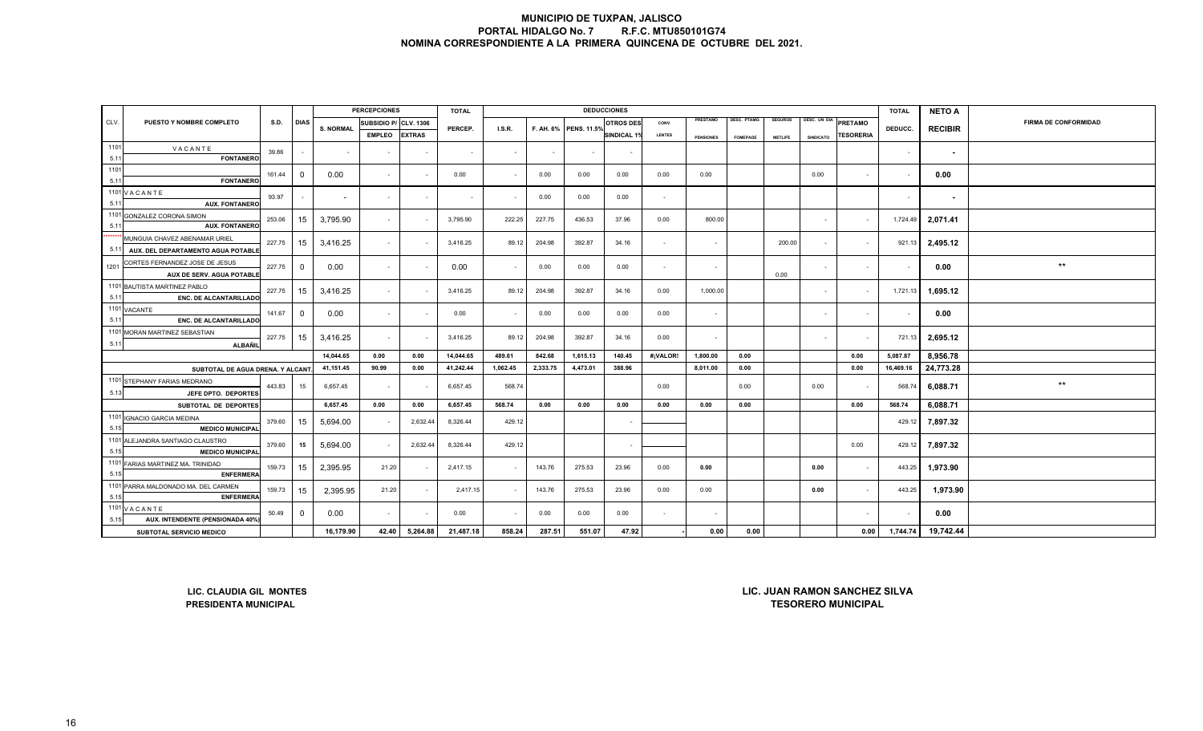|              |                                                                    |        |              |                          | <b>PERCEPCIONES</b> |                  | <b>TOTAL</b> |          |          | <b>DEDUCCIONES</b>    |                    |                |                  |                     |                |              |                                      | <b>TOTAL</b>   | <b>NETO A</b>  |                             |
|--------------|--------------------------------------------------------------------|--------|--------------|--------------------------|---------------------|------------------|--------------|----------|----------|-----------------------|--------------------|----------------|------------------|---------------------|----------------|--------------|--------------------------------------|----------------|----------------|-----------------------------|
| CLV.         | PUESTO Y NOMBRE COMPLETO                                           | S.D.   | <b>DIAS</b>  | <b>S. NORMAL</b>         | SUBSIDIO P/         | <b>CLV. 1306</b> | PERCEP.      | I.S.R.   |          | F. AH. 6% PENS. 11.5% | <b>OTROS DES</b>   | CONV.          | PRESTAMO         | <b>DESC. PTAMO.</b> | <b>SEGUROS</b> | DESC. UN DIA | PRETAMO                              |                | <b>RECIBIR</b> | <b>FIRMA DE CONFORMIDAD</b> |
|              |                                                                    |        |              |                          | <b>EMPLEO</b>       | <b>EXTRAS</b>    |              |          |          |                       | <b>SINDICAL 1%</b> | <b>LENTES</b>  | <b>PENSIONES</b> | <b>FOMEPADE</b>     | <b>METLIFE</b> | SINDICATO    | <b>TESORERIA</b>                     | DEDUCC.        |                |                             |
| 1101         | VACANTE                                                            | 39.86  |              | $\overline{\phantom{a}}$ |                     |                  | $\sim$       | $\sim$   |          |                       |                    |                |                  |                     |                |              |                                      | $\sim$         | $\sim$         |                             |
| 5.11         | <b>FONTANERO</b>                                                   |        |              |                          |                     |                  |              |          |          |                       |                    |                |                  |                     |                |              |                                      |                |                |                             |
| 1101         |                                                                    | 161.44 | $\mathbf 0$  | 0.00                     | $\blacksquare$      |                  | 0.00         | $\sim$   | 0.00     | 0.00                  | 0.00               | 0.00           | 0.00             |                     |                | 0.00         | $\sim$                               | $\blacksquare$ | 0.00           |                             |
| 5.11         | <b>FONTANERC</b>                                                   |        |              |                          |                     |                  |              |          |          |                       |                    |                |                  |                     |                |              |                                      |                |                |                             |
|              | 1101 VACANTE                                                       | 93.97  |              | $\sim$                   | $\omega$            | $\sim$           | $\sim$       |          | 0.00     | 0.00                  | 0.00               | $\sim$         |                  |                     |                |              |                                      | $\sim$         | $\sim$         |                             |
| 5.11<br>1101 | <b>AUX. FONTANERO</b><br><b>GONZALEZ CORONA SIMON</b>              |        |              |                          |                     |                  |              |          |          |                       |                    |                |                  |                     |                |              |                                      |                |                |                             |
| 5.11         | <b>AUX. FONTANERC</b>                                              | 253.06 | 15           | 3,795.90                 | $\sim$              |                  | 3,795.90     | 222.25   | 227.75   | 436.53                | 37.96              | 0.00           | 800.00           |                     |                | $\sim$       | $\sim$                               | 1,724.49       | 2,071.41       |                             |
|              | MUNGUIA CHAVEZ ABENAMAR URIEL                                      | 227.75 | 15           | 3,416.25                 | $\sim$              |                  | 3,416.25     | 89.12    | 204.98   | 392.87                | 34.16              | $\sim$         | $\sim$           |                     | 200.00         | $\sim$       | $\sim$                               | 921.13         | 2,495.12       |                             |
| 5.11         | AUX. DEL DEPARTAMENTO AGUA POTABLI                                 |        |              |                          |                     |                  |              |          |          |                       |                    |                |                  |                     |                |              |                                      |                |                |                             |
| 1201         | CORTES FERNANDEZ JOSE DE JESUS<br><b>AUX DE SERV. AGUA POTABLE</b> | 227.75 | $\mathbf 0$  | 0.00                     | $\sim$              |                  | 0.00         | $\sim$   | 0.00     | 0.00                  | 0.00               | $\sim$         | $\sim$           |                     | 0.00           | $\sim$       |                                      |                | 0.00           | $^{\star\star}$             |
|              | 1101 BAUTISTA MARTINEZ PABLO                                       | 227.75 | 15           | 3,416.25                 | $\sim$              |                  | 3,416.25     | 89.12    | 204.98   | 392.87                | 34.16              | 0.00           | 1,000.00         |                     |                | $\sim$       | $\sim$                               | 1,721.13       | 1,695.12       |                             |
| 5.11         | <b>ENC. DE ALCANTARILLADO</b><br>1101 VACANTE                      |        |              |                          |                     |                  |              |          |          |                       |                    |                |                  |                     |                |              |                                      |                |                |                             |
| 5.11         | <b>ENC. DE ALCANTARILLADO</b>                                      | 141.67 | $\mathbf 0$  | 0.00                     | $\sim$              |                  | 0.00         | $\sim$   | 0.00     | 0.00                  | 0.00               | 0.00           | $\sim$           |                     |                | $\sim$       |                                      |                | 0.00           |                             |
|              | 1101 MORAN MARTINEZ SEBASTIAN                                      | 227.75 | 15           | 3,416.25                 | $\sim$              |                  | 3,416.25     | 89.12    | 204.98   | 392.87                | 34.16              | 0.00           | $\sim$           |                     |                | $\sim$       |                                      | 721.13         | 2,695.12       |                             |
| 5.11         | <b>ALBAÑIL</b>                                                     |        |              |                          |                     |                  |              |          |          |                       |                    |                |                  |                     |                |              |                                      |                |                |                             |
|              |                                                                    |        |              | 14,044.65                | 0.00                | 0.00             | 14,044.65    | 489.61   | 842.68   | 1,615.13              | 140.45             | #¡VALOR!       | 1,800.00         | 0.00                |                |              | 0.00                                 | 5,087.87       | 8,956.78       |                             |
|              | SUBTOTAL DE AGUA DRENA. Y ALCANT                                   |        |              | 41,151.45                | 90.99               | 0.00             | 41,242.44    | 1,062.45 | 2,333.75 | 4,473.01              | 388.96             |                | 8,011.00         | 0.00                |                |              | 0.00                                 | 16,469.16      | 24,773.28      |                             |
| 5.13         | 1101 STEPHANY FARIAS MEDRANO                                       | 443.83 | 15           | 6,657.45                 | $\sim$              |                  | 6,657.45     | 568.74   |          |                       |                    | 0.00           |                  | 0.00                |                | 0.00         |                                      | 568.74         | 6,088.71       | $^{\star\star}$             |
|              | JEFE DPTO. DEPORTES                                                |        |              | 6,657.45                 | 0.00                | 0.00             | 6,657.45     | 568.74   | 0.00     | 0.00                  | 0.00               | 0.00           | 0.00             | 0.00                |                |              | 0.00                                 | 568.74         | 6,088.71       |                             |
|              | SUBTOTAL DE DEPORTES<br>1101 IGNACIO GARCIA MEDINA                 |        |              |                          |                     |                  |              |          |          |                       |                    |                |                  |                     |                |              |                                      |                |                |                             |
| 5.15         | <b>MEDICO MUNICIPAL</b>                                            | 379.60 | 15           | 5,694.00                 | $\sim$              | 2,632.44         | 8,326.44     | 429.12   |          |                       |                    |                |                  |                     |                |              |                                      | 429.12         | 7,897.32       |                             |
| 5.15         | 1101 ALEJANDRA SANTIAGO CLAUSTRO<br><b>MEDICO MUNICIPAL</b>        | 379.60 | 15           | 5,694.00                 | $\sim$              | 2,632.44         | 8,326.44     | 429.12   |          |                       |                    |                |                  |                     |                |              | 0.00                                 | 429.12         | 7,897.32       |                             |
| 5.15         | 1101 FARIAS MARTINEZ MA. TRINIDAD<br><b>ENFERMERA</b>              | 159.73 | 15           | 2,395.95                 | 21.20               |                  | 2,417.15     | $\sim$   | 143.76   | 275.53                | 23.96              | 0.00           | 0.00             |                     |                | 0.00         | $\sim$                               | 443.25         | 1,973.90       |                             |
| 5.15         | 1101 PARRA MALDONADO MA. DEL CARMEN<br><b>ENFERMERA</b>            | 159.73 | 15           | 2,395.95                 | 21.20               |                  | 2,417.15     | $\sim$   | 143.76   | 275.53                | 23.96              | 0.00           | 0.00             |                     |                | 0.00         | $\sim$                               | 443.25         | 1,973.90       |                             |
|              | 1101 VACANTE                                                       | 50.49  | $\mathbf{0}$ | 0.00                     | $\sim$              |                  | 0.00         | $\sim$   | 0.00     | 0.00                  | 0.00               | $\overline{a}$ |                  |                     |                |              |                                      |                | 0.00           |                             |
| 5.15         | AUX. INTENDENTE (PENSIONADA 40%                                    |        |              |                          |                     |                  |              |          |          |                       |                    |                |                  |                     |                |              |                                      |                |                |                             |
|              | SUBTOTAL SERVICIO MEDICO                                           |        |              | 16,179.90                | 42.40               | 5,264.88         | 21,487.18    | 858.24   | 287.51   | 551.07                | 47.92              |                | 0.00             | 0.00                |                |              | 0.00                                 | 1,744.74       | 19,742.44      |                             |
|              | LIC. CLAUDIA GIL MONTES                                            |        |              |                          |                     |                  |              |          |          |                       |                    |                |                  |                     |                |              | <b>LIC. JUAN RAMON SANCHEZ SILVA</b> |                |                |                             |
|              | <b>PRESIDENTA MUNICIPAL</b>                                        |        |              |                          |                     |                  |              |          |          |                       |                    |                |                  |                     |                |              | <b>TESORERO MUNICIPAL</b>            |                |                |                             |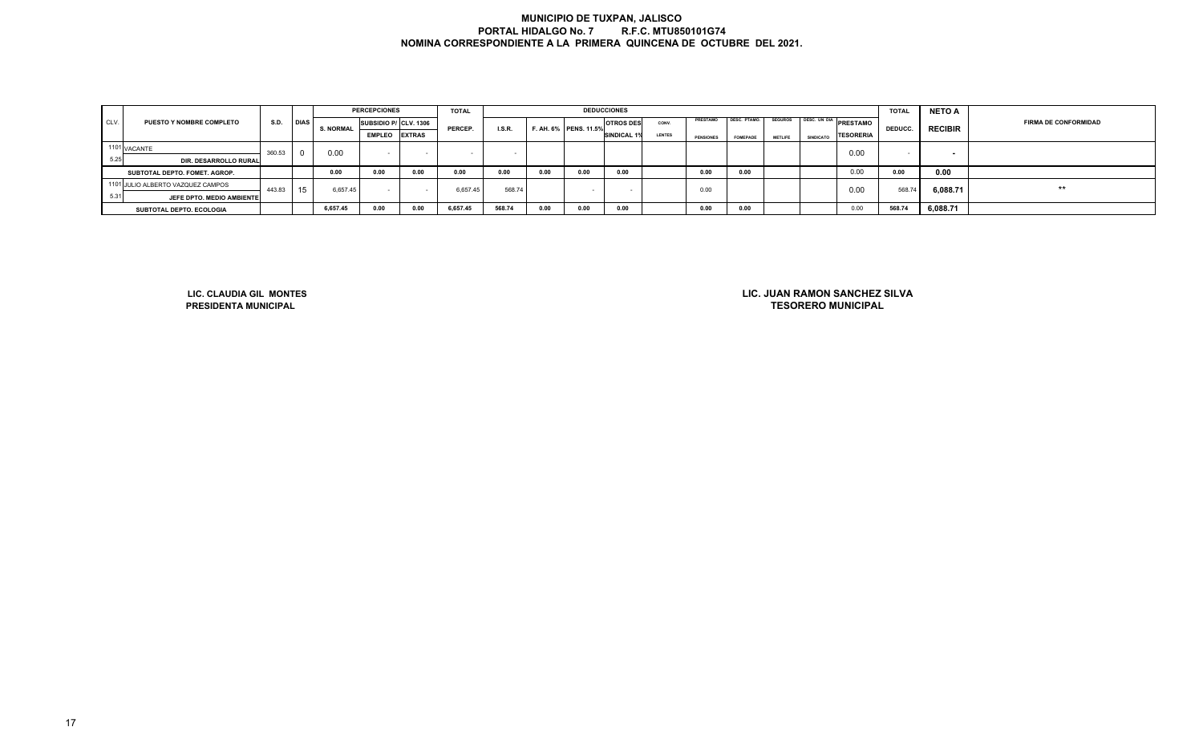|      |                                   |        |             |                  | <b>PERCEPCIONES</b>   |        | <b>TOTAL</b> |               |      |                       | <b>DEDUCCIONES</b> |               |                  |                 |                |                  |                           | <b>TOTAL</b>   | <b>NETO A</b>            |                             |
|------|-----------------------------------|--------|-------------|------------------|-----------------------|--------|--------------|---------------|------|-----------------------|--------------------|---------------|------------------|-----------------|----------------|------------------|---------------------------|----------------|--------------------------|-----------------------------|
| CLV. | <b>PUESTO Y NOMBRE COMPLETO</b>   | S.D.   | <b>DIAS</b> | <b>S. NORMAL</b> | SUBSIDIO P/ CLV. 1306 |        | PERCEP.      | <b>I.S.R.</b> |      | F. AH. 6% PENS. 11.5% | <b>OTROS DES</b>   | CONV.         | <b>PRESTAMO</b>  | DESC. PTAMO.    | <b>SEGUROS</b> |                  | JS TDESC. UN DIA PRESTAMO | <b>DEDUCC.</b> | <b>RECIBIR</b>           | <b>FIRMA DE CONFORMIDAD</b> |
|      |                                   |        |             |                  | <b>EMPLEO EXTRAS</b>  |        |              |               |      |                       | SINDICAL 1%        | <b>LENTES</b> | <b>PENSIONES</b> | <b>FOMEPADE</b> | <b>METLIFE</b> | <b>SINDICATO</b> | <b>TESORERIA</b>          |                |                          |                             |
|      | 1101 VACANTE                      | 360.53 |             | 0.00             |                       |        |              |               |      |                       |                    |               |                  |                 |                |                  | 0.00                      |                | $\overline{\phantom{a}}$ |                             |
| 5.25 | DIR. DESARROLLO RURAL             |        |             |                  |                       |        |              |               |      |                       |                    |               |                  |                 |                |                  |                           |                |                          |                             |
|      | SUBTOTAL DEPTO. FOMET. AGROP.     |        |             | 0.00             | 0.00                  | 0.00   | 0.00         | 0.00          | 0.00 | 0.00                  | 0.00               |               | 0.00             | 0.00            |                |                  | 0.00                      | 0.00           | 0.00                     |                             |
|      | 1101 JULIO ALBERTO VAZQUEZ CAMPOS | 443.83 | 15          | 6.657.45         | $\sim$                | $\sim$ | 6,657.45     | 568.74        |      |                       |                    |               | 0.00             |                 |                |                  | 0.00                      | 568.74         | 6,088.71                 | $***$                       |
| 5.31 | JEFE DPTO. MEDIO AMBIENTE         |        |             |                  |                       |        |              |               |      |                       |                    |               |                  |                 |                |                  |                           |                |                          |                             |
|      | SUBTOTAL DEPTO. ECOLOGIA          |        |             | 6,657.45         | 0.00                  | 0.00   | 6,657.45     | 568.74        | 0.00 | 0.00                  | 0.00               |               | 0.00             | 0.00            |                |                  | 0.00                      | 568.74         | 6,088.71                 |                             |

**LIC. CLAUDIA GIL MONTESPRESIDENTA MUNICIPAL**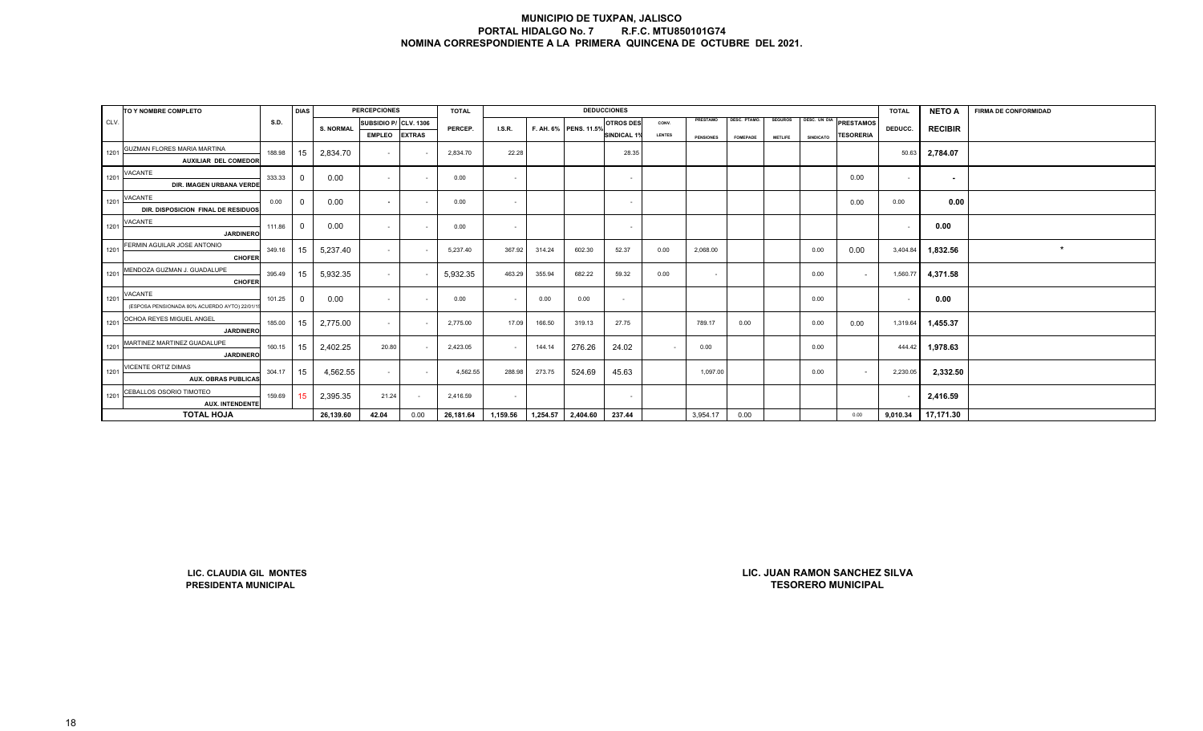|      | TO Y NOMBRE COMPLETO                         |             | <b>DIAS</b>      |                  | <b>PERCEPCIONES</b>   |               | <b>TOTAL</b> |          |          |                       | <b>DEDUCCIONES</b> |               |                  |                 |                |                  |                                      | <b>TOTAL</b> | <b>NETO A</b>  | <b>FIRMA DE CONFORMIDAD</b> |
|------|----------------------------------------------|-------------|------------------|------------------|-----------------------|---------------|--------------|----------|----------|-----------------------|--------------------|---------------|------------------|-----------------|----------------|------------------|--------------------------------------|--------------|----------------|-----------------------------|
| CLV. |                                              | <b>S.D.</b> |                  | <b>S. NORMAL</b> | SUBSIDIO P/ CLV. 1306 |               | PERCEP.      | LS.R.    |          | F. AH. 6% PENS. 11.5% | <b>OTROS DES</b>   | CONV.         | PRESTAMO         | DESC. PTAMO.    | <b>SEGUROS</b> | DESC. UN DIA     | <b>PRESTAMOS</b>                     |              | <b>RECIBIR</b> |                             |
|      |                                              |             |                  |                  | <b>EMPLEO</b>         | <b>EXTRAS</b> |              |          |          |                       | SINDICAL 1%        | <b>LENTES</b> | <b>PENSIONES</b> | <b>FOMEPADE</b> | <b>METLIFE</b> | <b>SINDICATO</b> | TESORERIA                            | DEDUCC.      |                |                             |
| 1201 | GUZMAN FLORES MARIA MARTINA                  | 188.98      | 15               | 2,834.70         | $\sim$                |               | 2,834.70     | 22.28    |          |                       | 28.35              |               |                  |                 |                |                  |                                      | 50.63        | 2,784.07       |                             |
|      | AUXILIAR DEL COMEDOR                         |             |                  |                  |                       |               |              |          |          |                       |                    |               |                  |                 |                |                  |                                      |              |                |                             |
| 1201 | VACANTE                                      | 333.33      | $\mathbf 0$      | 0.00             | $\sim$                | $\sim$        | 0.00         | $\sim$   |          |                       | $\sim$             |               |                  |                 |                |                  | 0.00                                 | $\sim$       | $\sim$         |                             |
|      | DIR. IMAGEN URBANA VERDE                     |             |                  |                  |                       |               |              |          |          |                       |                    |               |                  |                 |                |                  |                                      |              |                |                             |
| 1201 | VACANTE                                      | 0.00        | $\mathbf 0$      | 0.00             | $\sim$                | $\sim$        | 0.00         | $\sim$   |          |                       | $\sim$             |               |                  |                 |                |                  | 0.00                                 | 0.00         | 0.00           |                             |
|      | DIR. DISPOSICION FINAL DE RESIDUOS           |             |                  |                  |                       |               |              |          |          |                       |                    |               |                  |                 |                |                  |                                      |              |                |                             |
| 1201 | VACANTE                                      | 111.86      | $\mathbf 0$      | 0.00             | $\sim$                | $\sim$        | 0.00         | $\sim$   |          |                       | $\sim$             |               |                  |                 |                |                  |                                      | $\sim$       | 0.00           |                             |
|      | <b>JARDINERO</b>                             |             |                  |                  |                       |               |              |          |          |                       |                    |               |                  |                 |                |                  |                                      |              |                |                             |
| 1201 | FERMIN AGUILAR JOSE ANTONIO                  | 349.16      | 15               | 5,237.40         | $\sim$                | $\sim$        | 5,237.40     | 367.92   | 314.24   | 602.30                | 52.37              | 0.00          | 2,068.00         |                 |                | 0.00             | 0.00                                 | 3,404.84     | 1,832.56       | $\star$                     |
|      | <b>CHOFER</b><br>MENDOZA GUZMAN J. GUADALUPE |             |                  |                  |                       |               |              |          |          |                       |                    |               |                  |                 |                |                  |                                      |              |                |                             |
| 1201 | <b>CHOFER</b>                                | 395.49      | 15               | 5,932.35         | $\sim$                |               | 5,932.35     | 463.29   | 355.94   | 682.22                | 59.32              | 0.00          | $\sim$           |                 |                | 0.00             | $\sim$                               | 1,560.77     | 4,371.58       |                             |
|      | VACANTE                                      |             |                  |                  |                       |               |              |          |          |                       |                    |               |                  |                 |                |                  |                                      |              |                |                             |
| 1201 | (ESPOSA PENSIONADA 80% ACUERDO AYTO) 22/01/1 | 101.25      | $\overline{0}$   | 0.00             | $\sim$                | $\sim$        | 0.00         | $\sim$   | 0.00     | 0.00                  | $\sim$             |               |                  |                 |                | 0.00             |                                      | $\sim$       | 0.00           |                             |
|      | OCHOA REYES MIGUEL ANGEL                     |             |                  |                  |                       |               |              |          |          |                       |                    |               |                  |                 |                |                  |                                      |              |                |                             |
| 1201 | <b>JARDINERO</b>                             | 185.00      | 15               | 2,775.00         | $\sim$                |               | 2,775.00     | 17.09    | 166.50   | 319.13                | 27.75              |               | 789.17           | 0.00            |                | 0.00             | 0.00                                 | 1,319.64     | 1,455.37       |                             |
| 1201 | MARTINEZ MARTINEZ GUADALUPE                  | 160.15      | 15               | 2,402.25         | 20.80                 |               | 2,423.05     | $\sim$   | 144.14   | 276.26                | 24.02              |               | 0.00             |                 |                | 0.00             |                                      | 444.42       | 1,978.63       |                             |
|      | <b>JARDINERO</b>                             |             |                  |                  |                       |               |              |          |          |                       |                    |               |                  |                 |                |                  |                                      |              |                |                             |
| 1201 | VICENTE ORTIZ DIMAS                          | 304.17      | 15               | 4,562.55         | $\sim$                | $\sim$        | 4,562.55     | 288.98   | 273.75   | 524.69                | 45.63              |               | 1,097.00         |                 |                | 0.00             | $\sim$                               | 2,230.05     | 2,332.50       |                             |
|      | <b>AUX. OBRAS PUBLICAS</b>                   |             |                  |                  |                       |               |              |          |          |                       |                    |               |                  |                 |                |                  |                                      |              |                |                             |
| 1201 | CEBALLOS OSORIO TIMOTEO                      | 159.69      | 15 <sub>15</sub> | 2,395.35         | 21.24                 | $\sim$        | 2,416.59     | $\sim$   |          |                       | $\sim$             |               |                  |                 |                |                  |                                      | $\sim$       | 2,416.59       |                             |
|      | <b>AUX. INTENDENTE</b>                       |             |                  |                  |                       |               |              |          |          |                       |                    |               |                  |                 |                |                  |                                      |              |                |                             |
|      | <b>TOTAL HOJA</b>                            |             |                  | 26,139.60        | 42.04                 | 0.00          | 26,181.64    | 1,159.56 | 1,254.57 | 2,404.60              | 237.44             |               | 3,954.17         | 0.00            |                |                  | 0.00                                 | 9,010.34     | 17,171.30      |                             |
|      |                                              |             |                  |                  |                       |               |              |          |          |                       |                    |               |                  |                 |                |                  |                                      |              |                |                             |
|      |                                              |             |                  |                  |                       |               |              |          |          |                       |                    |               |                  |                 |                |                  |                                      |              |                |                             |
|      |                                              |             |                  |                  |                       |               |              |          |          |                       |                    |               |                  |                 |                |                  |                                      |              |                |                             |
|      |                                              |             |                  |                  |                       |               |              |          |          |                       |                    |               |                  |                 |                |                  |                                      |              |                |                             |
|      |                                              |             |                  |                  |                       |               |              |          |          |                       |                    |               |                  |                 |                |                  |                                      |              |                |                             |
|      |                                              |             |                  |                  |                       |               |              |          |          |                       |                    |               |                  |                 |                |                  |                                      |              |                |                             |
|      |                                              |             |                  |                  |                       |               |              |          |          |                       |                    |               |                  |                 |                |                  |                                      |              |                |                             |
|      |                                              |             |                  |                  |                       |               |              |          |          |                       |                    |               |                  |                 |                |                  |                                      |              |                |                             |
|      |                                              |             |                  |                  |                       |               |              |          |          |                       |                    |               |                  |                 |                |                  |                                      |              |                |                             |
|      |                                              |             |                  |                  |                       |               |              |          |          |                       |                    |               |                  |                 |                |                  |                                      |              |                |                             |
|      |                                              |             |                  |                  |                       |               |              |          |          |                       |                    |               |                  |                 |                |                  |                                      |              |                |                             |
|      | LIC. CLAUDIA GIL MONTES                      |             |                  |                  |                       |               |              |          |          |                       |                    |               |                  |                 |                |                  | <b>LIC. JUAN RAMON SANCHEZ SILVA</b> |              |                |                             |

**LIC. CLAUDIA GIL MONTESPRESIDENTA MUNICIPAL**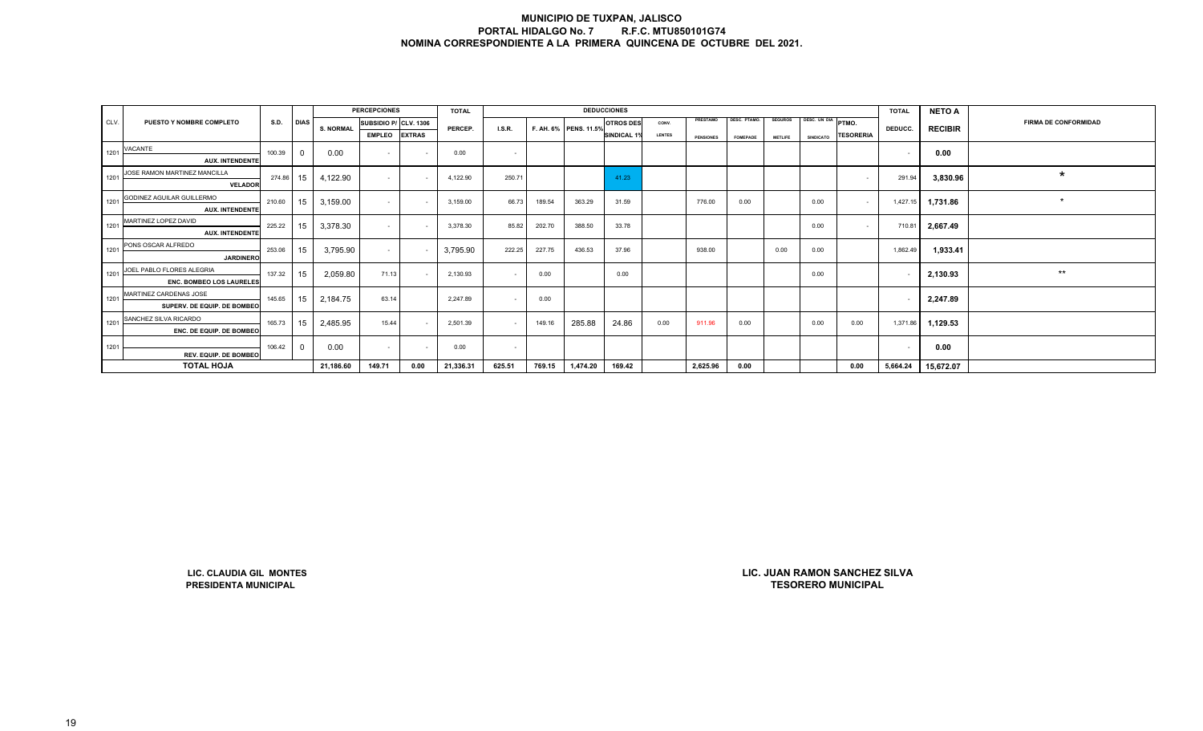|      |                                                      |        |             |                  | <b>PERCEPCIONES</b>   |               | <b>TOTAL</b> |        |        |                       | <b>DEDUCCIONES</b> |               |                  |                 |                |                    |                                                            | <b>TOTAL</b>             | <b>NETO A</b>  |                             |
|------|------------------------------------------------------|--------|-------------|------------------|-----------------------|---------------|--------------|--------|--------|-----------------------|--------------------|---------------|------------------|-----------------|----------------|--------------------|------------------------------------------------------------|--------------------------|----------------|-----------------------------|
| CLV. | PUESTO Y NOMBRE COMPLETO                             | S.D.   | <b>DIAS</b> |                  | SUBSIDIO P/ CLV. 1306 |               |              |        |        | F. AH. 6% PENS. 11.5% | <b>OTROS DES</b>   | CONV.         | PRESTAMO         | DESC. PTAMO.    | <b>SEGUROS</b> | DESC. UN DIA PTMO. |                                                            |                          | <b>RECIBIR</b> | <b>FIRMA DE CONFORMIDAD</b> |
|      |                                                      |        |             | <b>S. NORMAL</b> | <b>EMPLEO</b>         | <b>EXTRAS</b> | PERCEP.      | LS.R.  |        |                       | <b>SINDICAL 1%</b> | <b>LENTES</b> | <b>PENSIONES</b> | <b>FOMEPADE</b> | <b>METLIFE</b> | <b>SINDICATO</b>   | TESORERIA                                                  | DEDUCC.                  |                |                             |
| 1201 | VACANTE                                              | 100.39 | $\mathbf 0$ | 0.00             | $\sim$                |               | 0.00         | $\sim$ |        |                       |                    |               |                  |                 |                |                    |                                                            | $\sim$                   | 0.00           |                             |
|      | <b>AUX. INTENDENTE</b>                               |        |             |                  |                       |               |              |        |        |                       |                    |               |                  |                 |                |                    |                                                            |                          |                |                             |
| 1201 | JOSE RAMON MARTINEZ MANCILLA<br>VELADOR              | 274.86 | 15          | 4,122.90         | $\sim$                |               | 4,122.90     | 250.71 |        |                       | 41.23              |               |                  |                 |                |                    | $\sim$                                                     | 291.94                   | 3,830.96       | $\star$                     |
| 1201 | GODINEZ AGUILAR GUILLERMO<br><b>AUX. INTENDENTE</b>  | 210.60 | 15          | 3,159.00         | $\sim$                |               | 3,159.00     | 66.73  | 189.54 | 363.29                | 31.59              |               | 776.00           | 0.00            |                | 0.00               | $\sim$                                                     | 1,427.15                 | 1,731.86       | $\star$                     |
| 1201 | MARTINEZ LOPEZ DAVID<br><b>AUX. INTENDENTE</b>       | 225.22 | 15          | 3,378.30         | $\sim$                |               | 3,378.30     | 85.82  | 202.70 | 388.50                | 33.78              |               |                  |                 |                | 0.00               | $\sim$                                                     | 710.81                   | 2,667.49       |                             |
| 1201 | PONS OSCAR ALFREDO<br><b>JARDINERO</b>               | 253.06 | 15          | 3,795.90         | $\sim$                |               | 3,795.90     | 222.25 | 227.75 | 436.53                | 37.96              |               | 938.00           |                 | 0.00           | 0.00               |                                                            | 1,862.49                 | 1,933.41       |                             |
| 1201 | JOEL PABLO FLORES ALEGRIA                            | 137.32 | 15          | 2,059.80         | 71.13                 |               | 2,130.93     | $\sim$ | 0.00   |                       | 0.00               |               |                  |                 |                | 0.00               |                                                            | $\sim$                   | 2,130.93       | $\star\star$                |
| 1201 | ENC. BOMBEO LOS LAURELES<br>MARTINEZ CARDENAS JOSE   | 145.65 | 15          | 2,184.75         | 63.14                 |               | 2,247.89     | $\sim$ | 0.00   |                       |                    |               |                  |                 |                |                    |                                                            | $\sim$                   | 2,247.89       |                             |
| 1201 | SUPERV. DE EQUIP. DE BOMBEC<br>SANCHEZ SILVA RICARDO | 165.73 | 15          | 2,485.95         | 15.44                 |               | 2,501.39     | $\sim$ | 149.16 | 285.88                | 24.86              | 0.00          | 911.96           | 0.00            |                | 0.00               | 0.00                                                       | 1,371.86                 | 1,129.53       |                             |
|      | ENC. DE EQUIP. DE BOMBEO                             |        |             |                  |                       |               |              |        |        |                       |                    |               |                  |                 |                |                    |                                                            |                          |                |                             |
| 1201 | <b>REV. EQUIP. DE BOMBEO</b>                         | 106.42 | $\mathbf 0$ | 0.00             | $\blacksquare$        |               | 0.00         | $\sim$ |        |                       |                    |               |                  |                 |                |                    |                                                            | $\overline{\phantom{a}}$ | 0.00           |                             |
|      | <b>TOTAL HOJA</b>                                    |        |             | 21,186.60        | 149.71                | 0.00          | 21,336.31    | 625.51 | 769.15 | 1,474.20              | 169.42             |               | 2,625.96         | 0.00            |                |                    | 0.00                                                       | 5,664.24                 | 15,672.07      |                             |
|      |                                                      |        |             |                  |                       |               |              |        |        |                       |                    |               |                  |                 |                |                    |                                                            |                          |                |                             |
|      | LIC. CLAUDIA GIL MONTES<br>PRESIDENTA MUNICIPAL      |        |             |                  |                       |               |              |        |        |                       |                    |               |                  |                 |                |                    | LIC. JUAN RAMON SANCHEZ SILVA<br><b>TESORERO MUNICIPAL</b> |                          |                |                             |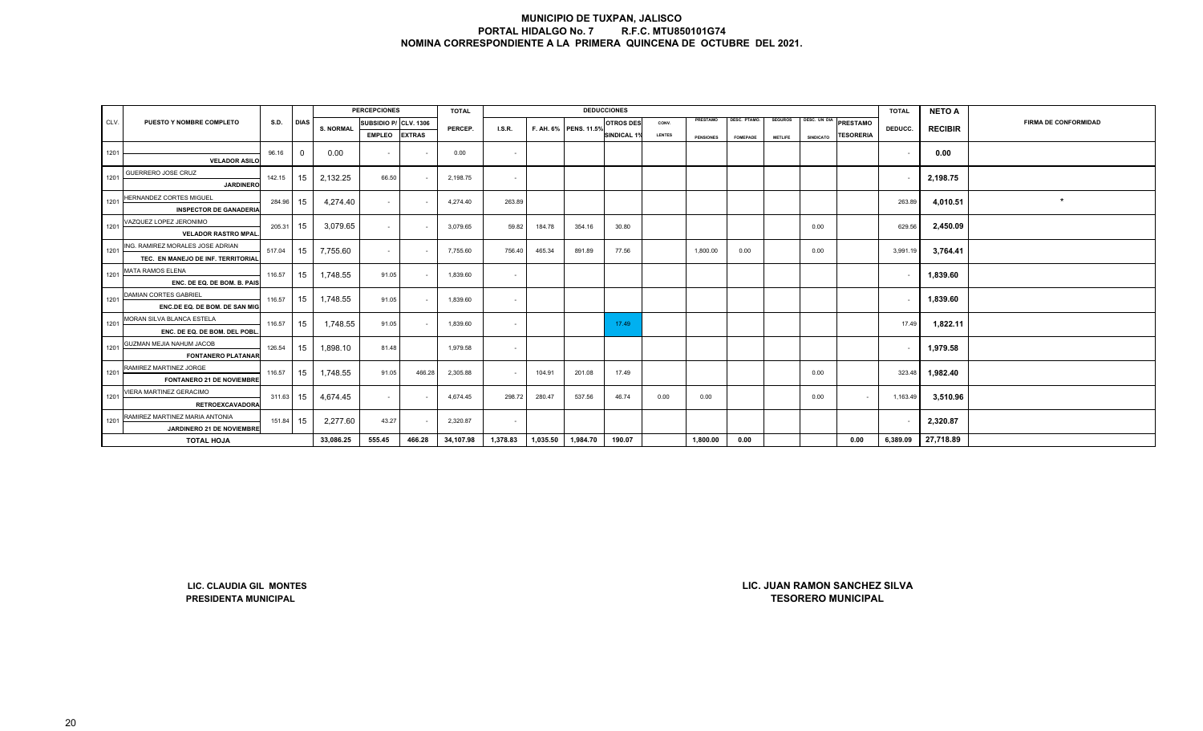|      |                                                                        |             |             |                  | <b>PERCEPCIONES</b>   |               | <b>TOTAL</b> |                |          |                       | <b>DEDUCCIONES</b> |               |                  |                 |                |                  |                                                            | <b>TOTAL</b> | <b>NETO A</b>  |                             |
|------|------------------------------------------------------------------------|-------------|-------------|------------------|-----------------------|---------------|--------------|----------------|----------|-----------------------|--------------------|---------------|------------------|-----------------|----------------|------------------|------------------------------------------------------------|--------------|----------------|-----------------------------|
| CLV. | PUESTO Y NOMBRE COMPLETO                                               | <b>S.D.</b> | <b>DIAS</b> | <b>S. NORMAL</b> | SUBSIDIO P/ CLV. 1306 |               |              |                |          |                       | <b>OTROS DES</b>   | CONV.         | PRESTAMO         | DESC. PTAMO.    | <b>SEGUROS</b> | DESC. UN DIA     | <b>PRESTAMO</b>                                            |              |                | <b>FIRMA DE CONFORMIDAD</b> |
|      |                                                                        |             |             |                  | <b>EMPLEO</b>         | <b>EXTRAS</b> | PERCEP.      | LS.R.          |          | F. AH. 6% PENS. 11.5% | <b>SINDICAL 1%</b> | <b>LENTES</b> | <b>PENSIONES</b> | <b>FOMEPADE</b> | <b>METLIFE</b> | <b>SINDICATO</b> | <b>TESORERIA</b>                                           | DEDUCC.      | <b>RECIBIR</b> |                             |
| 1201 |                                                                        | 96.16       | $\mathbf 0$ | 0.00             | $\blacksquare$        |               |              | $\sim$         |          |                       |                    |               |                  |                 |                |                  |                                                            |              | 0.00           |                             |
|      | <b>VELADOR ASILO</b>                                                   |             |             |                  |                       |               | 0.00         |                |          |                       |                    |               |                  |                 |                |                  |                                                            | $\sim$       |                |                             |
| 1201 | GUERRERO JOSE CRUZ<br><b>JARDINERO</b>                                 | 142.15      | 15          | 2,132.25         | 66.50                 |               | 2,198.75     | $\sim$         |          |                       |                    |               |                  |                 |                |                  |                                                            |              | 2,198.75       |                             |
| 1201 | <b>HERNANDEZ CORTES MIGUEL</b><br><b>INSPECTOR DE GANADERIA</b>        | 284.96      | 15          | 4,274.40         | $\sim$                |               | 4,274.40     | 263.89         |          |                       |                    |               |                  |                 |                |                  |                                                            | 263.89       | 4,010.51       | $\star$                     |
| 1201 | <b>VAZQUEZ LOPEZ JERONIMO</b><br><b>VELADOR RASTRO MPAL</b>            | 205.31      | 15          | 3,079.65         | $\sim$                |               | 3,079.65     | 59.82          | 184.78   | 354.16                | 30.80              |               |                  |                 |                | 0.00             |                                                            | 629.56       | 2,450.09       |                             |
| 1201 | ING. RAMIREZ MORALES JOSE ADRIAN<br>TEC. EN MANEJO DE INF. TERRITORIAL | 517.04      | 15          | 7,755.60         | $\sim$                |               | 7,755.60     | 756.40         | 465.34   | 891.89                | 77.56              |               | 1,800.00         | 0.00            |                | 0.00             |                                                            | 3,991.19     | 3,764.41       |                             |
| 1201 | MATA RAMOS ELENA<br>ENC. DE EQ. DE BOM. B. PAIS                        | 116.57      | 15          | 1,748.55         | 91.05                 |               | 1,839.60     | $\sim$         |          |                       |                    |               |                  |                 |                |                  |                                                            |              | 1,839.60       |                             |
| 1201 | DAMIAN CORTES GABRIEL<br>ENC.DE EQ. DE BOM. DE SAN MIG                 | 116.57      | 15          | 1,748.55         | 91.05                 |               | 1,839.60     | $\blacksquare$ |          |                       |                    |               |                  |                 |                |                  |                                                            |              | 1,839.60       |                             |
| 1201 | MORAN SILVA BLANCA ESTELA<br>ENC. DE EQ. DE BOM. DEL POBL.             | 116.57      | 15          | 1,748.55         | 91.05                 |               | 1,839.60     | $\sim$         |          |                       | 17.49              |               |                  |                 |                |                  |                                                            | 17.49        | 1,822.11       |                             |
| 1201 | GUZMAN MEJIA NAHUM JACOB<br><b>FONTANERO PLATANAR</b>                  | 126.54      | 15          | 1,898.10         | 81.48                 |               | 1,979.58     | $\sim$         |          |                       |                    |               |                  |                 |                |                  |                                                            |              | 1,979.58       |                             |
| 1201 | RAMIREZ MARTINEZ JORGE<br><b>FONTANERO 21 DE NOVIEMBRE</b>             | 116.57      | 15          | 1,748.55         | 91.05                 | 466.28        | 2,305.88     | $\sim$         | 104.91   | 201.08                | 17.49              |               |                  |                 |                | 0.00             |                                                            | 323.48       | 1,982.40       |                             |
| 1201 | VIERA MARTINEZ GERACIMO<br><b>RETROEXCAVADORA</b>                      | 311.63      | 15          | 4,674.45         | $\sim$                |               | 4,674.45     | 298.72         | 280.47   | 537.56                | 46.74              | 0.00          | 0.00             |                 |                | 0.00             | $\sim$                                                     | 1,163.49     | 3,510.96       |                             |
| 1201 | RAMIREZ MARTINEZ MARIA ANTONIA<br>JARDINERO 21 DE NOVIEMBRE            | 151.84      | 15          | 2,277.60         | 43.27                 |               | 2,320.87     | $\blacksquare$ |          |                       |                    |               |                  |                 |                |                  |                                                            |              | 2,320.87       |                             |
|      | <b>TOTAL HOJA</b>                                                      |             |             | 33,086.25        | 555.45                | 466.28        | 34,107.98    | 1,378.83       | 1,035.50 | 1,984.70              | 190.07             |               | 1,800.00         | 0.00            |                |                  | 0.00                                                       | 6,389.09     | 27,718.89      |                             |
|      |                                                                        |             |             |                  |                       |               |              |                |          |                       |                    |               |                  |                 |                |                  |                                                            |              |                |                             |
|      | LIC. CLAUDIA GIL MONTES<br>PRESIDENTA MUNICIPAL                        |             |             |                  |                       |               |              |                |          |                       |                    |               |                  |                 |                |                  | LIC. JUAN RAMON SANCHEZ SILVA<br><b>TESORERO MUNICIPAL</b> |              |                |                             |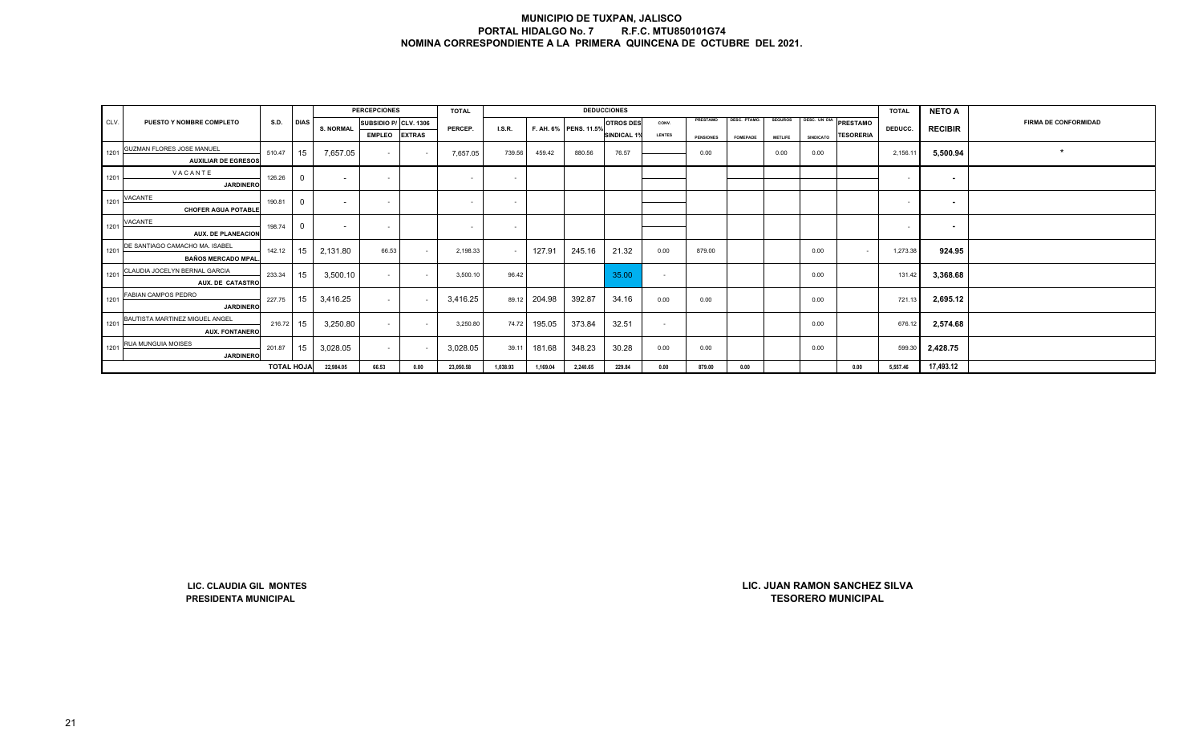|      |                                                        |                   |                |                  | <b>PERCEPCIONES</b>   |               | <b>TOTAL</b> |          |          |                       | <b>DEDUCCIONES</b> |               |                  |                     |                |                  |                                                            | <b>TOTAL</b> | <b>NETO A</b>            |                             |
|------|--------------------------------------------------------|-------------------|----------------|------------------|-----------------------|---------------|--------------|----------|----------|-----------------------|--------------------|---------------|------------------|---------------------|----------------|------------------|------------------------------------------------------------|--------------|--------------------------|-----------------------------|
| CLV. | PUESTO Y NOMBRE COMPLETO                               | S.D.              | <b>DIAS</b>    | <b>S. NORMAL</b> | SUBSIDIO P/ CLV. 1306 |               | PERCEP.      | LS.R.    |          | F. AH. 6% PENS. 11.5% | <b>OTROS DES</b>   | CONV.         | PRESTAMO         | <b>DESC. PTAMO.</b> | <b>SEGUROS</b> |                  | DESC. UN DIA PRESTAMO                                      | DEDUCC.      | <b>RECIBIR</b>           | <b>FIRMA DE CONFORMIDAD</b> |
|      |                                                        |                   |                |                  | <b>EMPLEO</b>         | <b>EXTRAS</b> |              |          |          |                       | <b>SINDICAL 1%</b> | <b>LENTES</b> | <b>PENSIONES</b> | FOMEPADE            | <b>METLIFE</b> | <b>SINDICATO</b> | <b>TESORERIA</b>                                           |              |                          |                             |
| 1201 | <b>GUZMAN FLORES JOSE MANUEL</b>                       | 510.47            | 15             | 7,657.05         |                       | $\sim$        | 7,657.05     |          | 459.42   | 880.56                | 76.57              |               | 0.00             |                     |                |                  |                                                            |              |                          | $\star$                     |
|      | <b>AUXILIAR DE EGRESOS</b>                             |                   |                |                  | $\sim$                |               |              | 739.56   |          |                       |                    |               |                  |                     | 0.00           | 0.00             |                                                            | 2,156.11     | 5,500.94                 |                             |
| 1201 | VACANTE                                                | 126.26            | $\mathbf 0$    |                  | $\sim$                |               | $\sim$       | $\sim$   |          |                       |                    |               |                  |                     |                |                  |                                                            | $\sim$       |                          |                             |
|      | <b>JARDINERO</b>                                       |                   |                | $\sim$           |                       |               |              |          |          |                       |                    |               |                  |                     |                |                  |                                                            |              | $\sim$                   |                             |
| 1201 | VACANTE                                                | 190.81            | $\mathbf 0$    | $\sim$           | $\sim$                |               | $\sim$       | $\sim$   |          |                       |                    |               |                  |                     |                |                  |                                                            | $\sim$       | $\overline{\phantom{a}}$ |                             |
|      | <b>CHOFER AGUA POTABLE</b>                             |                   |                |                  |                       |               |              |          |          |                       |                    |               |                  |                     |                |                  |                                                            |              |                          |                             |
| 1201 | VACANTE                                                | 198.74            | $\overline{0}$ | $\sim$           | $\sim$                |               | $\sim$       | $\sim$   |          |                       |                    |               |                  |                     |                |                  |                                                            | $\sim$       | $\sim$                   |                             |
|      | <b>AUX. DE PLANEACION</b>                              |                   |                |                  |                       |               |              |          |          |                       |                    |               |                  |                     |                |                  |                                                            |              |                          |                             |
| 1201 | DE SANTIAGO CAMACHO MA. ISABEL                         | 142.12            | 15             | 2,131.80         | 66.53                 | $\sim$        | 2,198.33     | $\sim$   | 127.91   | 245.16                | 21.32              | 0.00          | 879.00           |                     |                | 0.00             | $\sim$                                                     | 1,273.38     | 924.95                   |                             |
|      | <b>BAÑOS MERCADO MPAL</b>                              |                   |                |                  |                       |               |              |          |          |                       |                    |               |                  |                     |                |                  |                                                            |              |                          |                             |
| 1201 | CLAUDIA JOCELYN BERNAL GARCIA                          | 233.34            | 15             | 3,500.10         | $\sim$                | $\sim$        | 3,500.10     | 96.42    |          |                       | 35.00              | $\sim$        |                  |                     |                | 0.00             |                                                            | 131.42       | 3,368.68                 |                             |
|      | AUX. DE CATASTRO                                       |                   |                |                  |                       |               |              |          |          |                       |                    |               |                  |                     |                |                  |                                                            |              |                          |                             |
| 1201 | FABIAN CAMPOS PEDRO                                    | 227.75            | 15             | 3,416.25         | $\sim$                | $\sim$        | 3,416.25     | 89.12    | 204.98   | 392.87                | 34.16              | 0.00          | 0.00             |                     |                | 0.00             |                                                            | 721.13       | 2,695.12                 |                             |
|      | <b>JARDINERO</b>                                       |                   |                |                  |                       |               |              |          |          |                       |                    |               |                  |                     |                |                  |                                                            |              |                          |                             |
| 1201 | BAUTISTA MARTINEZ MIGUEL ANGEL                         | 216.72            | 15             | 3,250.80         | $\sim$                |               | 3,250.80     | 74.72    | 195.05   | 373.84                | 32.51              | $\sim$        |                  |                     |                | 0.00             |                                                            | 676.12       | 2,574.68                 |                             |
|      | <b>AUX. FONTANERO</b>                                  |                   |                |                  |                       |               |              |          |          |                       |                    |               |                  |                     |                |                  |                                                            |              |                          |                             |
| 1201 | RUA MUNGUIA MOISES                                     | 201.87            | 15             | 3,028.05         | $\sim$                |               | 3,028.05     | 39.11    | 181.68   | 348.23                | 30.28              | 0.00          | 0.00             |                     |                | 0.00             |                                                            | 599.30       | 2,428.75                 |                             |
|      | <b>JARDINERO</b>                                       |                   |                |                  |                       |               |              |          |          |                       |                    |               |                  |                     |                |                  |                                                            |              |                          |                             |
|      |                                                        | <b>TOTAL HOJA</b> |                | 22,984.05        | 66.53                 | 0.00          | 23,050.58    | 1,038.93 | 1,169.04 | 2,240.65              | 229.84             | 0.00          | 879.00           | 0.00                |                |                  | 0.00                                                       | 5,557.46     | 17,493.12                |                             |
|      |                                                        |                   |                |                  |                       |               |              |          |          |                       |                    |               |                  |                     |                |                  |                                                            |              |                          |                             |
|      | LIC. CLAUDIA GIL MONTES<br><b>PRESIDENTA MUNICIPAL</b> |                   |                |                  |                       |               |              |          |          |                       |                    |               |                  |                     |                |                  | LIC. JUAN RAMON SANCHEZ SILVA<br><b>TESORERO MUNICIPAL</b> |              |                          |                             |

**LIC. CLAUDIA GIL MONTES**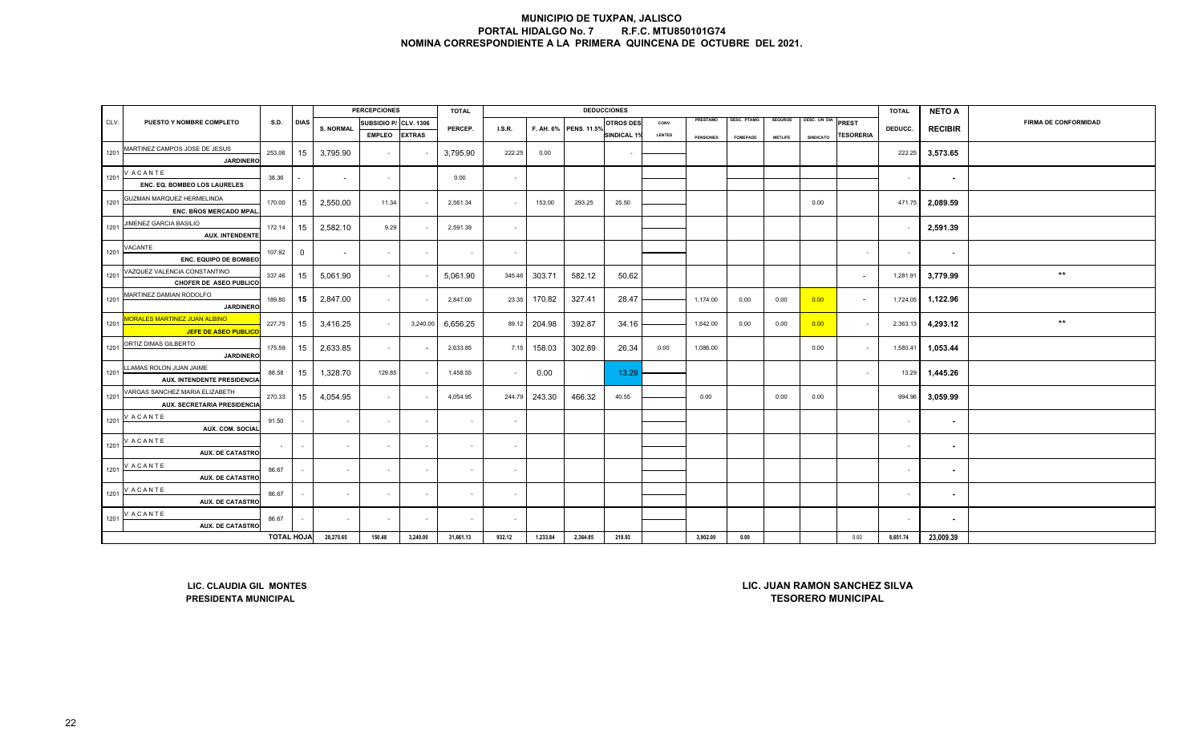|      |                                          |                   |              |                          | <b>PERCEPCIONES</b> |                  | <b>TOTAL</b> |                |          |                       | <b>DEDUCCIONES</b> |               |                  |                     |                |                  |                               | <b>TOTAL</b>   | <b>NETO A</b>            |                             |
|------|------------------------------------------|-------------------|--------------|--------------------------|---------------------|------------------|--------------|----------------|----------|-----------------------|--------------------|---------------|------------------|---------------------|----------------|------------------|-------------------------------|----------------|--------------------------|-----------------------------|
| CLV. | PUESTO Y NOMBRE COMPLETO                 | S.D.              | <b>DIAS</b>  | <b>S. NORMAL</b>         | SUBSIDIO P/         | <b>CLV. 1306</b> |              |                |          |                       | <b>OTROS DES</b>   | CONV.         | PRESTAMO         | <b>DESC. PTAMO.</b> | <b>SEGUROS</b> | DESC. UN DIA     | PREST                         |                |                          | <b>FIRMA DE CONFORMIDAD</b> |
|      |                                          |                   |              |                          | <b>EMPLEO</b>       | <b>EXTRAS</b>    | PERCEP.      | LS.R.          |          | F. AH. 6% PENS. 11.5% | <b>SINDICAL 1%</b> | <b>LENTES</b> | <b>PENSIONES</b> | <b>FOMEPADE</b>     | <b>METLIFE</b> | <b>SINDICATO</b> | <b>TESORERIA</b>              | DEDUCC.        | <b>RECIBIR</b>           |                             |
|      | MARTINEZ CAMPOS JOSE DE JESUS            |                   |              |                          |                     |                  |              |                |          |                       |                    |               |                  |                     |                |                  |                               |                |                          |                             |
| 1201 | <b>JARDINERO</b>                         | 253.06            | 15           | 3,795.90                 | $\blacksquare$      |                  | 3,795.90     | 222.25         | 0.00     |                       |                    |               |                  |                     |                |                  |                               | 222.25         | 3,573.65                 |                             |
| 1201 | <b>VACANTE</b>                           | 38.36             |              | $\overline{\phantom{a}}$ | $\sim$              |                  | 0.00         | $\sim$         |          |                       |                    |               |                  |                     |                |                  |                               | $\sim$         |                          |                             |
|      | ENC. EQ. BOMBEO LOS LAURELES             |                   |              |                          |                     |                  |              |                |          |                       |                    |               |                  |                     |                |                  |                               |                | $\sim$                   |                             |
| 1201 | GUZMAN MARQUEZ HERMELINDA                | 170.00            | 15           | 2,550.00                 | 11.34               |                  | 2,561.34     | $\sim$         | 153.00   | 293.25                | 25.50              |               |                  |                     |                | 0.00             |                               | 471.75         | 2,089.59                 |                             |
|      | ENC. BÑOS MERCADO MPAL                   |                   |              |                          |                     |                  |              |                |          |                       |                    |               |                  |                     |                |                  |                               |                |                          |                             |
| 1201 | JIMENEZ GARCIA BASILIO                   | 172.14            | 15           | 2,582.10                 | 9.29                |                  | 2,591.39     | $\sim$         |          |                       |                    |               |                  |                     |                |                  |                               | $\sim$         | 2,591.39                 |                             |
|      | <b>AUX. INTENDENTE</b>                   |                   |              |                          |                     |                  |              |                |          |                       |                    |               |                  |                     |                |                  |                               |                |                          |                             |
| 1201 | VACANTE                                  | 107.92            | $\mathbf{0}$ | $\overline{\phantom{a}}$ | $\blacksquare$      |                  | $\sim$       | $\sim$         |          |                       |                    |               |                  |                     |                |                  |                               | $\blacksquare$ | $\overline{\phantom{a}}$ |                             |
|      | ENC. EQUIPO DE BOMBEO                    |                   |              |                          |                     |                  |              |                |          |                       |                    |               |                  |                     |                |                  |                               |                |                          |                             |
| 1201 | VAZQUEZ VALENCIA CONSTANTINO             | 337.46            | 15           | 5,061.90                 | $\sim$              |                  | 5,061.90     | 345.46         | 303.71   | 582.12                | 50.62              |               |                  |                     |                |                  | $\overline{\phantom{a}}$      | 1,281.91       | 3,779.99                 | $^{\star\star}$             |
|      | CHOFER DE ASEO PUBLICO                   |                   |              |                          |                     |                  |              |                |          |                       |                    |               |                  |                     |                |                  |                               |                |                          |                             |
| 1201 | MARTINEZ DAMIAN RODOLFO                  | 189.80            | 15           | 2,847.00                 | $\sim$              |                  | 2,847.00     | 23.35          | 170.82   | 327.41                | 28.47              |               | 1,174.00         | 0.00                | 0.00           | 0.00             | $\overline{\phantom{a}}$      | 1,724.05       | 1,122.96                 |                             |
|      | <b>JARDINERO</b>                         |                   |              |                          |                     |                  |              |                |          |                       |                    |               |                  |                     |                |                  |                               |                |                          |                             |
| 1201 | ORALES MARTINEZ JUAN ALBINO              | 227.75            | 15           | 3,416.25                 | $\sim$              | 3,240.00         | 6,656.25     | 89.12          | 204.98   | 392.87                | 34.16              |               | 1,642.00         | 0.00                | 0.00           | 0.00             | $\sim$                        | 2,363.13       | 4,293.12                 | $^{\star\star}$             |
|      | JEFE DE ASEO PUBLIC                      |                   |              |                          |                     |                  |              |                |          |                       |                    |               |                  |                     |                |                  |                               |                |                          |                             |
| 1201 | ORTIZ DIMAS GILBERTO<br><b>JARDINERO</b> | 175.59            | 15           | 2,633.85                 | $\sim$              |                  | 2,633.85     | 7.15           | 158.03   | 302.89                | 26.34              | 0.00          | 1,086.00         |                     |                | 0.00             | $\sim$                        | 1,580.41       | 1,053.44                 |                             |
|      | LLAMAS ROLON JUAN JAIME                  |                   |              |                          |                     |                  |              |                |          |                       |                    |               |                  |                     |                |                  |                               |                |                          |                             |
| 1201 | AUX. INTENDENTE PRESIDENCIA              | 88.58             | 15           | 1,328.70                 | 129.85              |                  | 1,458.55     | $\sim$         | 0.00     |                       | 13.29              |               |                  |                     |                |                  | $\sim$                        | 13.29          | 1,445.26                 |                             |
|      | VARGAS SANCHEZ MARIA ELIZABETH           |                   |              |                          |                     |                  |              |                |          |                       |                    |               |                  |                     |                |                  |                               |                |                          |                             |
| 1201 | AUX. SECRETARIA PRESIDENCIA              | 270.33            | 15           | 4,054.95                 | $\sim$              |                  | 4,054.95     | 244.79         | 243.30   | 466.32                | 40.55              |               | 0.00             |                     | 0.00           | 0.00             |                               | 994.96         | 3,059.99                 |                             |
|      | <b>VACANTE</b>                           |                   |              |                          |                     |                  |              |                |          |                       |                    |               |                  |                     |                |                  |                               |                |                          |                             |
| 1201 | <b>AUX. COM. SOCIAL</b>                  | 91.50             |              | $\sim$                   | $\sim$              | $\sim$           | $\sim$       | $\sim$         |          |                       |                    |               |                  |                     |                |                  |                               | $\sim$         | $\blacksquare$           |                             |
| 1201 | V ACANTE                                 |                   |              |                          |                     |                  |              |                |          |                       |                    |               |                  |                     |                |                  |                               |                |                          |                             |
|      | <b>AUX. DE CATASTRO</b>                  | $\sim$            |              | $\overline{\phantom{a}}$ | $\blacksquare$      | $\sim$           | $\sim$       | $\sim$         |          |                       |                    |               |                  |                     |                |                  |                               | $\sim$         | $\sim$                   |                             |
| 1201 | <b>VACANTE</b>                           | 86.67             | $\sim$       | $\sim$                   | $\sim$              | $\sim$           | $\sim$       | $\sim$         |          |                       |                    |               |                  |                     |                |                  |                               | $\sim$         | $\sim$                   |                             |
|      | <b>AUX. DE CATASTRO</b>                  |                   |              |                          |                     |                  |              |                |          |                       |                    |               |                  |                     |                |                  |                               |                |                          |                             |
| 1201 | <b>VACANTE</b>                           | 86.67             |              | $\overline{\phantom{a}}$ | $\blacksquare$      |                  |              | $\blacksquare$ |          |                       |                    |               |                  |                     |                |                  |                               | $\blacksquare$ | $\blacksquare$           |                             |
|      | <b>AUX. DE CATASTRO</b>                  |                   |              |                          |                     |                  |              |                |          |                       |                    |               |                  |                     |                |                  |                               |                |                          |                             |
| 1201 | <b>VACANTE</b>                           | 86.67             |              | $\sim$                   | $\sim$              | $\sim$           | $\sim$       | $\sim$         |          |                       |                    |               |                  |                     |                |                  |                               | $\sim$         | $\sim$                   |                             |
|      | <b>AUX. DE CATASTRO</b>                  |                   |              |                          |                     |                  |              |                |          |                       |                    |               |                  |                     |                |                  |                               |                |                          |                             |
|      |                                          | <b>TOTAL HOJA</b> |              | 28,270.65                | 150.48              | 3,240.00         | 31,661.13    | 932.12         | 1,233.84 | 2,364.85              | 218.93             |               | 3,902.00         | 0.00                |                |                  | 0.00                          | 8,651.74       | 23,009.39                |                             |
|      |                                          |                   |              |                          |                     |                  |              |                |          |                       |                    |               |                  |                     |                |                  |                               |                |                          |                             |
|      |                                          |                   |              |                          |                     |                  |              |                |          |                       |                    |               |                  |                     |                |                  |                               |                |                          |                             |
|      | LIC. CLAUDIA GIL MONTES                  |                   |              |                          |                     |                  |              |                |          |                       |                    |               |                  |                     |                |                  | LIC. JUAN RAMON SANCHEZ SILVA |                |                          |                             |
|      | <b>PRESIDENTA MUNICIPAL</b>              |                   |              |                          |                     |                  |              |                |          |                       |                    |               |                  |                     |                |                  | <b>TESORERO MUNICIPAL</b>     |                |                          |                             |
|      |                                          |                   |              |                          |                     |                  |              |                |          |                       |                    |               |                  |                     |                |                  |                               |                |                          |                             |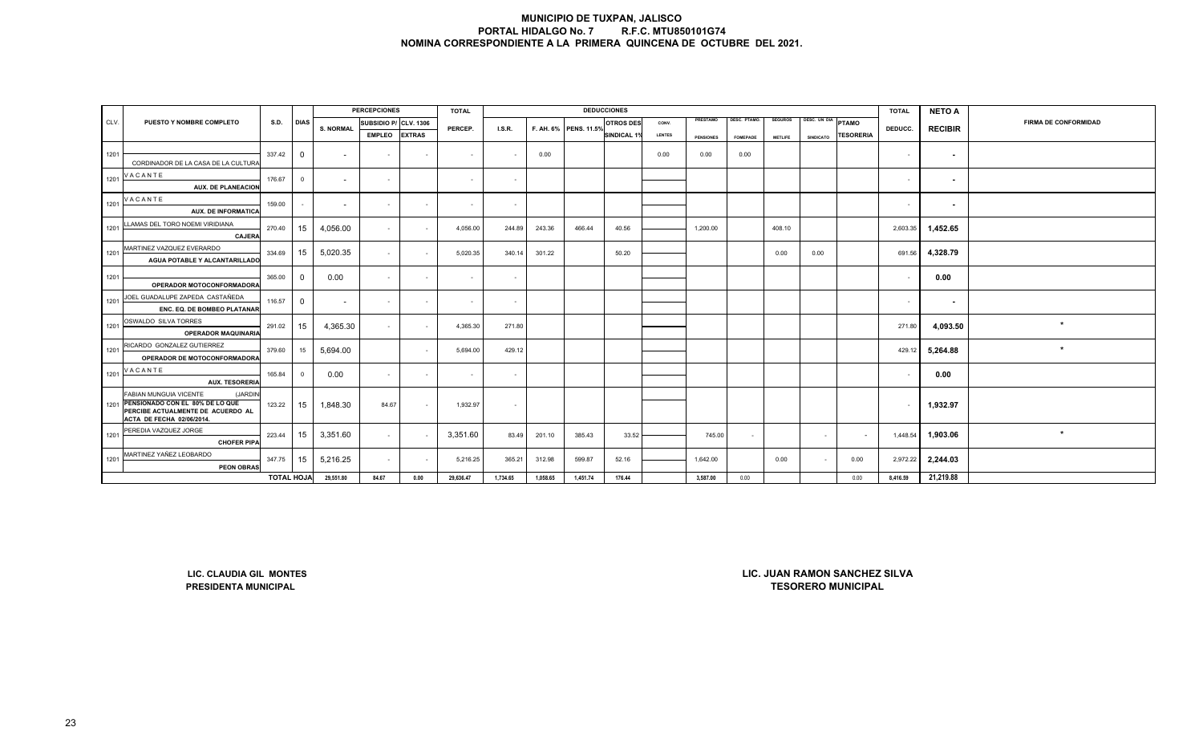|      |                                                                                                                                            |                   |                |                          | <b>PERCEPCIONES</b>   |               | <b>TOTAL</b> |          |          |                       | <b>DEDUCCIONES</b> |        |                  |                 |                |                    |                                                            | <b>TOTAL</b>             | <b>NETO A</b>            |                             |
|------|--------------------------------------------------------------------------------------------------------------------------------------------|-------------------|----------------|--------------------------|-----------------------|---------------|--------------|----------|----------|-----------------------|--------------------|--------|------------------|-----------------|----------------|--------------------|------------------------------------------------------------|--------------------------|--------------------------|-----------------------------|
| CLV. | PUESTO Y NOMBRE COMPLETO                                                                                                                   | S.D.              | <b>DIAS</b>    | <b>S. NORMAL</b>         | SUBSIDIO P/ CLV. 1306 |               | PERCEP.      | LS.R.    |          | F. AH. 6% PENS. 11.5% | <b>OTROS DES</b>   | CONV.  | PRESTAMO         | DESC. PTAMO.    | <b>SEGUROS</b> | DESC. UN DIA PTAMO |                                                            | DEDUCC.                  | <b>RECIBIR</b>           | <b>FIRMA DE CONFORMIDAD</b> |
|      |                                                                                                                                            |                   |                |                          | <b>EMPLEO</b>         | <b>EXTRAS</b> |              |          |          |                       | <b>SINDICAL 1%</b> | LENTES | <b>PENSIONES</b> | <b>FOMEPADE</b> | <b>METLIFE</b> | <b>SINDICATO</b>   | <b>TESORERIA</b>                                           |                          |                          |                             |
| 1201 |                                                                                                                                            | 337.42            | $\mathbf 0$    | $\sim$                   | $\sim$                | $\sim$        | $\sim$       | $\sim$   | 0.00     |                       |                    | 0.00   | 0.00             | 0.00            |                |                    |                                                            | $\sim$                   | $\overline{\phantom{a}}$ |                             |
|      | CORDINADOR DE LA CASA DE LA CULTURA                                                                                                        |                   |                |                          |                       |               |              |          |          |                       |                    |        |                  |                 |                |                    |                                                            |                          |                          |                             |
| 1201 | <b>VACANTE</b><br><b>AUX. DE PLANEACION</b>                                                                                                | 176.67            | $\overline{0}$ | $\sim$                   | $\sim$                |               | $\sim$       | $\sim$   |          |                       |                    |        |                  |                 |                |                    |                                                            | $\sim$                   | $\sim$                   |                             |
|      | <b>/ACANTE</b>                                                                                                                             |                   |                |                          |                       |               |              |          |          |                       |                    |        |                  |                 |                |                    |                                                            |                          |                          |                             |
| 1201 | <b>AUX. DE INFORMATICA</b>                                                                                                                 | 159.00            |                | $\overline{\phantom{a}}$ | $\blacksquare$        | $\sim$        | $\sim$       | $\sim$   |          |                       |                    |        |                  |                 |                |                    |                                                            | $\sim$                   | $\sim$                   |                             |
| 1201 | LAMAS DEL TORO NOEMI VIRIDIANA<br><b>CAJERA</b>                                                                                            | 270.40            | 15             | 4,056.00                 | $\sim$                | $\sim$        | 4,056.00     | 244.89   | 243.36   | 466.44                | 40.56              |        | 1,200.00         |                 | 408.10         |                    |                                                            | 2,603.35                 | 1,452.65                 |                             |
| 1201 | MARTINEZ VAZQUEZ EVERARDO<br><b>AGUA POTABLE Y ALCANTARILLADO</b>                                                                          | 334.69            | 15             | 5,020.35                 | $\sim$                | $\sim$        | 5,020.35     | 340.14   | 301.22   |                       | 50.20              |        |                  |                 | 0.00           | 0.00               |                                                            | 691.56                   | 4,328.79                 |                             |
| 1201 | OPERADOR MOTOCONFORMADORA                                                                                                                  | 365.00            | $\mathbf 0$    | 0.00                     | $\blacksquare$        | $\sim$        | $\sim$       | $\sim$   |          |                       |                    |        |                  |                 |                |                    |                                                            | $\sim$                   | 0.00                     |                             |
| 1201 | JOEL GUADALUPE ZAPEDA CASTAÑEDA<br>ENC. EQ. DE BOMBEO PLATANAR                                                                             | 116.57            | $\mathbf 0$    | $\overline{\phantom{a}}$ | $\sim$                | $\sim$        | $\sim$       | $\sim$   |          |                       |                    |        |                  |                 |                |                    |                                                            | $\sim$                   | $\sim$                   |                             |
| 1201 | OSWALDO SILVA TORRES<br><b>OPERADOR MAQUINARIA</b>                                                                                         | 291.02            | 15             | 4,365.30                 | $\sim$                | $\sim$        | 4,365.30     | 271.80   |          |                       |                    |        |                  |                 |                |                    |                                                            | 271.80                   | 4,093.50                 | $\star$                     |
| 1201 | RICARDO GONZALEZ GUTIERREZ<br>OPERADOR DE MOTOCONFORMADORA                                                                                 | 379.60            | 15             | 5,694.00                 |                       | $\sim$        | 5,694.00     | 429.12   |          |                       |                    |        |                  |                 |                |                    |                                                            | 429.12                   | 5,264.88                 | $\star$                     |
| 1201 | <b>/ACANTE</b><br><b>AUX. TESORERIA</b>                                                                                                    | 165.84            | $\overline{0}$ | 0.00                     | $\sim$                | $\sim$        | $\sim$       | $\sim$   |          |                       |                    |        |                  |                 |                |                    |                                                            | $\overline{\phantom{a}}$ | 0.00                     |                             |
|      | ABIAN MUNGUIA VICENTE<br>(JARDIN<br>1201 PENSIONADO CON EL 80% DE LO QUE<br>PERCIBE ACTUALMENTE DE ACUERDO AL<br>ACTA DE FECHA 02/06/2014. | 123.22            | 15             | 1,848.30                 | 84.67                 | $\sim$        | 1,932.97     | $\sim$   |          |                       |                    |        |                  |                 |                |                    |                                                            | $\sim$                   | 1,932.97                 |                             |
| 1201 | PEREDIA VAZQUEZ JORGE<br><b>CHOFER PIPA</b>                                                                                                | 223.44            | 15             | 3,351.60                 | $\sim$                | $\sim$        | 3,351.60     | 83.49    | 201.10   | 385.43                | 33.52              |        | 745.00           | $\sim$          |                | $\sim$             | $\overline{\phantom{a}}$                                   | 1,448.54                 | 1,903.06                 | $\star$                     |
| 1201 | MARTINEZ YAÑEZ LEOBARDO<br><b>PEON OBRAS</b>                                                                                               | 347.75            | 15             | 5,216.25                 | $\sim$                |               | 5,216.25     | 365.21   | 312.98   | 599.87                | 52.16              |        | 1,642.00         |                 | 0.00           | $\sim$             | 0.00                                                       | 2,972.22                 | 2,244.03                 |                             |
|      |                                                                                                                                            | <b>TOTAL HOJA</b> |                | 29,551.80                | 84.67                 | 0.00          | 29,636.47    | 1,734.65 | 1,058.65 | 1,451.74              | 176.44             |        | 3,587.00         | 0.00            |                |                    | 0.00                                                       | 8,416.59                 | 21,219.88                |                             |
|      |                                                                                                                                            |                   |                |                          |                       |               |              |          |          |                       |                    |        |                  |                 |                |                    |                                                            |                          |                          |                             |
|      | LIC. CLAUDIA GIL MONTES<br>PRESIDENTA MUNICIPAL                                                                                            |                   |                |                          |                       |               |              |          |          |                       |                    |        |                  |                 |                |                    | LIC. JUAN RAMON SANCHEZ SILVA<br><b>TESORERO MUNICIPAL</b> |                          |                          |                             |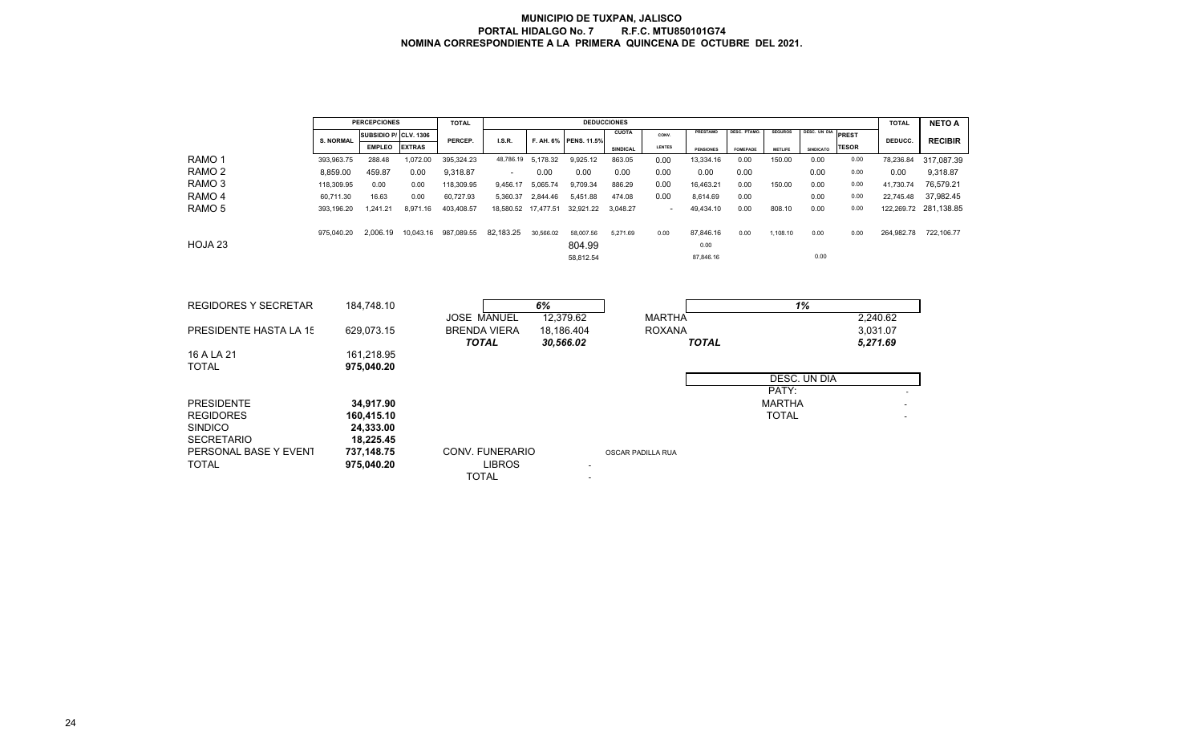|                                       |                  | <b>PERCEPCIONES</b>      |               | <b>TOTAL</b>                        |                                  |                         |                       | <b>DEDUCCIONES</b> |                          |                   |                    |                |                     |                      | <b>TOTAL</b> | <b>NETO A</b>  |
|---------------------------------------|------------------|--------------------------|---------------|-------------------------------------|----------------------------------|-------------------------|-----------------------|--------------------|--------------------------|-------------------|--------------------|----------------|---------------------|----------------------|--------------|----------------|
|                                       | <b>S. NORMAL</b> | SUBSIDIO P/ CLV. 1306    |               | PERCEP.                             | I.S.R.                           |                         | F. AH. 6% PENS. 11.5% | <b>CUOTA</b>       | CONV.                    | PRESTAMO          | <b>DESC. PTAMO</b> | <b>SEGUROS</b> | <b>DESC. UN DIA</b> | PREST                | DEDUCC.      | <b>RECIBIR</b> |
|                                       |                  | <b>EMPLEO</b>            | <b>EXTRAS</b> |                                     |                                  |                         |                       | SINDICAL           | LENTES                   | <b>PENSIONES</b>  | <b>FOMEPADE</b>    | <b>METLIFE</b> | <b>SINDICATO</b>    | <b>TESOR</b>         |              |                |
| RAMO <sub>1</sub>                     | 393,963.75       | 288.48                   | 1,072.00      | 395,324.23                          | 48,786.19 5,178.32               |                         | 9,925.12              | 863.05             | 0.00                     | 13,334.16         | 0.00               | 150.00         | 0.00                | 0.00                 | 78,236.84    | 317,087.39     |
| RAMO <sub>2</sub>                     | 8,859.00         | 459.87                   | 0.00          | 9,318.87                            | $\overline{\phantom{a}}$         | 0.00                    | 0.00                  | 0.00               | 0.00                     | 0.00              | 0.00               |                | 0.00                | 0.00                 | 0.00         | 9,318.87       |
| RAMO <sub>3</sub>                     | 118,309.95       | 0.00                     | 0.00          | 118,309.95                          | 9,456.17                         | 5,065.74                | 9,709.34              | 886.29             | 0.00                     | 16,463.21         | 0.00               | 150.00         | 0.00                | 0.00                 | 41,730.74    | 76,579.21      |
| RAMO <sub>4</sub>                     | 60,711.30        | 16.63                    | 0.00          | 60,727.93                           | 5,360.37                         | 2,844.46                | 5,451.88              | 474.08             | 0.00                     | 8,614.69          | 0.00               |                | 0.00                | 0.00                 | 22,745.48    | 37,982.45      |
| RAMO <sub>5</sub>                     | 393,196.20       | 1,241.21                 | 8,971.16      | 403,408.57                          | 18,580.52 17,477.51              |                         | 32,921.22             | 3,048.27           | $\overline{\phantom{a}}$ | 49,434.10         | 0.00               | 808.10         | 0.00                | 0.00                 | 122,269.72   | 281,138.85     |
| HOJA <sub>23</sub>                    | 975,040.20       | 2,006.19                 | 10,043.16     | 987,089.55                          | 82,183.25                        | 30,566.02               | 58,007.56<br>804.99   | 5,271.69           | 0.00                     | 87,846.16<br>0.00 | 0.00               | 1,108.10       | 0.00                | 0.00                 | 264,982.78   | 722,106.77     |
|                                       |                  |                          |               |                                     |                                  |                         | 58,812.54             |                    |                          | 87,846.16         |                    |                | 0.00                |                      |              |                |
| <b>REGIDORES Y SECRETAR</b>           |                  | 184,748.10               |               | <b>JOSE MANUEL</b>                  |                                  | 6%                      | 12,379.62             |                    | <b>MARTHA</b>            |                   |                    |                | 1%                  |                      | 2,240.62     |                |
| PRESIDENTE HASTA LA 15                |                  | 629,073.15               |               | <b>BRENDA VIERA</b><br><b>TOTAL</b> |                                  | 18,186.404<br>30,566.02 |                       |                    | <b>ROXANA</b>            | <b>TOTAL</b>      |                    |                |                     | 3.031.07<br>5,271.69 |              |                |
| 16 A LA 21                            |                  | 161,218.95               |               |                                     |                                  |                         |                       |                    |                          |                   |                    |                |                     |                      |              |                |
| <b>TOTAL</b>                          |                  | 975,040.20               |               |                                     |                                  |                         |                       |                    |                          |                   |                    |                | DESC. UN DIA        |                      |              |                |
|                                       |                  |                          |               |                                     |                                  |                         |                       |                    |                          |                   |                    | PATY:          |                     |                      |              |                |
| <b>PRESIDENTE</b>                     |                  | 34,917.90                |               |                                     |                                  |                         |                       |                    |                          |                   |                    | <b>MARTHA</b>  |                     |                      |              |                |
| <b>REGIDORES</b><br><b>SINDICO</b>    |                  | 160,415.10<br>24,333.00  |               |                                     |                                  |                         |                       |                    |                          |                   |                    | <b>TOTAL</b>   |                     |                      |              |                |
| <b>SECRETARIO</b>                     |                  | 18,225.45                |               |                                     |                                  |                         |                       |                    |                          |                   |                    |                |                     |                      |              |                |
| PERSONAL BASE Y EVENT<br><b>TOTAL</b> |                  | 737,148.75<br>975,040.20 |               | <b>TOTAL</b>                        | CONV. FUNERARIO<br><b>LIBROS</b> |                         |                       | OSCAR PADILLA RUA  |                          |                   |                    |                |                     |                      |              |                |
|                                       |                  |                          |               |                                     |                                  |                         |                       |                    |                          |                   |                    |                |                     |                      |              |                |

24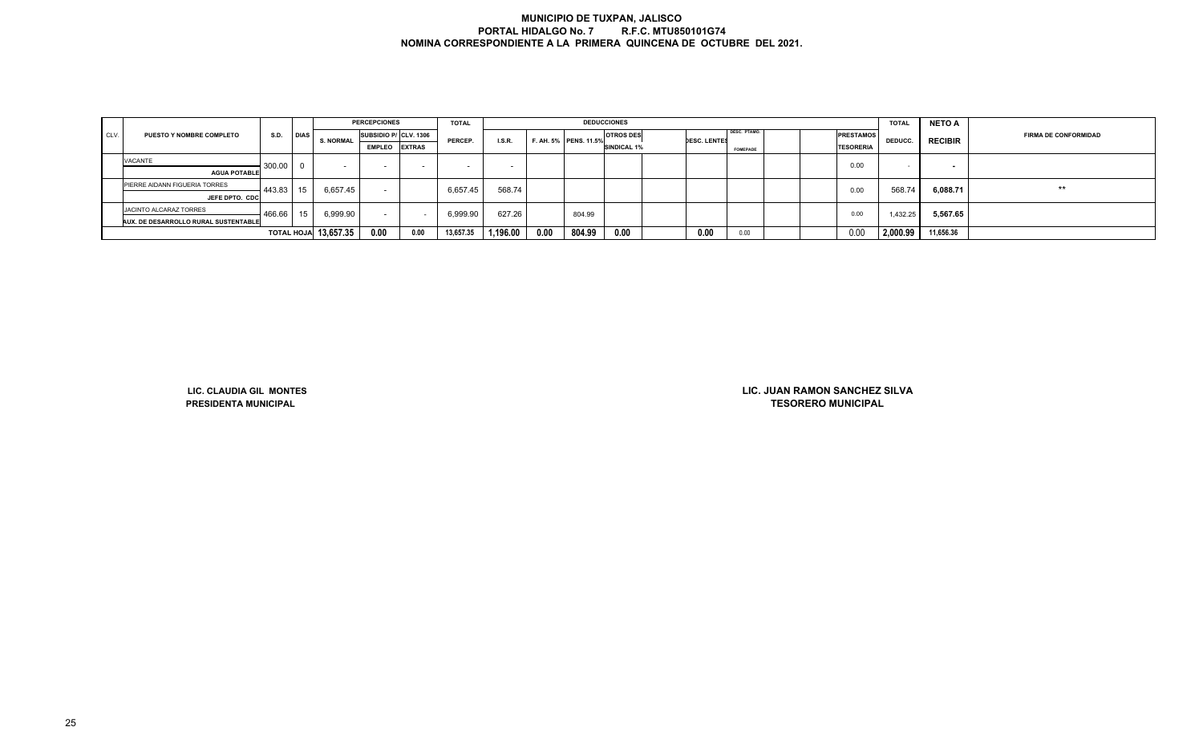|      |                                      |        |             |                             | <b>PERCEPCIONES</b>      |               | <b>TOTAL</b> |          |      |                       | <b>DEDUCCIONES</b> |                     |                 |  |                  | <b>TOTAL</b>   | <b>NETO A</b>  |                             |
|------|--------------------------------------|--------|-------------|-----------------------------|--------------------------|---------------|--------------|----------|------|-----------------------|--------------------|---------------------|-----------------|--|------------------|----------------|----------------|-----------------------------|
| CLV. | <b>PUESTO Y NOMBRE COMPLETO</b>      | S.D.   | <b>DIAS</b> | <b>S. NORMAL</b>            | SUBSIDIO P/ CLV. 1306    |               | PERCEP.      | I.S.R.   |      | F. AH. 5% PENS. 11.5% | <b>OTROS DES</b>   | <b>DESC. LENTES</b> | DESC. PTAMO.    |  | <b>PRESTAMOS</b> | <b>DEDUCC.</b> | <b>RECIBIR</b> | <b>FIRMA DE CONFORMIDAD</b> |
|      |                                      |        |             |                             | <b>EMPLEO</b>            | <b>EXTRAS</b> |              |          |      |                       | <b>SINDICAL 1%</b> |                     | <b>FOMEPADE</b> |  | <b>TESORERIA</b> |                |                |                             |
|      | <b>VACANTE</b>                       | 300.00 |             |                             |                          |               |              |          |      |                       |                    |                     |                 |  | 0.00             |                |                |                             |
|      | <b>AGUA POTABLE</b>                  |        |             |                             |                          |               |              |          |      |                       |                    |                     |                 |  |                  |                |                |                             |
|      | PIERRE AIDANN FIGUERIA TORRES        | 443.83 | 15          | 6,657.45                    | $\overline{\phantom{a}}$ |               | 6,657.45     | 568.74   |      |                       |                    |                     |                 |  | 0.00             | 568.74         | 6,088.71       | $***$                       |
|      | JEFE DPTO. CDC                       |        |             |                             |                          |               |              |          |      |                       |                    |                     |                 |  |                  |                |                |                             |
|      | JACINTO ALCARAZ TORRES               | 466.66 | 15          | 6,999.90                    | $\sim$                   |               | 6,999.90     | 627.26   |      | 804.99                |                    |                     |                 |  | 0.00             | 1,432.25       | 5,567.65       |                             |
|      | AUX. DE DESARROLLO RURAL SUSTENTABLE |        |             |                             |                          |               |              |          |      |                       |                    |                     |                 |  |                  |                |                |                             |
|      |                                      |        |             | <b>TOTAL HOJA</b> 13,657.35 | 0.00                     | 0.00          | 13,657.35    | 1,196.00 | 0.00 | 804.99                | 0.00               | 0.00                | 0.00            |  | 0.00             | 2,000.99       | 11,656.36      |                             |

**LIC. CLAUDIA GIL MONTESPRESIDENTA MUNICIPAL**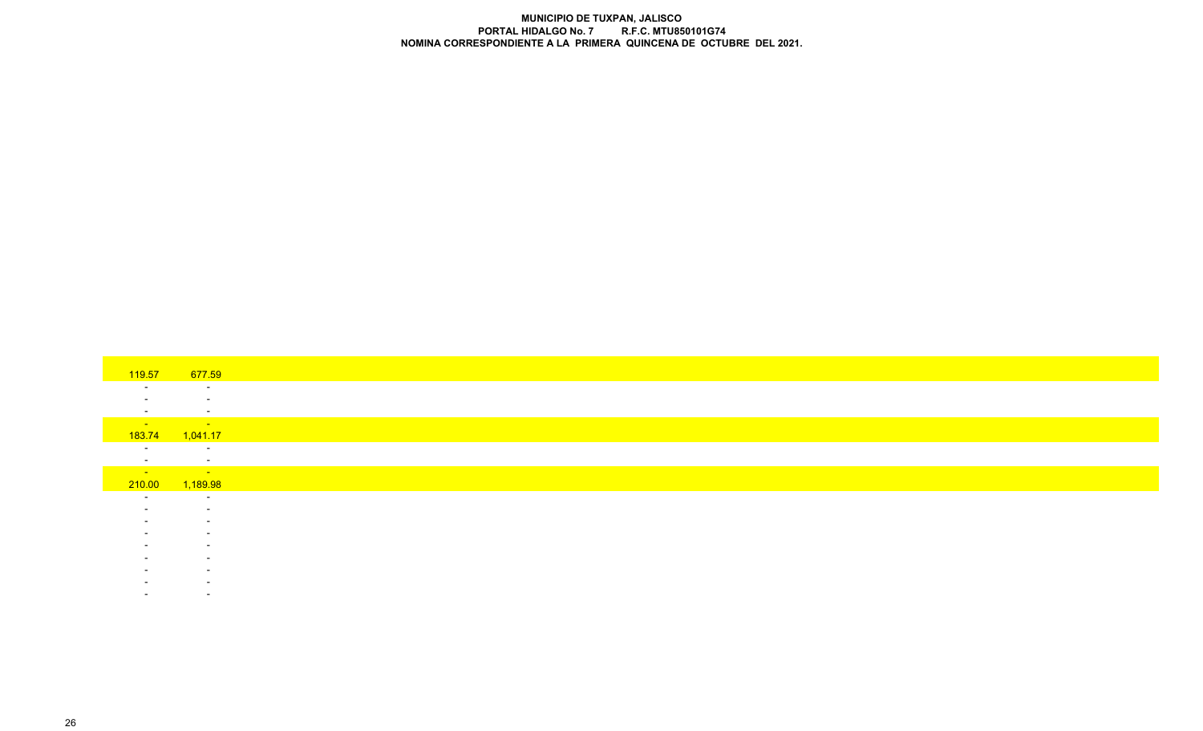| 119.57                   | 677.59                   |
|--------------------------|--------------------------|
| $\sim$                   | $\sim$                   |
|                          | $\sim$                   |
| $\sim$                   | $\sim$                   |
| <b>Contract</b>          | <b>Service</b>           |
| 183.74                   | 1,041.17                 |
| $\overline{\phantom{a}}$ | $\sim$                   |
| $\sim$                   | $\sim$                   |
| <b>State State</b>       | <b>Service State</b>     |
| 210.00                   | 1,189.98                 |
| $\sim$                   | $\sim$                   |
|                          | $\sim$                   |
|                          | $\sim$                   |
|                          | $\sim$                   |
|                          | $\overline{\phantom{a}}$ |
|                          | $\overline{\phantom{a}}$ |
|                          | $\overline{\phantom{a}}$ |
|                          |                          |
|                          | $\overline{\phantom{a}}$ |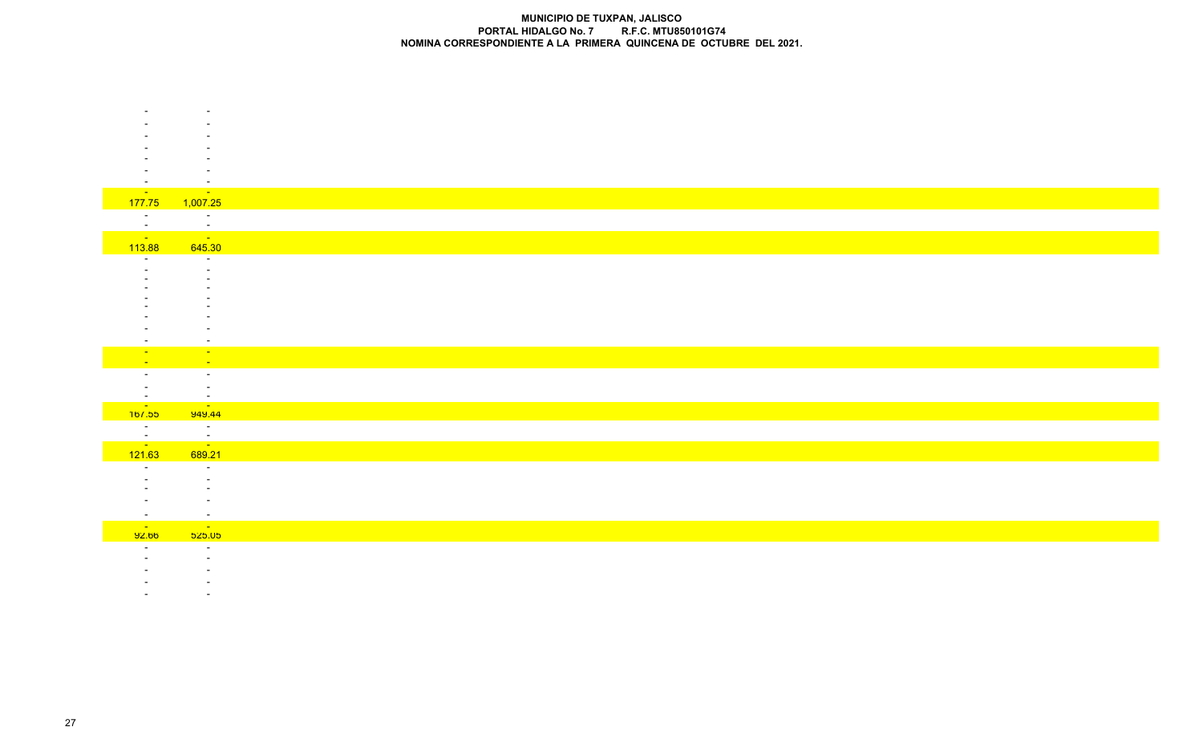| $\sim$ $ \sim$                                                                                                                                                                                                                                                                                                                                                                                                                                                                                                                                                          | $\sim$ $-$                         |
|-------------------------------------------------------------------------------------------------------------------------------------------------------------------------------------------------------------------------------------------------------------------------------------------------------------------------------------------------------------------------------------------------------------------------------------------------------------------------------------------------------------------------------------------------------------------------|------------------------------------|
| 177.75                                                                                                                                                                                                                                                                                                                                                                                                                                                                                                                                                                  | 1,007.25                           |
| $\sim$ $-$                                                                                                                                                                                                                                                                                                                                                                                                                                                                                                                                                              | $\sim$                             |
| $\sim$                                                                                                                                                                                                                                                                                                                                                                                                                                                                                                                                                                  | $\sim$                             |
| $\begin{array}{r} \n \phantom{000} - \phantom{000} \overline{\phantom{0}} \overline{\phantom{0}} \overline{\phantom{0}} \overline{\phantom{0}} \overline{\phantom{0}} \overline{\phantom{0}} \overline{\phantom{0}} \overline{\phantom{0}} \overline{\phantom{0}} \overline{\phantom{0}} \overline{\phantom{0}} \overline{\phantom{0}} \overline{\phantom{0}} \overline{\phantom{0}} \overline{\phantom{0}} \overline{\phantom{0}} \overline{\phantom{0}} \overline{\phantom{0}} \overline{\phantom{0}} \overline{\phantom{0}} \overline{\phantom{0}} \overline{\phant$ | $\sim 10^{11}$                     |
|                                                                                                                                                                                                                                                                                                                                                                                                                                                                                                                                                                         | 645.30                             |
|                                                                                                                                                                                                                                                                                                                                                                                                                                                                                                                                                                         | $\sim$                             |
|                                                                                                                                                                                                                                                                                                                                                                                                                                                                                                                                                                         |                                    |
|                                                                                                                                                                                                                                                                                                                                                                                                                                                                                                                                                                         |                                    |
|                                                                                                                                                                                                                                                                                                                                                                                                                                                                                                                                                                         |                                    |
|                                                                                                                                                                                                                                                                                                                                                                                                                                                                                                                                                                         |                                    |
|                                                                                                                                                                                                                                                                                                                                                                                                                                                                                                                                                                         |                                    |
|                                                                                                                                                                                                                                                                                                                                                                                                                                                                                                                                                                         | $\overline{\phantom{a}}$           |
|                                                                                                                                                                                                                                                                                                                                                                                                                                                                                                                                                                         | $\sim$                             |
|                                                                                                                                                                                                                                                                                                                                                                                                                                                                                                                                                                         | $\sim$                             |
| $\sim$                                                                                                                                                                                                                                                                                                                                                                                                                                                                                                                                                                  | $\sim$                             |
| $\sim$                                                                                                                                                                                                                                                                                                                                                                                                                                                                                                                                                                  | $\sim$<br>$\sim$                   |
|                                                                                                                                                                                                                                                                                                                                                                                                                                                                                                                                                                         |                                    |
|                                                                                                                                                                                                                                                                                                                                                                                                                                                                                                                                                                         | <u>ຼື</u>                          |
| $\begin{array}{r} 1 \overline{\phantom{0}} \\ -1 \overline{\phantom{0}} \\ \underline{-1} \overline{\phantom{0}} \\ 121.63 \end{array}$                                                                                                                                                                                                                                                                                                                                                                                                                                 | $\sim$                             |
|                                                                                                                                                                                                                                                                                                                                                                                                                                                                                                                                                                         | $\frac{1}{\sqrt{2}}$               |
|                                                                                                                                                                                                                                                                                                                                                                                                                                                                                                                                                                         | 689.21                             |
| $\sim$                                                                                                                                                                                                                                                                                                                                                                                                                                                                                                                                                                  | $\sim$                             |
|                                                                                                                                                                                                                                                                                                                                                                                                                                                                                                                                                                         |                                    |
|                                                                                                                                                                                                                                                                                                                                                                                                                                                                                                                                                                         |                                    |
|                                                                                                                                                                                                                                                                                                                                                                                                                                                                                                                                                                         |                                    |
| $\sim$                                                                                                                                                                                                                                                                                                                                                                                                                                                                                                                                                                  | $\sim$                             |
| <b>Contract</b><br>92.00                                                                                                                                                                                                                                                                                                                                                                                                                                                                                                                                                | $\sim$ 400<br><mark>່ວ25.05</mark> |
|                                                                                                                                                                                                                                                                                                                                                                                                                                                                                                                                                                         | $\sim$                             |
|                                                                                                                                                                                                                                                                                                                                                                                                                                                                                                                                                                         |                                    |
|                                                                                                                                                                                                                                                                                                                                                                                                                                                                                                                                                                         |                                    |
|                                                                                                                                                                                                                                                                                                                                                                                                                                                                                                                                                                         |                                    |

- -

-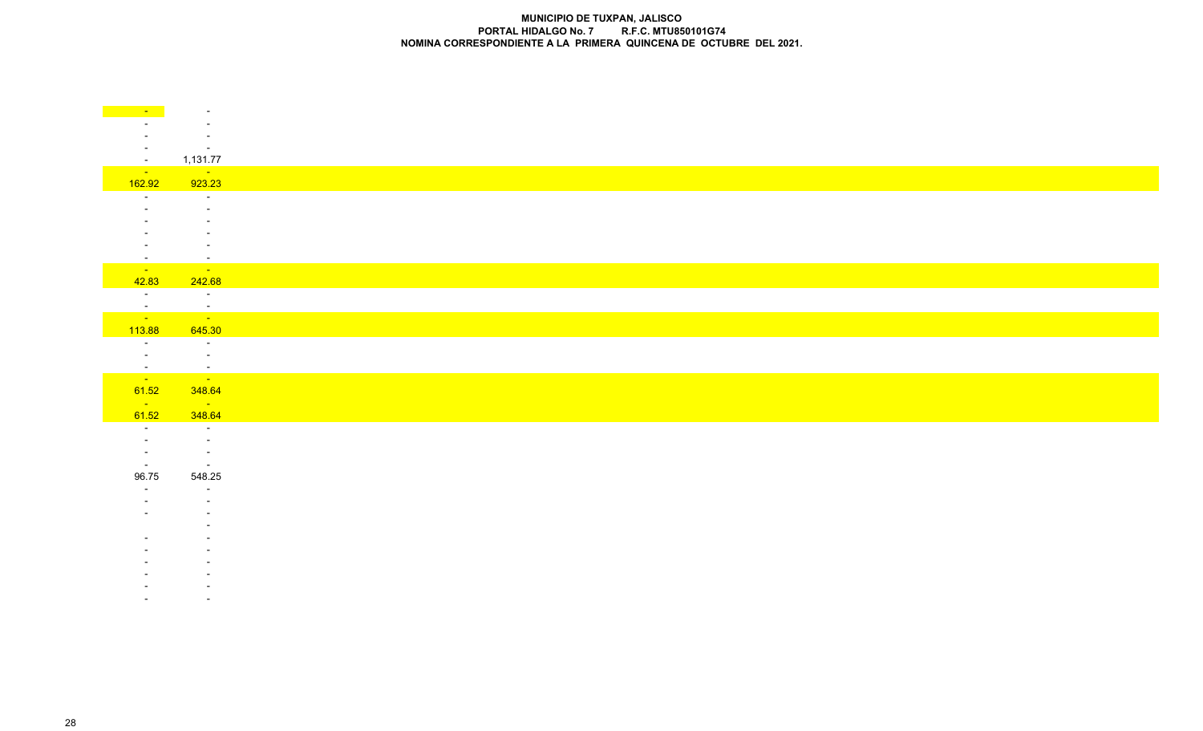|                           | $\overline{\phantom{a}}$                                  |
|---------------------------|-----------------------------------------------------------|
|                           |                                                           |
|                           | $\overline{\phantom{a}}$<br>$\sim$                        |
| $\sim$ $-$                | 1,131.77                                                  |
| <b>State State</b>        | $\mathcal{L}_{\text{max}}$ and $\mathcal{L}_{\text{max}}$ |
| 162.92<br>$\sim$ 10 $\pm$ | 923.23<br>$\sim 10^{-1}$                                  |
|                           | $\sim$                                                    |
|                           | $\blacksquare$                                            |
|                           | $\overline{\phantom{a}}$                                  |
| $\sim$                    | $\sim$                                                    |
| <b>Contract</b>           | $\sim 100$ km s $^{-1}$                                   |
| 42.83                     | 242.68                                                    |
| $\sim 10^{-11}$           | $\sim 100$ km s $^{-1}$                                   |
| $\frac{1}{\sqrt{2}}$      | $\frac{1}{\sqrt{2}}$                                      |
| 113.88                    | 645.30                                                    |
| $\sim$<br>$\sim$ $-$      | $\sim$ $-$                                                |
|                           | $\sim$ $-$                                                |
| $\frac{1}{\sqrt{2}}$      |                                                           |
| 61.52                     | 348.64                                                    |
| <b>College</b><br>61.52   | <b>Contract</b><br>348.64                                 |
| $\sim$                    | $\sim$ $-$                                                |
|                           | $\sim$                                                    |
| $\sim$<br>$\sim$          | $\sim$<br>$\sim$                                          |
| 96.75                     | 548.25                                                    |
|                           | $\sim$                                                    |
|                           |                                                           |
|                           |                                                           |
|                           |                                                           |
|                           |                                                           |
|                           |                                                           |
|                           |                                                           |
|                           |                                                           |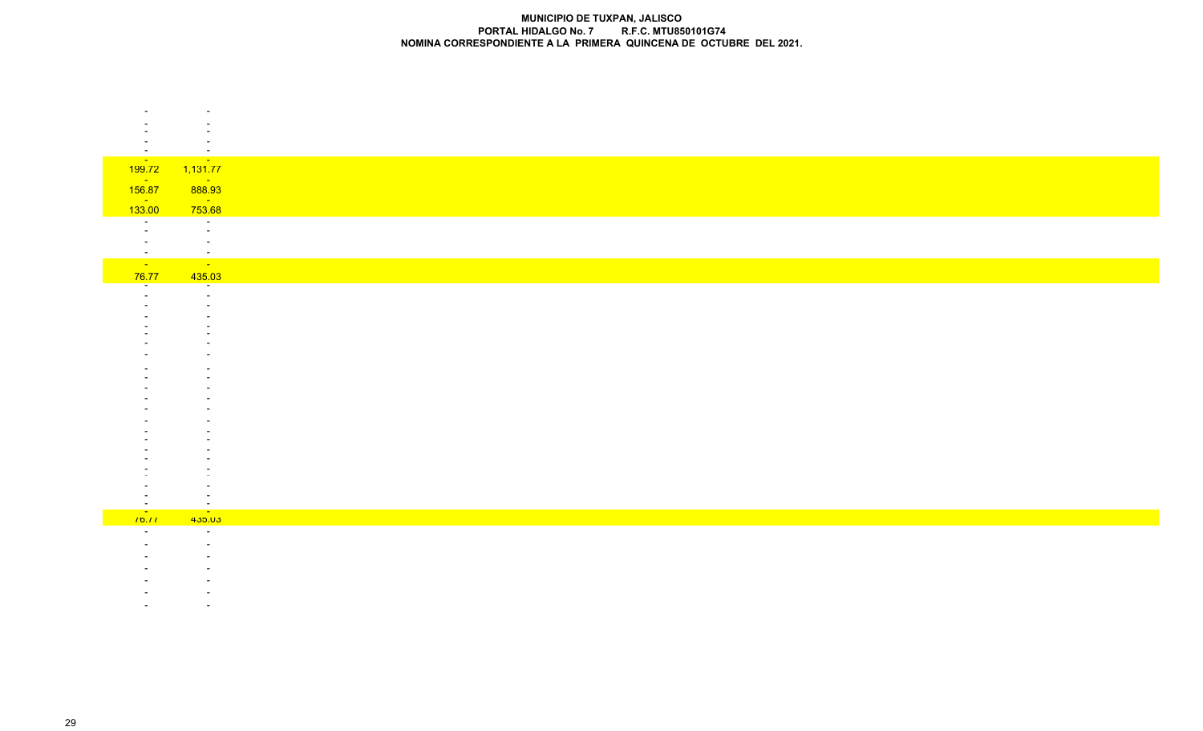| $\sim$                   | $\overline{\phantom{a}}$                              |
|--------------------------|-------------------------------------------------------|
| $\frac{1}{199.72}$       | $\begin{array}{ c c }\n\hline\n1,131.77\n\end{array}$ |
| $\frac{1}{156.87}$       |                                                       |
| <b>State State</b>       |                                                       |
| 133.00                   | $\frac{1}{753.68}$                                    |
| $\overline{\phantom{a}}$ | $\sim$<br>$\sim$                                      |
|                          | $\sim$                                                |
| $\sim$                   | $\sim$                                                |
| $\sim$ $-$               | $\sim$ $ \sim$                                        |
| 76.77                    | 435.03<br>$\sim$                                      |
|                          | $\sim$                                                |
|                          |                                                       |
|                          |                                                       |
|                          |                                                       |
|                          |                                                       |
|                          |                                                       |
|                          |                                                       |
|                          |                                                       |
|                          |                                                       |
|                          |                                                       |
|                          |                                                       |
|                          |                                                       |
|                          |                                                       |
|                          |                                                       |
|                          |                                                       |
|                          |                                                       |
| $^{16}$                  | 435.03                                                |
|                          | $\sim$                                                |
|                          | $\overline{\phantom{a}}$                              |
|                          |                                                       |
|                          |                                                       |
|                          |                                                       |
|                          |                                                       |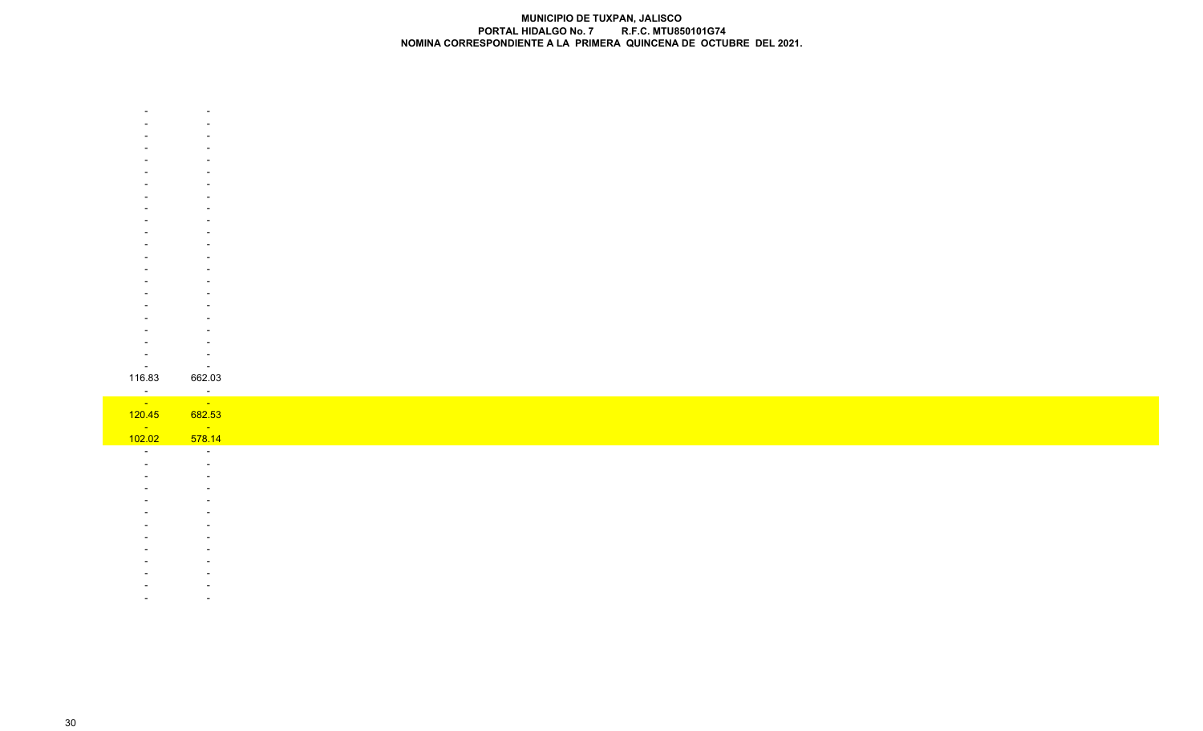|                 | $\sim$                             |
|-----------------|------------------------------------|
| 116.83          | 662.03                             |
| <u>e e</u>      | $\sim$ $\sim$                      |
|                 | $\mathcal{O}(\mathcal{O}(\log n))$ |
| 120.45          |                                    |
|                 | 682.53                             |
| $\sim 10^{-10}$ | $\sim 100$ km s $^{-1}$            |
| 102.02          | 578.14<br>$\sim$                   |
|                 | $\sim$                             |
|                 |                                    |
|                 |                                    |
|                 |                                    |
|                 |                                    |
|                 |                                    |
|                 |                                    |
|                 |                                    |
|                 |                                    |
|                 |                                    |
|                 |                                    |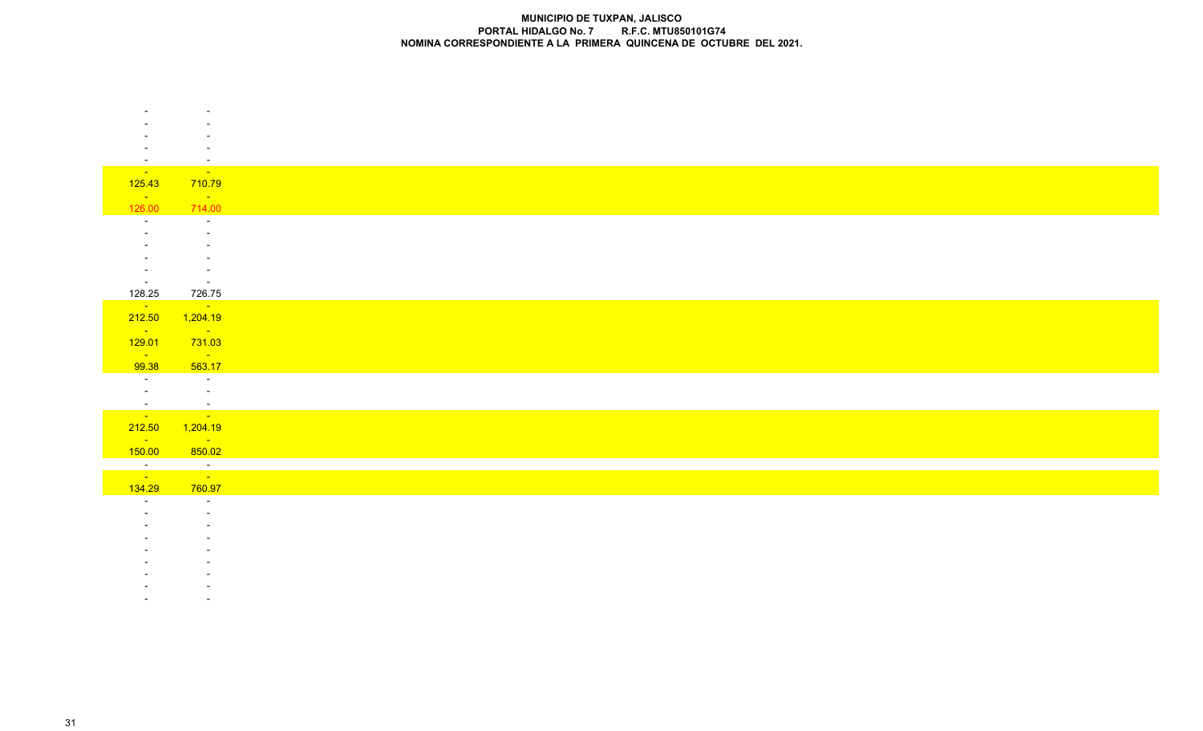| $\sim$                       | $\sim$                                  |
|------------------------------|-----------------------------------------|
| <b>State State</b>           | <b>Contract</b>                         |
| 125.43                       | 710.79<br><b>Service</b>                |
| <b>State State</b><br>126.00 | 714.00                                  |
| $\sim$                       | $\sim$                                  |
|                              | $\sim$                                  |
|                              |                                         |
|                              |                                         |
| $\overline{\phantom{a}}$     |                                         |
| $\sim 10^{-10}$              | $\sim$ $-$                              |
| 128.25                       | 726.75                                  |
| $\sim 10^{10}$               | $\mathcal{O}(\mathcal{O}(\log n))$      |
| 212.50                       | 1,204.19                                |
| $\sim 100$ km s $^{-1}$      | $\mathcal{L}^{\text{max}}_{\text{max}}$ |
| 129.01                       | 731.03                                  |
| <b>Contract</b>              | <b>State State</b><br>563.17            |
| 99.38<br><b>Contractor</b>   | <b>Contractor</b>                       |
| $\sim 10^{-10}$              | $\sim 10^{-1}$                          |
|                              |                                         |
|                              | <u>a sa sala</u>                        |
|                              | 212.50 1,204.19                         |
| $\sim 100$ km s $^{-1}$      | <b>State State</b>                      |
| 150.00                       | 850.02                                  |
| $\frac{1}{\sqrt{2}}$         | $\frac{1}{\sqrt{2}}$                    |
|                              |                                         |
| 134.29                       | 760.97                                  |
| $\sim$                       | $\sim$                                  |
|                              |                                         |
|                              |                                         |
|                              |                                         |
|                              |                                         |
|                              |                                         |

- -
- -**All Controllers** 
	-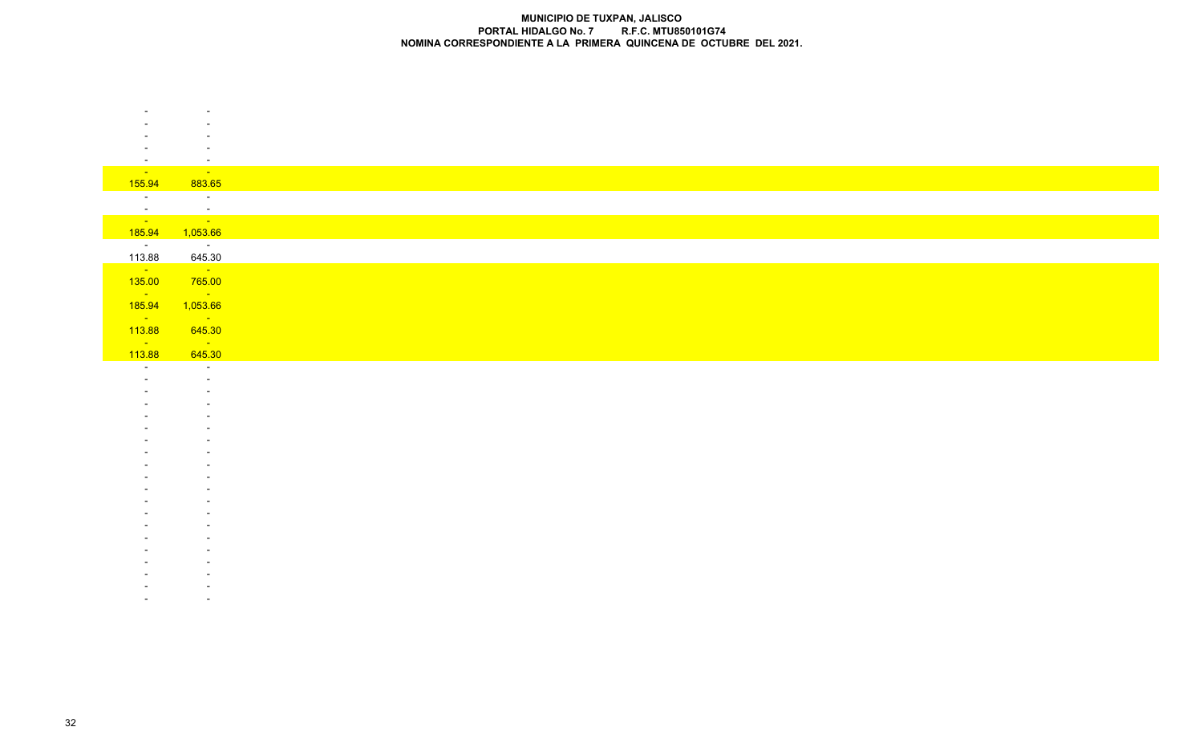| $\overline{\phantom{a}}$          | $\sim$                                            |
|-----------------------------------|---------------------------------------------------|
| <b>State State</b>                | <b>Service State</b>                              |
| 155.94                            | 883.65                                            |
| $\sim$ $-$                        | $\sim 100$                                        |
| $\sim$ $ \sim$                    | i di s                                            |
| <u>and</u>                        | <u>a sa sa</u>                                    |
| 185.94                            | 1,053.66                                          |
| <b>Contractor</b><br>113.88       | $\sim 100$ km s $^{-1}$<br>645.30                 |
| $\sim 100$ km s $^{-1}$           | $\sim 100$ km s $^{-1}$                           |
| 135.00                            | 765.00                                            |
| <b>State</b>                      | $\sim 10^{11}$ km s $^{-1}$                       |
| 185.94                            | 1,053.66                                          |
| $\sim 100$ km s $^{-1}$           | <b>State State</b>                                |
| 113.88<br>$\sim 100$ km s $^{-1}$ | 645.30<br>$\mathcal{L}^{\text{max}}_{\text{max}}$ |
| 113.88                            | 645.30                                            |
| $\sim$                            | $\sim$                                            |
|                                   | $\overline{a}$                                    |
|                                   |                                                   |
|                                   |                                                   |
|                                   |                                                   |
|                                   |                                                   |
|                                   |                                                   |
|                                   |                                                   |
|                                   |                                                   |
|                                   |                                                   |
|                                   |                                                   |
|                                   |                                                   |
|                                   |                                                   |
|                                   |                                                   |
|                                   |                                                   |
|                                   |                                                   |
|                                   |                                                   |
|                                   |                                                   |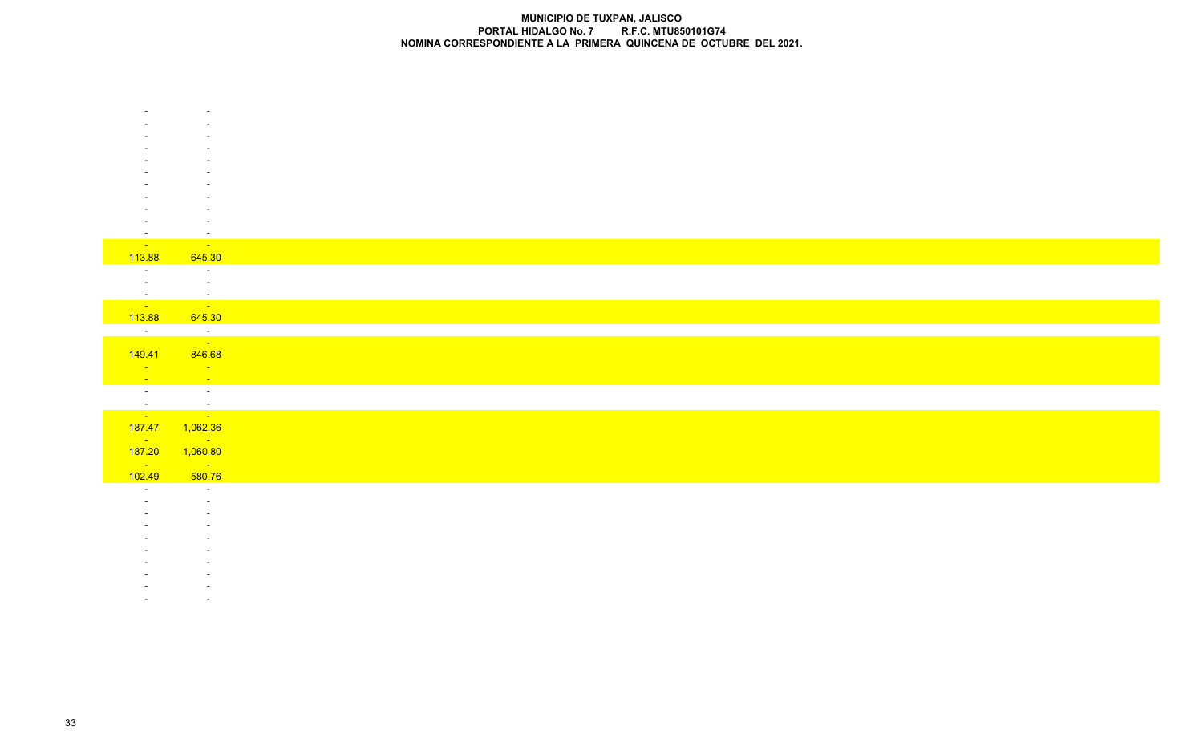| $\overline{\phantom{a}}$ | $\sim$                                  |
|--------------------------|-----------------------------------------|
| <b>State State</b>       | <b>Service State</b>                    |
| 113.88                   | 645.30                                  |
| $\sim$                   | $\sim 100$ m $^{-1}$                    |
|                          | $\sim 100$ km s $^{-1}$                 |
| $\sim$ $-$               | $\mathbb{R}^{2n}$                       |
| <u>a sa sa</u>           | and the same                            |
| 113.88                   | 645.30                                  |
|                          | <u>a sa sala</u>                        |
|                          |                                         |
| 149.41                   | 846.68                                  |
| <b>Contract</b>          | $\mathcal{L}^{\text{max}}_{\text{max}}$ |
| <b>State State</b>       | <b>Service</b>                          |
|                          | $\sim 10^{11}$ km s $^{-1}$             |
|                          | <u>a sa salawan sa sa</u>               |
|                          | 187.47 1,062.36                         |
| <b>Contract</b>          | <b>Service State</b>                    |
| 187.20                   | 1,060.80                                |
| <b>Contract</b>          | <b>Service</b>                          |
| 102.49                   | 580.76                                  |
| $\overline{\phantom{a}}$ | $\sim$ $-$                              |
|                          | $\sim$                                  |
|                          |                                         |
|                          |                                         |
|                          |                                         |
|                          |                                         |
|                          |                                         |
|                          |                                         |
|                          |                                         |

- - -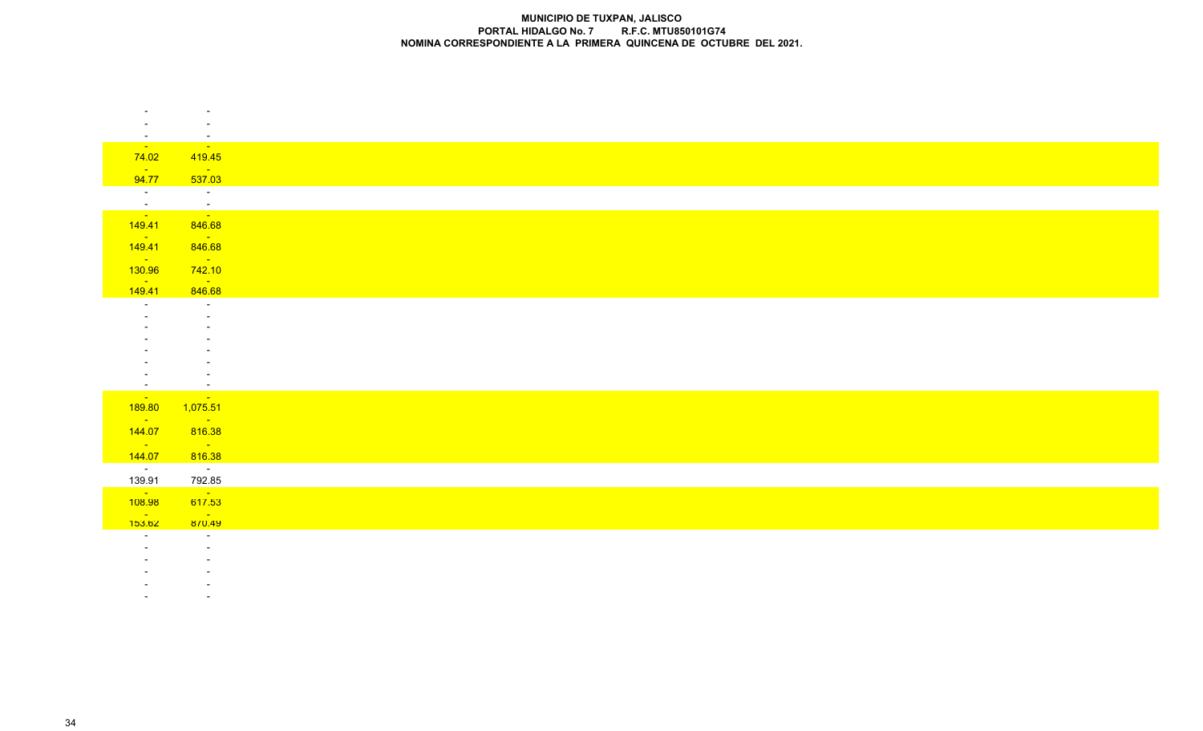|                              | $\overline{\phantom{a}}$                                  |
|------------------------------|-----------------------------------------------------------|
|                              |                                                           |
| <b>State State</b>           | $\overline{\phantom{a}}$<br><b>Contract Contract</b>      |
| 74.02                        | 419.45                                                    |
| <b>Contract</b>              | $\mathcal{L}^{\text{max}}_{\text{max}}$                   |
| 94.77                        | 537.03                                                    |
|                              | $\frac{1}{2}$ .                                           |
| $\frac{1}{\sqrt{2}}$         | and the state                                             |
| 149.41                       | 846.68                                                    |
| <b>State State</b><br>149.41 | <b>Contract Contract</b><br>846.68                        |
| <b>Contract</b>              | <b>State State</b>                                        |
| 130.96                       | 742.10                                                    |
| <b>Contract</b><br>149.41    | <b>State State</b><br>846.68                              |
| $\sim$ $-$                   | $\sim$                                                    |
|                              |                                                           |
|                              |                                                           |
|                              |                                                           |
|                              |                                                           |
|                              |                                                           |
| $\overline{\phantom{a}}$     |                                                           |
| <b>State State</b><br>189.80 | <b>State State</b><br>1,075.51                            |
| $\sim 100$ km s $^{-1}$      | $\mathcal{L}_{\text{max}}$ and $\mathcal{L}_{\text{max}}$ |
| 144.07                       | 816.38                                                    |
| <b>Contact Contact</b>       | <b>Service</b>                                            |
| 144.07                       | 816.38                                                    |
| $\sim$ $\sim$                | $\alpha$ , $\alpha$ , $\alpha$                            |
| 139.91                       | 792.85<br><b>Contract Contract</b>                        |
| $\frac{1}{108.98}$           | 617.53                                                    |
| <b>Contract</b><br>153.62    | <b>Contract</b><br>870.49                                 |
|                              | $\sim$                                                    |
|                              |                                                           |
|                              |                                                           |
|                              |                                                           |
|                              |                                                           |

 - --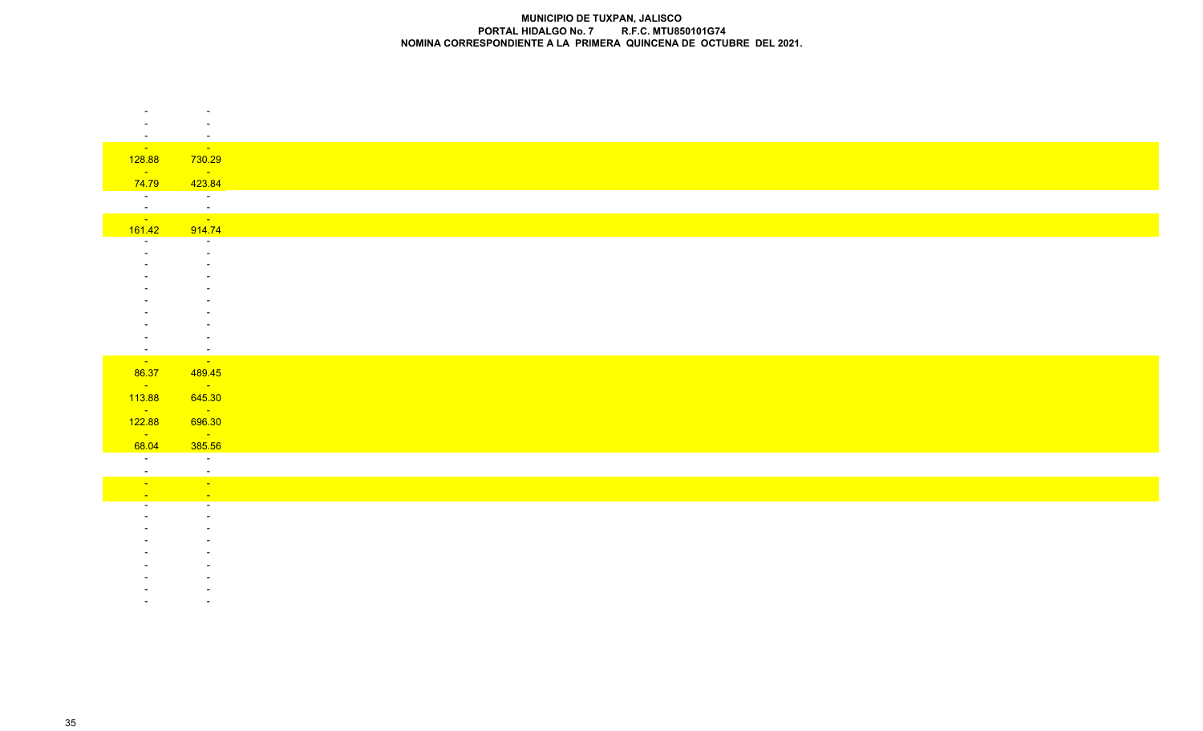|                           | $\overline{\phantom{a}}$<br><b>State</b> |
|---------------------------|------------------------------------------|
| <b>College</b><br>128.88  | 730.29                                   |
| <b>Contract</b>           | $\sim 10^{11}$ km s $^{-1}$              |
| 74.79                     | 423.84                                   |
| $\sim 10^{-10}$           | $\sim 100$ m $^{-1}$                     |
|                           |                                          |
| $\frac{1}{\sqrt{2}}$      | $\sqrt{2}$                               |
| 161.42                    | 914.74                                   |
| $\overline{\phantom{a}}$  | $\sim$                                   |
|                           |                                          |
|                           |                                          |
|                           |                                          |
|                           |                                          |
|                           |                                          |
|                           |                                          |
|                           |                                          |
| $\sim$<br><b>Contract</b> | $\sim$<br><b>Contract</b>                |
| 86.37                     | 489.45                                   |
| <b>College</b>            | $\sim 100$ km s $^{-1}$                  |
| 113.88                    | 645.30                                   |
| <b>State State</b>        | $\sim 100$ km s $^{-1}$                  |
| 122.88                    | 696.30                                   |
| $\sim 10^{11}$            | $\sim 100$ km s $^{-1}$                  |
| 68.04                     | 385.56                                   |
| $\sim$ $-$<br>$\sim$      | $\sim$ $\sim$<br>$\sim$                  |
| <b>Contract</b>           | $\bullet$                                |
| $\sim$                    | $\sim$                                   |
|                           | $\sim$                                   |
|                           |                                          |
|                           |                                          |
|                           |                                          |
|                           |                                          |
|                           |                                          |
|                           |                                          |
|                           |                                          |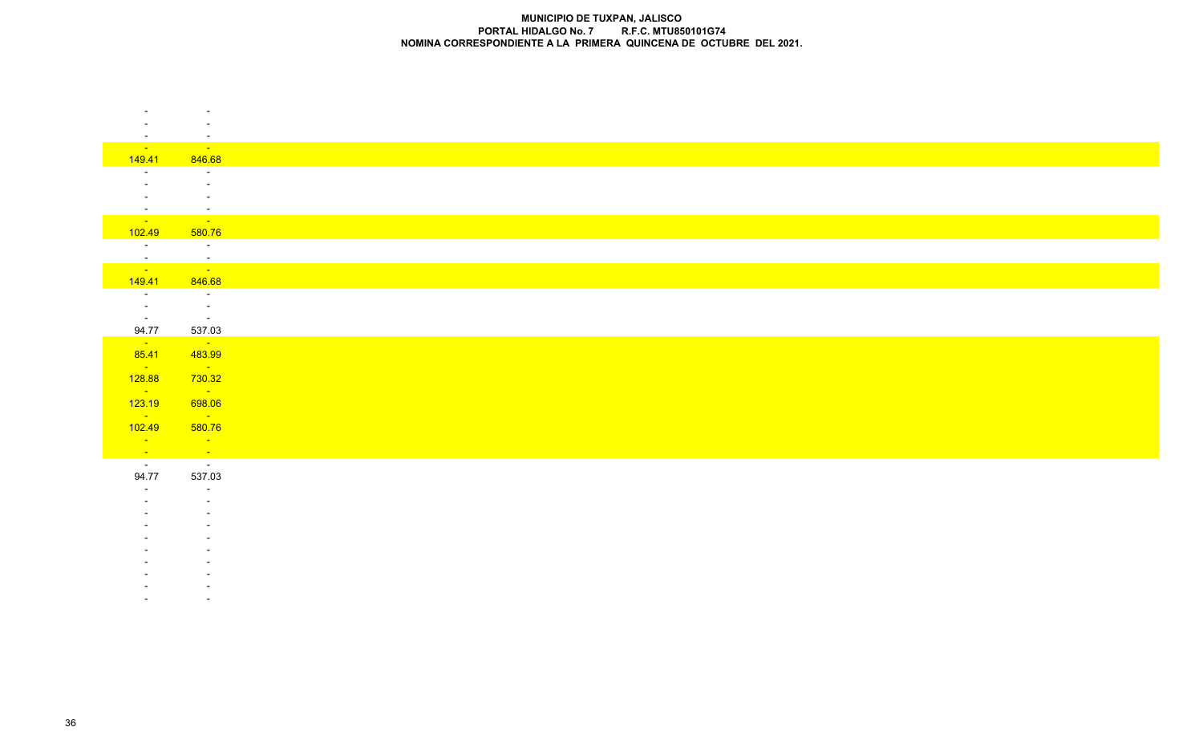|                          | $\overline{\phantom{a}}$                             |
|--------------------------|------------------------------------------------------|
|                          | $\sim$                                               |
| <b>Service State</b>     | $\sim$<br><b>Service State</b>                       |
| 149.41                   | 846.68                                               |
| $\sim$                   | $\sim$                                               |
|                          | $\sim$                                               |
|                          | $\sim$                                               |
| $\sim$                   | $\sim$                                               |
| an an an A               | and the same                                         |
| 102.49                   | 580.76                                               |
| Tallin<br>$\sim$         | <b>Contractor</b>                                    |
| <b>Contract</b>          | $\frac{1}{\sqrt{2}}$                                 |
| 149.41                   | 846.68                                               |
| <b>Contract</b>          | $\sim 100$ m $^{-1}$                                 |
| $\sim 100$ m $^{-1}$     | $\alpha$ , $\alpha$ , $\alpha$ , $\alpha$ , $\alpha$ |
| 94.77                    | <b>Contract Contract</b><br>537.03                   |
| $\sim 10^{-10}$          | $\sim 10^{11}$ km s $^{-1}$                          |
| 85.41                    | 483.99                                               |
| <b>State State</b>       | <b>State State</b>                                   |
| 128.88                   | 730.32                                               |
| <b>State State</b>       | <b>State State</b>                                   |
| 123.19<br>$\sim 10^{11}$ | 698.06<br><b>State State</b>                         |
| 102.49                   | 580.76                                               |
| <b>State State</b>       | <b>Service</b>                                       |
|                          | $\frac{1}{\sqrt{2}}$                                 |
| $\frac{1}{2}$            |                                                      |
| 94.77                    | 537.03                                               |
| $\sim$                   | $\sim$                                               |
|                          | $\sim$                                               |
|                          |                                                      |
|                          |                                                      |
|                          |                                                      |
|                          |                                                      |
|                          |                                                      |
|                          |                                                      |
|                          |                                                      |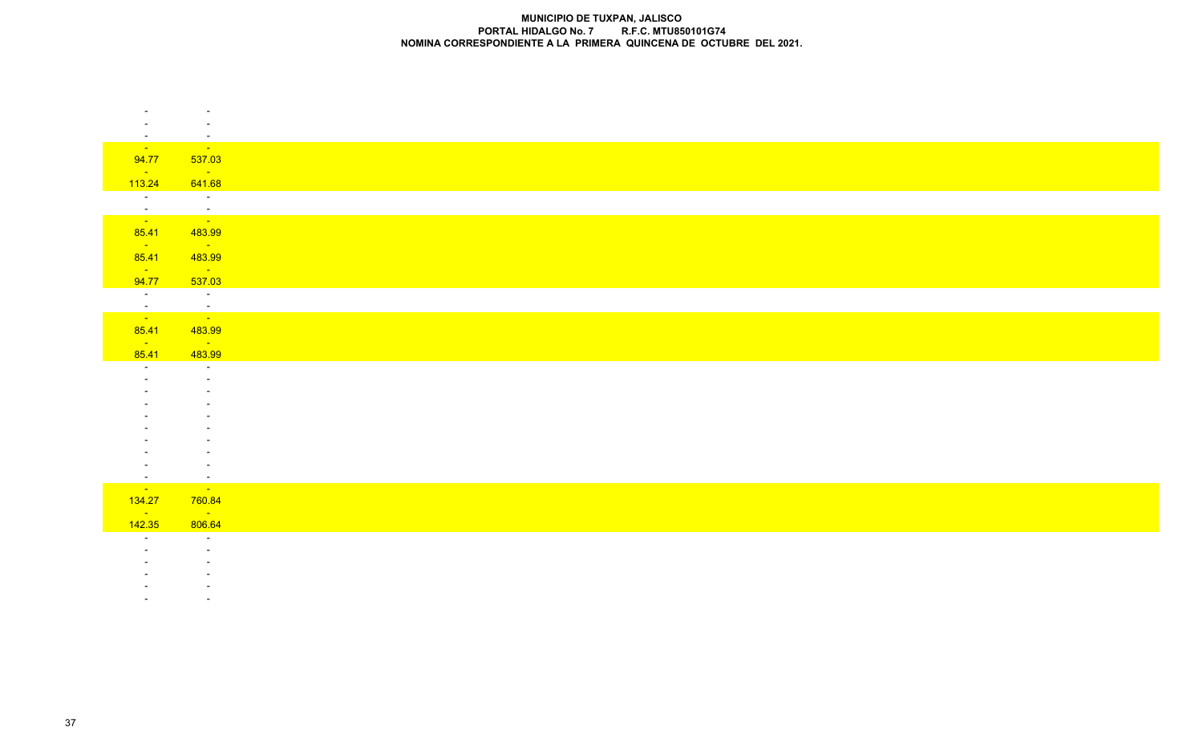| $\overline{\phantom{a}}$    | $\equiv$<br>$\sim 10^{11}$                                                                    |
|-----------------------------|-----------------------------------------------------------------------------------------------|
| <b>State State</b><br>94.77 | 537.03                                                                                        |
| <b>State State</b>          | <b>Service</b>                                                                                |
| 113.24                      | 641.68                                                                                        |
| $\overline{a}$              | $\sim 100$ km s $^{-1}$                                                                       |
|                             | an di kacamatan Ing Kabupatèn Bandar<br>Kacamatan Ing Kabupatèn Bandar                        |
|                             |                                                                                               |
| 85.41                       | 483.99                                                                                        |
| <b>State State</b><br>85.41 | $\mathcal{L}^{\text{max}}_{\text{max}}$ and $\mathcal{L}^{\text{max}}_{\text{max}}$<br>483.99 |
| $\sim 10^{-10}$             | $\mathcal{L}^{\text{max}}_{\text{max}}$                                                       |
| 94.77                       | 537.03                                                                                        |
| $\sim 10^{-10}$             | $\sim 100$ km s $^{-1}$                                                                       |
| $\frac{1}{\sqrt{2}}$        | $\frac{1}{\sqrt{2}}$                                                                          |
|                             |                                                                                               |
| 85.41                       | 483.99                                                                                        |
| <b>State State</b><br>85.41 | <u> Timbul a</u><br>483.99                                                                    |
| $\sim$                      | $\sim$ $-$                                                                                    |
|                             |                                                                                               |
|                             |                                                                                               |
|                             |                                                                                               |
|                             |                                                                                               |
|                             |                                                                                               |
|                             |                                                                                               |
|                             |                                                                                               |
| $\sim$                      | $\sim$ $-$                                                                                    |
| <b>Contract Contract</b>    | <b>State State</b>                                                                            |
| 134.27                      | 760.84                                                                                        |
| <b>College</b>              | <b>Contract</b>                                                                               |
| 142.35                      | 806.64                                                                                        |
| $\sim$                      | $\sim$<br>$\sim$                                                                              |
|                             |                                                                                               |
|                             |                                                                                               |
|                             |                                                                                               |

- -

-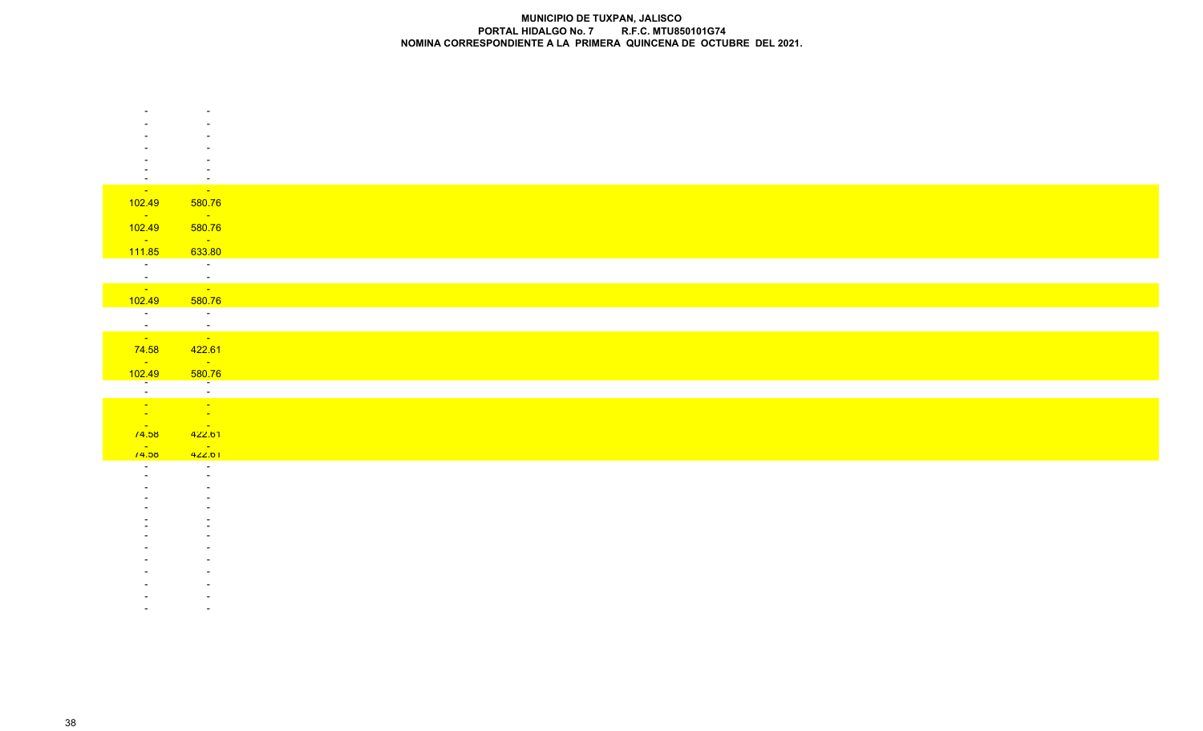| <b>State State</b>                | <b>State State</b>                                                  |
|-----------------------------------|---------------------------------------------------------------------|
| 102.49                            | 580.76                                                              |
| $\sim 1000$ km s $^{-1}$          | <b>State State</b>                                                  |
| 102.49                            | 580.76                                                              |
| $\sim 100$ km s $^{-1}$<br>111.85 | $\mathcal{L}_{\text{max}}$ and $\mathcal{L}_{\text{max}}$<br>633.80 |
| <b>Contractor</b>                 | $\sim 100$ km s $^{-1}$                                             |
| $\frac{1}{\sqrt{2}}$              | ina ang pagkalang.<br>Pangalang pagkalang pang                      |
| 102.49                            | 580.76                                                              |
| $\overline{a}$                    | $\overline{\phantom{a}}$                                            |
| $\frac{1}{\sqrt{2}}$              | $\frac{1}{2}$                                                       |
|                                   |                                                                     |
| 74.58<br>$\sim 100$ km s $^{-1}$  | 422.61<br><b>State State</b>                                        |
| 102.49                            | 580.76                                                              |
| $\overline{a}$                    | ——                                                                  |
| an Alban                          | ina.<br><mark>Tana</mark>                                           |
| <b>State State</b>                | $\frac{1}{2}$ .                                                     |
| <b>Contract</b><br>/4.58          | 422.61                                                              |
| <b>Contract Contract</b>          | <b>Contract Contract</b>                                            |
| /4.58                             | 422.01<br>$\sim$                                                    |
|                                   | $\sim$                                                              |
|                                   |                                                                     |
|                                   |                                                                     |
|                                   |                                                                     |
|                                   |                                                                     |
|                                   |                                                                     |
|                                   |                                                                     |
|                                   |                                                                     |
|                                   |                                                                     |
|                                   |                                                                     |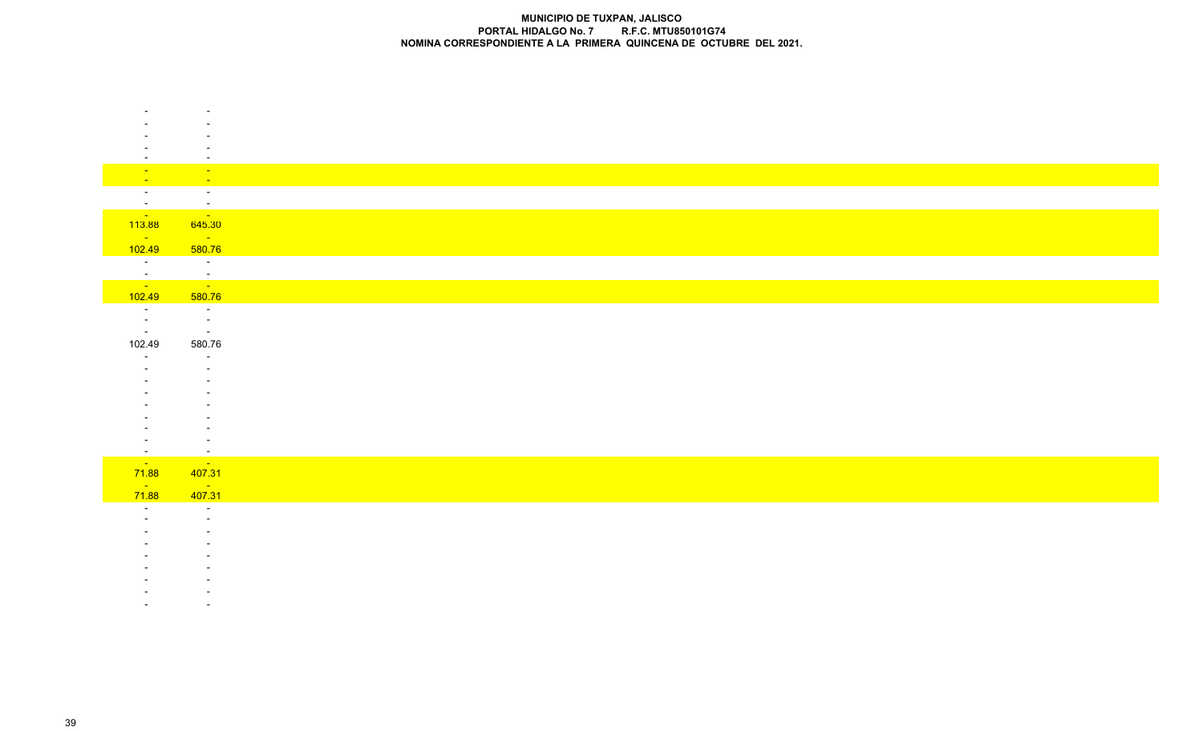|                               | $\sim$                                          |
|-------------------------------|-------------------------------------------------|
| $\sim$<br>$\sim$ $-$          | $\mathbf{L}^{\text{max}}$<br>$\sim$             |
| $\sim$ $-$                    | $\sim$                                          |
| $\sim$                        | $\sim$                                          |
| <b>Contract</b><br>113.88     | $\sim 100$ km s $^{-1}$<br>645.30               |
| <b>Contract</b>               | <b>Contract</b>                                 |
| 102.49                        | 580.76                                          |
| $\sim 10^{-10}$               | $\sim 100$                                      |
| $\frac{1}{\sqrt{2}}$          | $\frac{1}{\sqrt{2}}$                            |
| 102.49                        | 580.76                                          |
| $\sim 10^{-10}$<br>$\sim$ $-$ | $\sim 100$ m $^{-1}$<br>$\sim 100$ km s $^{-1}$ |
| $\sim$ $-$                    | $\sim 100$                                      |
| 102.49                        | 580.76                                          |
| $\sim$                        | $\sim$                                          |
|                               |                                                 |
|                               |                                                 |
|                               |                                                 |
|                               |                                                 |
|                               |                                                 |
| $\sim$                        | $\sim$                                          |
| $\sim 100$<br>71.88           | <b>Contract</b><br>407.31                       |
| $\frac{1}{71.88}$             | $\frac{1}{407.31}$                              |
| $\sim$                        |                                                 |
|                               | $\sim$                                          |
|                               |                                                 |
|                               |                                                 |
|                               |                                                 |
|                               |                                                 |
|                               |                                                 |
|                               |                                                 |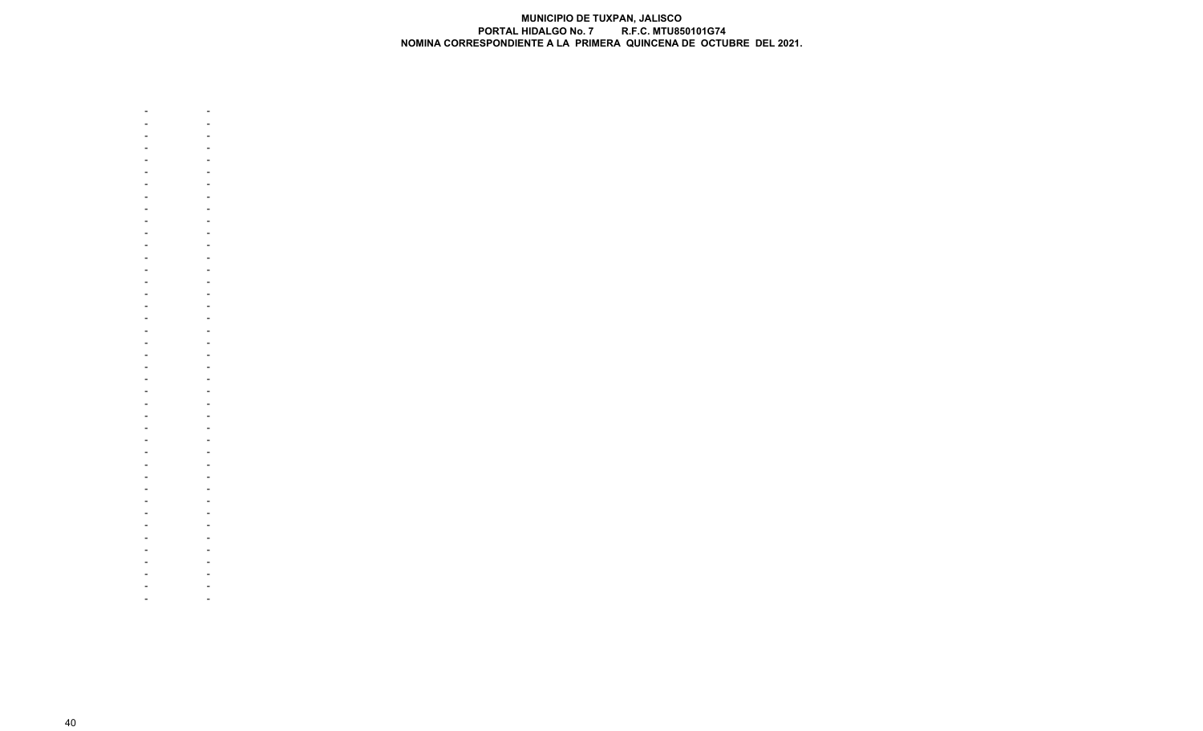

 - - - - - - - - - - - - - - - - - - - - - - - - - - - - - - - - - - - - - - - - - - - - - - - - - - - - - - - - - - - - - - - - - - - - - - - - - - - - - - - - --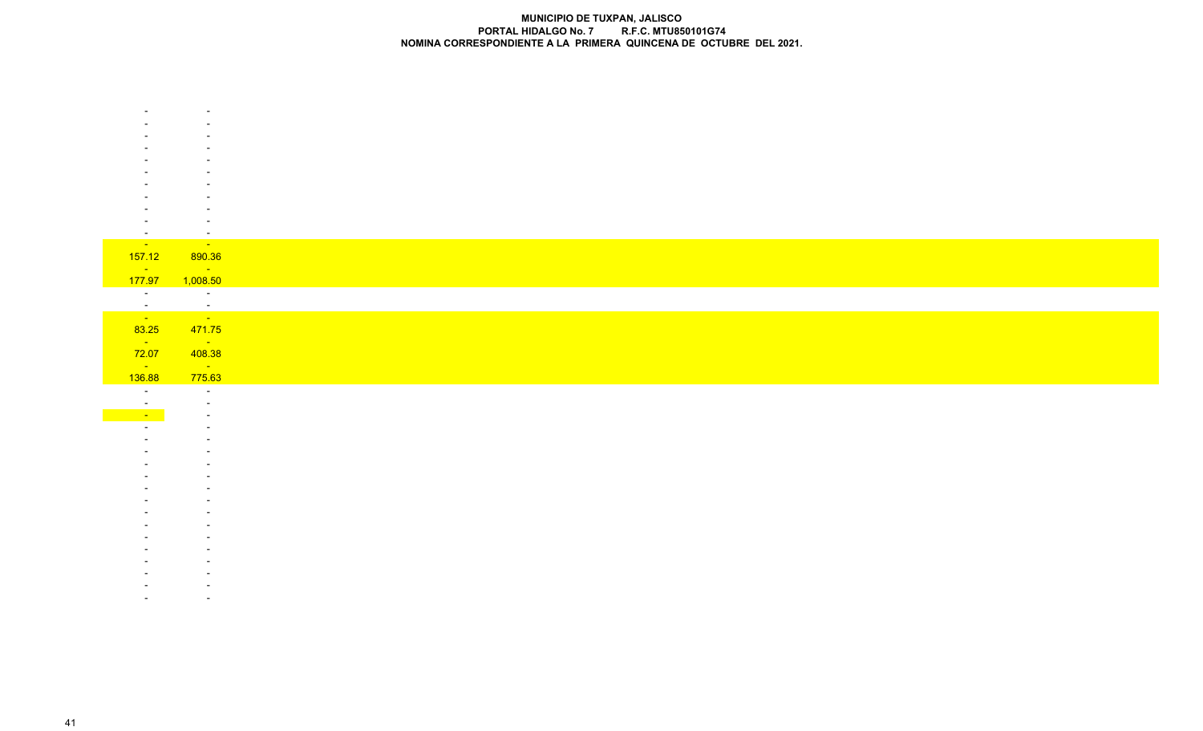|                                   | $\sim$                                                                |
|-----------------------------------|-----------------------------------------------------------------------|
|                                   | <b>Contact Contact Contact Contact Contact</b>                        |
| 157.12                            | 890.36                                                                |
| $\sim 100$ km s $^{-1}$<br>177.97 | $\mathcal{L}(\mathcal{L})$ and $\mathcal{L}(\mathcal{L})$<br>1,008.50 |
| $\overline{\phantom{a}}$          | $\sim 10^{-10}$ km $^{-1}$                                            |
|                                   |                                                                       |
| $\frac{1}{\sqrt{2}}$              | $\frac{1}{\sqrt{2}}$                                                  |
| 83.25                             | 471.75                                                                |
| $\sim 100$ km s $^{-1}$           | $\mathcal{L}_{\text{max}}$ and $\mathcal{L}_{\text{max}}$             |
| 72.07<br>$\sim 10^{-10}$          | 408.38<br>$\sim 100$ km s $^{-1}$                                     |
| 136.88                            | 775.63                                                                |
| $\sim$ $\sim$                     | $\sim$                                                                |
|                                   |                                                                       |
| $\sim 10^{-1}$                    |                                                                       |
|                                   |                                                                       |
|                                   |                                                                       |
|                                   |                                                                       |
|                                   |                                                                       |
|                                   |                                                                       |
|                                   |                                                                       |
|                                   |                                                                       |
|                                   |                                                                       |
|                                   |                                                                       |
|                                   |                                                                       |
|                                   |                                                                       |
|                                   |                                                                       |
|                                   |                                                                       |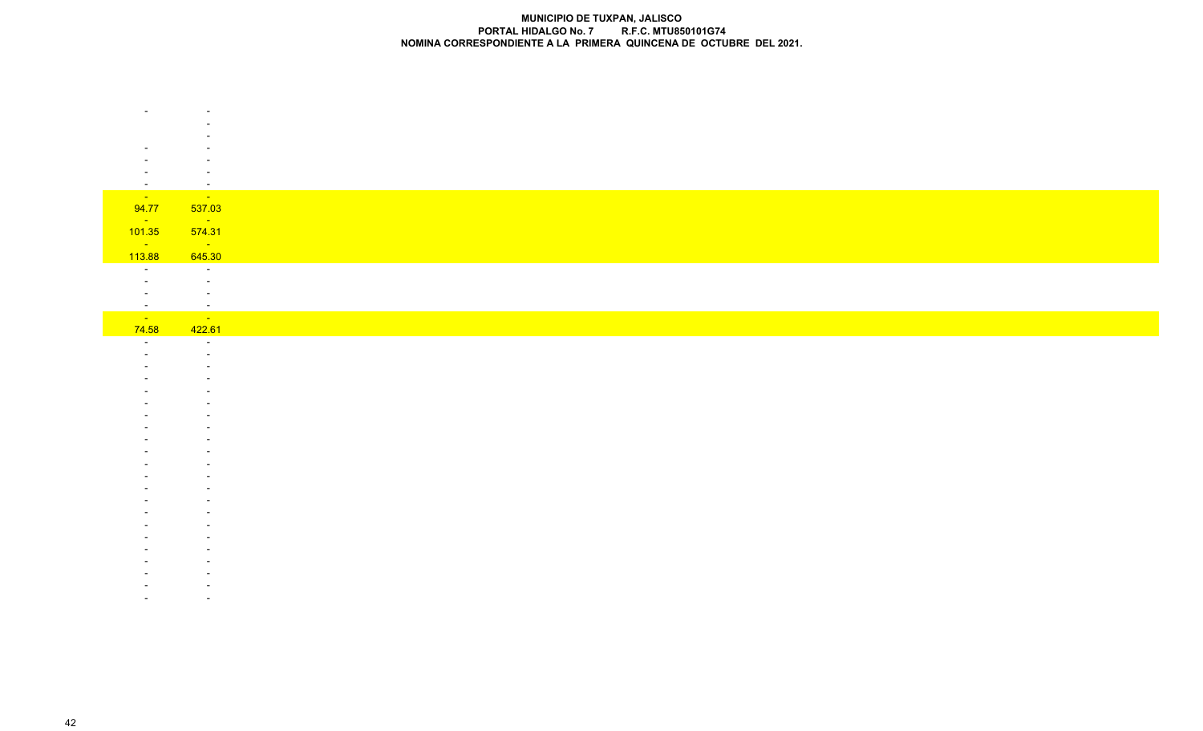| $\overline{\phantom{a}}$          | $\overline{\phantom{a}}$                |
|-----------------------------------|-----------------------------------------|
| <b>Contract</b>                   | $\sim$ 100 $\pm$                        |
| 94.77<br>$\sim 100$ km s $^{-1}$  | 537.03<br>$\sim 100$ km s $^{-1}$       |
| 101.35                            | 574.31                                  |
| $\sim 100$ km s $^{-1}$           | $\mathcal{L}^{\text{max}}_{\text{max}}$ |
| 113.88                            | 645.30                                  |
| $\sim$ $-$                        | $\sim 10^{-1}$<br>$\sim$                |
|                                   | $\overline{\phantom{a}}$                |
| $\sim$                            | $\sim$                                  |
| <b>College</b>                    | <b>Contract</b>                         |
| 74.58<br>$\overline{\phantom{a}}$ | 422.61<br>$\sim$                        |
|                                   | $\overline{\phantom{a}}$                |
|                                   |                                         |
|                                   |                                         |
|                                   |                                         |
|                                   |                                         |
|                                   |                                         |
|                                   |                                         |
|                                   |                                         |
|                                   |                                         |
|                                   |                                         |
|                                   |                                         |
|                                   |                                         |
|                                   |                                         |
|                                   |                                         |
|                                   |                                         |
|                                   |                                         |
|                                   |                                         |
|                                   |                                         |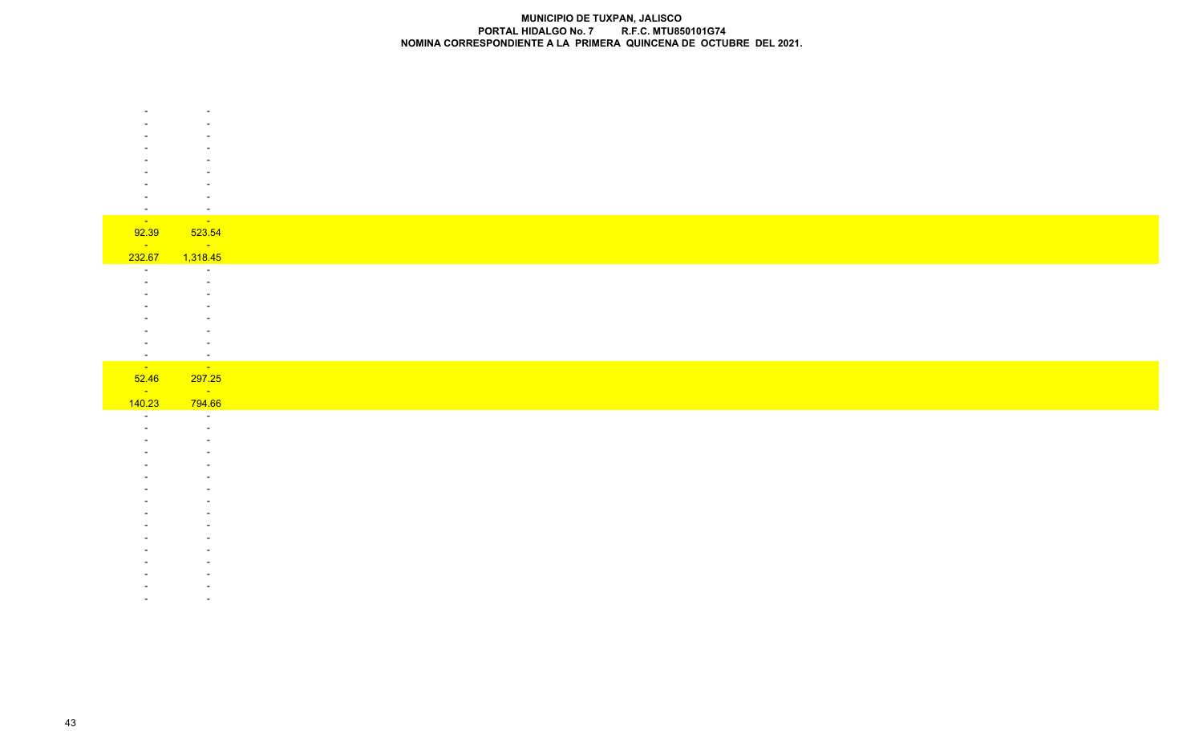|                          | $\overline{\phantom{a}}$                |
|--------------------------|-----------------------------------------|
|                          |                                         |
|                          |                                         |
|                          |                                         |
|                          |                                         |
|                          |                                         |
|                          |                                         |
|                          |                                         |
|                          |                                         |
| $\overline{\phantom{a}}$ | $\overline{\phantom{a}}$                |
| <b>TILLE</b>             | $\mathcal{L}^{\text{max}}_{\text{max}}$ |
| 92.39                    | 523.54                                  |
| <b>State State</b>       | <b>Service State</b>                    |
| 232.67                   | 1,318.45                                |
| $\overline{\phantom{a}}$ | $\overline{\phantom{a}}$                |
|                          |                                         |
|                          |                                         |
|                          | $\overline{\phantom{a}}$                |
|                          |                                         |
|                          |                                         |
|                          |                                         |
|                          |                                         |
|                          |                                         |
| $\overline{\phantom{a}}$ | $\sim$                                  |
| $\sim 10^{-1}$           | <b>State</b>                            |

| <u>52.46</u>       | <u>297.25</u>            |
|--------------------|--------------------------|
| <b>State State</b> | <b>Service State</b>     |
| 140.23             | 794.66                   |
|                    | $\sim$                   |
|                    | $\overline{\phantom{0}}$ |
|                    | <b>.</b>                 |
|                    | <b>.</b>                 |
|                    |                          |
|                    |                          |
|                    |                          |
|                    |                          |
|                    |                          |
|                    |                          |
|                    |                          |
|                    |                          |
|                    |                          |
|                    |                          |
|                    |                          |
|                    |                          |

- - -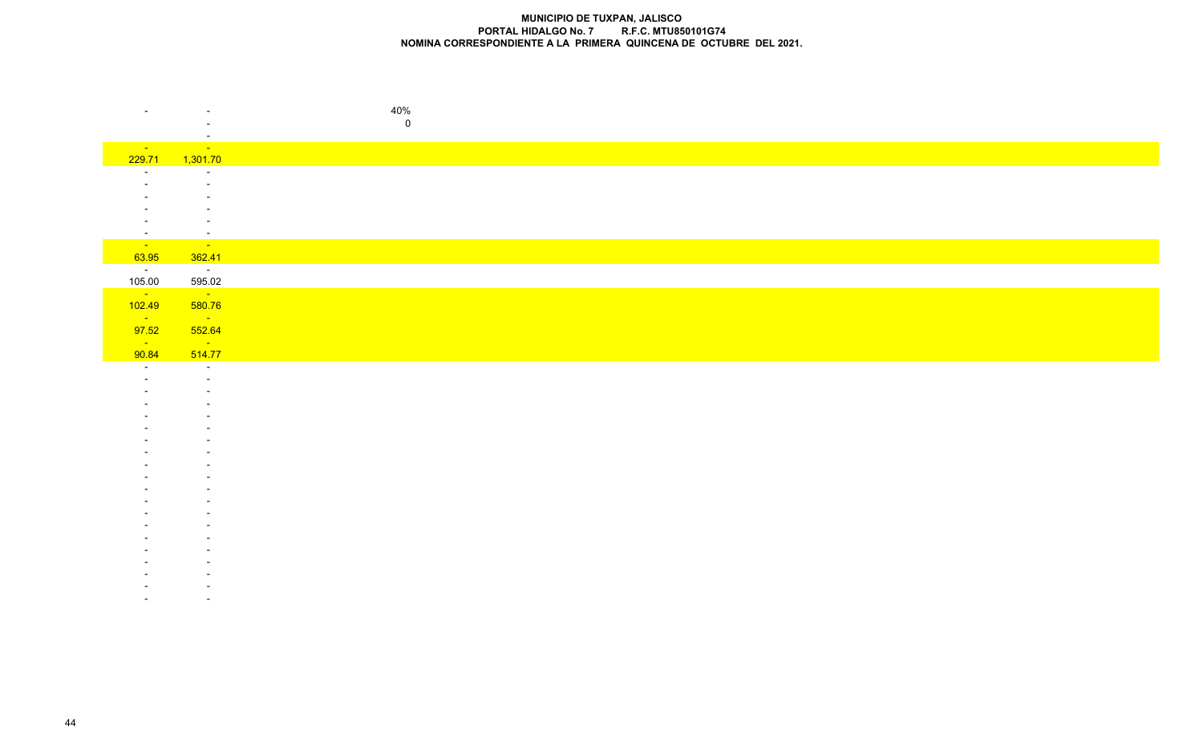|                              |                                         | 40%       |
|------------------------------|-----------------------------------------|-----------|
|                              |                                         | $\pmb{0}$ |
|                              | $\overline{\phantom{a}}$                |           |
| <b>State State</b><br>229.71 | $\mathbb{Z}^2$<br>1,301.70              |           |
| $\overline{\phantom{0}}$     | $\sim$                                  |           |
|                              |                                         |           |
|                              |                                         |           |
|                              |                                         |           |
| $\sim$                       | $\overline{\phantom{a}}$                |           |
| <b>College</b>               | <b>Contract</b>                         |           |
| 63.95                        | 362.41                                  |           |
| $\sim 100$ km s $^{-1}$      | $\sim 100$ km s $^{-1}$                 |           |
| 105.00                       | 595.02<br>$\sim 100$                    |           |
| $\sim$ 10 $\pm$<br>102.49    | 580.76                                  |           |
| $\sim 10^{11}$               | <b>State</b>                            |           |
| 97.52                        | 552.64                                  |           |
| $\sim 10^{-10}$              | $\mathcal{L}^{\text{max}}_{\text{max}}$ |           |
| 90.84<br>$\sim$              | 514.77<br>$\sim$ $-$                    |           |
|                              | $\overline{\phantom{a}}$                |           |
|                              |                                         |           |
|                              |                                         |           |
|                              |                                         |           |
|                              |                                         |           |
|                              |                                         |           |
|                              |                                         |           |
|                              |                                         |           |
|                              |                                         |           |
|                              |                                         |           |
|                              |                                         |           |
|                              |                                         |           |
|                              |                                         |           |
|                              |                                         |           |
|                              |                                         |           |
|                              |                                         |           |
|                              |                                         |           |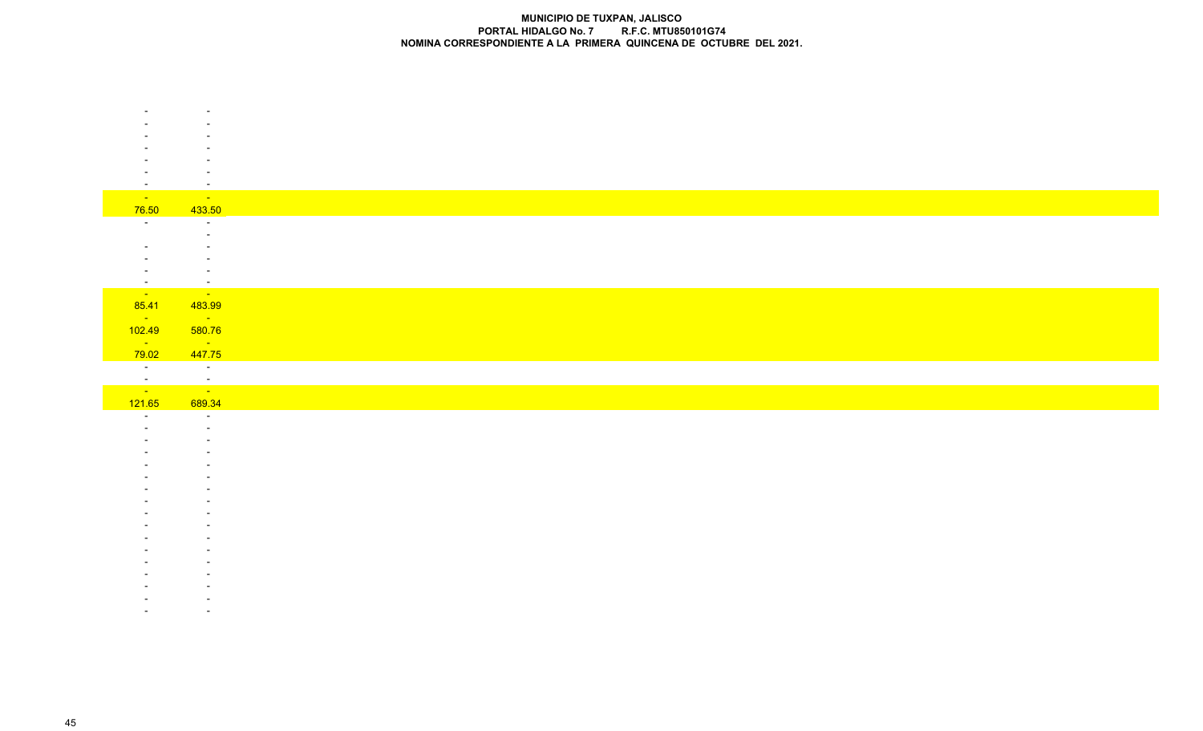| $\overline{\phantom{a}}$         | $\overline{\phantom{a}}$                                      |
|----------------------------------|---------------------------------------------------------------|
| $\sim 10^{-10}$                  | <b>Contract</b>                                               |
| 76.50                            | 433.50                                                        |
| $\sim$                           | $\sim$                                                        |
|                                  | $\overline{\phantom{a}}$                                      |
|                                  |                                                               |
|                                  |                                                               |
| $\sim$                           | $\sim$<br>$\sim$                                              |
| <b>Contract</b>                  | $\mathcal{L}^{\text{max}}$                                    |
| 85.41                            | 483.99                                                        |
| $\sim 10^{11}$ km s $^{-1}$      | $\mathcal{L}_{\text{max}}$ , where $\mathcal{L}_{\text{max}}$ |
| 102.49                           | 580.76                                                        |
| $\sim 10^{-10}$                  | $\sim 100$ km s $^{-1}$                                       |
| 79.02<br>$\sim 100$ km s $^{-1}$ | 447.75<br>$\sim 100$ km s $^{-1}$                             |
|                                  |                                                               |
| $\frac{1}{\sqrt{2}}$             | ina.<br>Tanàna am <mark>in'ny faritr'i No</mark>              |
| 121.65                           | 689.34                                                        |
| $\sim$                           | $\sim$                                                        |
|                                  |                                                               |
|                                  |                                                               |
|                                  |                                                               |
|                                  |                                                               |
|                                  |                                                               |
|                                  |                                                               |
|                                  |                                                               |
|                                  |                                                               |
|                                  |                                                               |
|                                  |                                                               |
|                                  |                                                               |
|                                  |                                                               |
|                                  |                                                               |
|                                  |                                                               |
|                                  |                                                               |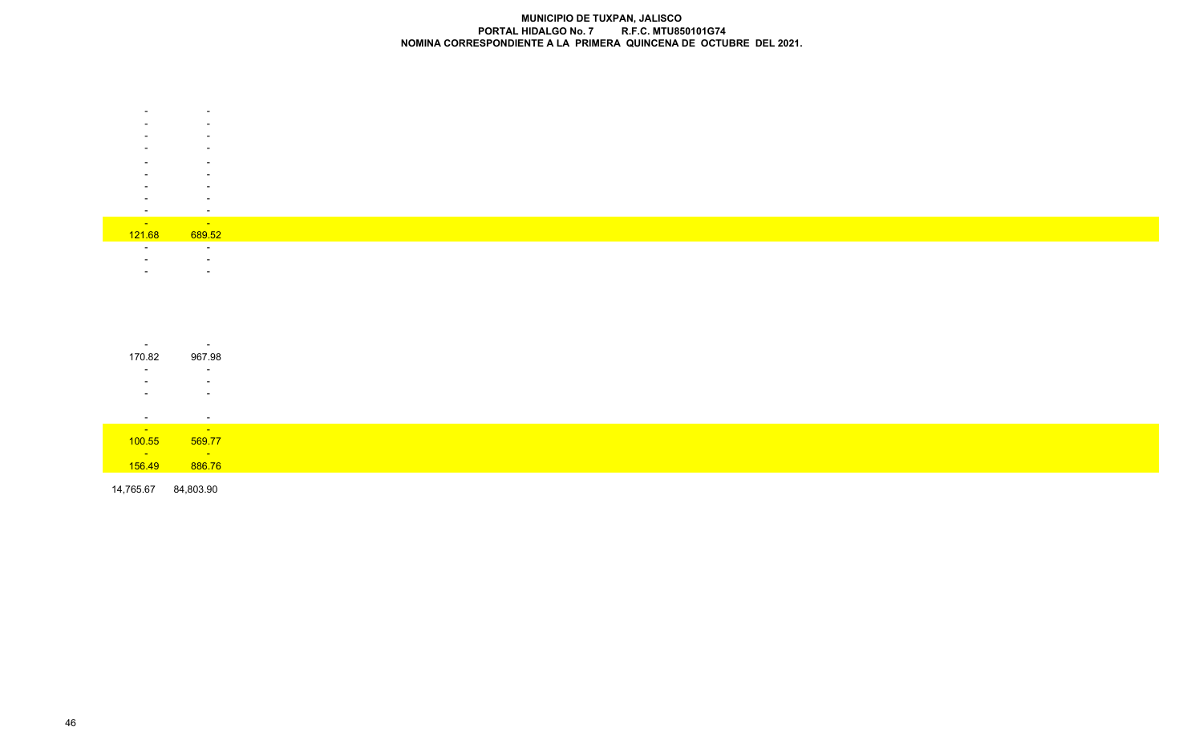|                      | -                        |
|----------------------|--------------------------|
|                      |                          |
|                      |                          |
|                      |                          |
|                      |                          |
|                      | -                        |
|                      |                          |
|                      |                          |
|                      |                          |
|                      |                          |
|                      |                          |
|                      |                          |
|                      |                          |
| <b>Service</b> State | <b>Service State</b>     |
|                      |                          |
| 121.68               | 689.52                   |
|                      | $\overline{\phantom{0}}$ |
|                      |                          |
|                      |                          |
|                      |                          |
|                      |                          |

| $\sim$                | $\overline{\phantom{a}}$ |
|-----------------------|--------------------------|
| 170.82                | 967.98                   |
| $\sim$                | $\sim$                   |
|                       | $\overline{\phantom{a}}$ |
|                       | $\overline{\phantom{0}}$ |
|                       |                          |
| $\sim$                | $\sim$                   |
| and the first service | <b>Service</b>           |
| 100.55                | 569.77                   |
| $\frac{1}{156.49}$    | <b>STATISTICS</b>        |
|                       | 886.76                   |

14,765.67 84,803.90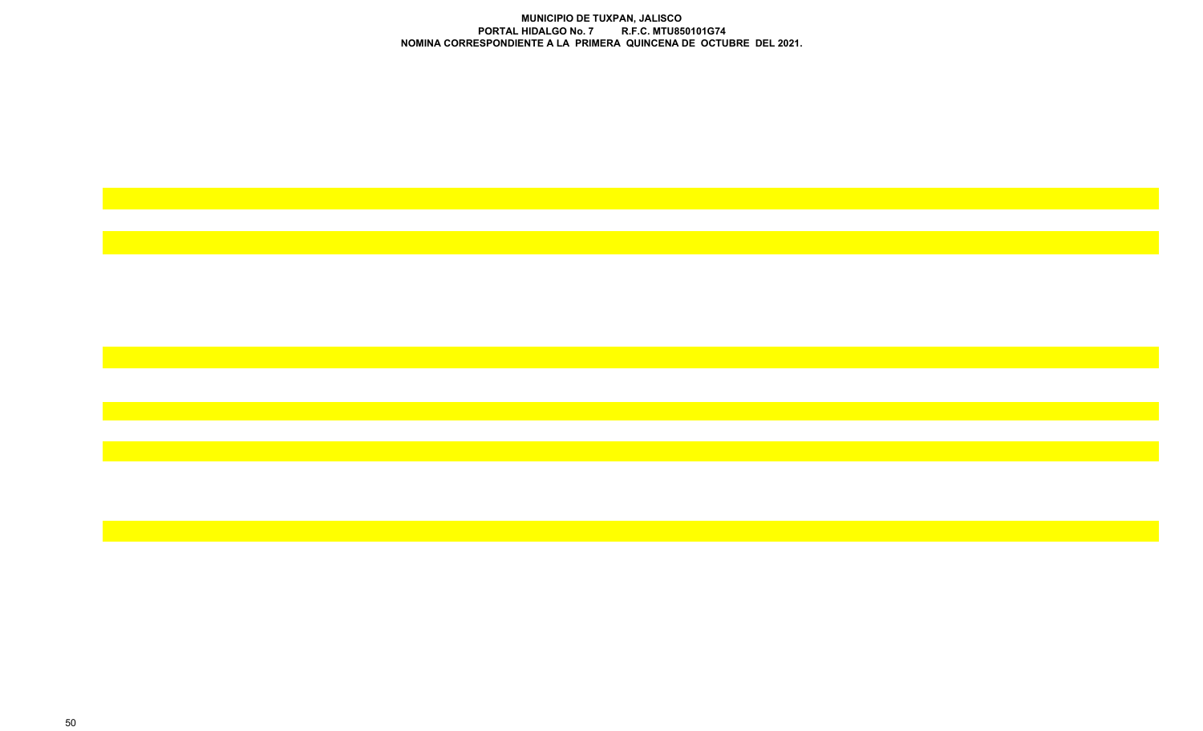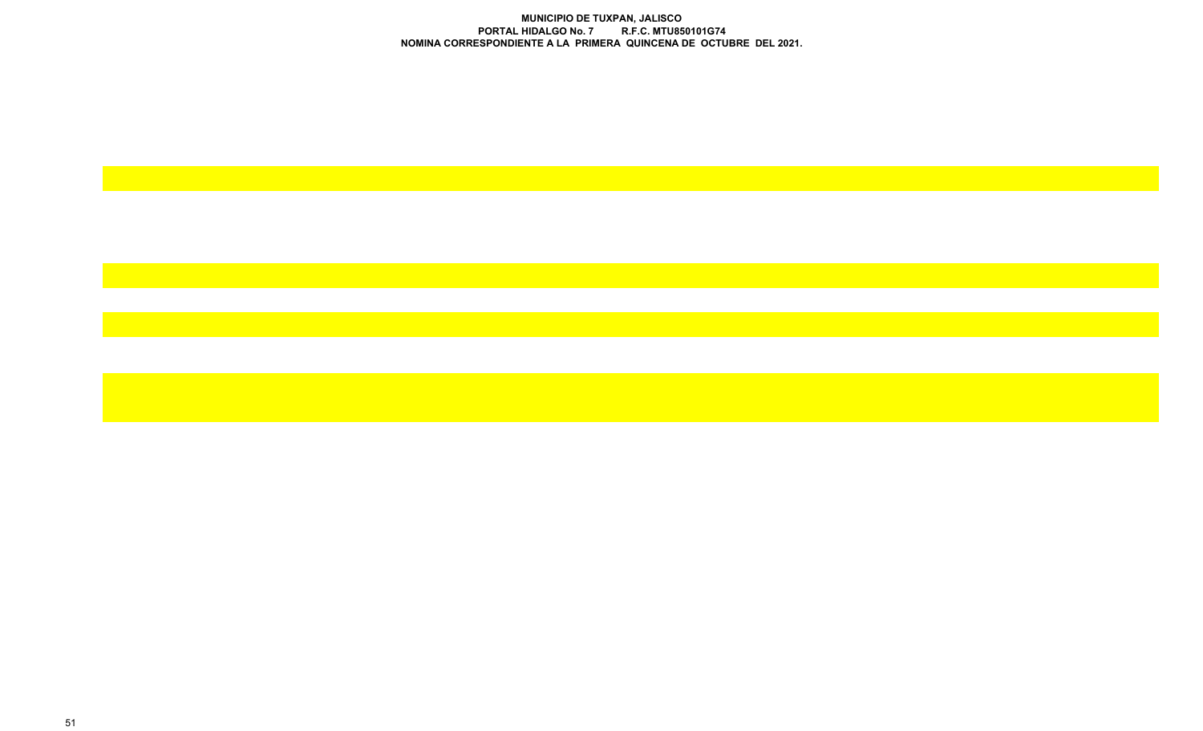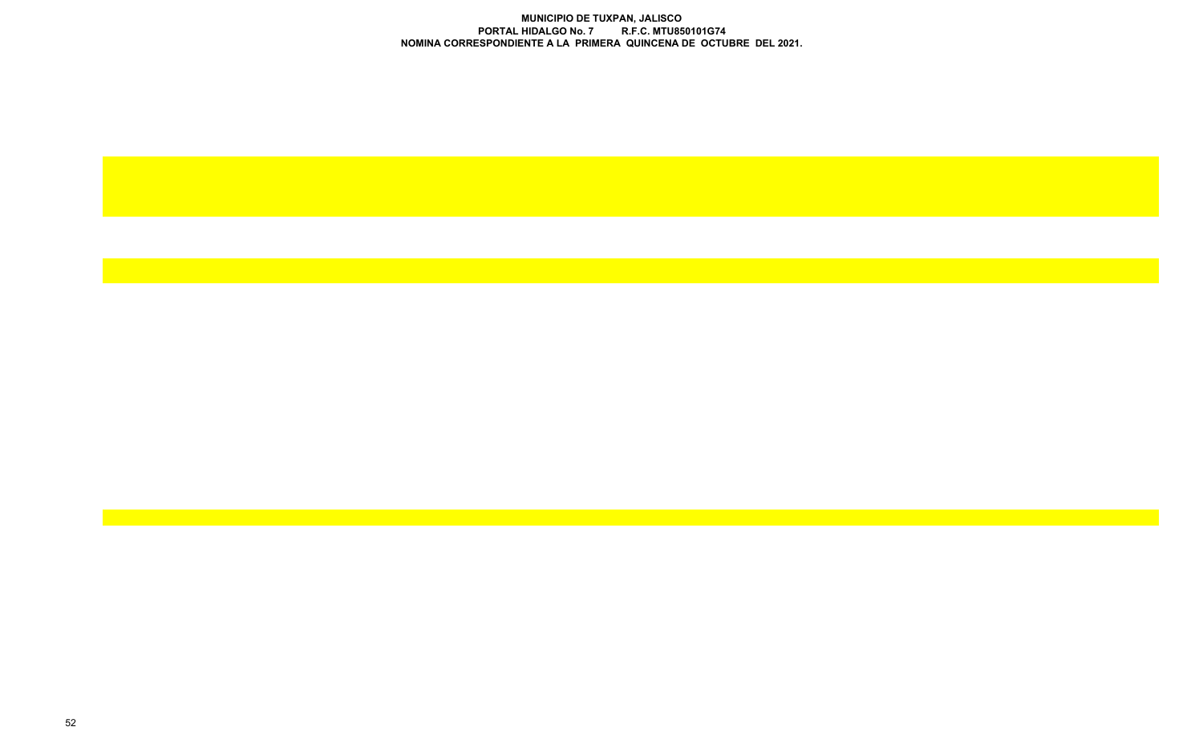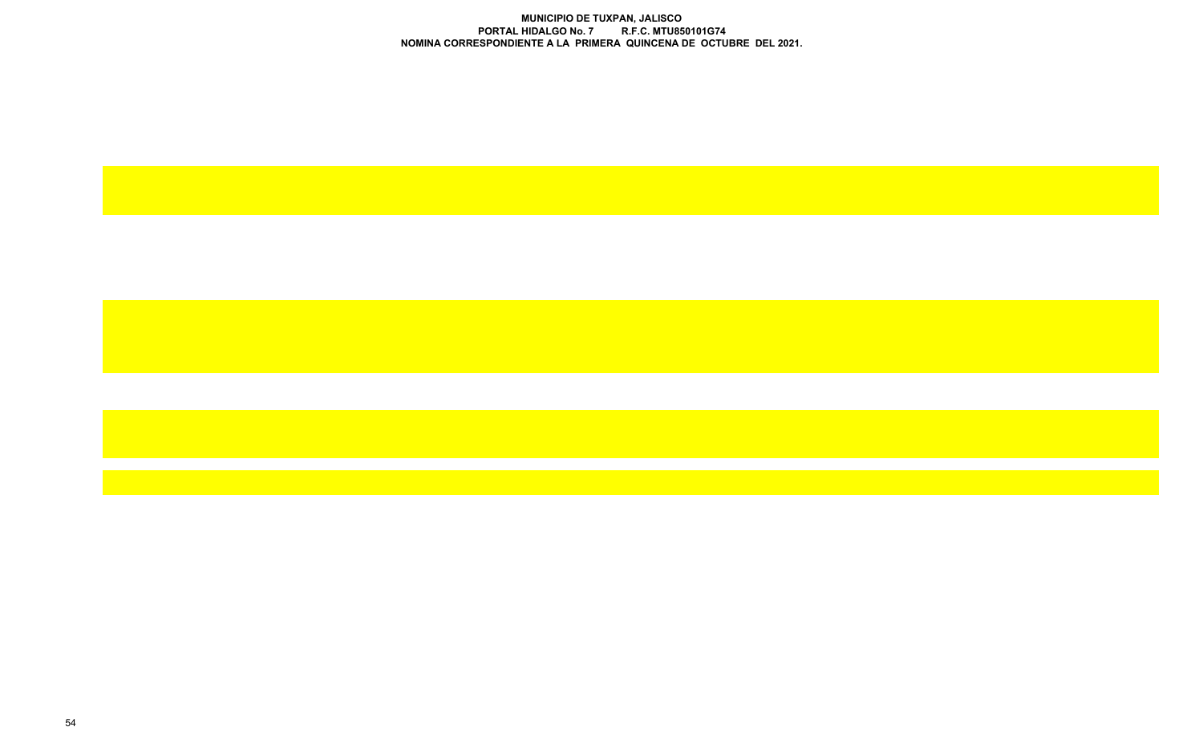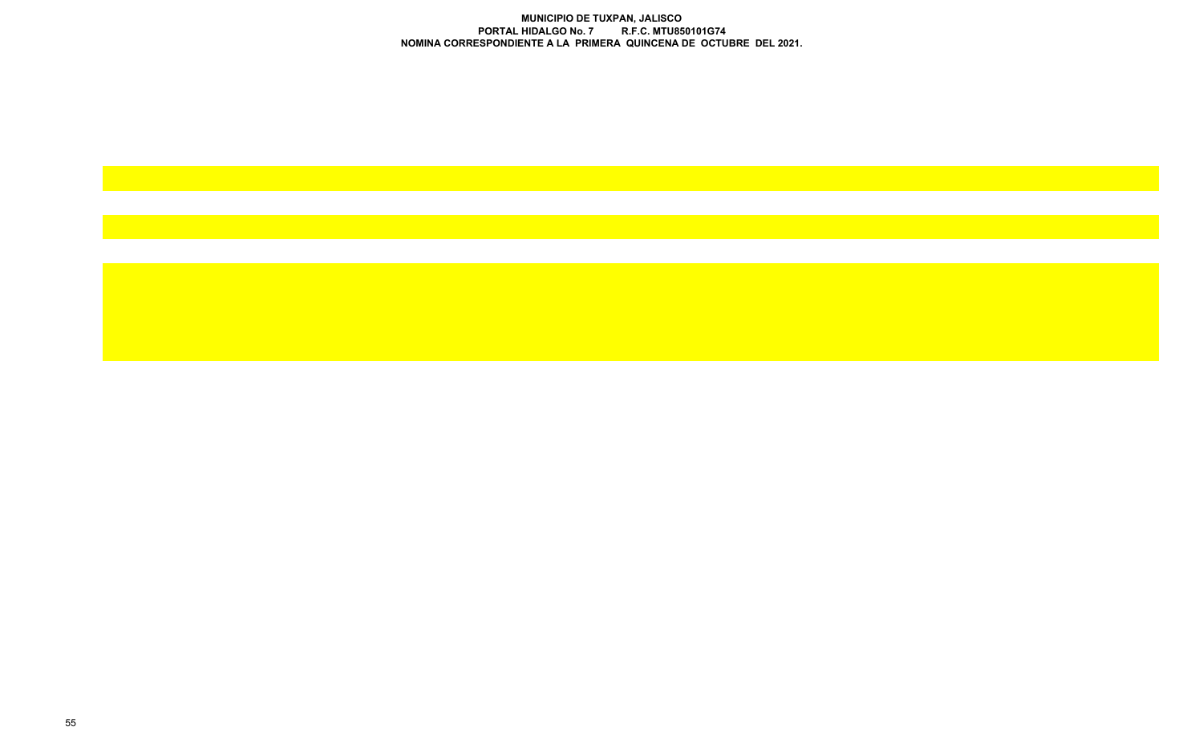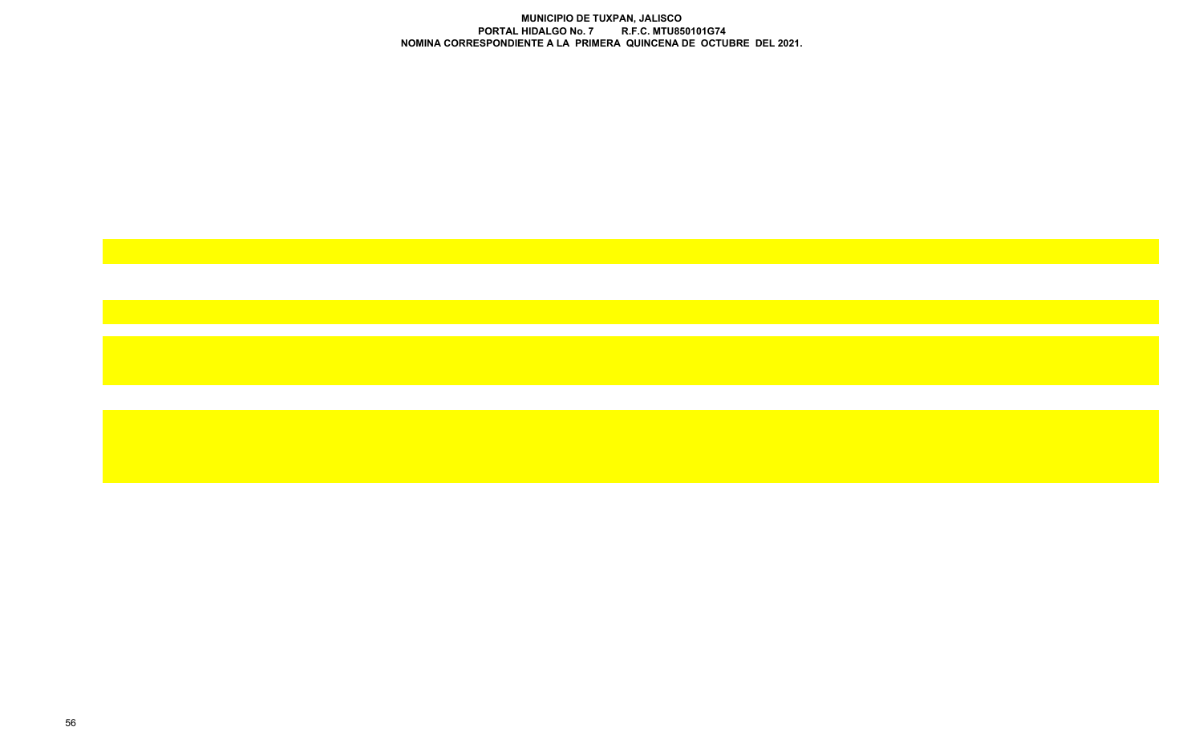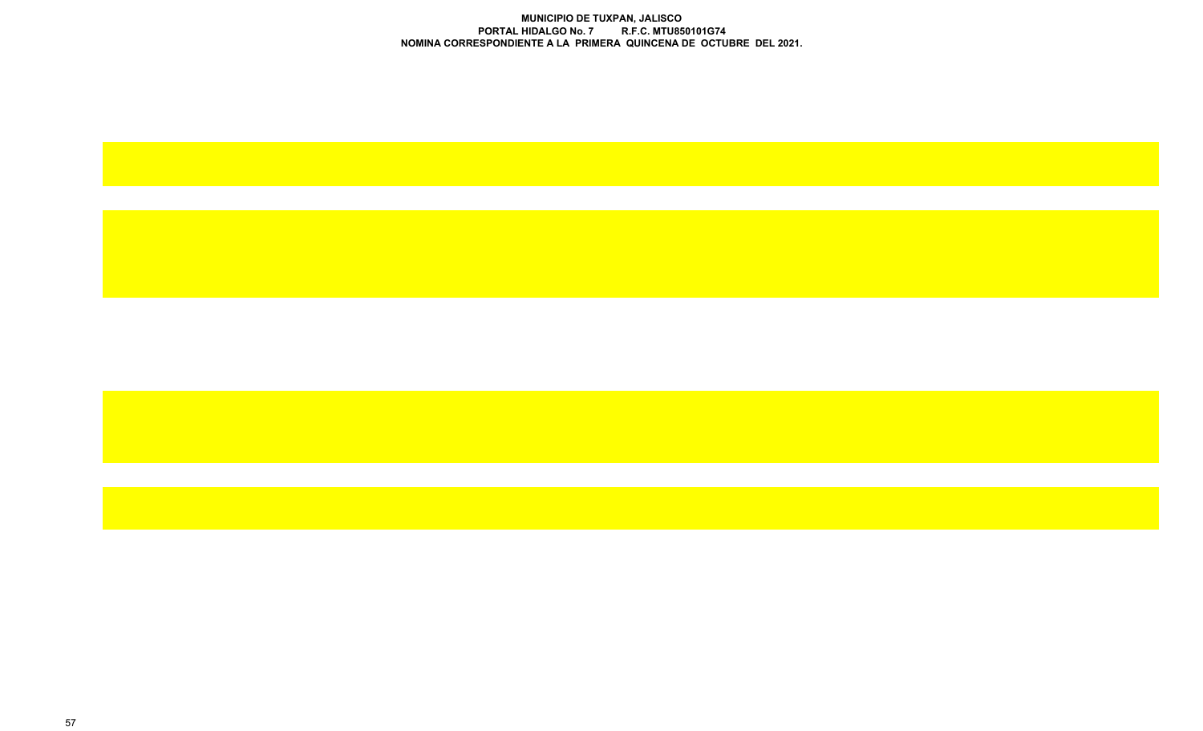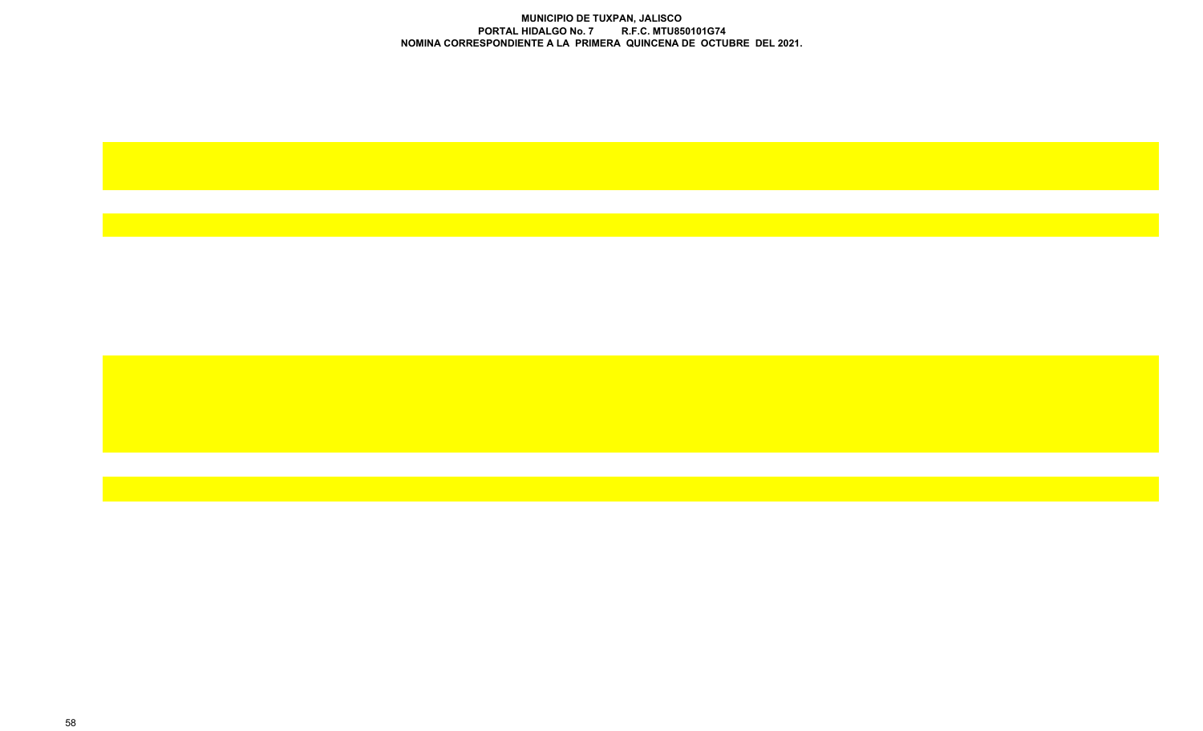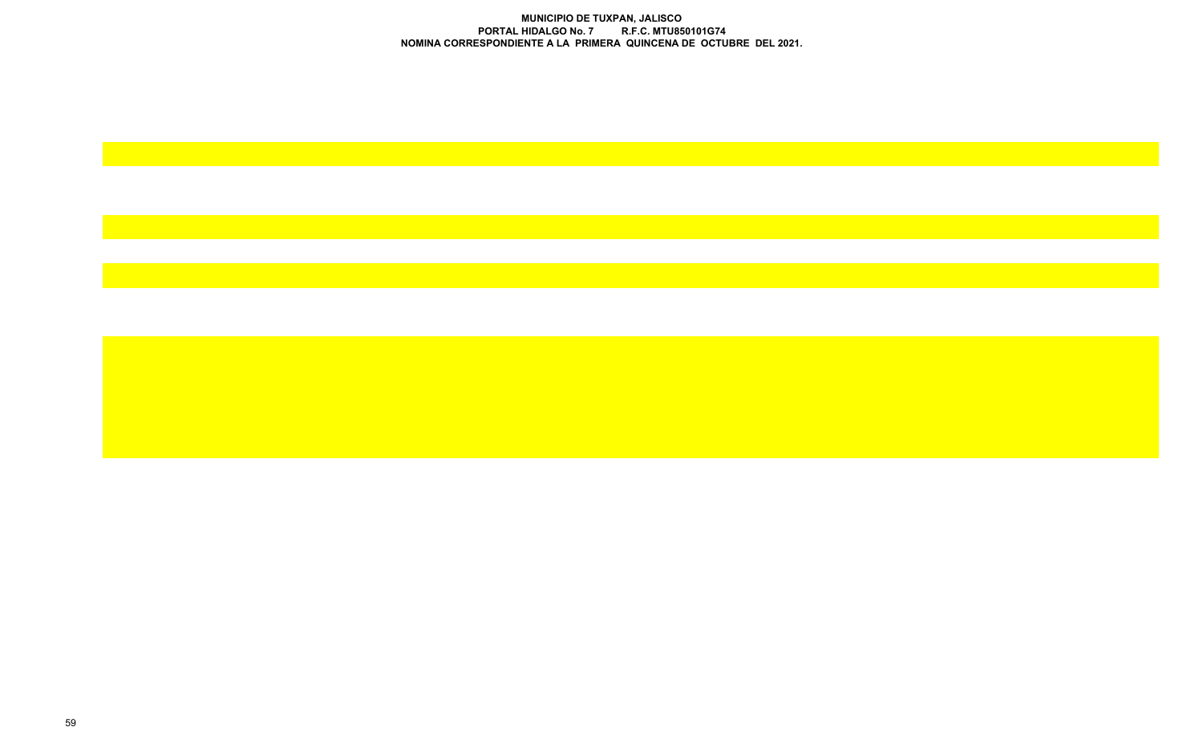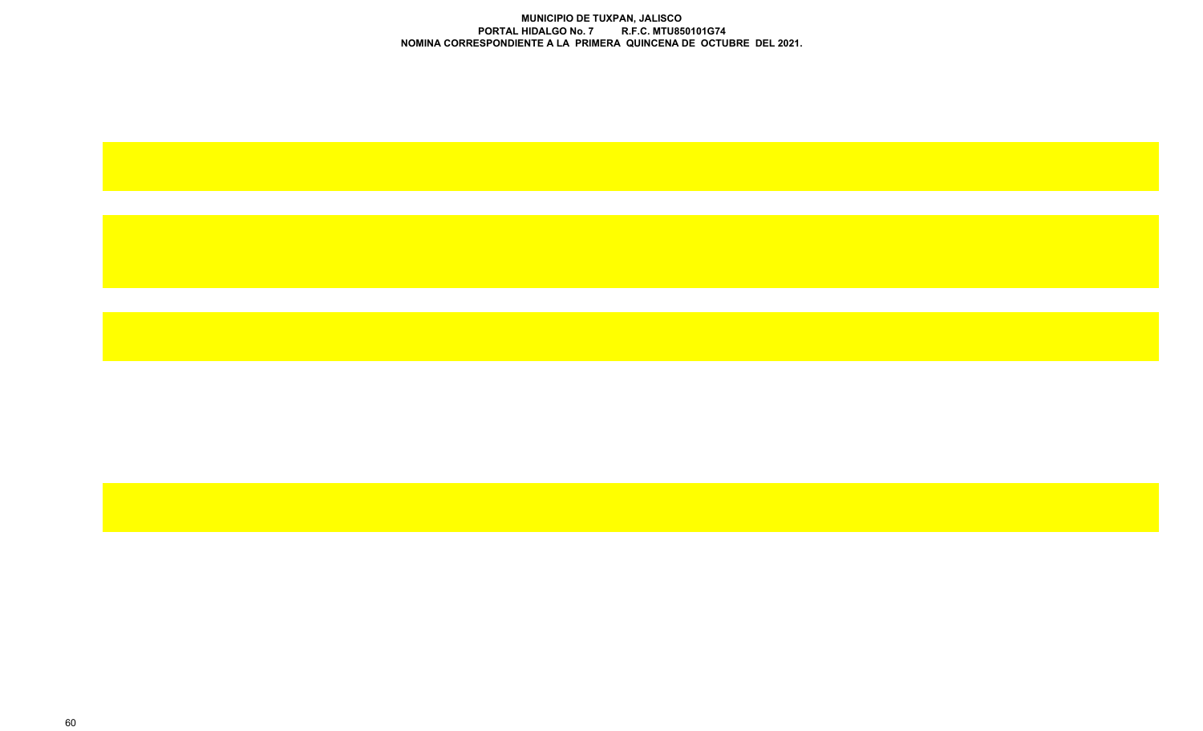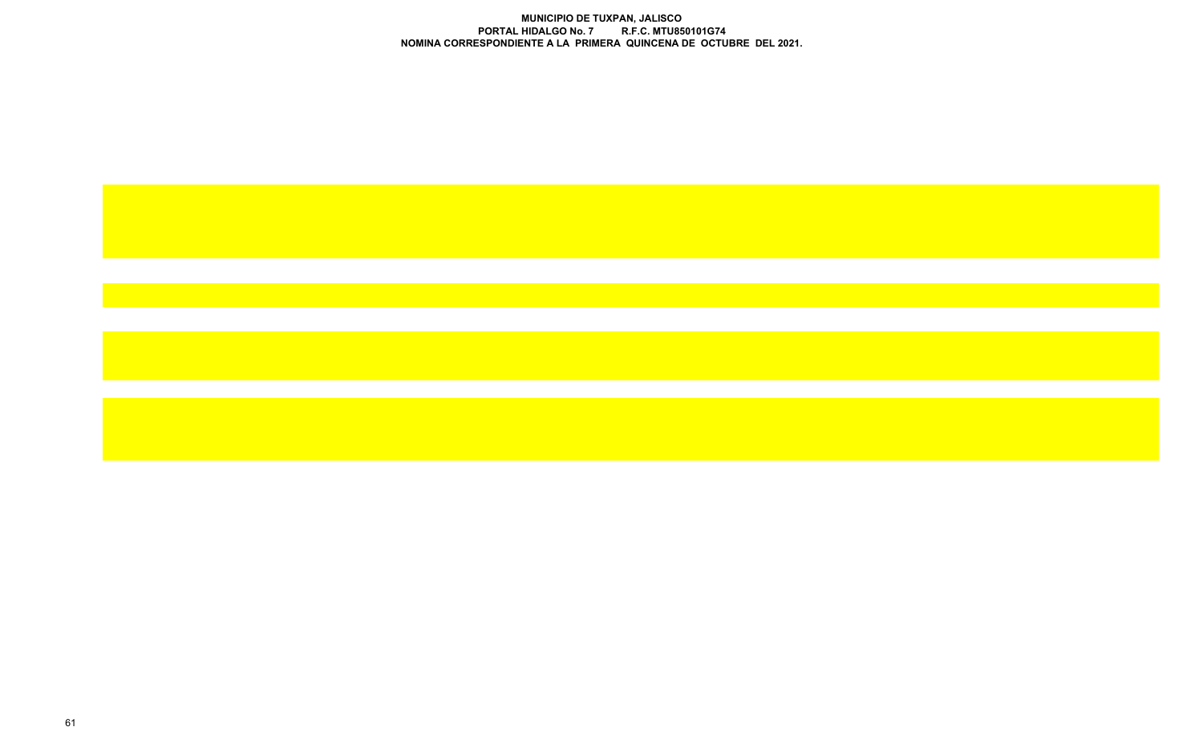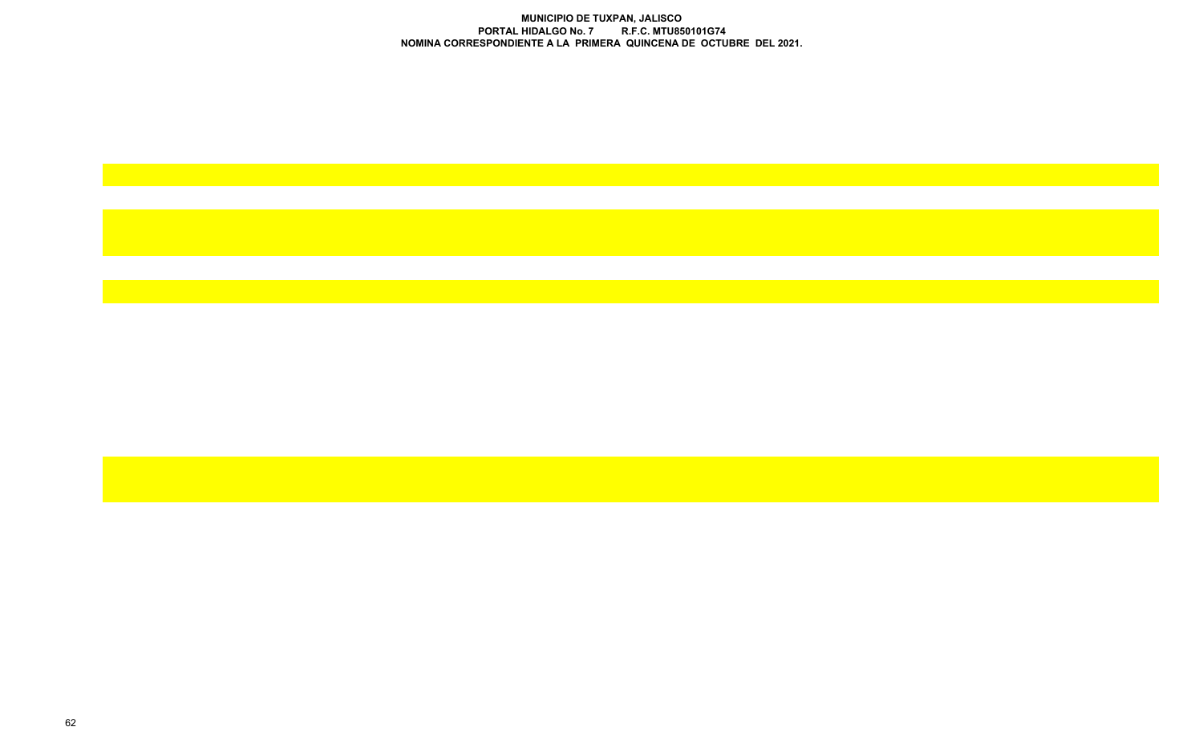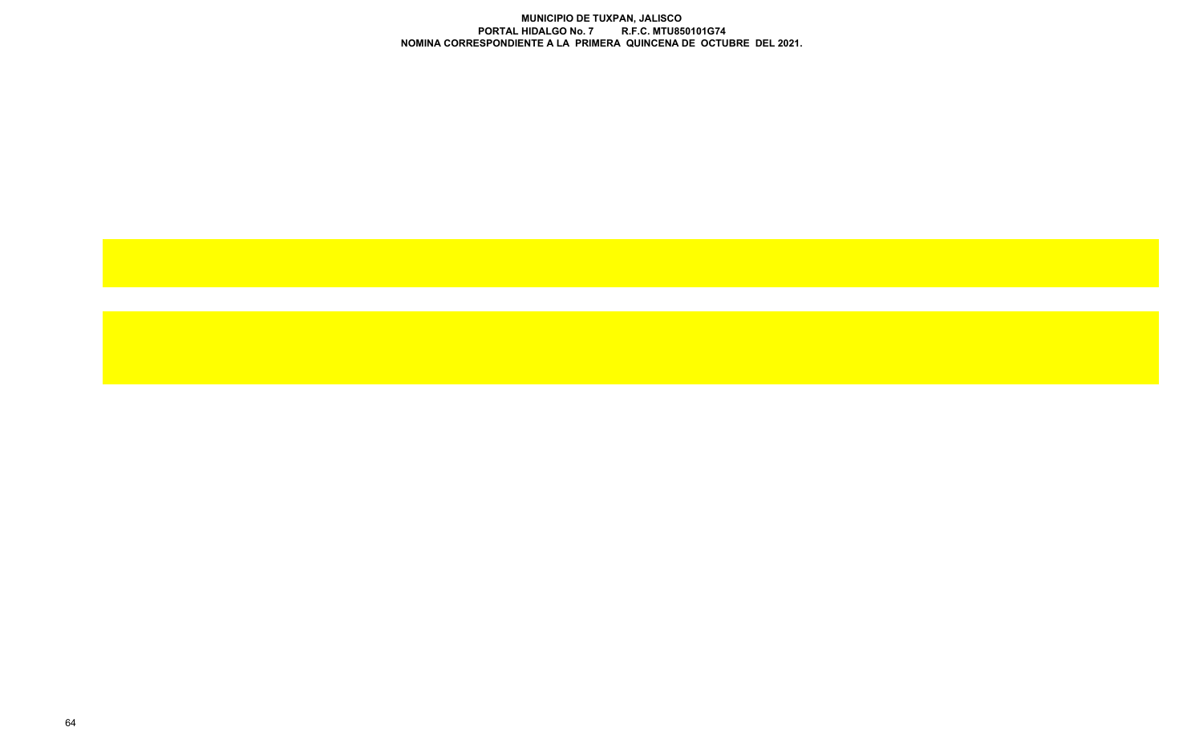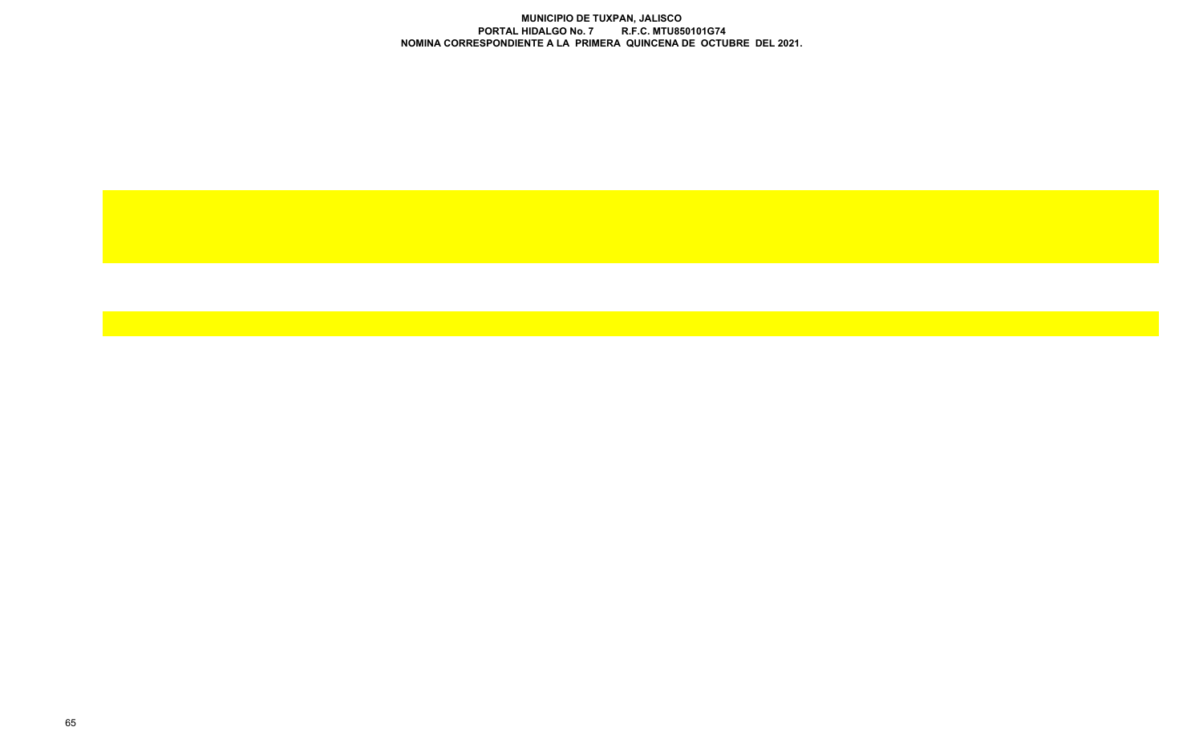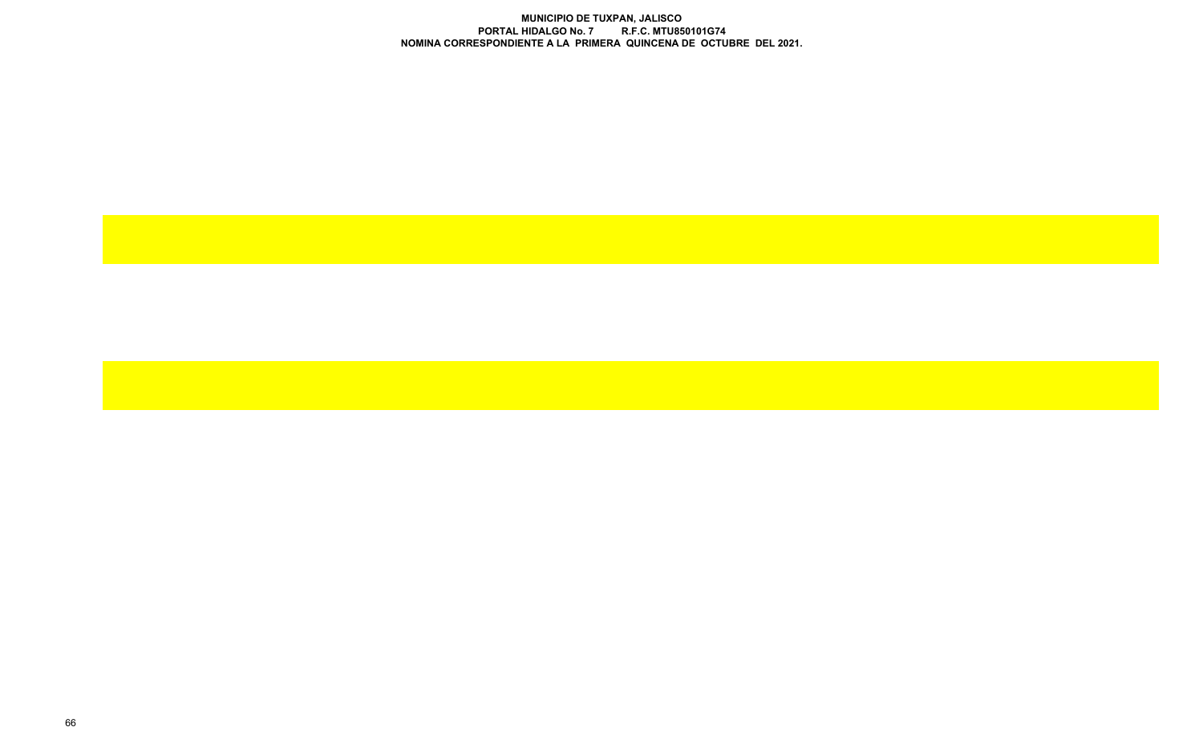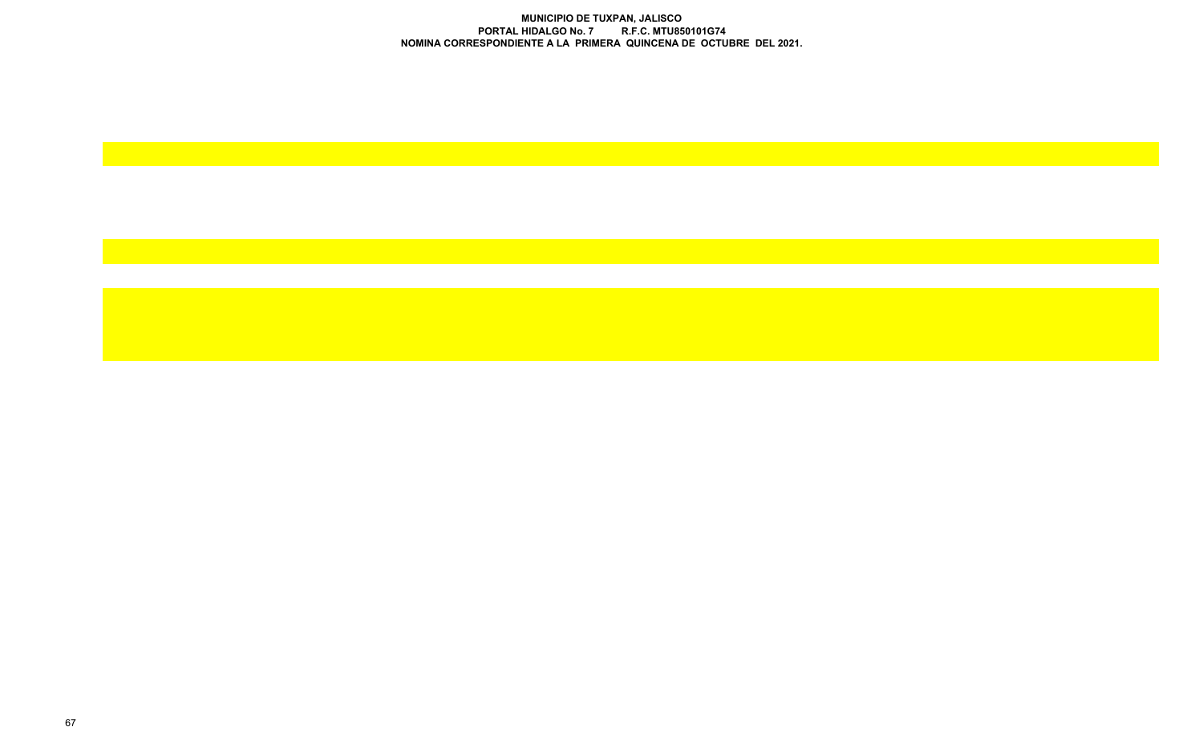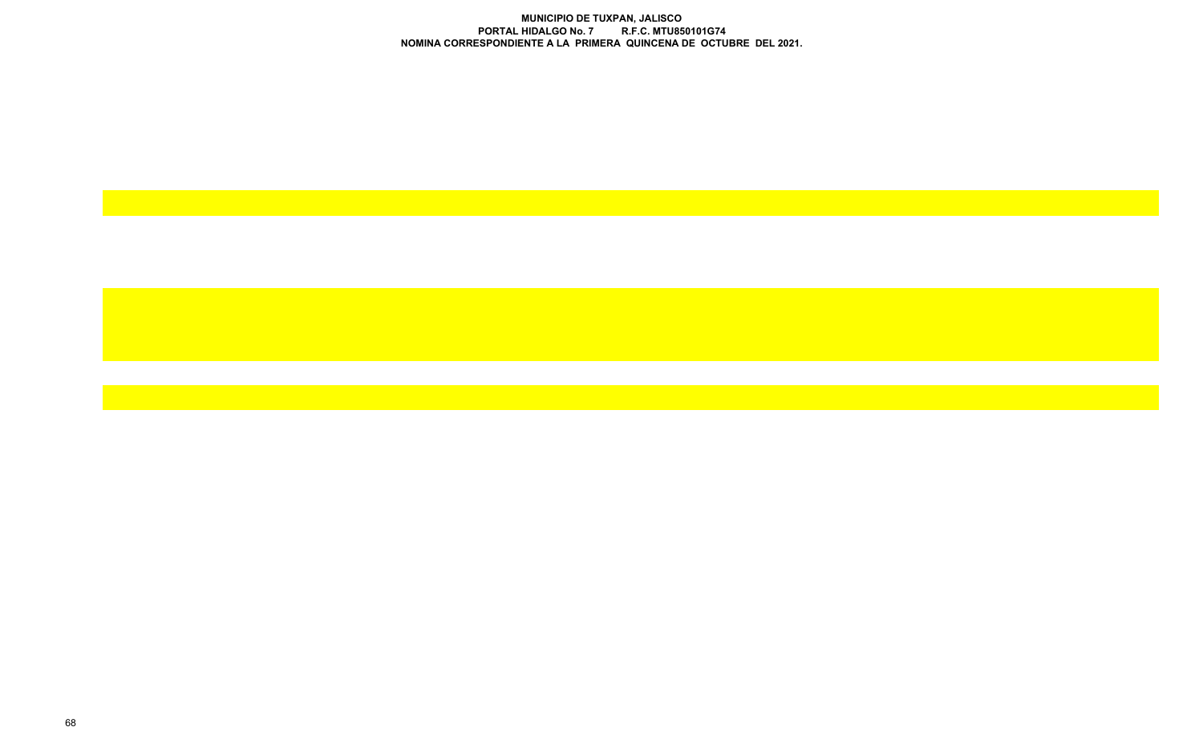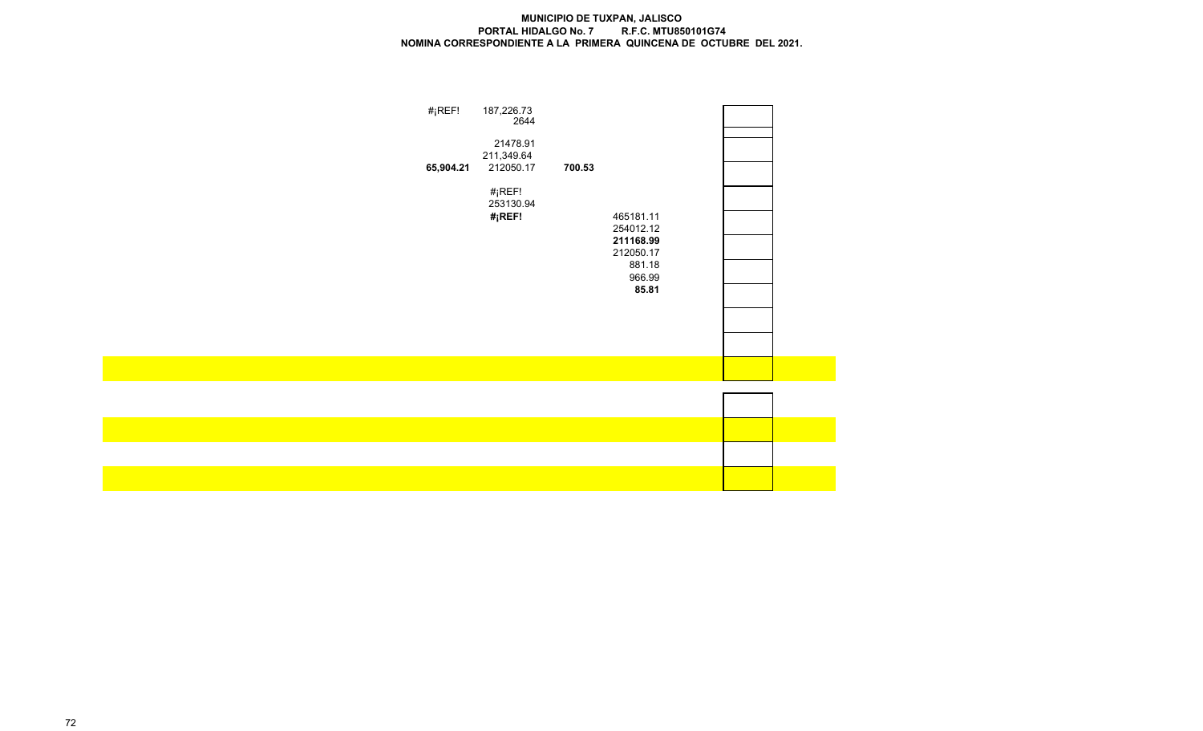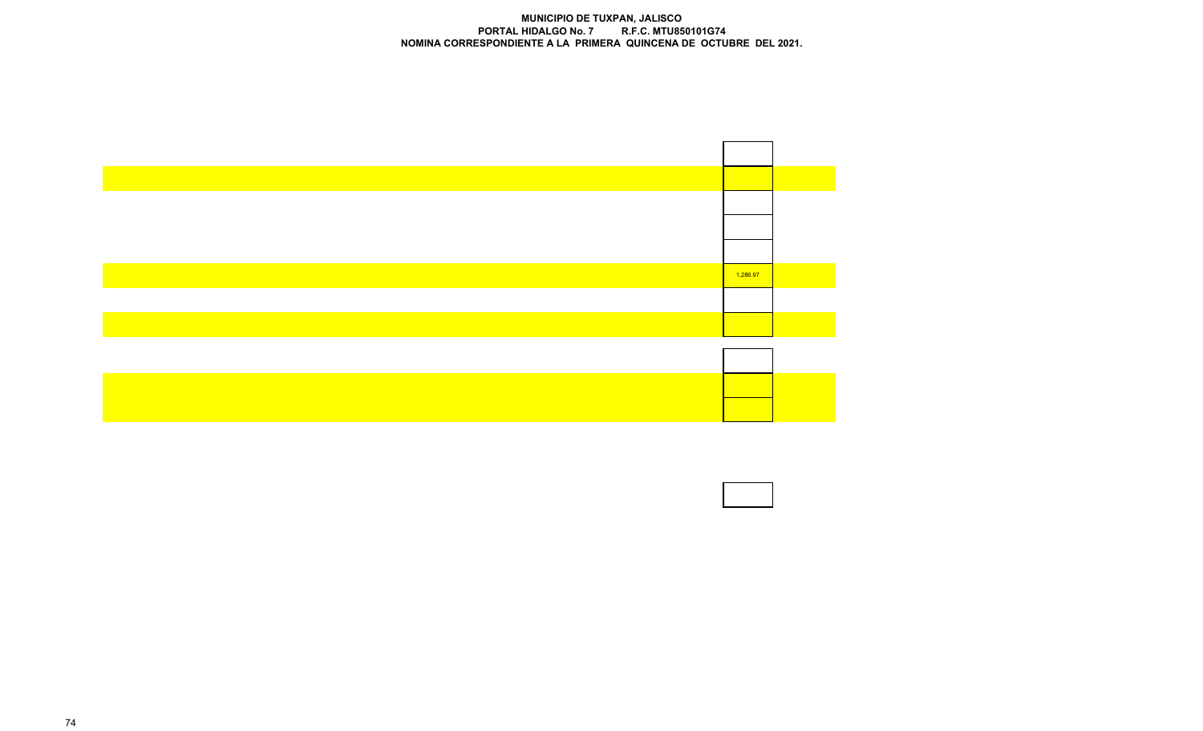

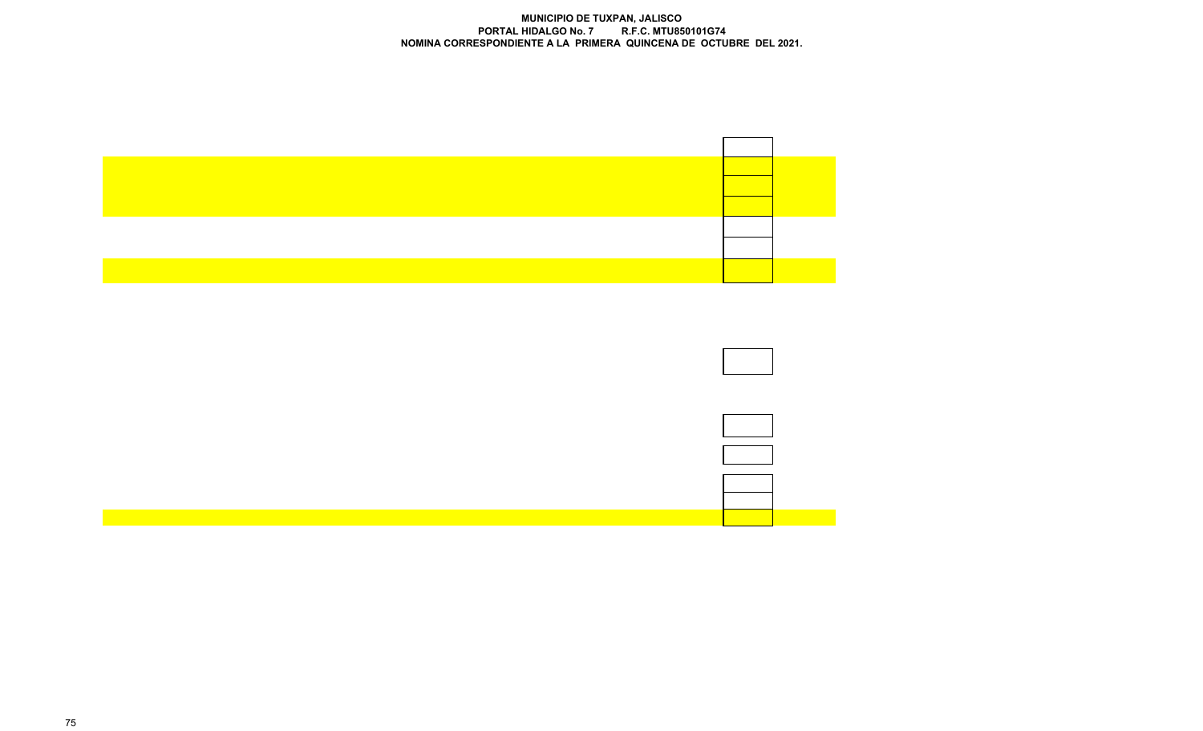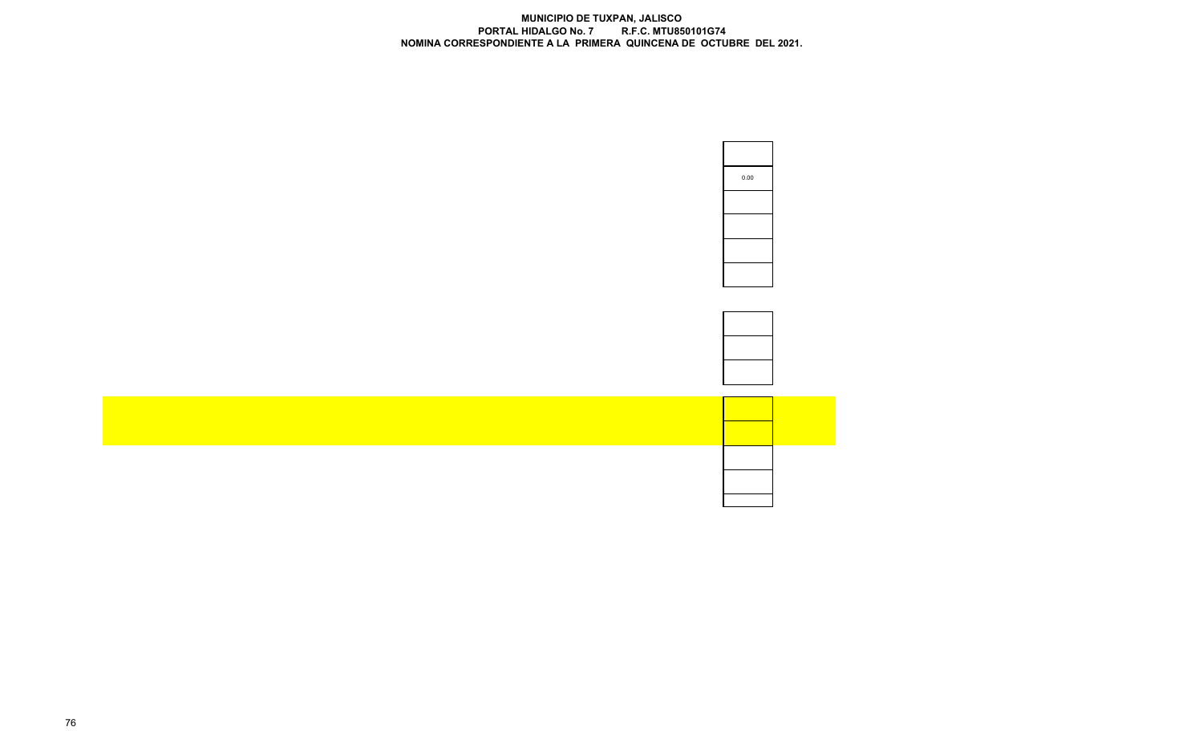| 0.00 |
|------|
|      |
|      |
|      |
|      |



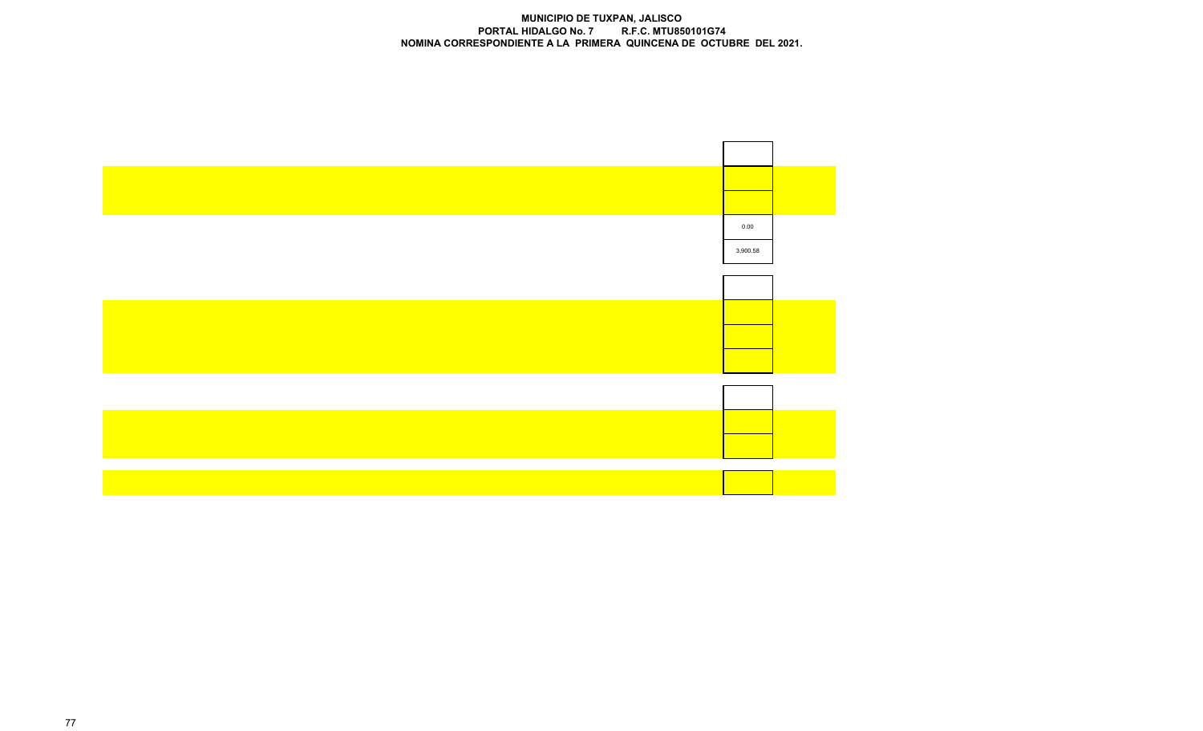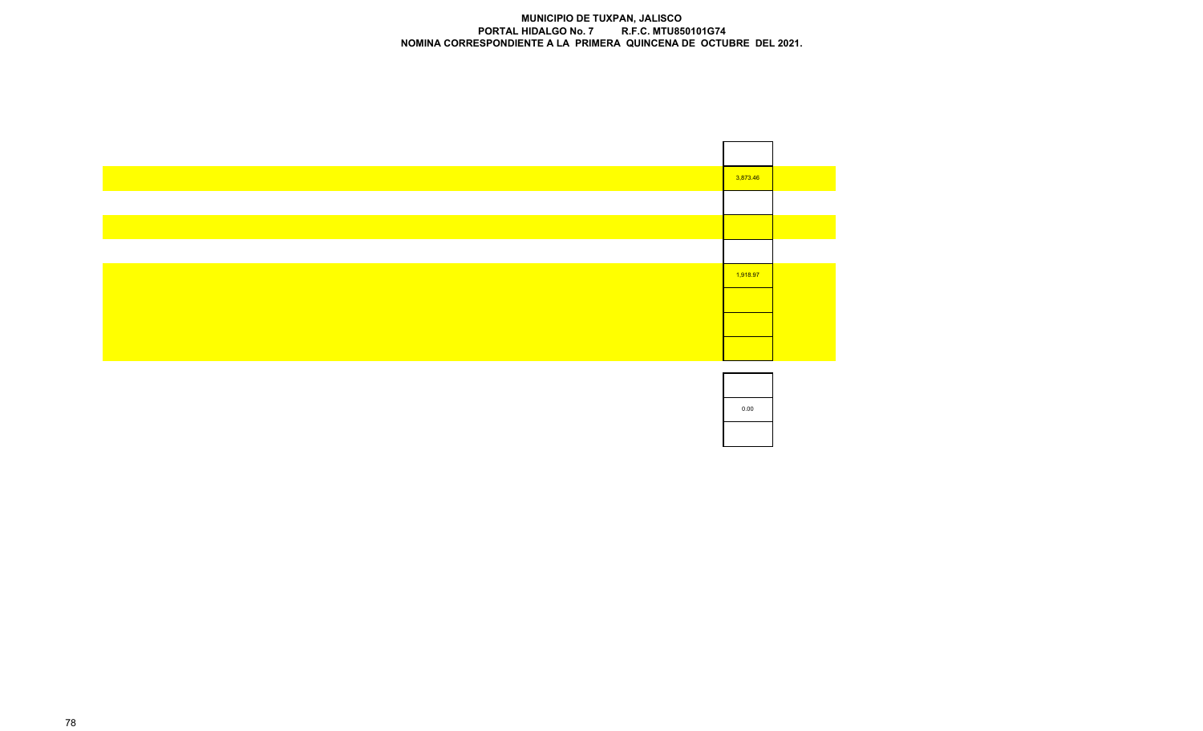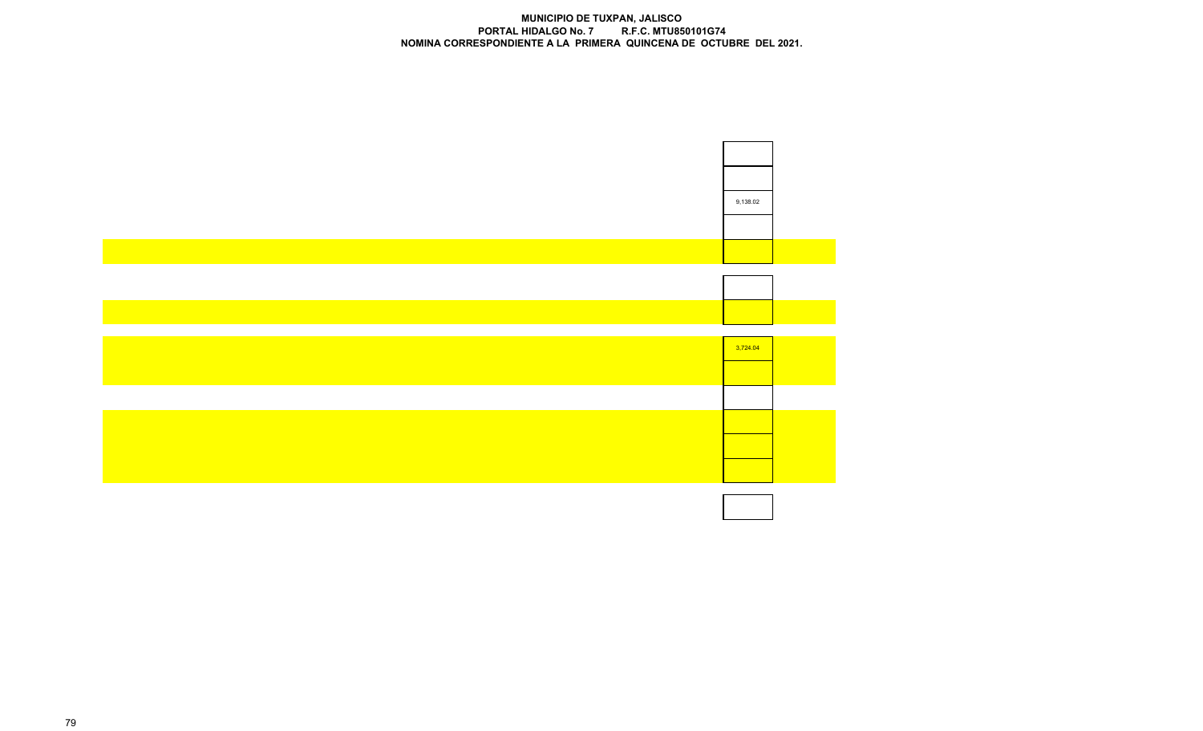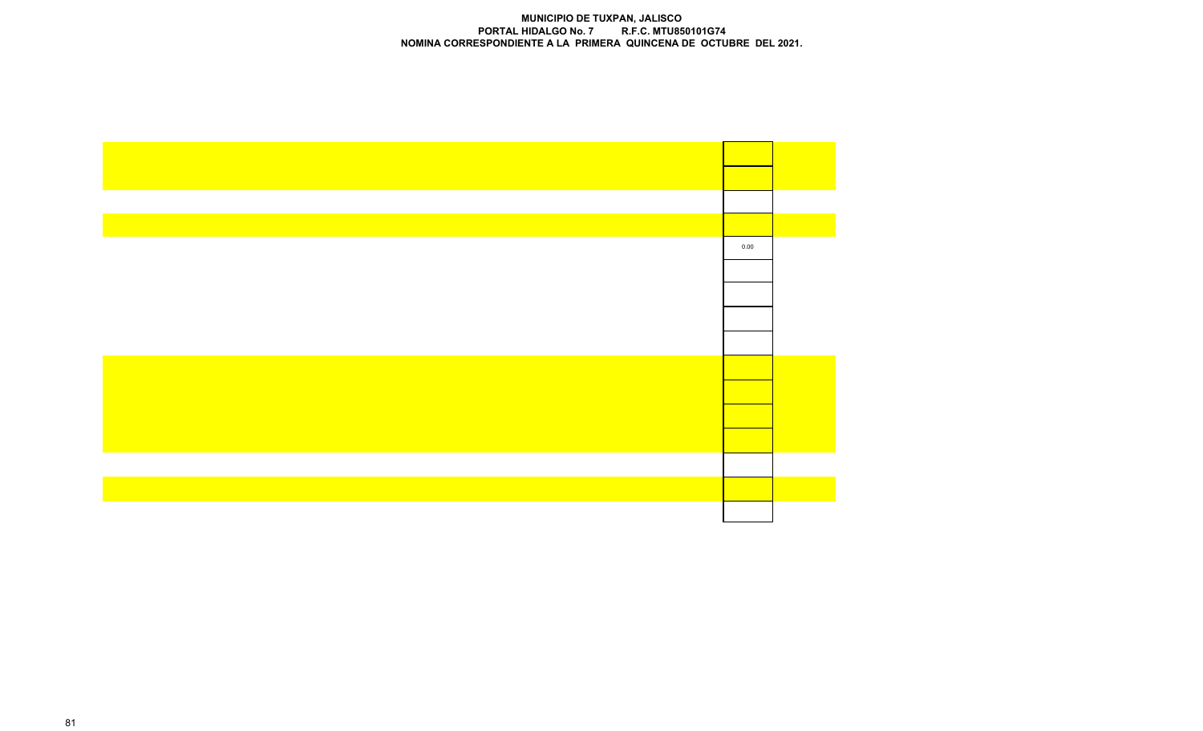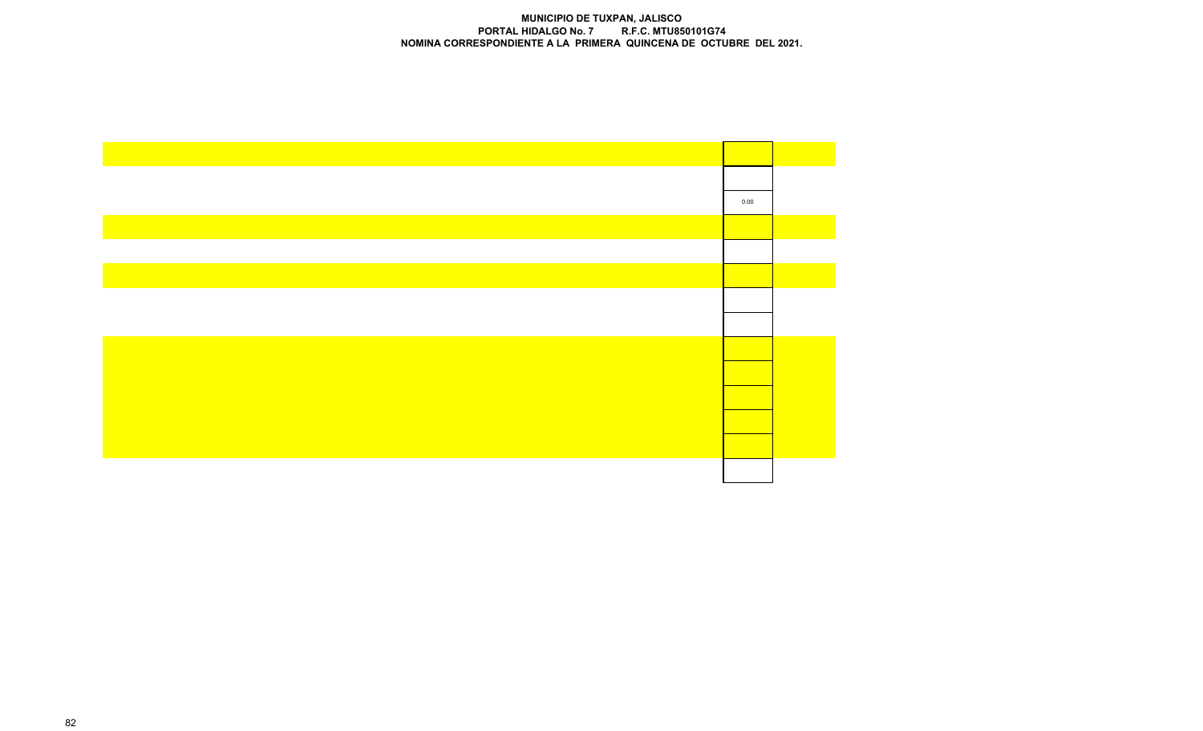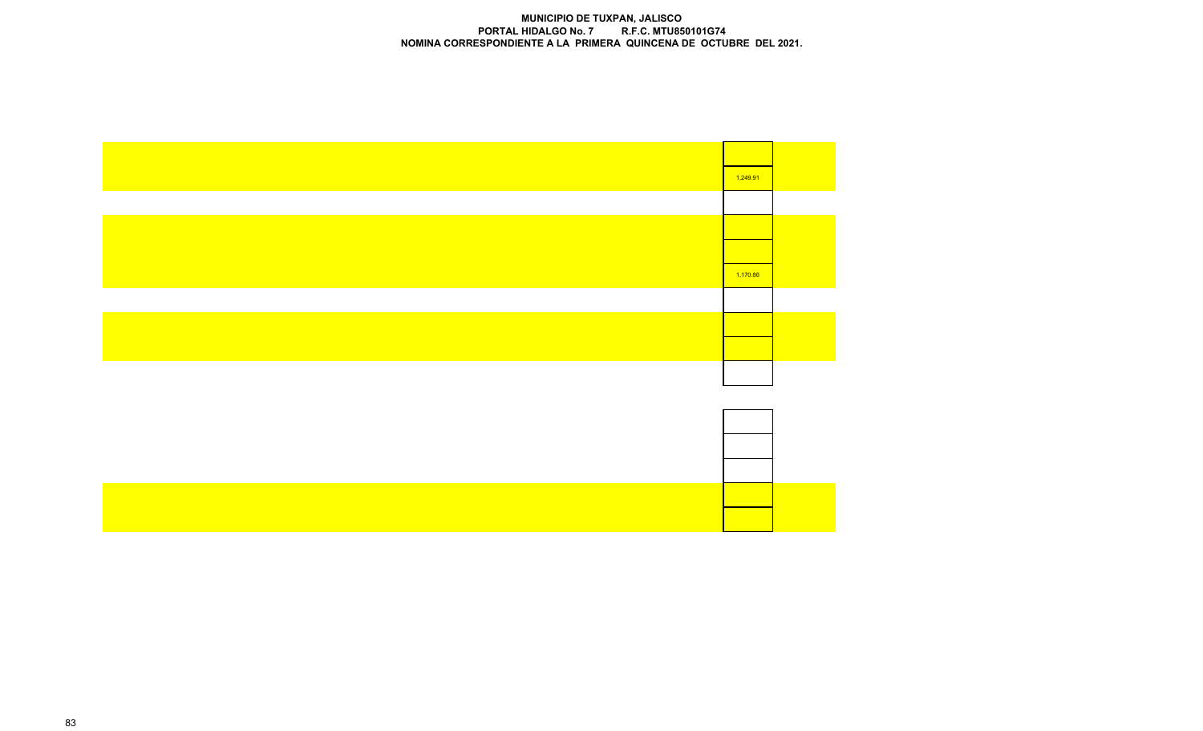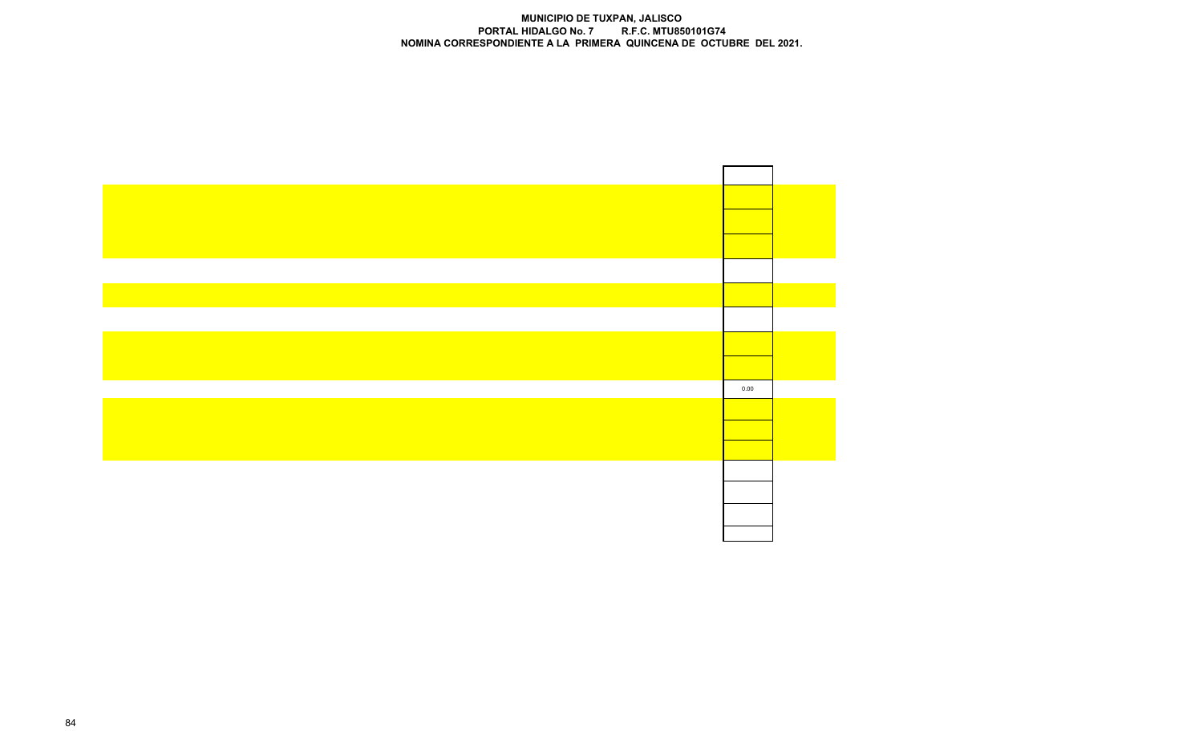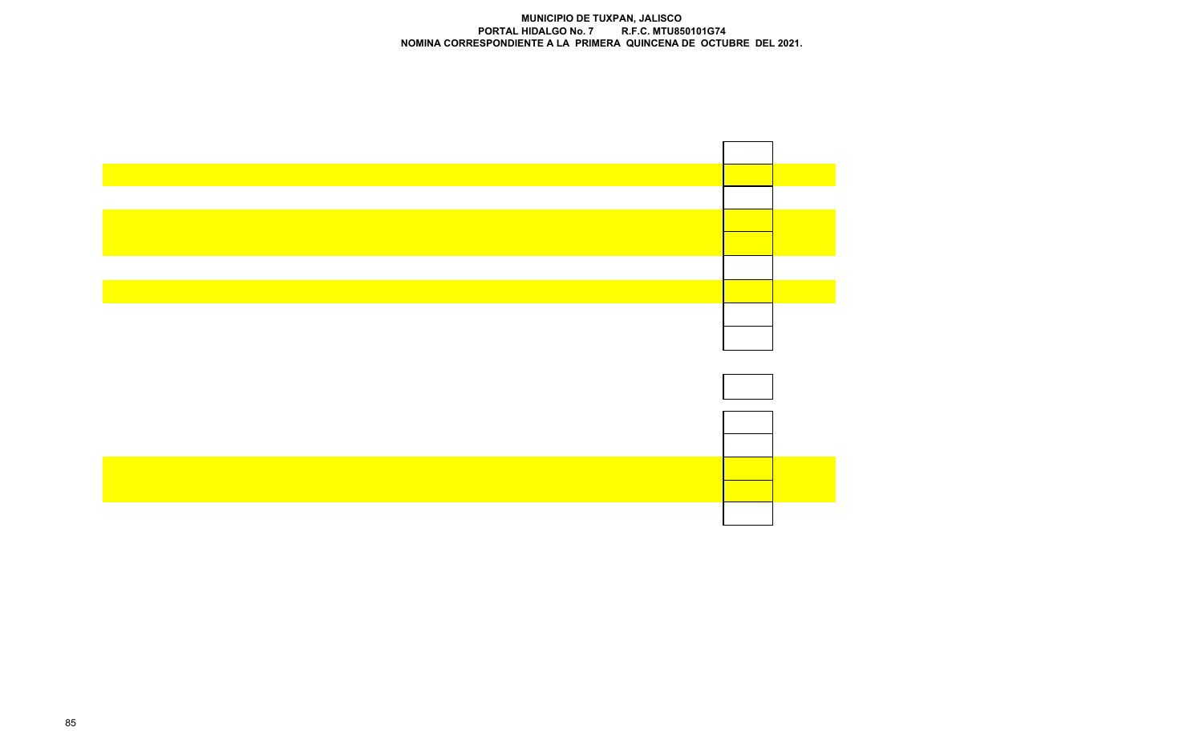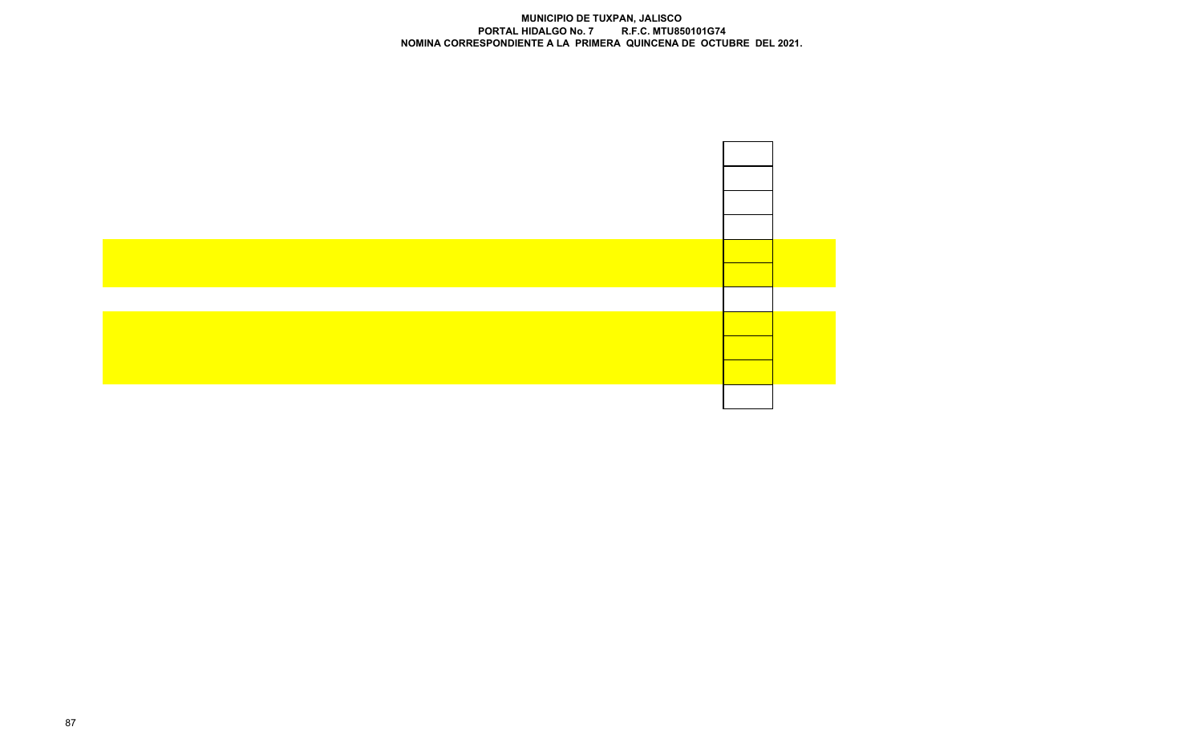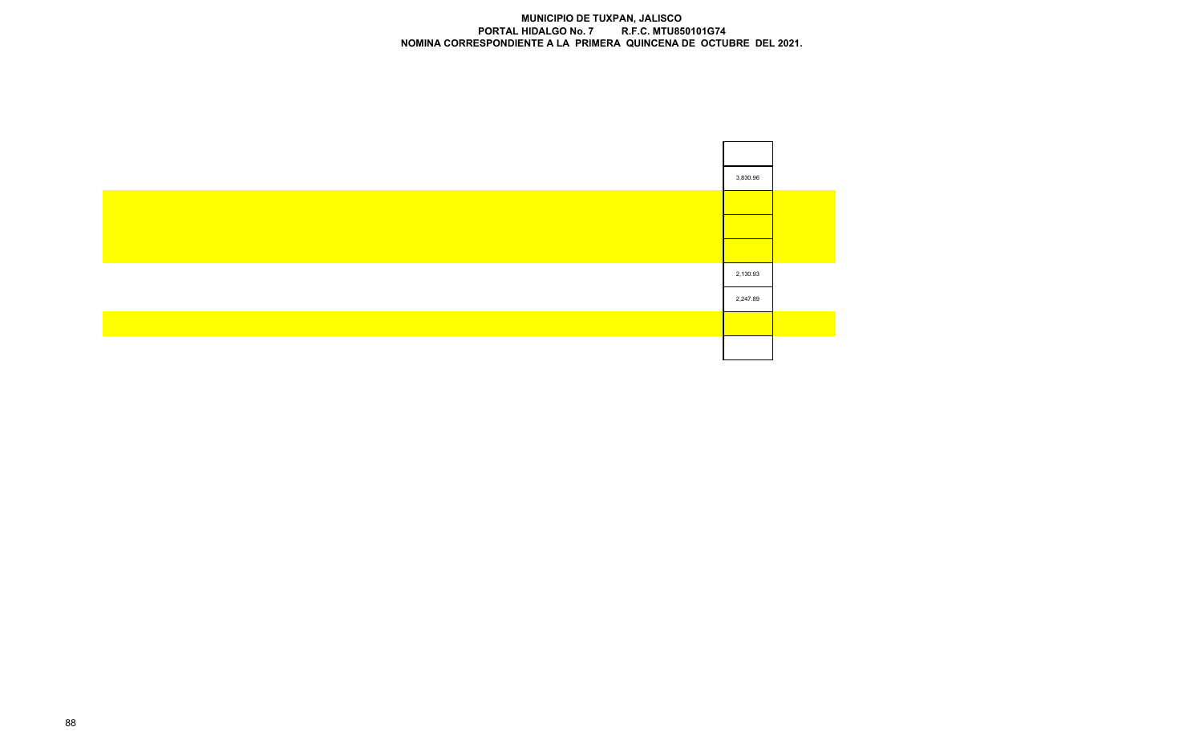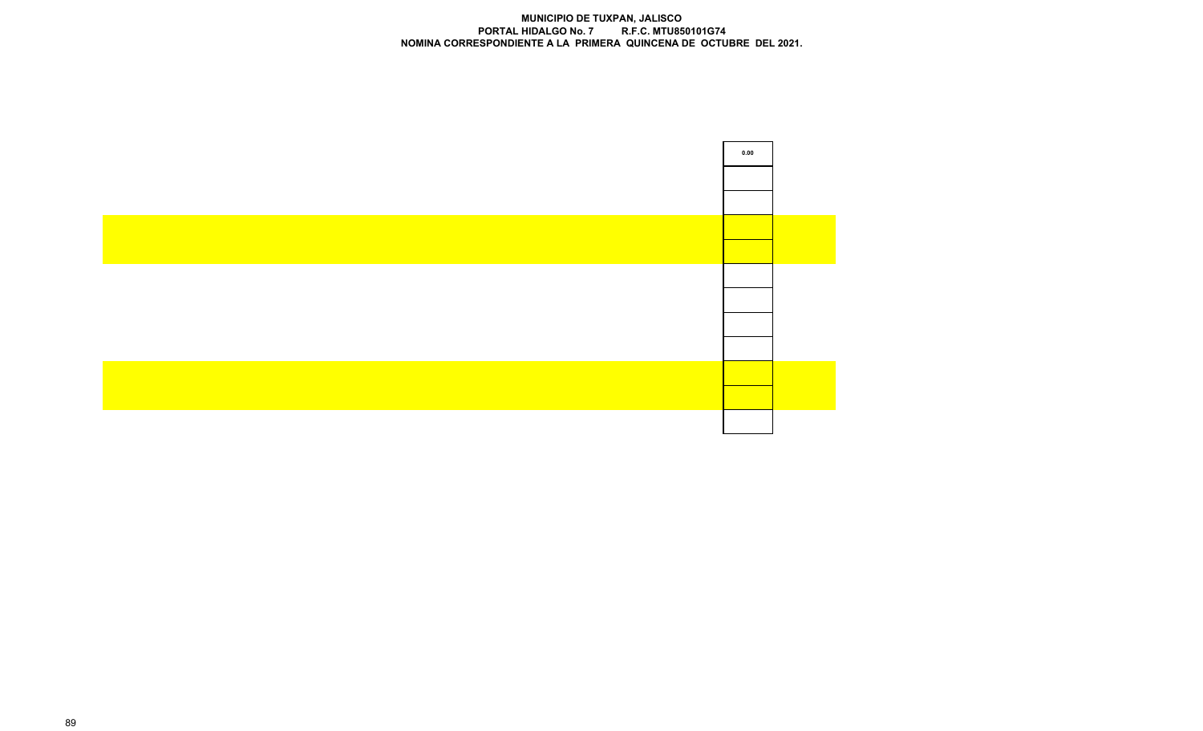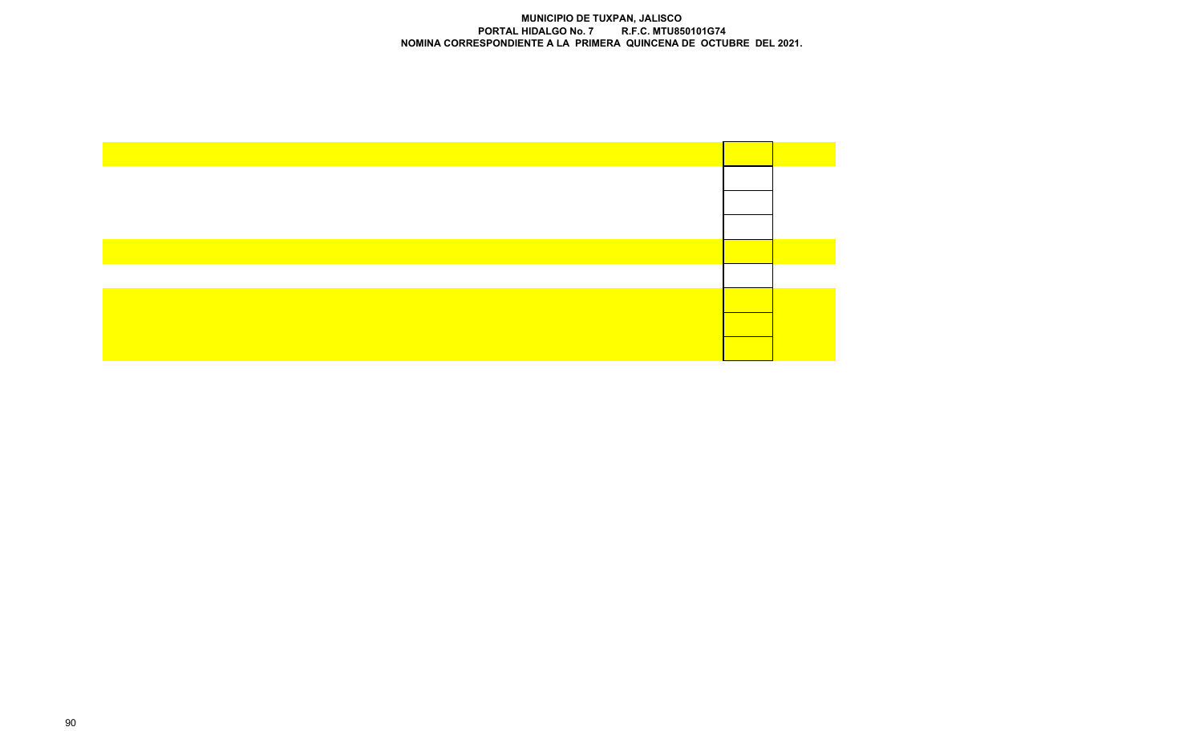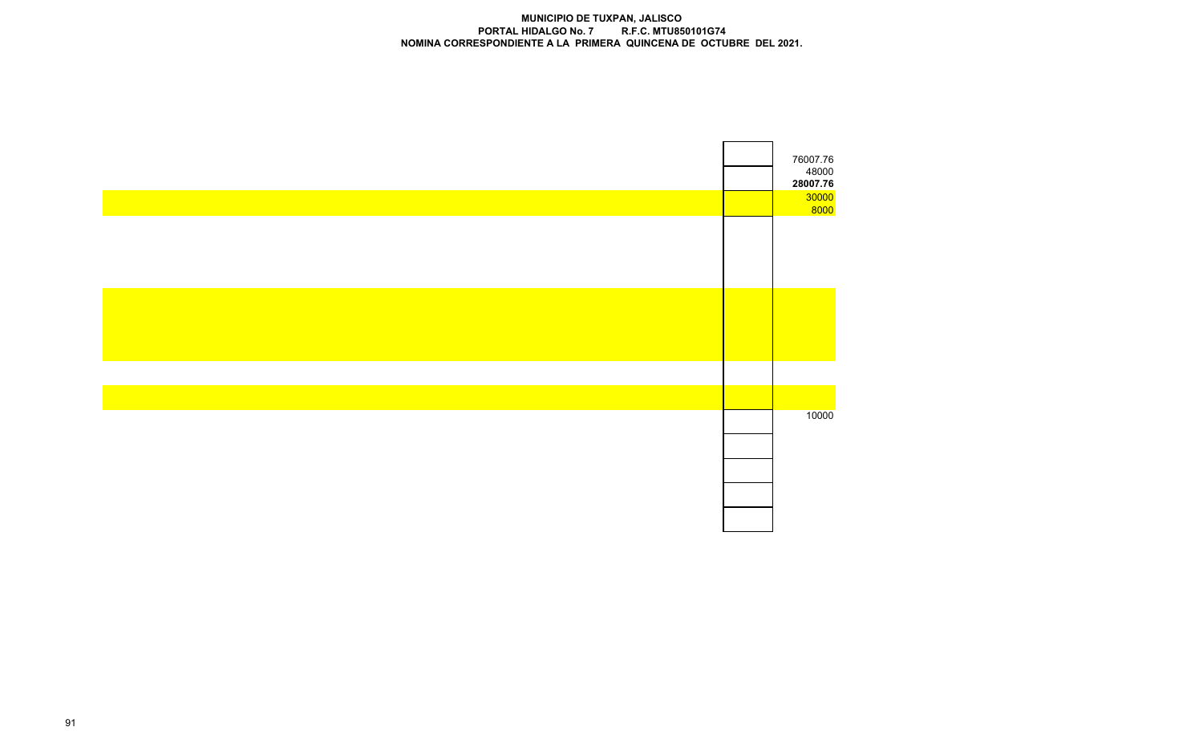